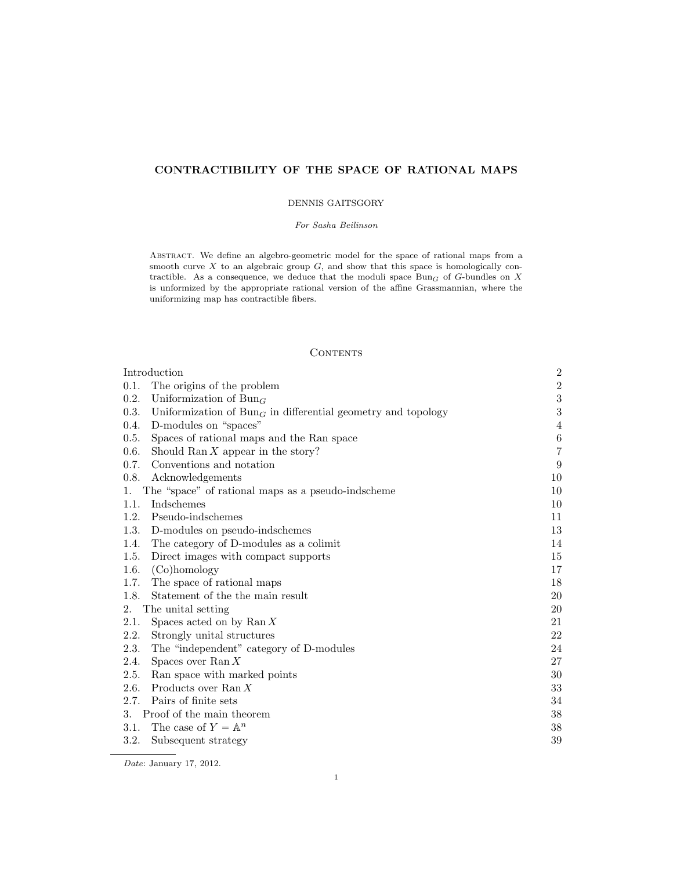# CONTRACTIBILITY OF THE SPACE OF RATIONAL MAPS

### DENNIS GAITSGORY

#### For Sasha Beilinson

ABSTRACT. We define an algebro-geometric model for the space of rational maps from a smooth curve  $X$  to an algebraic group  $G$ , and show that this space is homologically contractible. As a consequence, we deduce that the moduli space  $\text{Bun}_G$  of G-bundles on X is unformized by the appropriate rational version of the affine Grassmannian, where the uniformizing map has contractible fibers.

# **CONTENTS**

| Introduction                                                           | $\overline{2}$ |
|------------------------------------------------------------------------|----------------|
| The origins of the problem<br>0.1.                                     | $\,2$          |
| 0.2.<br>Uniformization of $Bun_G$                                      | $\sqrt{3}$     |
| 0.3.<br>Uniformization of $BunG$ in differential geometry and topology | $\sqrt{3}$     |
| D-modules on "spaces"<br>0.4.                                          | 4              |
| 0.5.<br>Spaces of rational maps and the Ran space                      | $\,6$          |
| 0.6.<br>Should Ran $X$ appear in the story?                            | $\overline{7}$ |
| Conventions and notation<br>0.7.                                       | 9              |
| 0.8.<br>Acknowledgements                                               | 10             |
| The "space" of rational maps as a pseudo-indscheme<br>1.               | 10             |
| Indschemes<br>1.1.                                                     | 10             |
| 1.2.<br>Pseudo-indschemes                                              | 11             |
| 1.3.<br>D-modules on pseudo-indschemes                                 | 13             |
| 1.4.<br>The category of D-modules as a colimit                         | 14             |
| Direct images with compact supports<br>1.5.                            | 15             |
| 1.6.<br>(Co)homology                                                   | 17             |
| The space of rational maps<br>1.7.                                     | 18             |
| 1.8.<br>Statement of the the main result                               | 20             |
| The unital setting<br>2.                                               | 20             |
| 2.1.<br>Spaces acted on by $\text{Ran} X$                              | 21             |
| 2.2.<br>Strongly unital structures                                     | 22             |
| 2.3.<br>The "independent" category of D-modules                        | 24             |
| 2.4.<br>Spaces over Ran $X$                                            | 27             |
| 2.5.<br>Ran space with marked points                                   | 30             |
| 2.6.<br>Products over Ran $X$                                          | 33             |
| 2.7.<br>Pairs of finite sets                                           | 34             |
| Proof of the main theorem<br>3.                                        | $38\,$         |
| The case of $Y = \mathbb{A}^n$<br>3.1.                                 | 38             |
| 3.2.<br>Subsequent strategy                                            | 39             |

Date: January 17, 2012.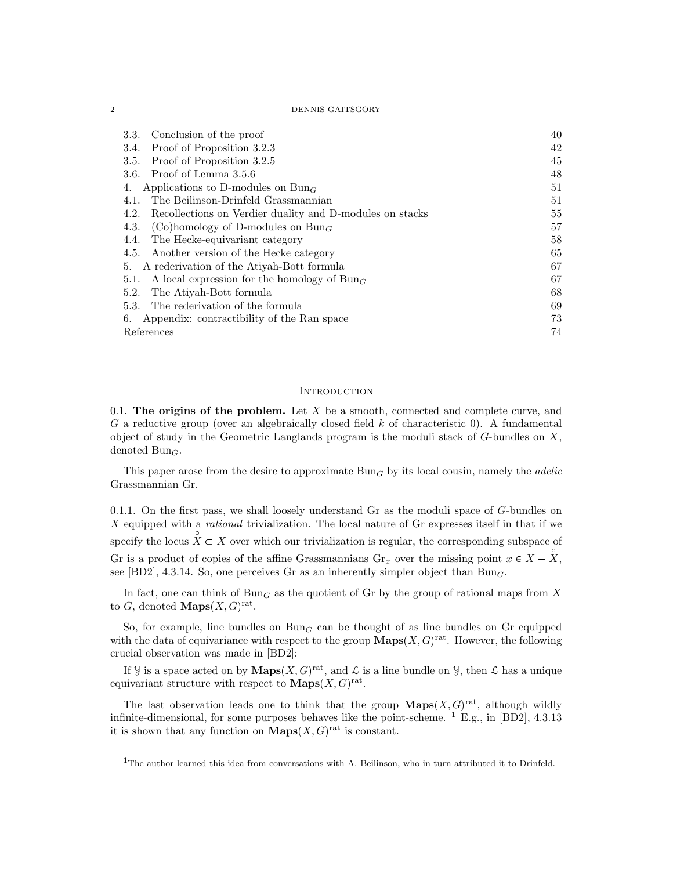2 DENNIS GAITSGORY

| Conclusion of the proof<br>3.3.                                  | 40 |
|------------------------------------------------------------------|----|
| Proof of Proposition 3.2.3<br>3.4.                               | 42 |
| Proof of Proposition 3.2.5<br>3.5.                               | 45 |
| Proof of Lemma 3.5.6<br>3.6.                                     | 48 |
| Applications to D-modules on $Bun_G$<br>4.                       | 51 |
| The Beilinson-Drinfeld Grassmannian<br>4.1.                      | 51 |
| Recollections on Verdier duality and D-modules on stacks<br>4.2. | 55 |
| (Co)homology of D-modules on $Bun_G$<br>4.3.                     | 57 |
| The Hecke-equivariant category<br>4.4.                           | 58 |
| Another version of the Hecke category<br>4.5.                    | 65 |
| A rederivation of the Atiyah-Bott formula<br>5.                  | 67 |
| A local expression for the homology of $Bun_G$<br>5.1.           | 67 |
| The Atiyah-Bott formula<br>5.2.                                  | 68 |
| The rederivation of the formula<br>5.3.                          | 69 |
| Appendix: contractibility of the Ran space<br>6.                 | 73 |
| References                                                       | 74 |

#### **INTRODUCTION**

0.1. The origins of the problem. Let  $X$  be a smooth, connected and complete curve, and G a reductive group (over an algebraically closed field  $k$  of characteristic 0). A fundamental object of study in the Geometric Langlands program is the moduli stack of  $G$ -bundles on  $X$ , denoted  $Bun_G$ .

This paper arose from the desire to approximate  $Bun_G$  by its local cousin, namely the *adelic* Grassmannian Gr.

0.1.1. On the first pass, we shall loosely understand  $Gr$  as the moduli space of  $G$ -bundles on X equipped with a *rational* trivialization. The local nature of Gr expresses itself in that if we specify the locus  $\mathring{X} \subset X$  over which our trivialization is regular, the corresponding subspace of Gr is a product of copies of the affine Grassmannians  $\text{Gr}_x$  over the missing point  $x \in X - \overset{\circ}{X}$ , see [BD2], 4.3.14. So, one perceives Gr as an inherently simpler object than  $Bun_{G}$ .

In fact, one can think of  $Bun_G$  as the quotient of Gr by the group of rational maps from X to G, denoted **Maps** $(X, G)$ <sup>rat</sup>.

So, for example, line bundles on  $Bun_G$  can be thought of as line bundles on Gr equipped with the data of equivariance with respect to the group  $\mathbf{Maps}(X, G)^{\text{rat}}$ . However, the following crucial observation was made in [BD2]:

If *y* is a space acted on by  $\mathbf{Maps}(X, G)^\text{rat}$ , and  $\mathcal L$  is a line bundle on *y*, then  $\mathcal L$  has a unique equivariant structure with respect to  $\mathbf{Maps}(X, G)^{\text{rat}}$ .

The last observation leads one to think that the group  $\mathbf{Maps}(X, G)^\text{rat}$ , although wildly infinite-dimensional, for some purposes behaves like the point-scheme.  $^{1}$  E.g., in [BD2], 4.3.13 it is shown that any function on  $\mathbf{Maps}(X, G)^\text{rat}$  is constant.

<sup>1</sup>The author learned this idea from conversations with A. Beilinson, who in turn attributed it to Drinfeld.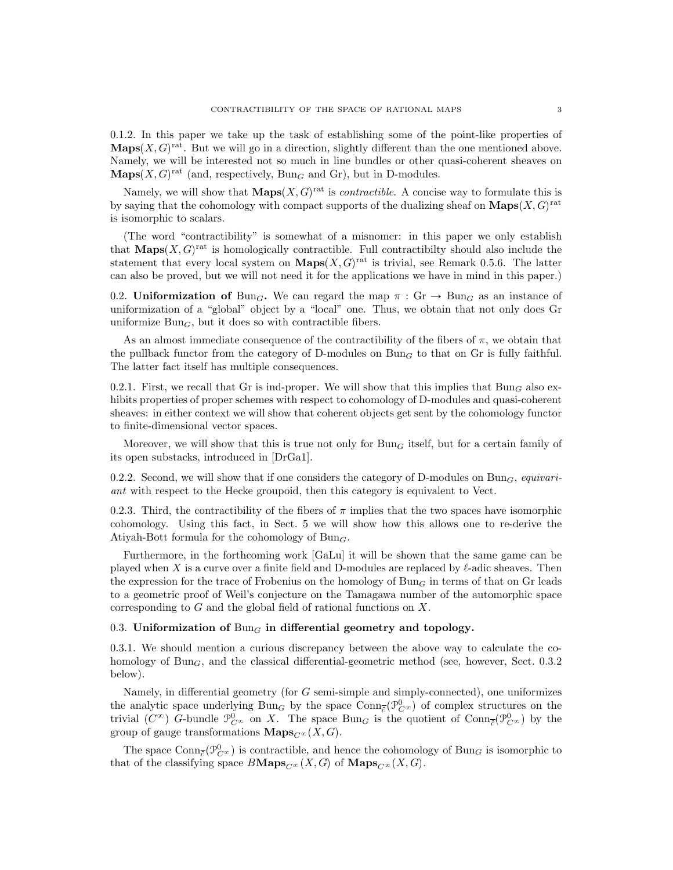0.1.2. In this paper we take up the task of establishing some of the point-like properties of  $\mathbf{Maps}(X, G)^\text{rat}$ . But we will go in a direction, slightly different than the one mentioned above. Namely, we will be interested not so much in line bundles or other quasi-coherent sheaves on  $\mathbf{Maps}(X, G)^{\text{rat}}$  (and, respectively,  $\text{Bun}_G$  and Gr), but in D-modules.

Namely, we will show that  $\mathbf{Maps}(X, G)^\text{rat}$  is *contractible*. A concise way to formulate this is by saying that the cohomology with compact supports of the dualizing sheaf on  $\mathbf{Maps}(X, G)^\text{rat}$ is isomorphic to scalars.

(The word "contractibility" is somewhat of a misnomer: in this paper we only establish that  $\mathbf{Maps}(X, G)$ <sup>rat</sup> is homologically contractible. Full contractibilty should also include the statement that every local system on  $\mathbf{Maps}(X, G)^\text{rat}$  is trivial, see Remark 0.5.6. The latter can also be proved, but we will not need it for the applications we have in mind in this paper.)

0.2. Uniformization of Bun<sub>G</sub>. We can regard the map  $\pi : \text{Gr} \to \text{Bun}_G$  as an instance of uniformization of a "global" object by a "local" one. Thus, we obtain that not only does Gr uniformize  $Bun<sub>G</sub>$ , but it does so with contractible fibers.

As an almost immediate consequence of the contractibility of the fibers of  $\pi$ , we obtain that the pullback functor from the category of D-modules on  $Bun<sub>G</sub>$  to that on Gr is fully faithful. The latter fact itself has multiple consequences.

0.2.1. First, we recall that Gr is ind-proper. We will show that this implies that  $Bun<sub>G</sub>$  also exhibits properties of proper schemes with respect to cohomology of D-modules and quasi-coherent sheaves: in either context we will show that coherent objects get sent by the cohomology functor to finite-dimensional vector spaces.

Moreover, we will show that this is true not only for  $Bun_G$  itself, but for a certain family of its open substacks, introduced in [DrGa1].

0.2.2. Second, we will show that if one considers the category of D-modules on Bun<sub>G</sub>, equivariant with respect to the Hecke groupoid, then this category is equivalent to Vect.

0.2.3. Third, the contractibility of the fibers of  $\pi$  implies that the two spaces have isomorphic cohomology. Using this fact, in Sect. 5 we will show how this allows one to re-derive the Atiyah-Bott formula for the cohomology of  $Bun_G$ .

Furthermore, in the forthcoming work [GaLu] it will be shown that the same game can be played when X is a curve over a finite field and D-modules are replaced by  $\ell$ -adic sheaves. Then the expression for the trace of Frobenius on the homology of Bun<sub>G</sub> in terms of that on Gr leads to a geometric proof of Weil's conjecture on the Tamagawa number of the automorphic space corresponding to G and the global field of rational functions on X.

# 0.3. Uniformization of  $Bun<sub>G</sub>$  in differential geometry and topology.

0.3.1. We should mention a curious discrepancy between the above way to calculate the cohomology of Bun<sub>G</sub>, and the classical differential-geometric method (see, however, Sect. 0.3.2) below).

Namely, in differential geometry (for G semi-simple and simply-connected), one uniformizes the analytic space underlying  $Bun_G$  by the space  $Conn_{\overline{\partial}}(\mathcal{P}_{C^{\infty}}^0)$  of complex structures on the trivial  $(C^{\infty})$  G-bundle  $\mathcal{P}_{C^{\infty}}^0$  on X. The space  $Bun_G$  is the quotient of  $Conn_{\overline{C}}(\mathcal{P}_{C^{\infty}}^0)$  by the group of gauge transformations  $\mathbf{Maps}_{C^{\infty}}(X, G)$ .

The space  $\mathrm{Conn}_{\overline{\partial}}(\mathcal{P}_{C^{\infty}}^0)$  is contractible, and hence the cohomology of  $\mathrm{Bun}_G$  is isomorphic to that of the classifying space  $B\textbf{Maps}_{C^{\infty}}(X, G)$  of  $\textbf{Maps}_{C^{\infty}}(X, G)$ .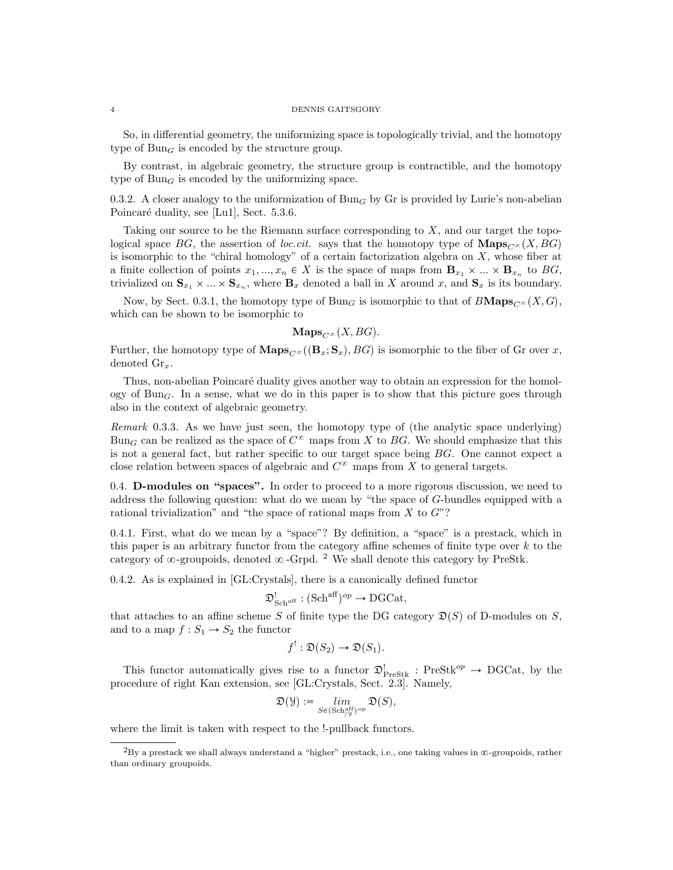#### 4 DENNIS GAITSGORY

So, in differential geometry, the uniformizing space is topologically trivial, and the homotopy type of  $Bun_G$  is encoded by the structure group.

By contrast, in algebraic geometry, the structure group is contractible, and the homotopy type of  $Bun<sub>G</sub>$  is encoded by the uniformizing space.

0.3.2. A closer analogy to the uniformization of Bun<sub>G</sub> by Gr is provided by Lurie's non-abelian Poincaré duality, see [Lu1], Sect. 5.3.6.

Taking our source to be the Riemann surface corresponding to  $X$ , and our target the topological space BG, the assertion of loc.cit. says that the homotopy type of  $\mathbf{Maps}_{C}(\mathbf{X}, \mathbf{BG})$ is isomorphic to the "chiral homology" of a certain factorization algebra on  $X$ , whose fiber at a finite collection of points  $x_1, ..., x_n \in X$  is the space of maps from  $\mathbf{B}_{x_1} \times ... \times \mathbf{B}_{x_n}$  to  $BG$ , trivialized on  $\mathbf{S}_{x_1} \times ... \times \mathbf{S}_{x_n}$ , where  $\mathbf{B}_x$  denoted a ball in X around x, and  $\mathbf{S}_x$  is its boundary.

Now, by Sect. 0.3.1, the homotopy type of Bun<sub>G</sub> is isomorphic to that of  $B\text{Maps}_{C^\infty}(X, G)$ , which can be shown to be isomorphic to

 $\mathbf{Maps}_{C^{\infty}}(X, BG).$ 

Further, the homotopy type of  $\mathbf{Maps}_{C^\infty}((\mathbf{B}_x;\mathbf{S}_x), BG)$  is isomorphic to the fiber of Gr over x, denoted  $\mathrm{Gr}_x$ .

Thus, non-abelian Poincaré duality gives another way to obtain an expression for the homology of Bun<sub>G</sub>. In a sense, what we do in this paper is to show that this picture goes through also in the context of algebraic geometry.

Remark 0.3.3. As we have just seen, the homotopy type of (the analytic space underlying) Bun<sub>G</sub> can be realized as the space of  $C^{\infty}$  maps from X to BG. We should emphasize that this is not a general fact, but rather specific to our target space being BG. One cannot expect a close relation between spaces of algebraic and  $C^{\infty}$  maps from X to general targets.

0.4. D-modules on "spaces". In order to proceed to a more rigorous discussion, we need to address the following question: what do we mean by "the space of G-bundles equipped with a rational trivialization" and "the space of rational maps from  $X$  to  $G$ "?

0.4.1. First, what do we mean by a "space"? By definition, a "space" is a prestack, which in this paper is an arbitrary functor from the category affine schemes of finite type over  $k$  to the category of  $\infty$ -groupoids, denoted  $\infty$ -Grpd. <sup>2</sup> We shall denote this category by PreStk.

0.4.2. As is explained in [GL:Crystals], there is a canonically defined functor

$$
\mathfrak{D}^!_{\mathbf{Sch}^{\mathrm{aff}}}: (\mathbf{Sch}^{\mathrm{aff}})^{op} \to \mathbf{DGCat},
$$

that attaches to an affine scheme S of finite type the DG category  $\mathfrak{D}(S)$  of D-modules on S, and to a map  $f: S_1 \to S_2$  the functor

$$
f^{!} : \mathfrak{D}(S_2) \to \mathfrak{D}(S_1).
$$

This functor automatically gives rise to a functor  $\mathfrak{D}_{\text{PreStk}}^!$ : PreStk<sup>op</sup>  $\rightarrow$  DGCat, by the procedure of right Kan extension, see [GL:Crystals, Sect. 2.3]. Namely,

$$
\mathfrak{D}(\mathfrak{Y}):=\lim_{S\in(\mathrm{Sch}^{\mathrm{aff}}_{/\mathfrak{Y}})^{op}}\mathfrak{D}(S),
$$

where the limit is taken with respect to the !-pullback functors.

 ${}^{2}$ By a prestack we shall always understand a "higher" prestack, i.e., one taking values in  $\infty$ -groupoids, rather than ordinary groupoids.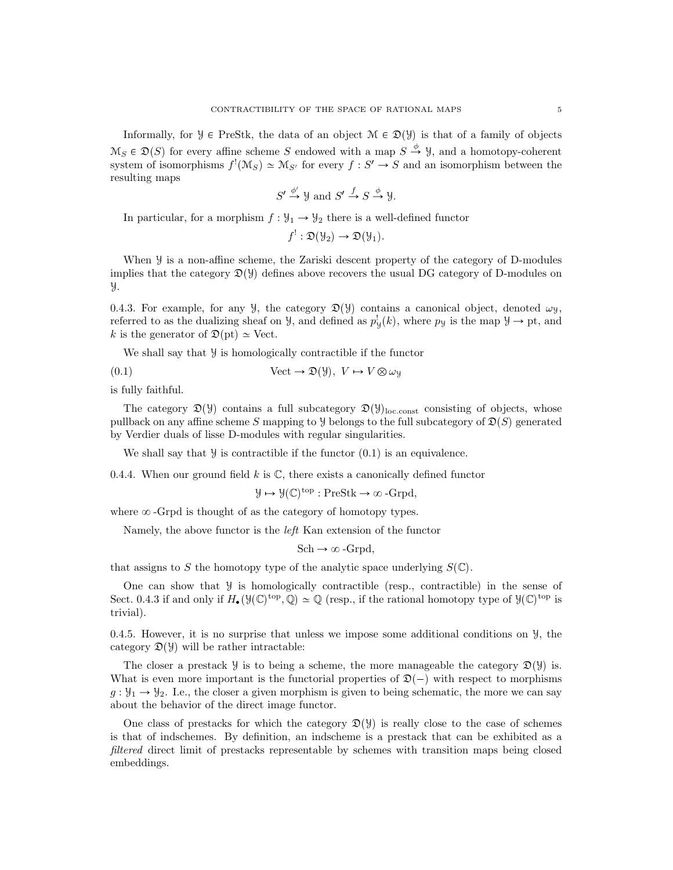Informally, for  $\mathcal{Y} \in \text{PreStk}$ , the data of an object  $\mathcal{M} \in \mathcal{D}(\mathcal{Y})$  is that of a family of objects  $\mathcal{M}_S \in \mathfrak{D}(S)$  for every affine scheme S endowed with a map  $S \stackrel{\phi}{\to} \mathcal{Y}$ , and a homotopy-coherent system of isomorphisms  $f'(\mathcal{M}_S) \simeq \mathcal{M}_{S'}$  for every  $f : S' \to S$  and an isomorphism between the resulting maps

$$
S' \xrightarrow{\phi'} \mathcal{Y} \text{ and } S' \xrightarrow{f} S \xrightarrow{\phi} \mathcal{Y}.
$$

In particular, for a morphism  $f : \mathcal{Y}_1 \to \mathcal{Y}_2$  there is a well-defined functor

$$
f^{!} : \mathfrak{D}(\mathcal{Y}_{2}) \to \mathfrak{D}(\mathcal{Y}_{1}).
$$

When  $\mathcal Y$  is a non-affine scheme, the Zariski descent property of the category of D-modules implies that the category  $\mathfrak{D}(\mathcal{Y})$  defines above recovers the usual DG category of D-modules on Y.

0.4.3. For example, for any  $\mathcal{Y}$ , the category  $\mathcal{D}(\mathcal{Y})$  contains a canonical object, denoted  $\omega_{\mathcal{Y}}$ , referred to as the dualizing sheaf on *y*, and defined as  $p_y^{\dagger}(k)$ , where  $p_y$  is the map  $y \to pt$ , and k is the generator of  $\mathfrak{D}(\mathrm{pt}) \simeq \mathrm{Vect}$ .

We shall say that  $\mathcal Y$  is homologically contractible if the functor

(0.1) 
$$
\text{Vect} \to \mathfrak{D}(\mathcal{Y}), \ V \mapsto V \otimes \omega_{\mathcal{Y}}
$$

is fully faithful.

The category  $\mathfrak{D}(\mathcal{Y})$  contains a full subcategory  $\mathfrak{D}(\mathcal{Y})_{\text{loc.const}}$  consisting of objects, whose pullback on any affine scheme S mapping to Y belongs to the full subcategory of  $\mathfrak{D}(S)$  generated by Verdier duals of lisse D-modules with regular singularities.

We shall say that  $\mathcal Y$  is contractible if the functor  $(0.1)$  is an equivalence.

0.4.4. When our ground field k is  $\mathbb{C}$ , there exists a canonically defined functor

$$
\mathcal{Y}\mapsto\mathcal{Y}(\mathbb{C})^{\operatorname{top}}:\operatorname{PreStk}\rightarrow\infty\operatorname{-Grpd},
$$

where  $\infty$ -Grpd is thought of as the category of homotopy types.

Namely, the above functor is the left Kan extension of the functor

$$
Sch \rightarrow \infty\text{-}Grpd,
$$

that assigns to S the homotopy type of the analytic space underlying  $S(\mathbb{C})$ .

One can show that  $\mathcal Y$  is homologically contractible (resp., contractible) in the sense of Sect. 0.4.3 if and only if  $H_{\bullet}(\mathcal{Y}(\mathbb{C})^{\text{top}}, \mathbb{Q}) \simeq \mathbb{Q}$  (resp., if the rational homotopy type of  $\mathcal{Y}(\mathbb{C})^{\text{top}}$  is trivial).

0.4.5. However, it is no surprise that unless we impose some additional conditions on  $\mathcal{Y}$ , the category  $\mathfrak{D}(\mathcal{Y})$  will be rather intractable:

The closer a prestack *y* is to being a scheme, the more manageable the category  $\mathfrak{D}(\mathcal{Y})$  is. What is even more important is the functorial properties of  $\mathfrak{D}(-)$  with respect to morphisms  $g: \mathcal{Y}_1 \to \mathcal{Y}_2$ . I.e., the closer a given morphism is given to being schematic, the more we can say about the behavior of the direct image functor.

One class of prestacks for which the category  $\mathfrak{D}(\mathcal{Y})$  is really close to the case of schemes is that of indschemes. By definition, an indscheme is a prestack that can be exhibited as a filtered direct limit of prestacks representable by schemes with transition maps being closed embeddings.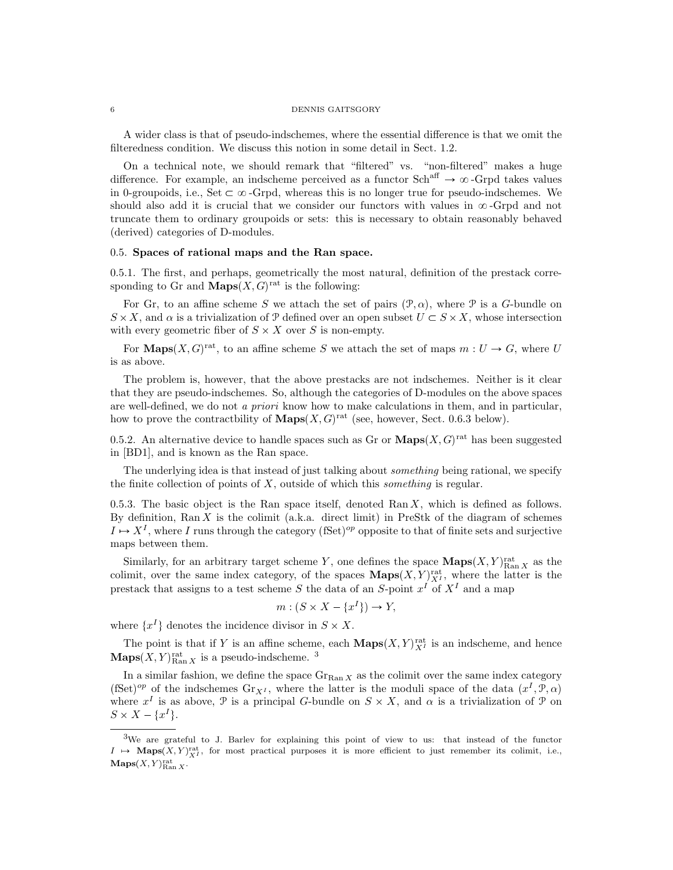#### 6 DENNIS GAITSGORY

A wider class is that of pseudo-indschemes, where the essential difference is that we omit the filteredness condition. We discuss this notion in some detail in Sect. 1.2.

On a technical note, we should remark that "filtered" vs. "non-filtered" makes a huge difference. For example, an indscheme perceived as a functor  $Sch^{aff} \to \infty$ -Grpd takes values in 0-groupoids, i.e., Set  $\subset \infty$ -Grpd, whereas this is no longer true for pseudo-indschemes. We should also add it is crucial that we consider our functors with values in  $\infty$ -Grpd and not truncate them to ordinary groupoids or sets: this is necessary to obtain reasonably behaved (derived) categories of D-modules.

# 0.5. Spaces of rational maps and the Ran space.

0.5.1. The first, and perhaps, geometrically the most natural, definition of the prestack corresponding to Gr and  $\mathbf{Maps}(X, G)$ <sup>rat</sup> is the following:

For Gr, to an affine scheme S we attach the set of pairs  $(\mathcal{P}, \alpha)$ , where P is a G-bundle on  $S \times X$ , and  $\alpha$  is a trivialization of  $\mathcal{P}$  defined over an open subset  $U \subset S \times X$ , whose intersection with every geometric fiber of  $S \times X$  over S is non-empty.

For **Maps** $(X, G)$ <sup>rat</sup>, to an affine scheme S we attach the set of maps  $m : U \to G$ , where U is as above.

The problem is, however, that the above prestacks are not indschemes. Neither is it clear that they are pseudo-indschemes. So, although the categories of D-modules on the above spaces are well-defined, we do not a priori know how to make calculations in them, and in particular, how to prove the contractbility of  $\mathbf{Maps}(X, G)$ <sup>rat</sup> (see, however, Sect. 0.6.3 below).

0.5.2. An alternative device to handle spaces such as Gr or  $\mathbf{Maps}(X, G)^\text{rat}$  has been suggested in [BD1], and is known as the Ran space.

The underlying idea is that instead of just talking about *something* being rational, we specify the finite collection of points of  $X$ , outside of which this *something* is regular.

0.5.3. The basic object is the Ran space itself, denoted Ran  $X$ , which is defined as follows. By definition,  $\text{Ran } X$  is the colimit (a.k.a. direct limit) in PreStk of the diagram of schemes  $I \mapsto X^I$ , where I runs through the category (fSet)<sup>op</sup> opposite to that of finite sets and surjective maps between them.

Similarly, for an arbitrary target scheme Y, one defines the space  $\mathbf{Maps}(X, Y)_{\text{Ran } X}^{\text{rat}}$  as the colimit, over the same index category, of the spaces  $\mathbf{Maps}(X, Y)_{X}^{\text{rat}}$ , where the latter is the prestack that assigns to a test scheme S the data of an S-point  $x^I$  of  $X^I$  and a map

$$
m: (S \times X - \{x^I\}) \to Y,
$$

where  $\{x^I\}$  denotes the incidence divisor in  $S \times X$ .

The point is that if Y is an affine scheme, each  $\mathbf{Maps}(X, Y)_{X}^{\text{rat}}$  is an indscheme, and hence  $\mathbf{Maps}(X, Y)_{\text{Ran } X}^{\text{rat}}$  is a pseudo-indscheme. <sup>3</sup>

In a similar fashion, we define the space  $\text{Gr}_{\text{Ran }X}$  as the colimit over the same index category (fSet)<sup>op</sup> of the indschemes  $\text{Gr}_{X^I}$ , where the latter is the moduli space of the data  $(x^I, \mathcal{P}, \alpha)$ where  $x^I$  is as above,  $\mathcal P$  is a principal G-bundle on  $S \times X$ , and  $\alpha$  is a trivialization of  $\mathcal P$  on  $S \times X - \{x^I\}.$ 

<sup>3</sup>We are grateful to J. Barlev for explaining this point of view to us: that instead of the functor  $I \rightarrow \text{Maps}(X, Y)_{X}^{\text{rat}}$ , for most practical purposes it is more efficient to just remember its colimit, i.e.,  $\mathbf{Maps}(X, Y)_{\text{Ran } X}^{\text{rat}}.$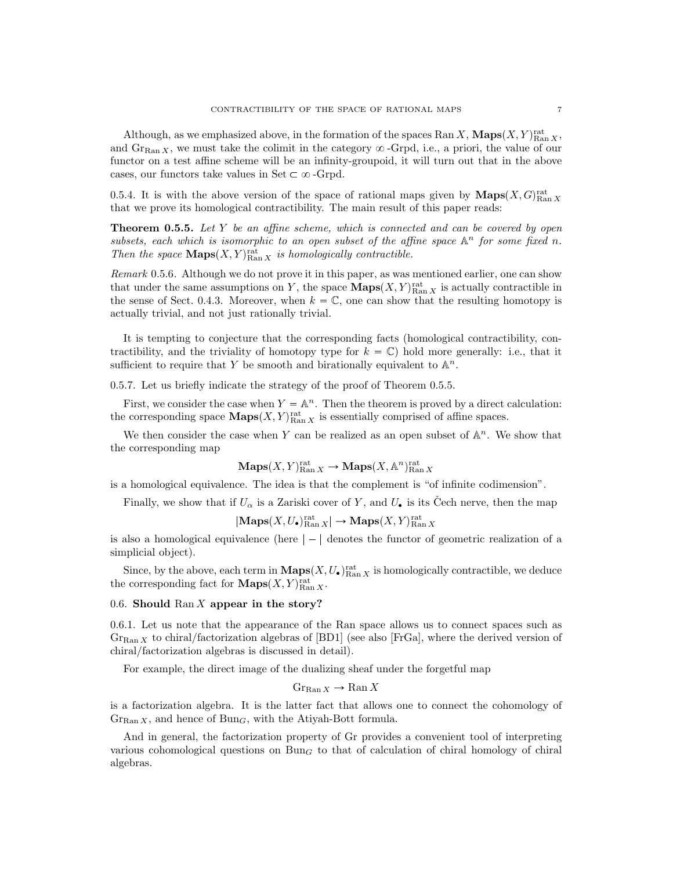Although, as we emphasized above, in the formation of the spaces Ran X,  $\mathbf{Maps}(X, Y)_{\text{Ran }X}^{\text{rat}},$ and  $\text{Gr}_{\text{Ran }X}$ , we must take the colimit in the category  $\infty$ -Grpd, i.e., a priori, the value of our functor on a test affine scheme will be an infinity-groupoid, it will turn out that in the above cases, our functors take values in Set  $\subset \infty$ -Grpd.

0.5.4. It is with the above version of the space of rational maps given by  $\mathbf{Maps}(X, G)_{\text{Ran } X}^{\text{rat}}$ that we prove its homological contractibility. The main result of this paper reads:

**Theorem 0.5.5.** Let  $Y$  be an affine scheme, which is connected and can be covered by open subsets, each which is isomorphic to an open subset of the affine space  $A^n$  for some fixed n. Then the space  $\mathbf{Maps}(X, Y)_{\text{Ran } X}^{\text{rat}}$  is homologically contractible.

Remark 0.5.6. Although we do not prove it in this paper, as was mentioned earlier, one can show that under the same assumptions on Y, the space  $\mathbf{Maps}(X, Y)_{\text{Ran } X}^{\text{rat}}$  is actually contractible in the sense of Sect. 0.4.3. Moreover, when  $k = \mathbb{C}$ , one can show that the resulting homotopy is actually trivial, and not just rationally trivial.

It is tempting to conjecture that the corresponding facts (homological contractibility, contractibility, and the triviality of homotopy type for  $k = \mathbb{C}$ ) hold more generally: i.e., that it sufficient to require that Y be smooth and birationally equivalent to  $\mathbb{A}^n$ .

0.5.7. Let us briefly indicate the strategy of the proof of Theorem 0.5.5.

First, we consider the case when  $Y = \mathbb{A}^n$ . Then the theorem is proved by a direct calculation: the corresponding space  $\mathbf{Maps}(X, Y)_{\text{Ran } X}^{\text{rat}}$  is essentially comprised of affine spaces.

We then consider the case when Y can be realized as an open subset of  $\mathbb{A}^n$ . We show that the corresponding map

$$
\mathbf{Maps}(X,Y)_{\mathrm{Ran}\, X}^{\mathrm{rat}} \to \mathbf{Maps}(X, \mathbb{A}^n)_{\mathrm{Ran}\, X}^{\mathrm{rat}}
$$

is a homological equivalence. The idea is that the complement is "of infinite codimension".

Finally, we show that if  $U_{\alpha}$  is a Zariski cover of Y, and  $U_{\bullet}$  is its Čech nerve, then the map

 $|\mathbf{Maps}(X, U_{\bullet})^{\mathrm{rat}}_{\mathrm{Ran } X}| \to \mathbf{Maps}(X, Y)^{\mathrm{rat}}_{\mathrm{Ran } X}$ 

is also a homological equivalence (here  $|-|$  denotes the functor of geometric realization of a simplicial object).

Since, by the above, each term in  $\mathbf{Maps}(X, U_{\bullet})^{\text{rat}}_{\text{Ran } X}$  is homologically contractible, we deduce the corresponding fact for  $\mathbf{Maps}(X, Y)_{\text{Ran } X}^{\text{rat}}$ .

# 0.6. Should Ran  $X$  appear in the story?

0.6.1. Let us note that the appearance of the Ran space allows us to connect spaces such as  $G_{\text{Ran }X}$  to chiral/factorization algebras of [BD1] (see also [FrGa], where the derived version of chiral/factorization algebras is discussed in detail).

For example, the direct image of the dualizing sheaf under the forgetful map

$$
\operatorname{Gr}_{\operatorname{Ran} X} \to \operatorname{Ran} X
$$

is a factorization algebra. It is the latter fact that allows one to connect the cohomology of  $\mathrm{Gr}_{\mathrm{Ran} X}$ , and hence of  $\mathrm{Bun}_G$ , with the Atiyah-Bott formula.

And in general, the factorization property of Gr provides a convenient tool of interpreting various cohomological questions on  $Bun<sub>G</sub>$  to that of calculation of chiral homology of chiral algebras.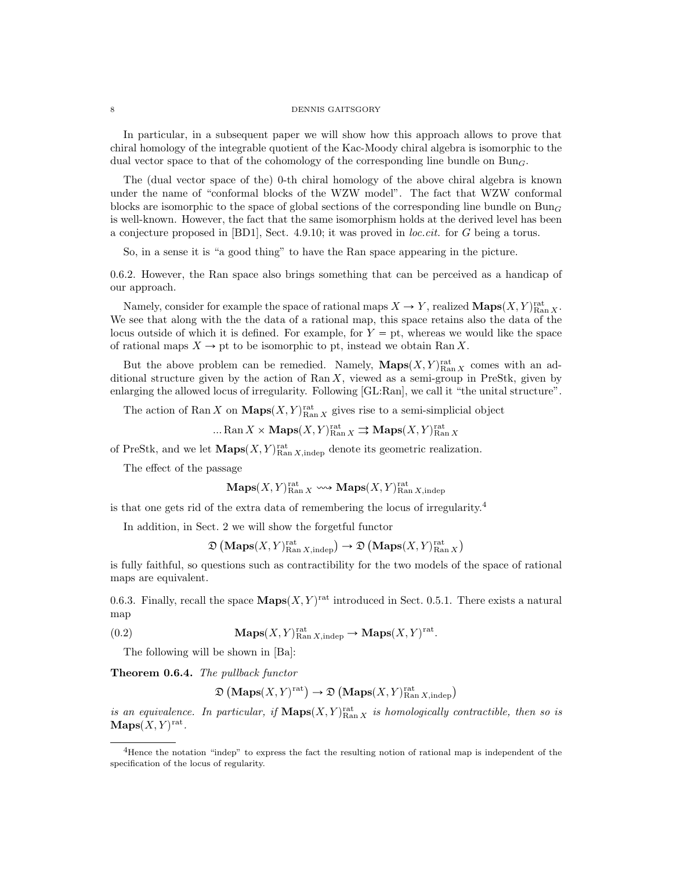#### 8 DENNIS GAITSGORY

In particular, in a subsequent paper we will show how this approach allows to prove that chiral homology of the integrable quotient of the Kac-Moody chiral algebra is isomorphic to the dual vector space to that of the cohomology of the corresponding line bundle on  $Bun<sub>G</sub>$ .

The (dual vector space of the) 0-th chiral homology of the above chiral algebra is known under the name of "conformal blocks of the WZW model". The fact that WZW conformal blocks are isomorphic to the space of global sections of the corresponding line bundle on  $Bun_G$ is well-known. However, the fact that the same isomorphism holds at the derived level has been a conjecture proposed in [BD1], Sect. 4.9.10; it was proved in loc.cit. for G being a torus.

So, in a sense it is "a good thing" to have the Ran space appearing in the picture.

0.6.2. However, the Ran space also brings something that can be perceived as a handicap of our approach.

Namely, consider for example the space of rational maps  $X \to Y$ , realized  $\mathbf{Maps}(X, Y)_{\text{Ran } X}^{\text{rat}}$ . We see that along with the the data of a rational map, this space retains also the data of the locus outside of which it is defined. For example, for  $Y = pt$ , whereas we would like the space of rational maps  $X \to \text{pt}$  to be isomorphic to pt, instead we obtain Ran X.

But the above problem can be remedied. Namely,  $\mathbf{Maps}(X, Y)_{\text{Ran } X}^{\text{rat}}$  comes with an additional structure given by the action of  $\text{Ran } X$ , viewed as a semi-group in PreStk, given by enlarging the allowed locus of irregularity. Following [GL:Ran], we call it "the unital structure".

The action of Ran X on  $\mathbf{Maps}(X, Y)_{\text{Ran } X}^{\text{rat}}$  gives rise to a semi-simplicial object

 $\ldots \mathrm{Ran}\, X \times \mathrm{Maps}(X, Y)_{\mathrm{Ran}\, X}^{\mathrm{rat}} \rightrightarrows \mathrm{Maps}(X, Y)_{\mathrm{Ran}\, X}^{\mathrm{rat}}$ 

of PreStk, and we let  $\mathbf{Maps}(X, Y)_{\text{Ran } X, \text{indep}}^{\text{rat}}$  denote its geometric realization.

The effect of the passage

$$
\mathbf{Maps}(X,Y)_{\mathrm{Ran}\, X}^{\mathrm{rat}}\leadsto \mathbf{Maps}(X,Y)_{\mathrm{Ran}\, X, \mathrm{indep}}^{\mathrm{rat}}
$$

is that one gets rid of the extra data of remembering the locus of irregularity.<sup>4</sup>

In addition, in Sect. 2 we will show the forgetful functor

 $\mathfrak{D}\left(\mathbf{Maps}(X, Y)_{\text{Ran }X, \text{indep}}^{\text{rat}}\right) \rightarrow \mathfrak{D}\left(\mathbf{Maps}(X, Y)_{\text{Ran }X}^{\text{rat}}\right)$ 

is fully faithful, so questions such as contractibility for the two models of the space of rational maps are equivalent.

0.6.3. Finally, recall the space  $\mathbf{Maps}(X, Y)$ <sup>rat</sup> introduced in Sect. 0.5.1. There exists a natural map

(0.2) 
$$
\mathbf{Maps}(X,Y)_{\text{Ran }X,\text{indep}}^{\text{rat}} \to \mathbf{Maps}(X,Y)^{\text{rat}}.
$$

The following will be shown in [Ba]:

Theorem 0.6.4. The pullback functor

$$
\mathfrak{D}\left(\mathbf{Maps}(X,Y)^{\text{rat}}\right)\to\mathfrak{D}\left(\mathbf{Maps}(X,Y)^{\text{rat}}_{\text{Ran }X,\text{indep}}\right)
$$

is an equivalence. In particular, if  $\mathbf{Maps}(X, Y)_{\text{Ran } X}^{\text{rat}}$  is homologically contractible, then so is  $\mathbf{Maps}(X, Y)^\mathrm{rat}.$ 

<sup>4</sup>Hence the notation "indep" to express the fact the resulting notion of rational map is independent of the specification of the locus of regularity.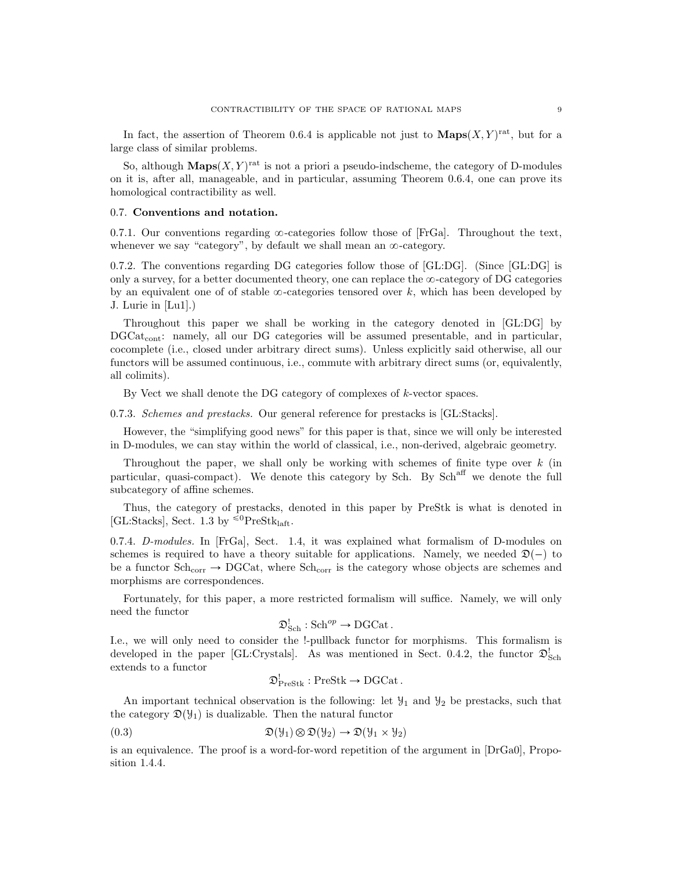In fact, the assertion of Theorem 0.6.4 is applicable not just to  $\mathbf{Maps}(X, Y)^\text{rat}$ , but for a large class of similar problems.

So, although  $\mathbf{Maps}(X, Y)$ <sup>rat</sup> is not a priori a pseudo-indscheme, the category of D-modules on it is, after all, manageable, and in particular, assuming Theorem 0.6.4, one can prove its homological contractibility as well.

### 0.7. Conventions and notation.

0.7.1. Our conventions regarding  $\infty$ -categories follow those of [FrGa]. Throughout the text, whenever we say "category", by default we shall mean an  $\infty$ -category.

0.7.2. The conventions regarding DG categories follow those of [GL:DG]. (Since [GL:DG] is only a survey, for a better documented theory, one can replace the  $\infty$ -category of DG categories by an equivalent one of of stable  $\infty$ -categories tensored over k, which has been developed by J. Lurie in [Lu1].)

Throughout this paper we shall be working in the category denoted in [GL:DG] by  $DGCat_{cont}$ : namely, all our DG categories will be assumed presentable, and in particular, cocomplete (i.e., closed under arbitrary direct sums). Unless explicitly said otherwise, all our functors will be assumed continuous, i.e., commute with arbitrary direct sums (or, equivalently, all colimits).

By Vect we shall denote the DG category of complexes of k-vector spaces.

0.7.3. Schemes and prestacks. Our general reference for prestacks is [GL:Stacks].

However, the "simplifying good news" for this paper is that, since we will only be interested in D-modules, we can stay within the world of classical, i.e., non-derived, algebraic geometry.

Throughout the paper, we shall only be working with schemes of finite type over  $k$  (in particular, quasi-compact). We denote this category by Sch. By Sch<sup>aff</sup> we denote the full subcategory of affine schemes.

Thus, the category of prestacks, denoted in this paper by PreStk is what is denoted in [GL:Stacks], Sect. 1.3 by  ${}^{\leq 0}$ PreStk<sub>laft</sub>.

0.7.4. D-modules. In [FrGa], Sect. 1.4, it was explained what formalism of D-modules on schemes is required to have a theory suitable for applications. Namely, we needed  $\mathfrak{D}(-)$  to be a functor  $Sch_{corr} \rightarrow DGCat$ , where  $Sch_{corr}$  is the category whose objects are schemes and morphisms are correspondences.

Fortunately, for this paper, a more restricted formalism will suffice. Namely, we will only need the functor

$$
\mathfrak{D}_{\mathbf{Sch}}^{!}: \mathbf{Sch}^{op} \to \mathbf{DGCat}.
$$

I.e., we will only need to consider the !-pullback functor for morphisms. This formalism is developed in the paper [GL:Crystals]. As was mentioned in Sect. 0.4.2, the functor  $\mathfrak{D}^!_{Sch}$ extends to a functor

$$
\mathfrak{D}_{\text{PreStk}}^! : \text{PreStk} \to \text{DGCat}.
$$

An important technical observation is the following: let  $\mathcal{Y}_1$  and  $\mathcal{Y}_2$  be prestacks, such that the category  $\mathfrak{D}(\mathcal{Y}_1)$  is dualizable. Then the natural functor

$$
\mathfrak{D}(\mathcal{Y}_1) \otimes \mathfrak{D}(\mathcal{Y}_2) \to \mathfrak{D}(\mathcal{Y}_1 \times \mathcal{Y}_2)
$$

is an equivalence. The proof is a word-for-word repetition of the argument in [DrGa0], Proposition 1.4.4.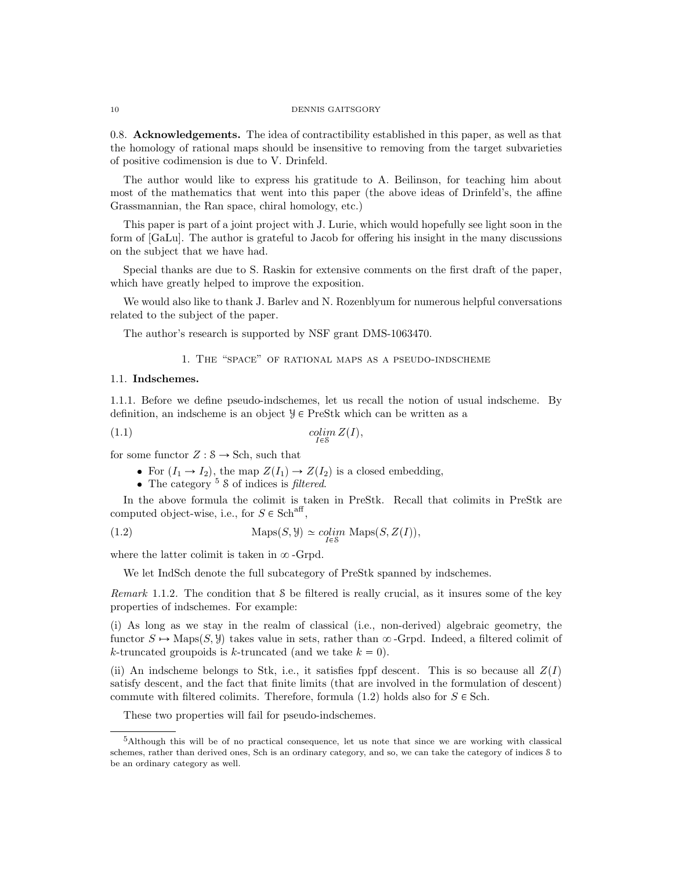#### 10 DENNIS GAITSGORY

0.8. Acknowledgements. The idea of contractibility established in this paper, as well as that the homology of rational maps should be insensitive to removing from the target subvarieties of positive codimension is due to V. Drinfeld.

The author would like to express his gratitude to A. Beilinson, for teaching him about most of the mathematics that went into this paper (the above ideas of Drinfeld's, the affine Grassmannian, the Ran space, chiral homology, etc.)

This paper is part of a joint project with J. Lurie, which would hopefully see light soon in the form of [GaLu]. The author is grateful to Jacob for offering his insight in the many discussions on the subject that we have had.

Special thanks are due to S. Raskin for extensive comments on the first draft of the paper, which have greatly helped to improve the exposition.

We would also like to thank J. Barlev and N. Rozenblyum for numerous helpful conversations related to the subject of the paper.

The author's research is supported by NSF grant DMS-1063470.

1. The "space" of rational maps as a pseudo-indscheme

# 1.1. Indschemes.

1.1.1. Before we define pseudo-indschemes, let us recall the notion of usual indscheme. By definition, an indscheme is an object  $\mathcal{Y} \in \text{PreStk}$  which can be written as a

$$
\underset{I\in\mathcal{S}}{\text{colim }Z(I)},
$$

for some functor  $Z : \mathcal{S} \to \text{Sch}$ , such that

- For  $(I_1 \rightarrow I_2)$ , the map  $Z(I_1) \rightarrow Z(I_2)$  is a closed embedding,
- The category  $5 \text{ S}$  of indices is *filtered*.

In the above formula the colimit is taken in PreStk. Recall that colimits in PreStk are computed object-wise, i.e., for  $S \in \text{Sch}^{\text{aff}}$ ,

(1.2) 
$$
\operatorname{Maps}(S, \mathcal{Y}) \simeq \underset{I \in \mathcal{S}}{\text{colim}} \operatorname{Maps}(S, Z(I)),
$$

where the latter colimit is taken in  $\infty$ -Grpd.

We let IndSch denote the full subcategory of PreStk spanned by indschemes.

Remark 1.1.2. The condition that S be filtered is really crucial, as it insures some of the key properties of indschemes. For example:

(i) As long as we stay in the realm of classical (i.e., non-derived) algebraic geometry, the functor  $S \rightarrow \text{Maps}(S, \mathcal{Y})$  takes value in sets, rather than  $\infty$ -Grpd. Indeed, a filtered colimit of k-truncated groupoids is k-truncated (and we take  $k = 0$ ).

(ii) An indscheme belongs to Stk, i.e., it satisfies fppf descent. This is so because all  $Z(I)$ satisfy descent, and the fact that finite limits (that are involved in the formulation of descent) commute with filtered colimits. Therefore, formula  $(1.2)$  holds also for  $S \in Sch$ .

These two properties will fail for pseudo-indschemes.

<sup>5</sup>Although this will be of no practical consequence, let us note that since we are working with classical schemes, rather than derived ones, Sch is an ordinary category, and so, we can take the category of indices S to be an ordinary category as well.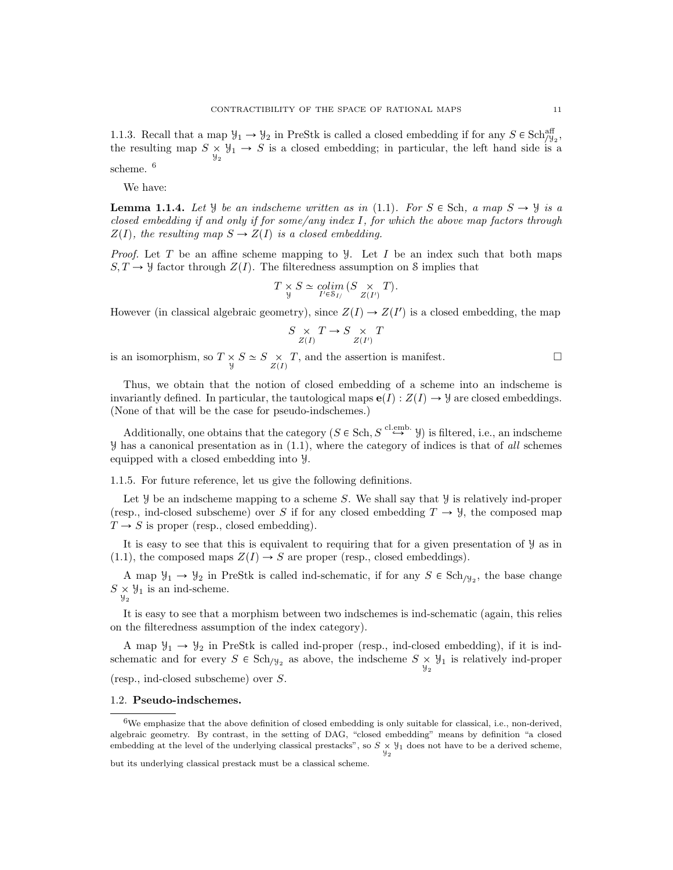1.1.3. Recall that a map  $\mathcal{Y}_1 \to \mathcal{Y}_2$  in PreStk is called a closed embedding if for any  $S \in \text{Sch}_{\mathcal{Y}_2}^{\text{aff}}$ , the resulting map  $S \underset{y_2}{\times} y_1 \rightarrow S$  is a closed embedding; in particular, the left hand side is a scheme. <sup>6</sup>

We have:

**Lemma 1.1.4.** Let *y* be an indscheme written as in (1.1). For  $S \in Sch$ , a map  $S \rightarrow \mathcal{Y}$  is a closed embedding if and only if for some/any index I, for which the above map factors through  $Z(I)$ , the resulting map  $S \to Z(I)$  is a closed embedding.

*Proof.* Let T be an affine scheme mapping to  $\mathcal{Y}$ . Let I be an index such that both maps  $S, T \rightarrow \mathcal{Y}$  factor through  $Z(I)$ . The filteredness assumption on S implies that

$$
T \underset{y}{\times} S \simeq \underset{I' \in \mathcal{S}_{I/}}{\text{colim}} (S \underset{Z(I')}{\times} T).
$$

However (in classical algebraic geometry), since  $Z(I) \to Z(I')$  is a closed embedding, the map

$$
\underset{Z(I)}{S \times T \to S \times T}
$$

is an isomorphism, so  $T \underset{y}{\times} S \simeq S \underset{Z(I)}{\times} T$ , and the assertion is manifest.

Thus, we obtain that the notion of closed embedding of a scheme into an indscheme is invariantly defined. In particular, the tautological maps  $\mathbf{e}(I): Z(I) \to \mathcal{Y}$  are closed embeddings. (None of that will be the case for pseudo-indschemes.)

Additionally, one obtains that the category  $(S \in Sch, S \overset{\text{cl.emb.}}{\hookrightarrow} Y)$  is filtered, i.e., an indscheme  $\mathcal{Y}$  has a canonical presentation as in (1.1), where the category of indices is that of all schemes equipped with a closed embedding into Y.

1.1.5. For future reference, let us give the following definitions.

Let  $\mathcal Y$  be an indscheme mapping to a scheme S. We shall say that  $\mathcal Y$  is relatively ind-proper (resp., ind-closed subscheme) over S if for any closed embedding  $T \to \mathcal{Y}$ , the composed map  $T \rightarrow S$  is proper (resp., closed embedding).

It is easy to see that this is equivalent to requiring that for a given presentation of Y as in (1.1), the composed maps  $Z(I) \rightarrow S$  are proper (resp., closed embeddings).

A map  $\mathcal{Y}_1 \to \mathcal{Y}_2$  in PreStk is called ind-schematic, if for any  $S \in Sch_{\mathcal{Y}_2}$ , the base change  $S \underset{\mathcal{Y}_2}{\times} \mathcal{Y}_1$  is an ind-scheme.

It is easy to see that a morphism between two indschemes is ind-schematic (again, this relies on the filteredness assumption of the index category).

A map  $\mathcal{Y}_1 \rightarrow \mathcal{Y}_2$  in PreStk is called ind-proper (resp., ind-closed embedding), if it is indschematic and for every  $S \in Sch_{/\mathcal{Y}_2}$  as above, the indscheme  $S \times \mathcal{Y}_1$  is relatively ind-proper

(resp., ind-closed subscheme) over S.

#### 1.2. Pseudo-indschemes.

<sup>6</sup>We emphasize that the above definition of closed embedding is only suitable for classical, i.e., non-derived, algebraic geometry. By contrast, in the setting of DAG, "closed embedding" means by definition "a closed embedding at the level of the underlying classical prestacks", so  $S \times \mathcal{Y}_1$  does not have to be a derived scheme,

but its underlying classical prestack must be a classical scheme.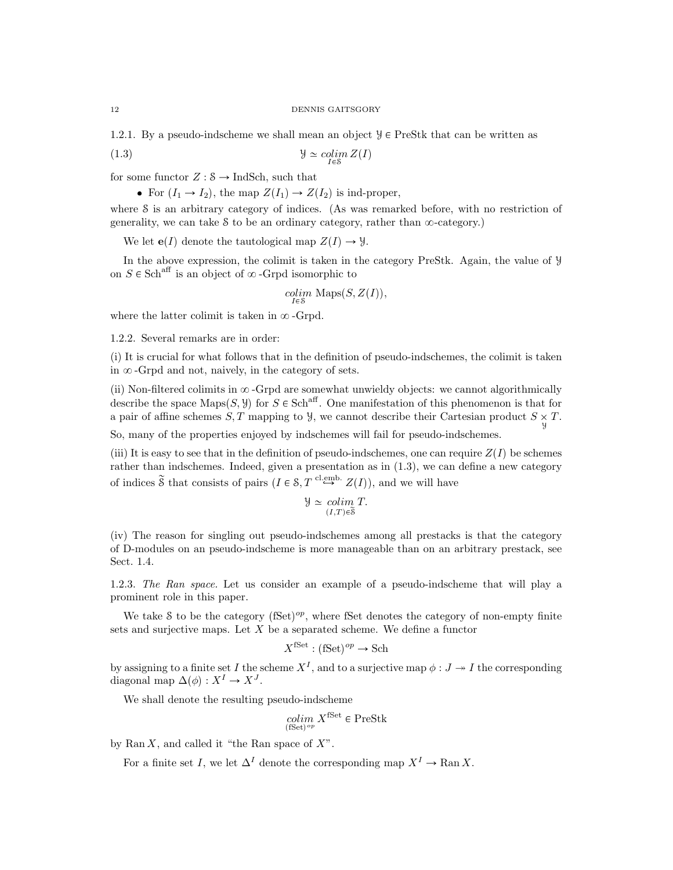1.2.1. By a pseudo-indscheme we shall mean an object  $\mathcal{Y} \in \text{PreStk}$  that can be written as

(1.3) Y colim IPS ZpIq

for some functor  $Z : \mathcal{S} \to \text{IndSch}$ , such that

• For  $(I_1 \rightarrow I_2)$ , the map  $Z(I_1) \rightarrow Z(I_2)$  is ind-proper,

where S is an arbitrary category of indices. (As was remarked before, with no restriction of generality, we can take  $\delta$  to be an ordinary category, rather than  $\infty$ -category.)

We let  $e(I)$  denote the tautological map  $Z(I) \to \mathcal{Y}$ .

In the above expression, the colimit is taken in the category PreStk. Again, the value of Y on  $S \in \text{Sch}^{\text{aff}}$  is an object of  $\infty$ -Grpd isomorphic to

$$
\underset{I \in \mathcal{S}}{\text{colim}} \ \mathrm{Maps}(S, Z(I)),
$$

where the latter colimit is taken in  $\infty$ -Grpd.

1.2.2. Several remarks are in order:

(i) It is crucial for what follows that in the definition of pseudo-indschemes, the colimit is taken in  $\infty$ -Grpd and not, naively, in the category of sets.

(ii) Non-filtered colimits in  $\infty$ -Grpd are somewhat unwieldy objects: we cannot algorithmically describe the space Maps $(S, \mathcal{Y})$  for  $S \in Sch^{aff}$ . One manifestation of this phenomenon is that for a pair of affine schemes  $S, T$  mapping to  $\mathcal{Y}$ , we cannot describe their Cartesian product  $S \underset{\mathcal{Y}}{\times} T$ .

So, many of the properties enjoyed by indschemes will fail for pseudo-indschemes.

(iii) It is easy to see that in the definition of pseudo-indschemes, one can require  $Z(I)$  be schemes rather than indschemes. Indeed, given a presentation as in (1.3), we can define a new category of indices  $\tilde{\mathcal{S}}$  that consists of pairs  $(I \in \mathcal{S}, T \stackrel{\text{cl.emb.}}{\hookrightarrow} Z(I)$ , and we will have

$$
\mathcal{Y} \simeq \operatorname{colim}_{(I,T)\in \widetilde{\mathcal{S}}} T.
$$

(iv) The reason for singling out pseudo-indschemes among all prestacks is that the category of D-modules on an pseudo-indscheme is more manageable than on an arbitrary prestack, see Sect. 1.4.

1.2.3. The Ran space. Let us consider an example of a pseudo-indscheme that will play a prominent role in this paper.

We take S to be the category  $(fSet)^{op}$ , where fSet denotes the category of non-empty finite sets and surjective maps. Let  $X$  be a separated scheme. We define a functor

$$
X^{\text{fSet}} : (\text{fSet})^{op} \to \text{Sch}
$$

by assigning to a finite set I the scheme  $X^I$ , and to a surjective map  $\phi: J \twoheadrightarrow I$  the corresponding diagonal map  $\Delta(\phi) : X^I \to X^J$ .

We shall denote the resulting pseudo-indscheme

$$
\operatornamewithlimits{colim}_{(\mathbf{fSet})^{op}} X^{\mathbf{fSet}} \in \operatorname{PreStk}
$$

by  $\text{Ran } X$ , and called it "the Ran space of  $X$ ".

For a finite set I, we let  $\Delta^I$  denote the corresponding map  $X^I \to \text{Ran } X$ .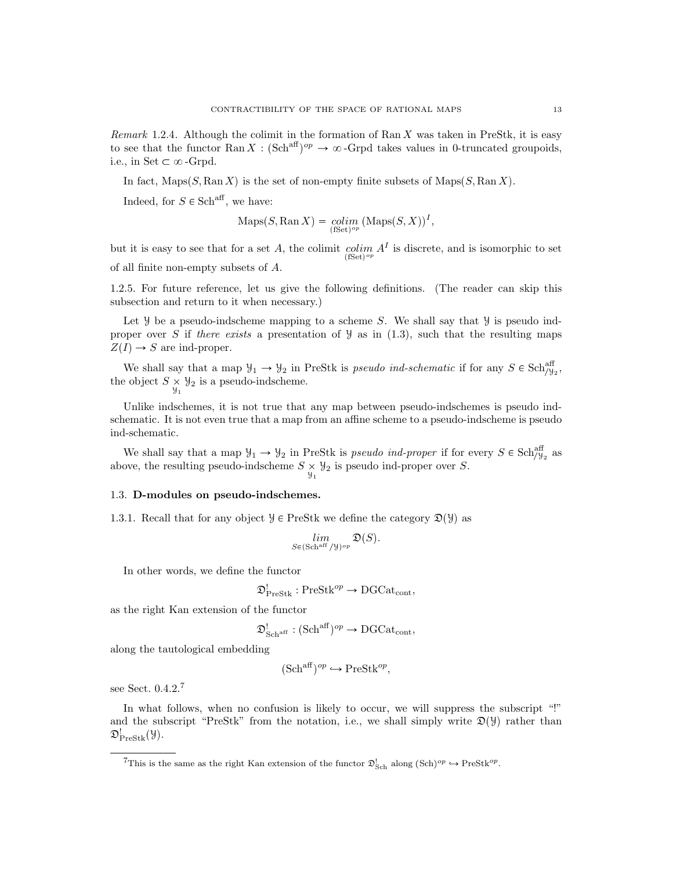Remark 1.2.4. Although the colimit in the formation of  $\text{Ran } X$  was taken in PreStk, it is easy to see that the functor Ran  $X : (\text{Sch}^{\text{aff}})^{op} \to \infty$ -Grpd takes values in 0-truncated groupoids, i.e., in Set  $\subset \infty$ -Grpd.

In fact,  $\text{Maps}(S, \text{Ran } X)$  is the set of non-empty finite subsets of  $\text{Maps}(S, \text{Ran } X)$ .

Indeed, for  $S \in \mathbf{Sch}^{\mathrm{aff}}$ , we have:

$$
\operatorname{Maps}(S, \operatorname{Ran} X) = \underset{\text{(fSet)}^{op}}{\operatorname{colim}} (\operatorname{Maps}(S, X))^{I},
$$

but it is easy to see that for a set A, the colimit  $\underset{\text{(fSet)}^{op}}{\text{colim}} A^I$  is discrete, and is isomorphic to set of all finite non-empty subsets of A.

1.2.5. For future reference, let us give the following definitions. (The reader can skip this subsection and return to it when necessary.)

Let  $\mathcal Y$  be a pseudo-indscheme mapping to a scheme S. We shall say that  $\mathcal Y$  is pseudo indproper over S if there exists a presentation of  $\mathcal{Y}$  as in (1.3), such that the resulting maps  $Z(I) \rightarrow S$  are ind-proper.

We shall say that a map  $\mathcal{Y}_1 \to \mathcal{Y}_2$  in PreStk is pseudo ind-schematic if for any  $S \in \text{Sch}_{\mathcal{Y}_2}^{\text{aff}}$ , the object  $S \times \mathcal{Y}_2$  is a pseudo-indscheme.

Unlike indschemes, it is not true that any map between pseudo-indschemes is pseudo indschematic. It is not even true that a map from an affine scheme to a pseudo-indscheme is pseudo ind-schematic.

We shall say that a map  $\mathcal{Y}_1 \to \mathcal{Y}_2$  in PreStk is *pseudo ind-proper* if for every  $S \in \text{Sch}_{\mathcal{Y}_2}^{\text{aff}}$  as above, the resulting pseudo-indscheme  $S \underset{\mathcal{Y}_1}{\times} \mathcal{Y}_2$  is pseudo ind-proper over S.

### 1.3. D-modules on pseudo-indschemes.

1.3.1. Recall that for any object  $\mathcal{Y} \in \text{PreStk}$  we define the category  $\mathfrak{D}(\mathcal{Y})$  as

$$
\mathop{lim}\limits_{S \in ({\rm Sch}^{\rm aff}/\mathcal{Y})^{op}} \mathfrak{D}(S).
$$

In other words, we define the functor

$$
\mathfrak{D}_{\mathrm{PreStk}}^! : \mathrm{PreStk}^{op} \to \mathrm{DGCat}_{\mathrm{cont}},
$$

as the right Kan extension of the functor

$$
\mathfrak{D}^!_{\mathbf{Sch}^{\mathrm{aff}}}: (\mathbf{Sch}^{\mathrm{aff}})^{op} \to \mathbf{DGCat}_{\mathbf{cont}},
$$

along the tautological embedding

$$
(\mathrm{Sch}^{\mathrm{aff}})^{op} \hookrightarrow \mathrm{PreStk}^{op},
$$

see Sect. 0.4.2.<sup>7</sup>

In what follows, when no confusion is likely to occur, we will suppress the subscript "!" and the subscript "PreStk" from the notation, i.e., we shall simply write  $\mathfrak{D}(\mathcal{Y})$  rather than  $\mathfrak{D}_\text{PreStk}^!(\mathcal{Y}).$ 

<sup>&</sup>lt;sup>7</sup>This is the same as the right Kan extension of the functor  $\mathfrak{D}^!_{Sch}$  along  $(\text{Sch})^{op} \to \text{PreStk}^{op}$ .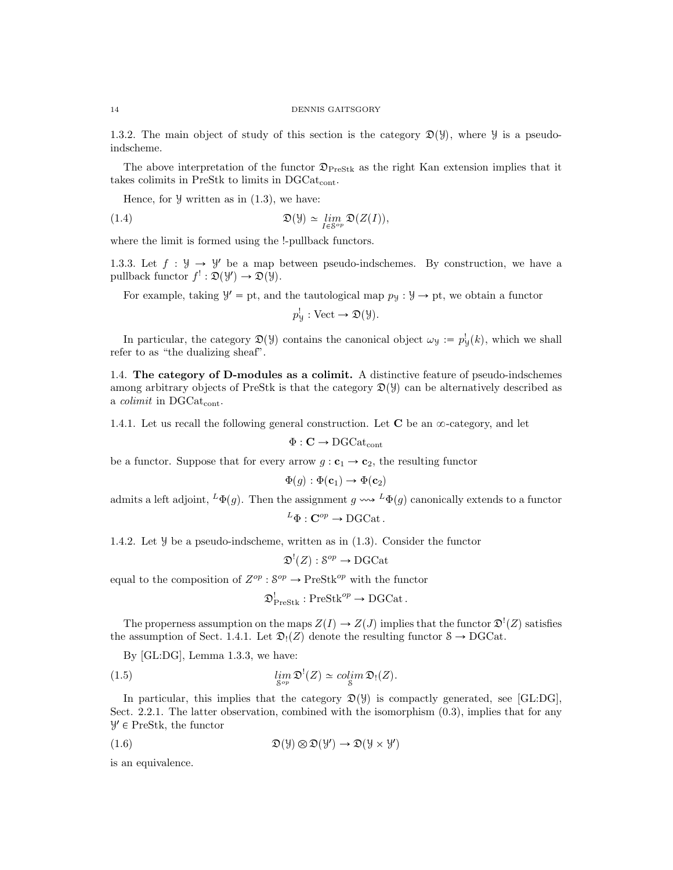1.3.2. The main object of study of this section is the category  $\mathfrak{D}(\mathcal{Y})$ , where  $\mathcal{Y}$  is a pseudoindscheme.

The above interpretation of the functor  $\mathfrak{D}_{\text{PreStk}}$  as the right Kan extension implies that it takes colimits in PreStk to limits in DGCat<sub>cont</sub>.

Hence, for  $\mathcal Y$  written as in  $(1.3)$ , we have:

(1.4) 
$$
\mathfrak{D}(\mathcal{Y}) \simeq \lim_{I \in \mathcal{S}^{op}} \mathfrak{D}(Z(I)),
$$

where the limit is formed using the !-pullback functors.

1.3.3. Let  $f : \mathcal{Y} \to \mathcal{Y}'$  be a map between pseudo-indschemes. By construction, we have a pullback functor  $f' : \mathfrak{D}(\mathcal{Y}') \to \mathfrak{D}(\mathcal{Y})$ .

For example, taking  $\mathcal{Y}' = \text{pt}$ , and the tautological map  $p_{\mathcal{Y}} : \mathcal{Y} \to \text{pt}$ , we obtain a functor

$$
p_{\mathcal{Y}}^!
$$
: Vect  $\rightarrow \mathfrak{D}(\mathcal{Y})$ .

In particular, the category  $\mathfrak{D}(\mathcal{Y})$  contains the canonical object  $\omega_{\mathcal{Y}} := p_{\mathcal{Y}}^{\mathcal{Y}}(k)$ , which we shall refer to as "the dualizing sheaf".

1.4. The category of D-modules as a colimit. A distinctive feature of pseudo-indschemes among arbitrary objects of PreStk is that the category  $\mathfrak{D}(\mathcal{Y})$  can be alternatively described as a *colimit* in DGCat<sub>cont</sub>.

1.4.1. Let us recall the following general construction. Let  $C$  be an  $\infty$ -category, and let

$$
\Phi : \mathbf{C} \to \mathrm{DGCat}_{\mathrm{cont}}
$$

be a functor. Suppose that for every arrow  $g: c_1 \rightarrow c_2$ , the resulting functor

$$
\Phi(g): \Phi(\mathbf{c}_1) \to \Phi(\mathbf{c}_2)
$$

admits a left adjoint,  ${}^L\Phi(g)$ . Then the assignment  $g \leftrightarrow \Psi(g)$  canonically extends to a functor

 ${}^L\Phi : \mathbf{C}^{op} \to \mathrm{DGCat}$ .

1.4.2. Let Y be a pseudo-indscheme, written as in (1.3). Consider the functor

$$
\mathfrak{D}^!(Z) : \mathcal{S}^{op} \to \mathrm{DGCat}
$$

equal to the composition of  $Z^{op}$  :  $S^{op} \to \text{PreStk}^{op}$  with the functor

$$
\mathfrak{D}_{\text{PreStk}}^! : \text{PreStk}^{op} \to \text{DGCat}.
$$

The properness assumption on the maps  $Z(I) \to Z(J)$  implies that the functor  $\mathfrak{D}^!(Z)$  satisfies the assumption of Sect. 1.4.1. Let  $\mathfrak{D}_1(Z)$  denote the resulting functor  $S \to \text{DGCat.}$ 

By [GL:DG], Lemma 1.3.3, we have:

(1.5) 
$$
\lim_{S^{op}} \mathfrak{D}^!(Z) \simeq \operatorname{colim}_{S} \mathfrak{D}_!(Z).
$$

In particular, this implies that the category  $\mathfrak{D}(\mathcal{Y})$  is compactly generated, see [GL:DG], Sect. 2.2.1. The latter observation, combined with the isomorphism  $(0.3)$ , implies that for any  $\mathcal{Y}' \in \text{PreStk}, \text{ the functor}$ 

(1.6) 
$$
\mathfrak{D}(\mathcal{Y}) \otimes \mathfrak{D}(\mathcal{Y}') \to \mathfrak{D}(\mathcal{Y} \times \mathcal{Y}')
$$

is an equivalence.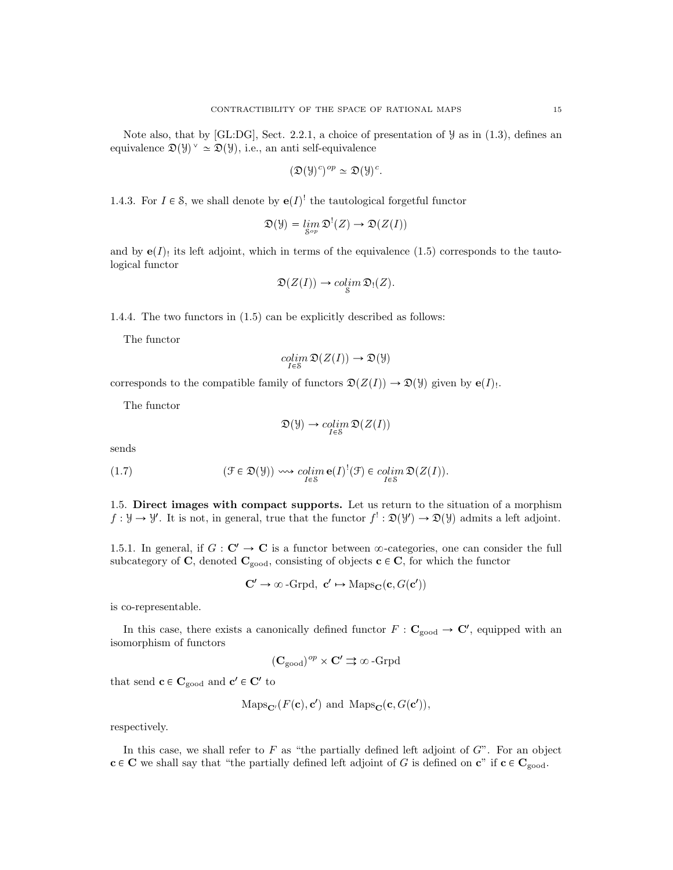Note also, that by [GL:DG], Sect. 2.2.1, a choice of presentation of  $\mathcal{Y}$  as in (1.3), defines an equivalence  $\mathfrak{D}(\mathcal{Y})^{\vee} \simeq \mathfrak{D}(\mathcal{Y})$ , i.e., an anti self-equivalence

$$
(\mathfrak{D}(\mathcal{Y})^c)^{op} \simeq \mathfrak{D}(\mathcal{Y})^c.
$$

1.4.3. For  $I \in \mathcal{S}$ , we shall denote by  $\mathbf{e}(I)^!$  the tautological forgetful functor

$$
\mathfrak{D}(\mathcal{Y}) = \lim_{S^{op}} \mathfrak{D}^!(Z) \to \mathfrak{D}(Z(I))
$$

and by  $e(I)$  its left adjoint, which in terms of the equivalence (1.5) corresponds to the tautological functor

$$
\mathfrak{D}(Z(I)) \to \operatorname{colim}_{\mathcal{S}} \mathfrak{D}_!(Z).
$$

1.4.4. The two functors in (1.5) can be explicitly described as follows:

The functor

$$
\mathop{colim}\limits_{I\in\mathcal{S}}\mathfrak{D}(Z(I))\to\mathfrak{D}(\mathcal{Y})
$$

corresponds to the compatible family of functors  $\mathfrak{D}(Z(I)) \to \mathfrak{D}(\mathcal{Y})$  given by  $e(I)$ .

The functor

$$
\mathfrak{D}(\mathcal{Y}) \to \operatorname{colim}_{I \in \mathcal{S}} \mathfrak{D}(Z(I))
$$

sends

(1.7) 
$$
(\mathcal{F} \in \mathfrak{D}(\mathcal{Y})) \rightsquigarrow \underset{I \in \mathcal{S}}{colim} \mathbf{e}(I)^{!}(\mathcal{F}) \in \underset{I \in \mathcal{S}}{colim} \mathfrak{D}(Z(I)).
$$

1.5. Direct images with compact supports. Let us return to the situation of a morphism  $f: \mathcal{Y} \to \mathcal{Y}'$ . It is not, in general, true that the functor  $f' : \mathfrak{D}(\mathcal{Y}') \to \mathfrak{D}(\mathcal{Y})$  admits a left adjoint.

1.5.1. In general, if  $G: \mathbb{C}' \to \mathbb{C}$  is a functor between  $\infty$ -categories, one can consider the full subcategory of C, denoted  $C_{\rm good}$ , consisting of objects  $c \in C$ , for which the functor

$$
\mathbf{C}' \to \infty\text{-Grpd},\ \mathbf{c}' \mapsto \mathrm{Maps}_{\mathbf{C}}(\mathbf{c}, G(\mathbf{c}'))
$$

is co-representable.

In this case, there exists a canonically defined functor  $F : \mathbf{C}_{\text{good}} \to \mathbf{C}'$ , equipped with an isomorphism of functors

$$
(\mathbf{C}_{\mathrm{good}})^{op} \times \mathbf{C}' \rightrightarrows \infty\text{-}\mathrm{Grpd}
$$

that send  $\mathbf{c} \in \mathbf{C}_{\mathrm{good}}$  and  $\mathbf{c}' \in \mathbf{C}'$  to

$$
\mathrm{Maps}_{\mathbf{C}'}(F(\mathbf{c}), \mathbf{c}') \text{ and } \mathrm{Maps}_{\mathbf{C}}(\mathbf{c}, G(\mathbf{c}')),
$$

respectively.

In this case, we shall refer to  $F$  as "the partially defined left adjoint of  $G$ ". For an object  $c \in C$  we shall say that "the partially defined left adjoint of G is defined on c" if  $c \in C_{good}$ .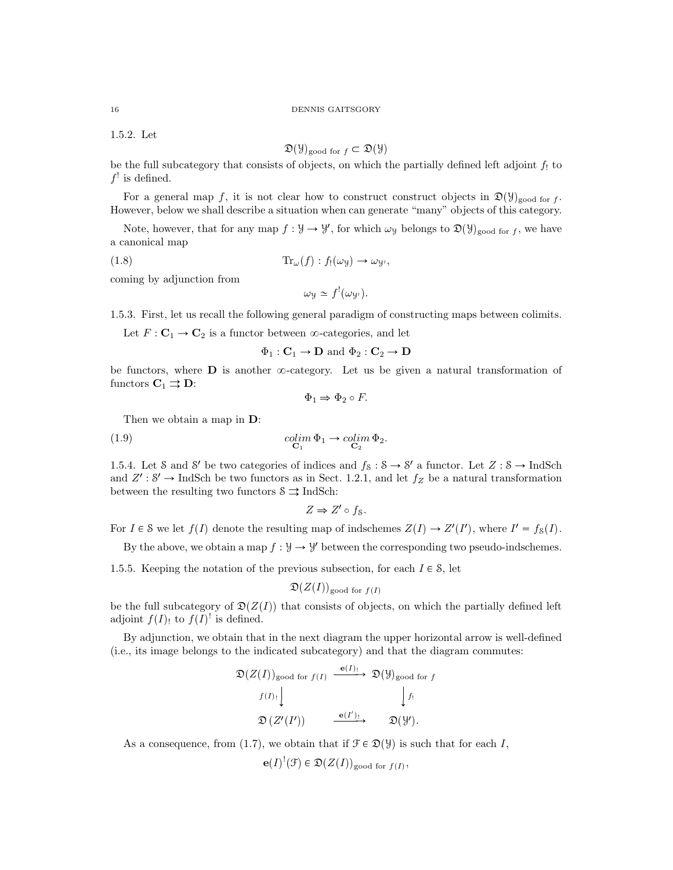#### 16 DENNIS GAITSGORY

1.5.2. Let

$$
\mathfrak{D}(\mathcal{Y})_{\text{good for } f} \subset \mathfrak{D}(\mathcal{Y})
$$

be the full subcategory that consists of objects, on which the partially defined left adjoint  $f_1$  to  $f'$  is defined.

For a general map f, it is not clear how to construct construct objects in  $\mathfrak{D}(\mathcal{Y})_{\text{good for }f}$ . However, below we shall describe a situation when can generate "many" objects of this category.

Note, however, that for any map  $f: \mathcal{Y} \to \mathcal{Y}'$ , for which  $\omega_{\mathcal{Y}}$  belongs to  $\mathfrak{D}(\mathcal{Y})_{\text{good for }f}$ , we have a canonical map

(1.8) 
$$
\text{Tr}_{\omega}(f) : f_!(\omega_y) \to \omega_{y'},
$$

coming by adjunction from

$$
\omega_y \simeq f^! (\omega_{y'}).
$$

1.5.3. First, let us recall the following general paradigm of constructing maps between colimits.

Let  $F: \mathbf{C}_1 \to \mathbf{C}_2$  is a functor between  $\infty$ -categories, and let

$$
\Phi_1: \mathbf{C}_1 \to \mathbf{D} \text{ and } \Phi_2: \mathbf{C}_2 \to \mathbf{D}
$$

be functors, where  $\bf{D}$  is another  $\infty$ -category. Let us be given a natural transformation of functors  $C_1 \rightrightarrows D$ :

$$
\Phi_1 \Rightarrow \Phi_2 \circ F.
$$

Then we obtain a map in D:

(1.9) 
$$
\underset{\mathbf{C}_1}{colim} \Phi_1 \to \underset{\mathbf{C}_2}{colim} \Phi_2.
$$

1.5.4. Let S and S' be two categories of indices and  $f_8: S \to S'$  a functor. Let  $Z: S \to \text{IndSch}$ and  $Z' : S' \to \text{IndSch}$  be two functors as in Sect. 1.2.1, and let  $f_Z$  be a natural transformation between the resulting two functors  $\delta \rightrightarrows$  IndSch:

$$
Z \Rightarrow Z' \circ f_S.
$$

For  $I \in \mathcal{S}$  we let  $f(I)$  denote the resulting map of indschemes  $Z(I) \to Z'(I')$ , where  $I' = f_{\mathcal{S}}(I)$ .

By the above, we obtain a map  $f : \mathcal{Y} \to \mathcal{Y}'$  between the corresponding two pseudo-indschemes.

1.5.5. Keeping the notation of the previous subsection, for each  $I \in \mathcal{S}$ , let

$$
\mathfrak{D}(Z(I))_{\text{good for } f(I)}
$$

be the full subcategory of  $\mathfrak{D}(Z(I))$  that consists of objects, on which the partially defined left adjoint  $f(I)$  to  $f(I)^!$  is defined.

By adjunction, we obtain that in the next diagram the upper horizontal arrow is well-defined (i.e., its image belongs to the indicated subcategory) and that the diagram commutes:

$$
\mathfrak{D}(Z(I))_{\text{good for } f(I)} \xrightarrow{\mathbf{e}(I)_!} \mathfrak{D}(\mathcal{Y})_{\text{good for } f}
$$
\n
$$
f(I)_! \qquad \qquad \downarrow f_!
$$
\n
$$
\mathfrak{D}(Z'(I')) \xrightarrow{\mathbf{e}(I')_!} \mathfrak{D}(\mathcal{Y}').
$$

As a consequence, from (1.7), we obtain that if  $\mathcal{F} \in \mathcal{D}(\mathcal{Y})$  is such that for each I,

$$
\mathbf{e}(I)^{!}(\mathcal{F}) \in \mathfrak{D}(Z(I))_{\text{good for } f(I)},
$$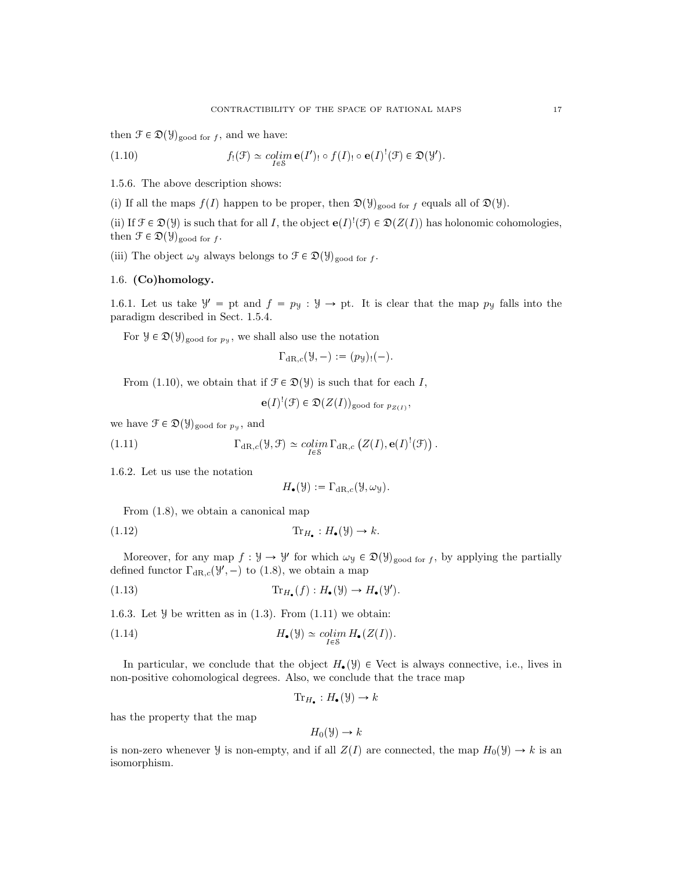then  $\mathcal{F} \in \mathfrak{D}(\mathcal{Y})_{\text{good for } f}$ , and we have:

(1.10) 
$$
f_!(\mathcal{F}) \simeq \underset{I \in \mathcal{S}}{\text{colim}} \mathbf{e}(I')_! \circ f(I)_! \circ \mathbf{e}(I)^! (\mathcal{F}) \in \mathfrak{D}(\mathcal{Y}').
$$

1.5.6. The above description shows:

(i) If all the maps  $f(I)$  happen to be proper, then  $\mathfrak{D}(\mathcal{Y})_{\text{good for } f}$  equals all of  $\mathfrak{D}(\mathcal{Y})$ .

(ii) If  $\mathcal{F} \in \mathfrak{D}(\mathcal{Y})$  is such that for all I, the object  $\mathbf{e}(I)^{!}(\mathcal{F}) \in \mathfrak{D}(Z(I))$  has holonomic cohomologies, then  $\mathcal{F} \in \mathfrak{D}(\mathcal{Y})_{\text{good for } f}$ .

(iii) The object  $\omega_y$  always belongs to  $\mathcal{F} \in \mathfrak{D}(\mathcal{Y})_{\text{good for }f}$ .

# 1.6. (Co)homology.

1.6.1. Let us take  $\mathcal{Y}' =$  pt and  $f = p_{\mathcal{Y}} : \mathcal{Y} \to$  pt. It is clear that the map  $p_{\mathcal{Y}}$  falls into the paradigm described in Sect. 1.5.4.

For  $\mathcal{Y} \in \mathfrak{D}(\mathcal{Y})_{\text{good for } p_{\mathcal{Y}}}$ , we shall also use the notation

$$
\Gamma_{\mathrm{dR},c}(\mathcal{Y},-):=(p_{\mathcal{Y}})_{!}(-).
$$

From (1.10), we obtain that if  $\mathcal{F} \in \mathcal{D}(\mathcal{Y})$  is such that for each I,

 $\mathbf{e}(I)^!(\mathcal{F}) \in \mathfrak{D}(Z(I))_{\text{good for } p_{Z(I)}},$ 

we have  $\mathcal{F} \in \mathfrak{D}(\mathcal{Y})_{\text{good for } p_{\mathcal{Y}}},$  and

(1.11) 
$$
\Gamma_{\mathrm{dR},c}(\mathcal{Y},\mathcal{F}) \simeq \mathop{colim}\limits_{I\in\mathcal{S}}\Gamma_{\mathrm{dR},c}\left(Z(I),\mathbf{e}(I)^!(\mathcal{F})\right).
$$

1.6.2. Let us use the notation

$$
H_{\bullet}(\mathcal{Y}) := \Gamma_{\mathrm{dR},c}(\mathcal{Y}, \omega_{\mathcal{Y}}).
$$

From (1.8), we obtain a canonical map

(1.12) Tr<sup>H</sup> : H pYq Ñ k.

Moreover, for any map  $f: \mathcal{Y} \to \mathcal{Y}'$  for which  $\omega_{\mathcal{Y}} \in \mathfrak{D}(\mathcal{Y})_{\text{good for } f}$ , by applying the partially defined functor  $\Gamma_{\mathrm{dR},c}(\mathcal{Y}',-)$  to (1.8), we obtain a map

(1.13) 
$$
\operatorname{Tr}_{H_{\bullet}}(f): H_{\bullet}(\mathcal{Y}) \to H_{\bullet}(\mathcal{Y}').
$$

1.6.3. Let  $\mathcal Y$  be written as in (1.3). From (1.11) we obtain:

(1.14) 
$$
H_{\bullet}(\mathcal{Y}) \simeq \underset{I \in \mathcal{S}}{\text{colim}} H_{\bullet}(Z(I)).
$$

In particular, we conclude that the object  $H_{\bullet}(\mathcal{Y}) \in$  Vect is always connective, i.e., lives in non-positive cohomological degrees. Also, we conclude that the trace map

$$
\text{Tr}_{H_{\bullet}}: H_{\bullet}(\mathcal{Y}) \to k
$$

has the property that the map

$$
H_0(\mathcal{Y}) \to k
$$

is non-zero whenever  $\mathcal Y$  is non-empty, and if all  $Z(I)$  are connected, the map  $H_0(\mathcal Y) \to k$  is an isomorphism.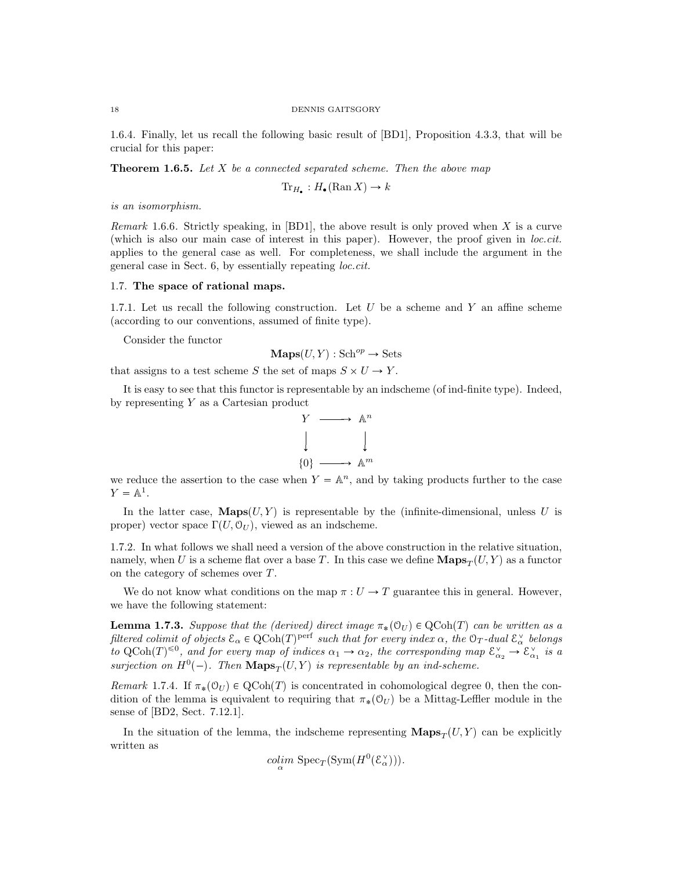#### 18 DENNIS GAITSGORY

1.6.4. Finally, let us recall the following basic result of [BD1], Proposition 4.3.3, that will be crucial for this paper:

**Theorem 1.6.5.** Let  $X$  be a connected separated scheme. Then the above map

 $\text{Tr}_{H_{\bullet}}: H_{\bullet}(\text{Ran } X) \to k$ 

is an isomorphism.

*Remark* 1.6.6. Strictly speaking, in [BD1], the above result is only proved when X is a curve (which is also our main case of interest in this paper). However, the proof given in loc.cit. applies to the general case as well. For completeness, we shall include the argument in the general case in Sect. 6, by essentially repeating loc.cit.

### 1.7. The space of rational maps.

1.7.1. Let us recall the following construction. Let  $U$  be a scheme and  $Y$  an affine scheme (according to our conventions, assumed of finite type).

Consider the functor

 $\mathbf{Maps}(U, Y) : \mathbf{Sch}^{op} \to \mathbf{Sets}$ 

that assigns to a test scheme S the set of maps  $S \times U \to Y$ .

It is easy to see that this functor is representable by an indscheme (of ind-finite type). Indeed, by representing Y as a Cartesian product



we reduce the assertion to the case when  $Y = \mathbb{A}^n$ , and by taking products further to the case  $Y = \mathbb{A}^1$ .

In the latter case,  $\mathbf{Maps}(U, Y)$  is representable by the (infinite-dimensional, unless U is proper) vector space  $\Gamma(U, \mathcal{O}_U)$ , viewed as an indscheme.

1.7.2. In what follows we shall need a version of the above construction in the relative situation, namely, when U is a scheme flat over a base T. In this case we define  $\mathbf{Maps}_{T}(U, Y)$  as a functor on the category of schemes over T.

We do not know what conditions on the map  $\pi: U \to T$  guarantee this in general. However, we have the following statement:

**Lemma 1.7.3.** Suppose that the (derived) direct image  $\pi_*(\mathcal{O}_U) \in \text{QCoh}(T)$  can be written as a filtered colimit of objects  $\mathcal{E}_\alpha \in \mathrm{QCoh}(T)^\mathrm{perf}$  such that for every index  $\alpha$ , the  $\mathcal{O}_T$ -dual  $\mathcal{E}_\alpha^\vee$  belongs to QCoh $(T)^{\leq 0}$ , and for every map of indices  $\alpha_1 \to \alpha_2$ , the corresponding map  $\mathcal{E}_{\alpha_2}^{\vee} \to \mathcal{E}_{\alpha_1}^{\vee}$  is a surjection on  $H^0(-)$ . Then  $\mathbf{Maps}_T(U, Y)$  is representable by an ind-scheme.

Remark 1.7.4. If  $\pi_*(\mathcal{O}_U) \in \text{QCoh}(T)$  is concentrated in cohomological degree 0, then the condition of the lemma is equivalent to requiring that  $\pi_*(\mathcal{O}_U)$  be a Mittag-Leffler module in the sense of [BD2, Sect. 7.12.1].

In the situation of the lemma, the indscheme representing  $\mathbf{Maps}_{T}(U, Y)$  can be explicitly written as

$$
\underset{\alpha}{colim} \operatorname{Spec}_{T}(\operatorname{Sym}(H^{0}(\mathcal{E}_{\alpha}^{\vee}))).
$$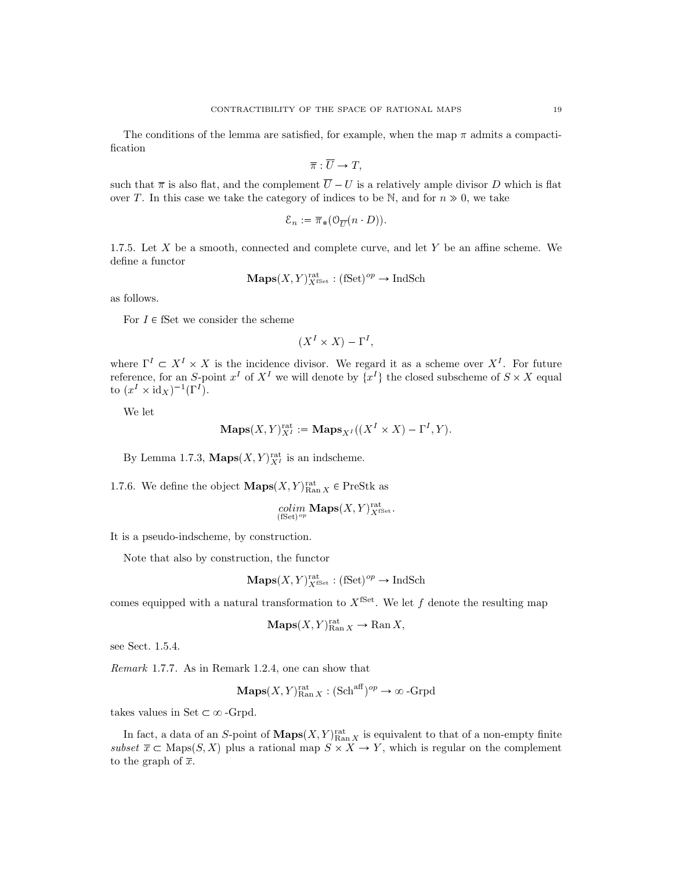The conditions of the lemma are satisfied, for example, when the map  $\pi$  admits a compactification

$$
\overline{\pi}:\overline{U}\to T,
$$

such that  $\bar{\pi}$  is also flat, and the complement  $\bar{U} - U$  is a relatively ample divisor D which is flat over T. In this case we take the category of indices to be N, and for  $n \gg 0$ , we take

$$
\mathcal{E}_n:=\overline{\pi}_*(\mathcal{O}_{\overline{U}}(n\cdot D)).
$$

1.7.5. Let  $X$  be a smooth, connected and complete curve, and let  $Y$  be an affine scheme. We define a functor

$$
\mathbf{Maps}(X, Y)_{X^{\mathrm{fSet}}}^{\mathrm{rat}} : (\mathrm{fSet})^{op} \to \mathrm{IndSch}
$$

as follows.

For  $I \in \mathbf{fSet}$  we consider the scheme

$$
(X^I \times X) - \Gamma^I,
$$

where  $\Gamma^I \subset X^I \times X$  is the incidence divisor. We regard it as a scheme over  $X^I$ . For future reference, for an S-point  $x^I$  of  $X^I$  we will denote by  $\{x^I\}$  the closed subscheme of  $S \times X$  equal to  $(x^I \times \mathrm{id}_X)^{-1}(\Gamma^I).$ 

We let

$$
\mathbf{Maps}(X,Y)_{X^I}^{\mathrm{rat}} := \mathbf{Maps}_{X^I}((X^I \times X) - \Gamma^I, Y).
$$

By Lemma 1.7.3,  $\mathbf{Maps}(X, Y)^{\text{rat}}_{X^I}$  is an indscheme.

1.7.6. We define the object  $\mathbf{Maps}(X, Y)_{\text{Ran } X}^{\text{rat}} \in \text{PreStk as}$ 

$$
\operatornamewithlimits{colim}_{(\text{fSet})^{op}} \mathbf{Maps}(X, Y)_{X^{\text{fSet}}}^{\text{rat}}.
$$

It is a pseudo-indscheme, by construction.

Note that also by construction, the functor

$$
\mathbf{Maps}(X, Y)_{X^{\mathrm{fSet}}}^{\mathrm{rat}} : (\mathrm{fSet})^{op} \to \mathrm{IndSch}
$$

comes equipped with a natural transformation to  $X^{\text{fSet}}$ . We let f denote the resulting map

$$
\mathbf{Maps}(X,Y)_{\mathrm{Ran}\,X}^{\mathrm{rat}} \to \mathrm{Ran}\,X,
$$

see Sect. 1.5.4.

Remark 1.7.7. As in Remark 1.2.4, one can show that

**Maps**
$$
(X, Y)_{\text{Ran } X}^{\text{rat}} : (\text{Sch}^{\text{aff}})^{op} \to \infty\text{-Grpd}
$$

takes values in Set  $\subset \infty$ -Grpd.

In fact, a data of an S-point of  $\mathbf{Maps}(X, Y)_{\text{Ran } X}^{\text{rat}}$  is equivalent to that of a non-empty finite subset  $\overline{x} \subset \text{Maps}(S, X)$  plus a rational map  $S \times X \to Y$ , which is regular on the complement to the graph of  $\overline{x}$ .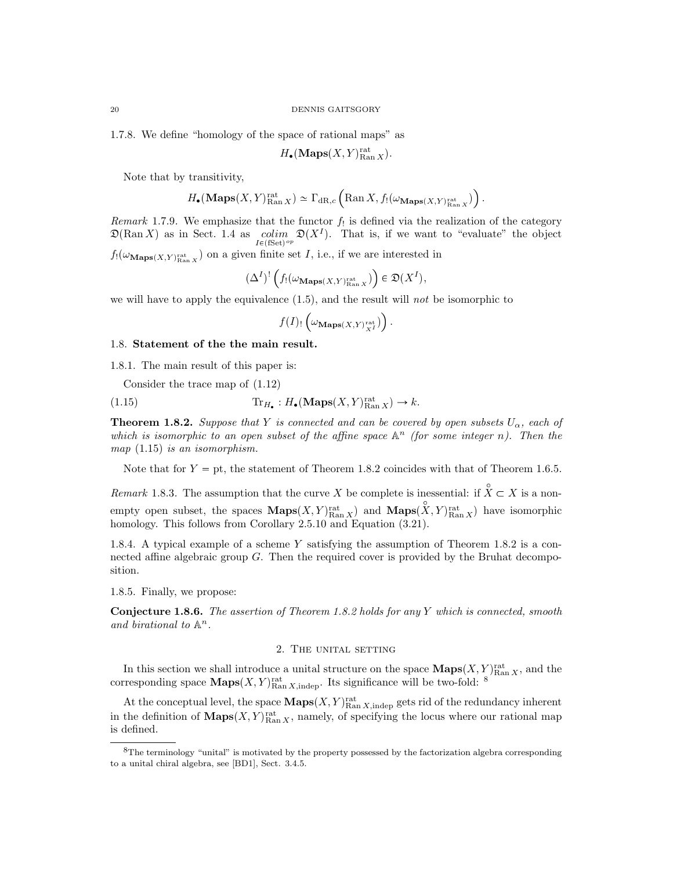1.7.8. We define "homology of the space of rational maps" as

$$
H_{\bullet}(\mathbf{Maps}(X,Y)_{\mathrm{Ran}\,X}^{\mathrm{rat}}).
$$

Note that by transitivity,

$$
H_\bullet(\mathbf{Maps}(X,Y)_{\operatorname{Ran} X}^{\mathrm{rat}}) \simeq \Gamma_{\operatorname{dR},c}\left(\operatorname{Ran} X,f_! (\omega_{\mathbf{Maps}(X,Y)_{\operatorname{Ran} X}^{\mathrm{rat}}})\right).
$$

Remark 1.7.9. We emphasize that the functor  $f_!$  is defined via the realization of the category  $\mathfrak{D}(\text{Ran } X)$  as in Sect. 1.4 as  $\underset{I \in (\text{fSet})^{op}}{\text{colim}} \mathfrak{D}(X^I)$ . That is, if we want to "evaluate" the object  $f_!(\omega_{\mathbf{Maps}(X,Y)_{\mathrm{Ran } X}^{\mathrm{rat}}})$  on a given finite set I, i.e., if we are interested in

$$
(\Delta^I)^!\left(f_! \big(\omega_{\mathbf{Maps}(X,Y)_{\operatorname{Ran} X}^{\operatorname{rat}}}\big)\right) \in \mathfrak{D}(X^I),
$$

we will have to apply the equivalence  $(1.5)$ , and the result will not be isomorphic to

$$
f(I)_! \left( \omega_{\mathbf{Maps}(X,Y)_{X^I}^{\mathrm{rat}}}) \right).
$$

# 1.8. Statement of the the main result.

1.8.1. The main result of this paper is:

Consider the trace map of (1.12)

(1.15) 
$$
\operatorname{Tr}_{H_{\bullet}}: H_{\bullet}(\mathbf{Maps}(X, Y)_{\mathrm{Ran}\,X}^{\mathrm{rat}}) \to k.
$$

**Theorem 1.8.2.** Suppose that Y is connected and can be covered by open subsets  $U_{\alpha}$ , each of which is isomorphic to an open subset of the affine space  $\mathbb{A}^n$  (for some integer n). Then the map (1.15) is an isomorphism.

Note that for  $Y = pt$ , the statement of Theorem 1.8.2 coincides with that of Theorem 1.6.5.

Remark 1.8.3. The assumption that the curve X be complete is inessential: if  $\hat{X} \subset X$  is a nonempty open subset, the spaces  $\mathbf{Maps}(X, Y)_{\text{Ran } X}^{\text{at}}$  and  $\mathbf{Maps}(X, Y)_{\text{Ran } X}^{\text{at}}$  have isomorphic homology. This follows from Corollary 2.5.10 and Equation  $(3.21)$ .

1.8.4. A typical example of a scheme Y satisfying the assumption of Theorem 1.8.2 is a connected affine algebraic group G. Then the required cover is provided by the Bruhat decomposition.

1.8.5. Finally, we propose:

Conjecture 1.8.6. The assertion of Theorem 1.8.2 holds for any Y which is connected, smooth and birational to  $\mathbb{A}^n$ .

#### 2. The unital setting

In this section we shall introduce a unital structure on the space  $\mathbf{Maps}(X, Y)_{\text{Ran } X}^{\text{rat}}$ , and the corresponding space  $\mathbf{Maps}(X, Y)_{\text{Ran } X, \text{indep}}^{\text{rat}}$ . Its significance will be two-fold: <sup>8</sup>

At the conceptual level, the space  $\mathbf{Maps}(X, Y)_{\text{Ran } X, \text{indep}}^{\text{rat}}$  gets rid of the redundancy inherent in the definition of  $\mathbf{Maps}(X, Y)_{\text{Ran } X}^{\text{rat}},$  namely, of specifying the locus where our rational map is defined.

<sup>8</sup>The terminology "unital" is motivated by the property possessed by the factorization algebra corresponding to a unital chiral algebra, see [BD1], Sect. 3.4.5.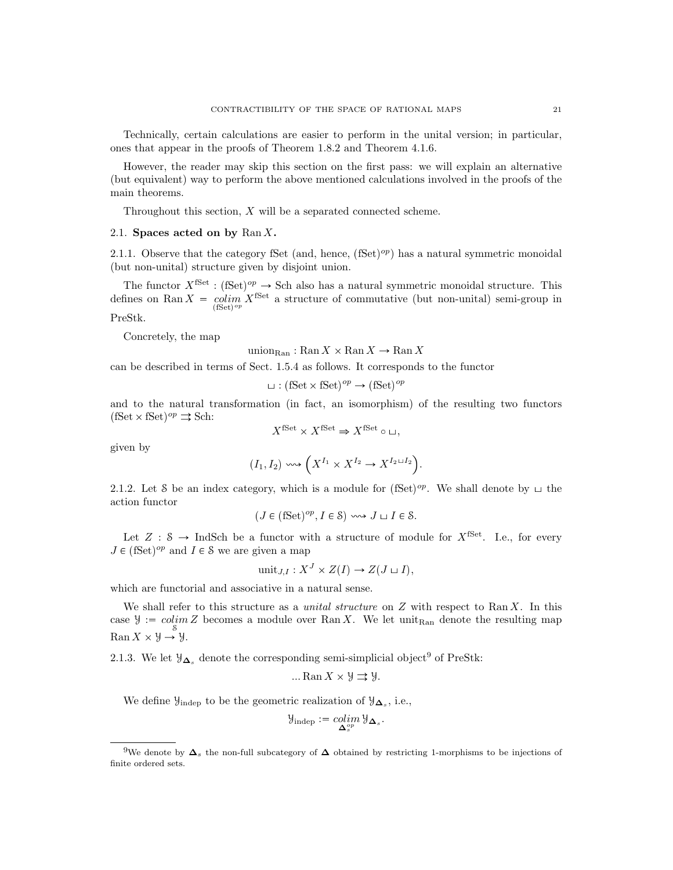Technically, certain calculations are easier to perform in the unital version; in particular, ones that appear in the proofs of Theorem 1.8.2 and Theorem 4.1.6.

However, the reader may skip this section on the first pass: we will explain an alternative (but equivalent) way to perform the above mentioned calculations involved in the proofs of the main theorems.

Throughout this section, X will be a separated connected scheme.

# 2.1. Spaces acted on by  $\text{Ran } X$ .

2.1.1. Observe that the category fSet (and, hence,  $(fSet)^{op}$ ) has a natural symmetric monoidal (but non-unital) structure given by disjoint union.

The functor  $X^{\text{fSet}} : (\text{fSet})^{op} \to \text{Sch}$  also has a natural symmetric monoidal structure. This defines on Ran  $X = \text{colim}_{\text{(fSet)}^{op}} X^{\text{fSet}}$  a structure of commutative (but non-unital) semi-group in PreStk.

Concretely, the map

union $_{\text{Ran}}$ : Ran  $X \times$  Ran  $X \to$  Ran X

can be described in terms of Sect. 1.5.4 as follows. It corresponds to the functor

 $\sqcup$  : (fSet  $\times$  fSet)<sup>op</sup>  $\rightarrow$  (fSet)<sup>op</sup>

and to the natural transformation (in fact, an isomorphism) of the resulting two functors  $(fSet \times fSet)^{op} \rightrightarrows Sch:$ 

$$
X^{\text{fSet}} \times X^{\text{fSet}} \Rightarrow X^{\text{fSet}} \circ \sqcup,
$$

given by

$$
(I_1, I_2) \rightsquigarrow \left( X^{I_1} \times X^{I_2} \to X^{I_2 \sqcup I_2} \right).
$$

2.1.2. Let S be an index category, which is a module for (fSet)<sup>op</sup>. We shall denote by  $\sqcup$  the action functor

$$
(J \in (\text{fSet})^{op}, I \in \mathcal{S}) \rightsquigarrow J \sqcup I \in \mathcal{S}.
$$

Let  $Z : \mathcal{S} \to \text{IndSch}$  be a functor with a structure of module for  $X^{\text{fSet}}$ . I.e., for every  $J \in (\text{fSet})^{op}$  and  $I \in \mathcal{S}$  we are given a map

$$
unit_{J,I}: X^J \times Z(I) \to Z(J \sqcup I),
$$

which are functorial and associative in a natural sense.

We shall refer to this structure as a *unital structure* on  $Z$  with respect to Ran  $X$ . In this case  $\mathcal{Y} := colim_{S} Z$  becomes a module over Ran X. We let unit<sub>Ran</sub> denote the resulting map  $\operatorname{Ran} X \times \mathcal{Y} \to \mathcal{Y}.$ 

2.1.3. We let  $\mathcal{Y}_{\Delta_s}$  denote the corresponding semi-simplicial object<sup>9</sup> of PreStk:

$$
\dots \operatorname{Ran} X \times \mathcal{Y} \rightrightarrows \mathcal{Y}.
$$

We define  $\mathcal{Y}_{\text{indep}}$  to be the geometric realization of  $\mathcal{Y}_{\Delta_s}$ , i.e.,

$$
\mathcal{Y}_{\text{indep}} := \operatornamewithlimits{colim}_{\mathbf{\Delta}^{op}_s} \mathcal{Y}_{\mathbf{\Delta}_s}.
$$

<sup>&</sup>lt;sup>9</sup>We denote by  $\Delta_s$  the non-full subcategory of  $\Delta$  obtained by restricting 1-morphisms to be injections of finite ordered sets.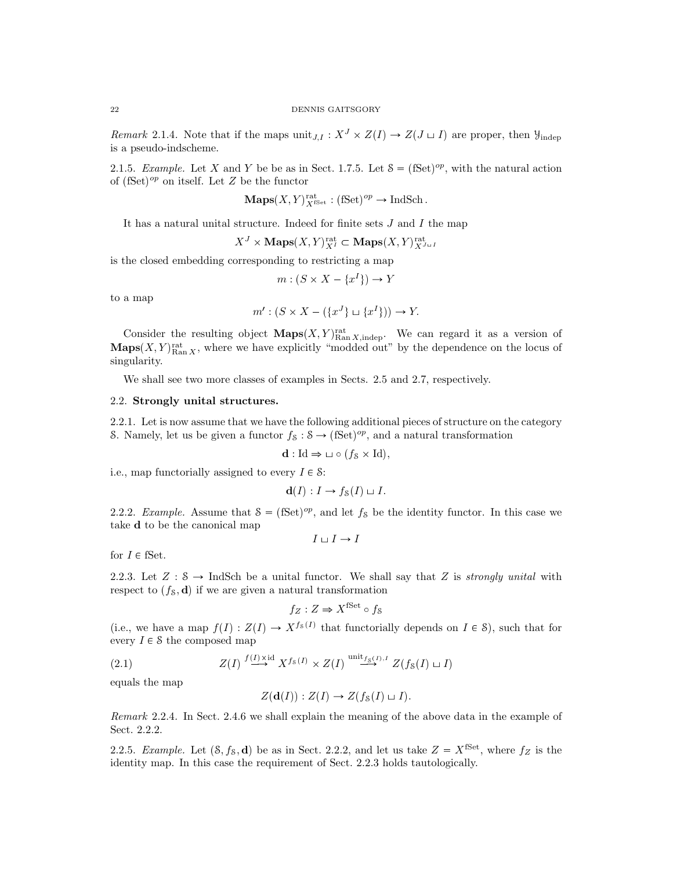*Remark* 2.1.4. Note that if the maps  $\text{unit}_{J,I}: X^J \times Z(I) \to Z(J \sqcup I)$  are proper, then  $\mathcal{Y}_{\text{indep}}$ is a pseudo-indscheme.

2.1.5. Example. Let X and Y be be as in Sect. 1.7.5. Let  $S = (fSet)^{op}$ , with the natural action of  $(fSet)^{op}$  on itself. Let Z be the functor

$$
\mathbf{Maps}(X,Y)_{X^{\mathrm{fSet}}}^{\mathrm{rat}} : (\mathrm{fSet})^{op} \to \mathrm{IndSch}.
$$

It has a natural unital structure. Indeed for finite sets  $J$  and  $I$  the map

$$
X^J \times \textbf{Maps}(X, Y)_{X^I}^{\text{rat}} \subset \textbf{Maps}(X, Y)_{X^{J \sqcup I}}^{\text{rat}}
$$

is the closed embedding corresponding to restricting a map

$$
m: (S \times X - \{x^I\}) \to Y
$$

to a map

$$
m': (S \times X - (\{x^J\} \sqcup \{x^I\})) \to Y.
$$

Consider the resulting object  $\mathbf{Maps}(X, Y)_{\text{Ran }X, \text{indep}}^{\text{rat}}$ . We can regard it as a version of  $\mathbf{Maps}(X, Y)_{\text{Ran } X}^{\text{rat}},$  where we have explicitly "modded out" by the dependence on the locus of singularity.

We shall see two more classes of examples in Sects. 2.5 and 2.7, respectively.

# 2.2. Strongly unital structures.

2.2.1. Let is now assume that we have the following additional pieces of structure on the category S. Namely, let us be given a functor  $f_8: S \to (\text{fSet})^{op}$ , and a natural transformation

$$
\mathbf{d} : \mathrm{Id} \Rightarrow \sqcup \circ (f_{\mathcal{S}} \times \mathrm{Id}),
$$

i.e., map functorially assigned to every  $I \in \mathcal{S}$ :

$$
\mathbf{d}(I): I \to f_8(I) \sqcup I.
$$

2.2.2. Example. Assume that  $S = (fSet)^{op}$ , and let  $f_S$  be the identity functor. In this case we take d to be the canonical map

$$
I\sqcup I\to I
$$

for  $I \in \text{fSet}.$ 

2.2.3. Let  $Z : \mathcal{S} \to \text{IndSch}$  be a unital functor. We shall say that Z is strongly unital with respect to  $(f<sub>s</sub>, d)$  if we are given a natural transformation

$$
f_Z: Z \Rightarrow X^{\text{fSet}} \circ f_{\mathcal{S}}
$$

(i.e., we have a map  $f(I) : Z(I) \to X^{f_s(I)}$  that functorially depends on  $I \in \mathcal{S}$ ), such that for every  $I \in \mathcal{S}$  the composed map

(2.1) 
$$
Z(I) \stackrel{f(I) \times \mathrm{id}}{\longrightarrow} X^{f_S(I)} \times Z(I) \stackrel{\text{unit}_{f_S(I), I}}{\longrightarrow} Z(f_S(I) \sqcup I)
$$

equals the map

$$
Z(\mathbf{d}(I)):Z(I)\to Z(f_{\mathcal{S}}(I)\sqcup I).
$$

Remark 2.2.4. In Sect. 2.4.6 we shall explain the meaning of the above data in the example of Sect. 2.2.2.

2.2.5. Example. Let  $(\mathcal{S}, f_{\mathcal{S}}, \mathbf{d})$  be as in Sect. 2.2.2, and let us take  $Z = X^{\text{fSet}}$ , where  $f_Z$  is the identity map. In this case the requirement of Sect. 2.2.3 holds tautologically.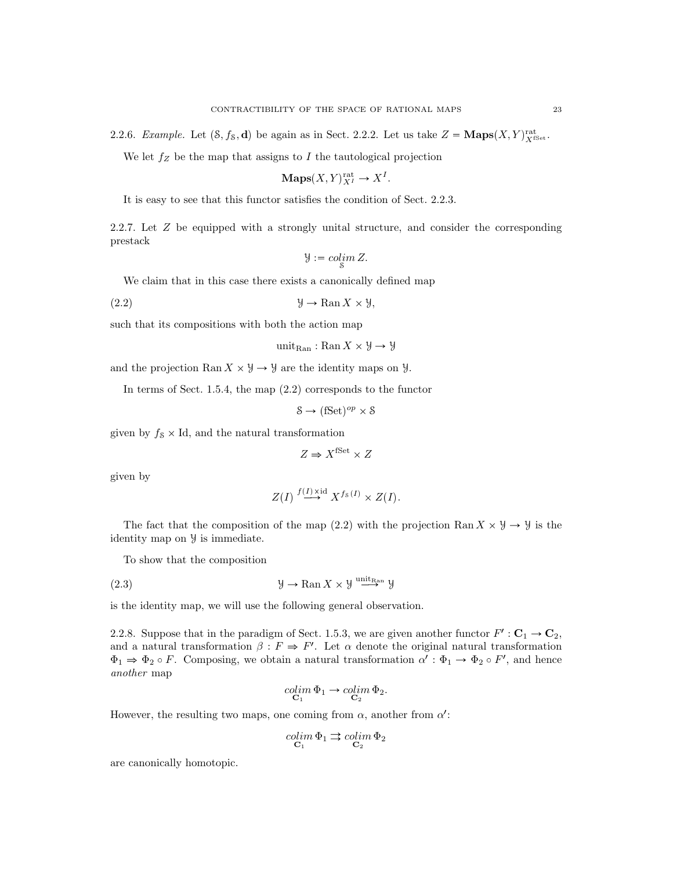2.2.6. Example. Let  $(8, f_8, \mathbf{d})$  be again as in Sect. 2.2.2. Let us take  $Z = \mathbf{Maps}(X, Y)_{X^{\text{fSet}}}^{\text{rat}}$ .

We let  $f_Z$  be the map that assigns to  $I$  the tautological projection

$$
\mathbf{Maps}(X,Y)_{X^I}^{\mathrm{rat}} \to X^I.
$$

It is easy to see that this functor satisfies the condition of Sect. 2.2.3.

2.2.7. Let Z be equipped with a strongly unital structure, and consider the corresponding prestack

$$
\mathcal{Y}:=\operatornamewithlimits{colim}_{\mathcal{S}}Z.
$$

We claim that in this case there exists a canonically defined map

(2.2)  $\qquad \qquad \mathfrak{Y} \to \mathbb{R}\text{an } X \times \mathfrak{Y},$ 

such that its compositions with both the action map

$$
\operatorname{unit}_\mathrm{Ran}:\operatorname{Ran} X\times\mathcal{Y}\to\mathcal{Y}
$$

and the projection Ran  $X \times \mathcal{Y} \rightarrow \mathcal{Y}$  are the identity maps on  $\mathcal{Y}$ .

In terms of Sect. 1.5.4, the map (2.2) corresponds to the functor

 $\mathcal{S} \to (\text{fSet})^{op} \times \mathcal{S}$ 

given by  $f_s \times Id$ , and the natural transformation

$$
Z \Rightarrow X^{\text{fSet}} \times Z
$$

given by

$$
Z(I) \stackrel{f(I) \times \mathrm{id}}{\longrightarrow} X^{f_{\mathcal{S}}(I)} \times Z(I).
$$

The fact that the composition of the map (2.2) with the projection Ran  $X \times Y \to Y$  is the identity map on Y is immediate.

To show that the composition

(2.3) 
$$
\mathcal{Y} \to \operatorname{Ran} X \times \mathcal{Y} \stackrel{\text{unit}_{\operatorname{Ran}}}{\longrightarrow} \mathcal{Y}
$$

is the identity map, we will use the following general observation.

2.2.8. Suppose that in the paradigm of Sect. 1.5.3, we are given another functor  $F' : \mathbf{C}_1 \to \mathbf{C}_2$ , and a natural transformation  $\beta : F \Rightarrow F'$ . Let  $\alpha$  denote the original natural transformation  $\Phi_1 \Rightarrow \Phi_2 \circ F$ . Composing, we obtain a natural transformation  $\alpha' : \Phi_1 \to \Phi_2 \circ F'$ , and hence another map

$$
\underset{\mathbf{C}_1}{colim} \Phi_1 \to \underset{\mathbf{C}_2}{colim} \Phi_2.
$$

However, the resulting two maps, one coming from  $\alpha$ , another from  $\alpha'$ :

$$
\underset{\mathbf{C}_1}{colim} \Phi_1 \rightrightarrows \underset{\mathbf{C}_2}{colim} \Phi_2
$$

are canonically homotopic.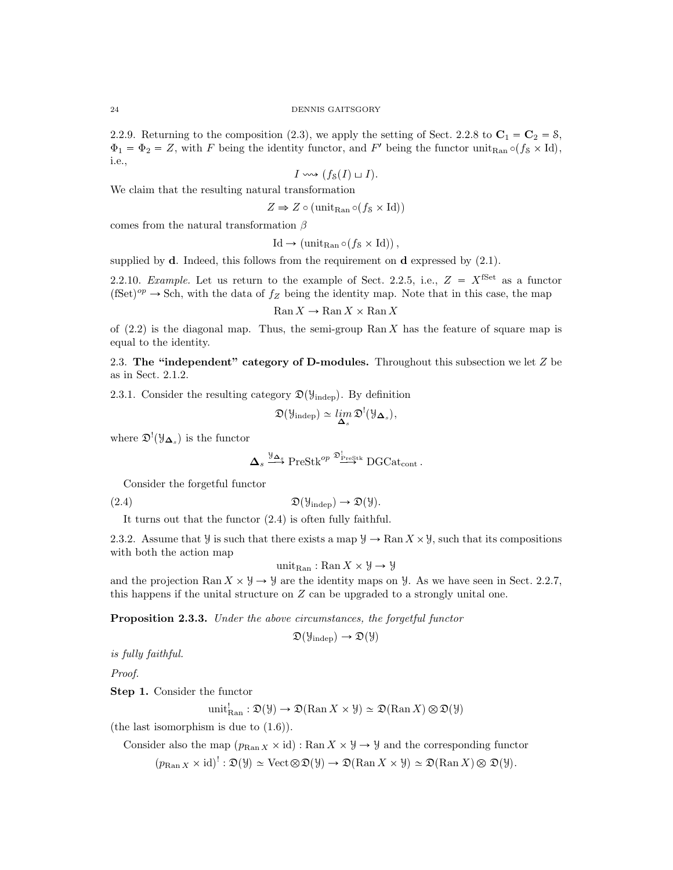2.2.9. Returning to the composition (2.3), we apply the setting of Sect. 2.2.8 to  $C_1 = C_2 = 8$ ,  $\Phi_1 = \Phi_2 = Z$ , with F being the identity functor, and F' being the functor unit<sub>Ran</sub>  $\circ$ ( $f_s \times Id$ ), i.e.,

$$
I \leadsto (f_{\mathcal{S}}(I) \sqcup I).
$$

We claim that the resulting natural transformation

$$
Z \Rightarrow Z \circ (\text{unit}_{\text{Ran}} \circ (f_8 \times \text{Id}))
$$

comes from the natural transformation  $\beta$ 

$$
\mathrm{Id} \to (\mathrm{unit}_{\mathrm{Ran}} \circ (f_{\mathcal{S}} \times \mathrm{Id})),
$$

supplied by  $d$ . Indeed, this follows from the requirement on  $d$  expressed by  $(2.1)$ .

2.2.10. Example. Let us return to the example of Sect. 2.2.5, i.e.,  $Z = X^{\text{fSet}}$  as a functor  $(fSet)^{op} \to Sch$ , with the data of  $f_Z$  being the identity map. Note that in this case, the map

$$
\mathrm{Ran}\, X \to \mathrm{Ran}\, X \times \mathrm{Ran}\, X
$$

of  $(2.2)$  is the diagonal map. Thus, the semi-group Ran X has the feature of square map is equal to the identity.

2.3. The "independent" category of D-modules. Throughout this subsection we let  $Z$  be as in Sect. 2.1.2.

2.3.1. Consider the resulting category  $\mathfrak{D}(\mathcal{Y}_{\text{indep}})$ . By definition

$$
\mathfrak{D}(\mathcal{Y}_{\mathrm{indep}}) \simeq \lim_{\Delta_s} \mathfrak{D}^! (\mathcal{Y}_{\Delta_s}),
$$

where  $\mathfrak{D}^!(\mathcal{Y}_{\mathbf{\Delta}_s})$  is the functor

$$
\Delta_s \stackrel{\mathcal{Y}_{\Delta_s}}{\longrightarrow} \text{PreStk}^{op} \stackrel{\mathfrak{D}_{\text{PreStk}}^!}{\longrightarrow} \text{DGCat}_{cont}.
$$

Consider the forgetful functor

$$
\mathfrak{D}(\mathcal{Y}_{\text{indep}}) \to \mathfrak{D}(\mathcal{Y}).
$$

It turns out that the functor (2.4) is often fully faithful.

2.3.2. Assume that  $\mathcal Y$  is such that there exists a map  $\mathcal Y \to \text{Ran } X \times \mathcal Y$ , such that its compositions with both the action map

unit<sub>Ran</sub>: Ran  $X \times \mathcal{Y} \rightarrow \mathcal{Y}$ 

and the projection Ran  $X \times Y \rightarrow Y$  are the identity maps on  $Y$ . As we have seen in Sect. 2.2.7, this happens if the unital structure on Z can be upgraded to a strongly unital one.

Proposition 2.3.3. Under the above circumstances, the forgetful functor

$$
\mathfrak{D}(\mathcal{Y}_{\text{indep}}) \to \mathfrak{D}(\mathcal{Y})
$$

is fully faithful.

Proof.

Step 1. Consider the functor

$$
\text{unit}_{\text{Ran}}^! : \mathfrak{D}(\mathcal{Y}) \to \mathfrak{D}(\text{Ran} X \times \mathcal{Y}) \simeq \mathfrak{D}(\text{Ran} X) \otimes \mathfrak{D}(\mathcal{Y})
$$

(the last isomorphism is due to (1.6)).

Consider also the map  $(p_{\text{Ran }X} \times id)$ : Ran  $X \times \mathcal{Y} \rightarrow \mathcal{Y}$  and the corresponding functor  $(p_{\text{Ran } X} \times id)': \mathfrak{D}(\mathcal{Y}) \simeq \text{Vect } \otimes \mathfrak{D}(\mathcal{Y}) \to \mathfrak{D}(\text{Ran } X \times \mathcal{Y}) \simeq \mathfrak{D}(\text{Ran } X) \otimes \mathfrak{D}(\mathcal{Y}).$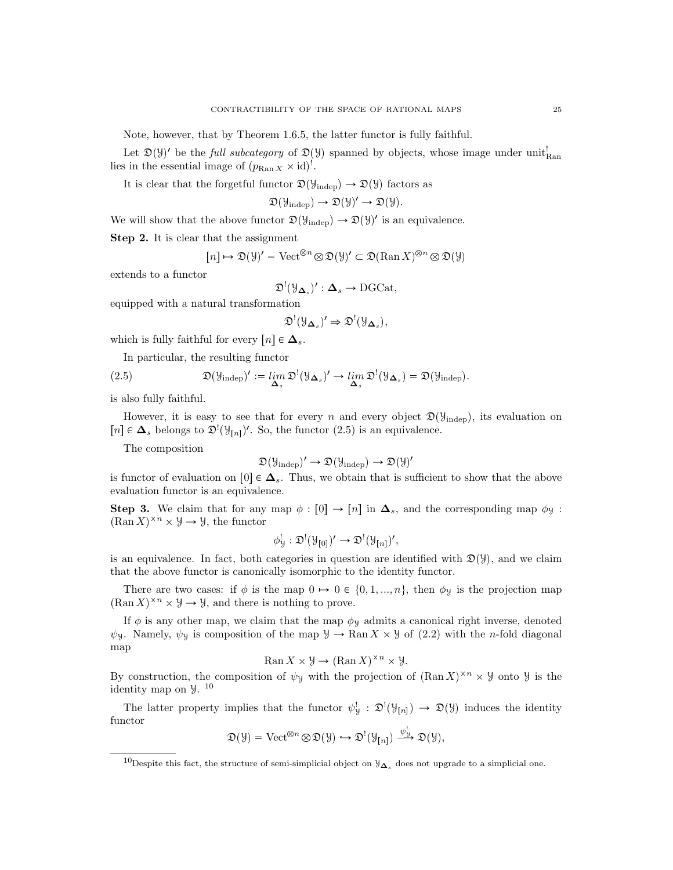Note, however, that by Theorem 1.6.5, the latter functor is fully faithful.

Let  $\mathfrak{D}(\mathcal{Y})'$  be the *full subcategory* of  $\mathfrak{D}(\mathcal{Y})$  spanned by objects, whose image under unit<sup>1</sup><sub>Ran</sub> lies in the essential image of  $(p_{\text{Ran } X} \times id)^!$ .

It is clear that the forgetful functor  $\mathfrak{D}(\mathcal{Y}_{\text{indep}}) \to \mathfrak{D}(\mathcal{Y})$  factors as

$$
\mathfrak{D}(\mathcal{Y}_{\mathrm{indep}}) \rightarrow \mathfrak{D}(\mathcal{Y})' \rightarrow \mathfrak{D}(\mathcal{Y}).
$$

We will show that the above functor  $\mathfrak{D}(\mathcal{Y}_{\text{indep}}) \to \mathfrak{D}(\mathcal{Y})'$  is an equivalence.

Step 2. It is clear that the assignment

$$
[n] \mapsto \mathfrak{D}(\mathcal{Y})' = \text{Vect}^{\otimes n} \otimes \mathfrak{D}(\mathcal{Y})' \subset \mathfrak{D}(\text{Ran } X)^{\otimes n} \otimes \mathfrak{D}(\mathcal{Y})
$$

extends to a functor

$$
\mathfrak{D}^!(\mathfrak{Y}_{\Delta_s})':\Delta_s\to \mathrm{DGCat},
$$

equipped with a natural transformation

$$
\mathfrak{D}^! (\mathcal{Y}_{\Delta_s})' \Rightarrow \mathfrak{D}^! (\mathcal{Y}_{\Delta_s}),
$$

which is fully faithful for every  $[n] \in \Delta_s$ .

In particular, the resulting functor

(2.5) 
$$
\mathfrak{D}(\mathcal{Y}_{\text{indep}})' := \lim_{\Delta_s} \mathfrak{D}^!(\mathcal{Y}_{\Delta_s})' \to \lim_{\Delta_s} \mathfrak{D}^!(\mathcal{Y}_{\Delta_s}) = \mathfrak{D}(\mathcal{Y}_{\text{indep}}).
$$

is also fully faithful.

However, it is easy to see that for every n and every object  $\mathfrak{D}(\mathcal{Y}_{\text{indep}})$ , its evaluation on [n] ∈  $\Delta_s$  belongs to  $\mathfrak{D}^!(\mathfrak{Y}_{[n]})'$ . So, the functor (2.5) is an equivalence.

The composition

$$
\mathfrak{D}(\mathcal{Y}_{\mathrm{indep}})'\to\mathfrak{D}(\mathcal{Y}_{\mathrm{indep}})\to\mathfrak{D}(\mathcal{Y})'
$$

is functor of evaluation on [0]  $\in \Delta_s$ . Thus, we obtain that is sufficient to show that the above evaluation functor is an equivalence.

**Step 3.** We claim that for any map  $\phi : [0] \to [n]$  in  $\Delta_s$ , and the corresponding map  $\phi_y$ :  $(\text{Ran } X)^{\times n} \times \mathcal{Y} \to \mathcal{Y}$ , the functor

$$
\phi_{\mathcal{Y}}^! : \mathfrak{D}^! (\mathcal{Y}_{[0]})' \to \mathfrak{D}^! (\mathcal{Y}_{[n]})',
$$

is an equivalence. In fact, both categories in question are identified with  $\mathfrak{D}(\mathcal{Y})$ , and we claim that the above functor is canonically isomorphic to the identity functor.

There are two cases: if  $\phi$  is the map  $0 \rightarrow 0 \in \{0, 1, ..., n\}$ , then  $\phi_y$  is the projection map  $(\text{Ran } X)^{\times n} \times \mathcal{Y} \to \mathcal{Y}$ , and there is nothing to prove.

If  $\phi$  is any other map, we claim that the map  $\phi$ y admits a canonical right inverse, denoted  $\psi$ y. Namely,  $\psi$  is composition of the map  $\mathcal{Y} \to \text{Ran} X \times \mathcal{Y}$  of (2.2) with the *n*-fold diagonal map

$$
\operatorname{Ran} X \times \mathcal{Y} \to (\operatorname{Ran} X)^{\times n} \times \mathcal{Y}.
$$

By construction, the composition of  $\psi$ y with the projection of  $(\text{Ran } X)^{\times n} \times \mathcal{Y}$  onto  $\mathcal{Y}$  is the identity map on Y. 10

The latter property implies that the functor  $\psi^!_{\mathcal{Y}} : \mathfrak{D}^!(\mathcal{Y}_{[n]}) \to \mathfrak{D}(\mathcal{Y})$  induces the identity functor

$$
\mathfrak{D}(\mathcal{Y}) = \text{Vect}^{\otimes n} \otimes \mathfrak{D}(\mathcal{Y}) \hookrightarrow \mathfrak{D}^!(\mathcal{Y}_{[n]}) \xrightarrow{\psi_{\mathcal{Y}}^!} \mathfrak{D}(\mathcal{Y}),
$$

<sup>&</sup>lt;sup>10</sup>Despite this fact, the structure of semi-simplicial object on  $\mathcal{Y}_{\Delta_s}$  does not upgrade to a simplicial one.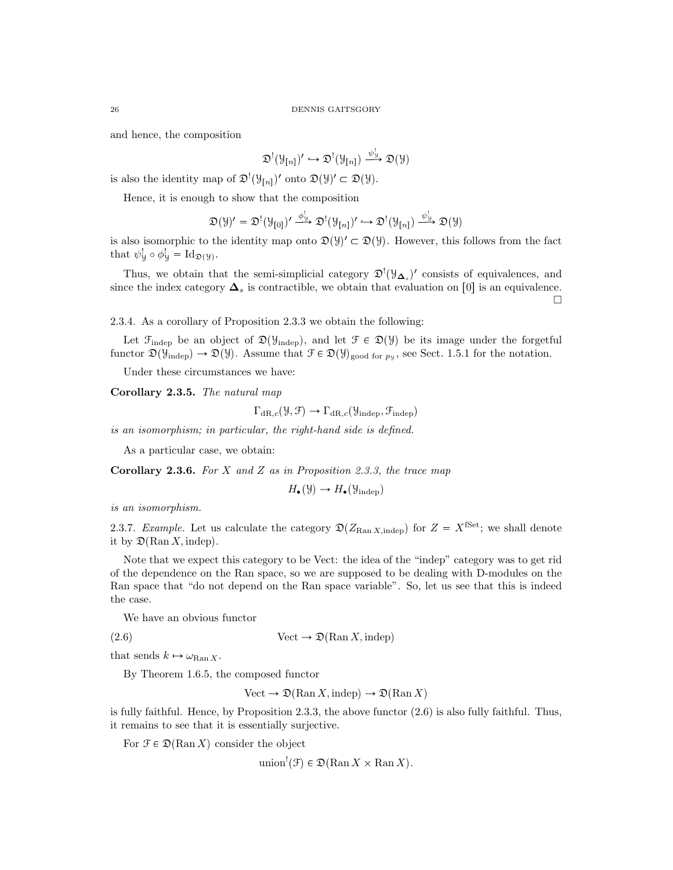and hence, the composition

$$
\mathfrak{D}^{!}(\mathcal{Y}_{[n]})^{\prime}\hookrightarrow\mathfrak{D}^{!}(\mathcal{Y}_{[n]})\xrightarrow{\psi_{\mathcal{Y}}^{!}}\mathfrak{D}(\mathcal{Y})
$$

is also the identity map of  $\mathfrak{D}^!(\mathcal{Y}_{[n]})'$  onto  $\mathfrak{D}(\mathcal{Y})' \subset \mathfrak{D}(\mathcal{Y})$ .

Hence, it is enough to show that the composition

$$
\mathfrak{D}(\mathcal{Y})' = \mathfrak{D}^!(\mathcal{Y}_{[0]})' \xrightarrow{\phi_{\mathcal{Y}}^!} \mathfrak{D}^!(\mathcal{Y}_{[n]})' \hookrightarrow \mathfrak{D}^!(\mathcal{Y}_{[n]}) \xrightarrow{\psi_{\mathcal{Y}}^!} \mathfrak{D}(\mathcal{Y})
$$

is also isomorphic to the identity map onto  $\mathfrak{D}(\mathcal{Y})' \subset \mathfrak{D}(\mathcal{Y})$ . However, this follows from the fact that  $\psi_{\mathcal{Y}}^! \circ \phi_{\mathcal{Y}}^! = \mathrm{Id}_{\mathfrak{D}(\mathcal{Y})}.$ 

Thus, we obtain that the semi-simplicial category  $\mathfrak{D}^{!}(\mathcal{Y}_{\mathbf{\Delta}_{s}})'$  consists of equivalences, and since the index category  $\Delta_s$  is contractible, we obtain that evaluation on [0] is an equivalence.  $\Box$ 

2.3.4. As a corollary of Proposition 2.3.3 we obtain the following:

Let  $\mathcal{F}_{\text{indep}}$  be an object of  $\mathfrak{D}(\mathcal{Y}_{\text{indep}})$ , and let  $\mathcal{F} \in \mathfrak{D}(\mathcal{Y})$  be its image under the forgetful functor  $\mathfrak{D}(\mathcal{Y}_{\text{indep}}) \to \mathfrak{D}(\mathcal{Y})$ . Assume that  $\mathcal{F} \in \mathfrak{D}(\mathcal{Y})_{\text{good for } p_{\mathcal{Y}}}$ , see Sect. 1.5.1 for the notation.

Under these circumstances we have:

Corollary 2.3.5. The natural map

$$
\Gamma_{\mathrm{dR},c}(\mathcal{Y}, \mathcal{F}) \to \Gamma_{\mathrm{dR},c}(\mathcal{Y}_{\mathrm{indep}}, \mathcal{F}_{\mathrm{indep}})
$$

is an isomorphism; in particular, the right-hand side is defined.

As a particular case, we obtain:

Corollary 2.3.6. For X and Z as in Proposition 2.3.3, the trace map

$$
H_{\bullet}(\mathcal{Y}) \to H_{\bullet}(\mathcal{Y}_{\text{indep}})
$$

is an isomorphism.

2.3.7. Example. Let us calculate the category  $\mathfrak{D}(Z_{\text{Ran X, inden}})$  for  $Z = X^{\text{fSet}}$ ; we shall denote it by  $\mathfrak{D}(\text{Ran } X, \text{indep})$ .

Note that we expect this category to be Vect: the idea of the "indep" category was to get rid of the dependence on the Ran space, so we are supposed to be dealing with D-modules on the Ran space that "do not depend on the Ran space variable". So, let us see that this is indeed the case.

We have an obvious functor

$$
(2.6) \t\t \text{Vect} \to \mathfrak{D}(\text{Ran } X, \text{indep})
$$

that sends  $k \mapsto \omega_{\text{Ran } X}$ .

By Theorem 1.6.5, the composed functor

Vect  $\rightarrow \mathfrak{D}(\text{Ran } X, \text{indep}) \rightarrow \mathfrak{D}(\text{Ran } X)$ 

is fully faithful. Hence, by Proposition 2.3.3, the above functor (2.6) is also fully faithful. Thus, it remains to see that it is essentially surjective.

For  $\mathcal{F} \in \mathfrak{D}(\text{Ran } X)$  consider the object

union<sup>!</sup>(F)  $\in \mathfrak{D}(\text{Ran } X \times \text{Ran } X)$ .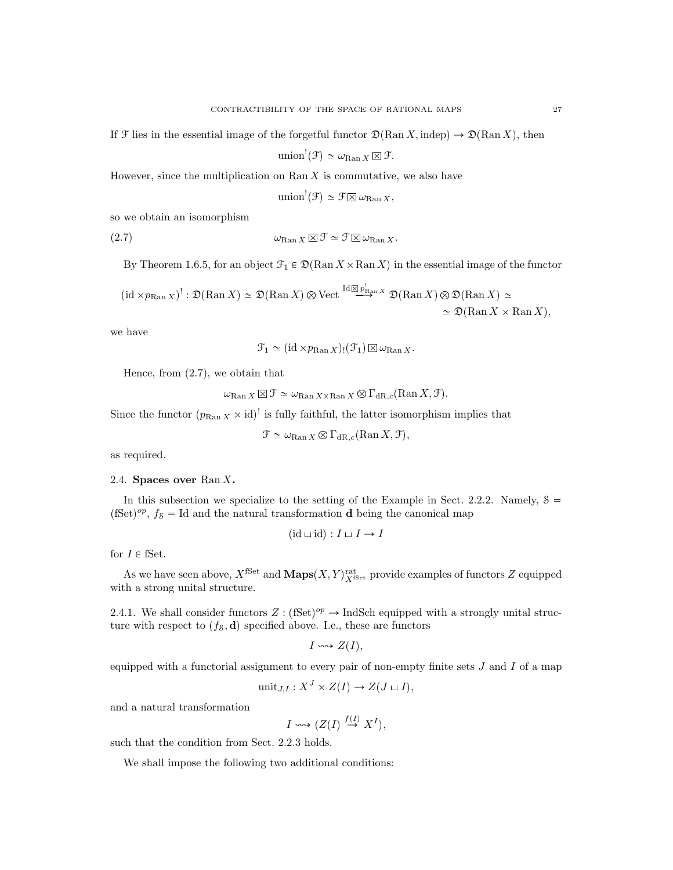If F lies in the essential image of the forgetful functor  $\mathfrak{D}(\text{Ran } X, \text{indep}) \to \mathfrak{D}(\text{Ran } X)$ , then

$$
\text{union}^!(\mathcal{F}) \simeq \omega_{\text{Ran } X} \boxtimes \mathcal{F}.
$$

However, since the multiplication on  $\text{Ran } X$  is commutative, we also have

$$
\text{union}^!(\mathcal{F}) \simeq \mathcal{F} \boxtimes \omega_{\text{Ran } X},
$$

so we obtain an isomorphism

$$
\omega_{\mathrm{Ran}\,X} \boxtimes \mathcal{F} \simeq \mathcal{F} \boxtimes \omega_{\mathrm{Ran}\,X}.
$$

By Theorem 1.6.5, for an object  $\mathcal{F}_1 \in \mathfrak{D}(\text{Ran } X \times \text{Ran } X)$  in the essential image of the functor

$$
(\mathrm{id} \times p_{\mathrm{Ran}\, X})^!: \mathfrak{D}(\mathrm{Ran}\, X) \simeq \mathfrak{D}(\mathrm{Ran}\, X) \otimes \mathrm{Vect}^{\mathrm{Id}\, \boxtimes \, p_{\mathrm{Ran}\, X}^!} \mathfrak{D}(\mathrm{Ran}\, X) \otimes \mathfrak{D}(\mathrm{Ran}\, X) \simeq
$$
  

$$
\simeq \mathfrak{D}(\mathrm{Ran}\, X \times \mathrm{Ran}\, X),
$$

we have

 $\mathcal{F}_1 \simeq (\mathrm{id} \times p_{\mathrm{Ran} X})(\mathcal{F}_1) \boxtimes \omega_{\mathrm{Ran} X}.$ 

Hence, from (2.7), we obtain that

 $\omega_{\mathrm{Ran}\, X} \boxtimes \mathcal{F} \simeq \omega_{\mathrm{Ran}\, X \times \mathrm{Ran}\, X} \otimes \Gamma_{\mathrm{dR},c}(\mathrm{Ran}\, X,\mathcal{F}).$ 

Since the functor  $(p_{\text{Ran } X} \times id)$ <sup>!</sup> is fully faithful, the latter isomorphism implies that

$$
\mathcal{F} \simeq \omega_{\text{Ran } X} \otimes \Gamma_{\text{dR},c}(\text{Ran } X, \mathcal{F}),
$$

as required.

#### 2.4. Spaces over  $\text{Ran } X$ .

In this subsection we specialize to the setting of the Example in Sect. 2.2.2. Namely,  $\delta =$  $(fSet)^{op}$ ,  $f_8 = Id$  and the natural transformation d being the canonical map

$$
(\mathrm{id} \sqcup \mathrm{id}) : I \sqcup I \to I
$$

for  $I \in \text{fSet}.$ 

As we have seen above,  $X^{\text{fSet}}$  and  $\mathbf{Maps}(X, Y)^{\text{rat}}_{X^{\text{fSet}}}$  provide examples of functors Z equipped with a strong unital structure.

2.4.1. We shall consider functors  $Z : (\text{fSet})^{op} \to \text{IndSch}$  equipped with a strongly unital structure with respect to  $(f_s, \mathbf{d})$  specified above. I.e., these are functors

 $I \rightsquigarrow Z(I),$ 

equipped with a functorial assignment to every pair of non-empty finite sets  $J$  and  $I$  of a map

$$
\text{unit}_{J,I}: X^J \times Z(I) \to Z(J \sqcup I),
$$

and a natural transformation

$$
I \leadsto (Z(I) \stackrel{f(I)}{\to} X^I),
$$

such that the condition from Sect. 2.2.3 holds.

We shall impose the following two additional conditions: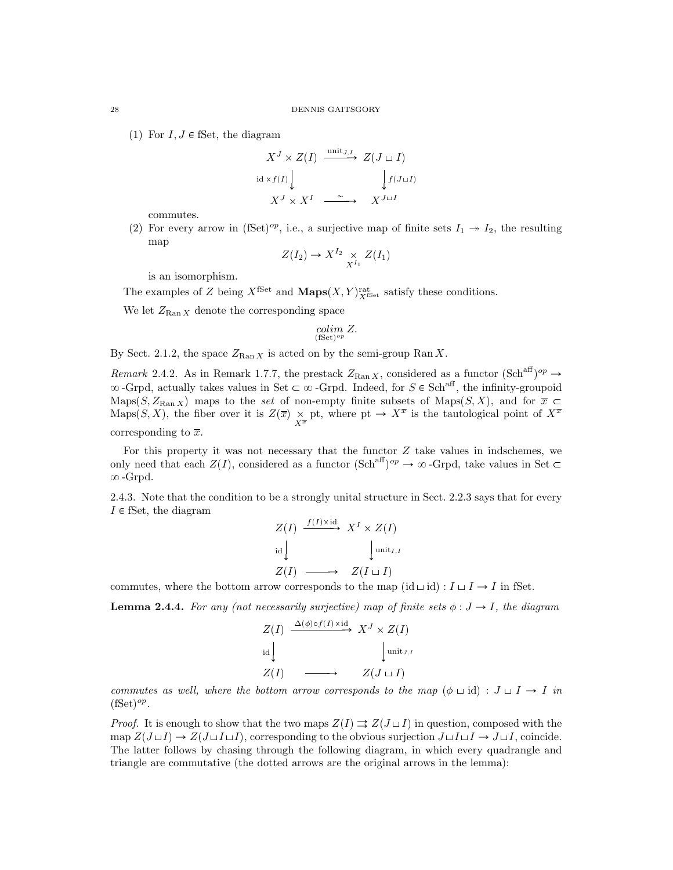(1) For  $I, J \in \mathbb{S}$ et, the diagram

$$
X^J \times Z(I) \xrightarrow{\text{unit } J, I} Z(J \sqcup I)
$$
  
id  $\times f(I)$  
$$
\downarrow f(J \sqcup I)
$$
  

$$
X^J \times X^I \xrightarrow{\sim} X^{J \sqcup I}
$$

commutes.

(2) For every arrow in (fSet)<sup>op</sup>, i.e., a surjective map of finite sets  $I_1 \rightarrow I_2$ , the resulting map

$$
Z(I_2) \to X^{I_2} \underset{X^{I_1}}{\times} Z(I_1)
$$

is an isomorphism.

The examples of Z being  $X^{\text{fSet}}$  and  $\text{Maps}(X, Y)^{\text{rat}}_{X^{\text{fSet}}}$  satisfy these conditions.

We let  $Z_{\text{Ran } X}$  denote the corresponding space

$$
\operatornamewithlimits{colim}_{(\text{fSet})^{op}} Z.
$$

By Sect. 2.1.2, the space  $Z_{\text{Ran }X}$  is acted on by the semi-group Ran X.

Remark 2.4.2. As in Remark 1.7.7, the prestack  $Z_{\text{Ran }X}$ , considered as a functor  $(\text{Sch}^{\text{aff}})^{op} \to$  $\infty$ -Grpd, actually takes values in Set  $\subset \infty$ -Grpd. Indeed, for  $S \in Sch^{aff}$ , the infinity-groupoid Maps(S,  $Z_{\text{Ran } X}$ ) maps to the set of non-empty finite subsets of Maps(S, X), and for  $\bar{x} \subset$ Maps(S, X), the fiber over it is  $Z(\overline{x}) \underset{X^{\overline{x}}} {\times}$  pt, where pt  $\rightarrow X^{\overline{x}}$  is the tautological point of  $X^{\overline{x}}$ corresponding to  $\bar{x}$ .

For this property it was not necessary that the functor  $Z$  take values in indschemes, we only need that each  $Z(I)$ , considered as a functor  $(\text{Sch}^{\text{aff}})^{op} \to \infty$ -Grpd, take values in Set  $\subset$  $\infty$ -Grpd.

2.4.3. Note that the condition to be a strongly unital structure in Sect. 2.2.3 says that for every  $I \in \mathcal{S}$ et, the diagram

$$
Z(I) \xrightarrow{f(I) \times \text{id}} X^I \times Z(I)
$$
  
id  

$$
Z(I) \longrightarrow Z(I \sqcup I)
$$

commutes, where the bottom arrow corresponds to the map  $(id \sqcup id) : I \sqcup I \rightarrow I$  in fSet.

**Lemma 2.4.4.** For any (not necessarily surjective) map of finite sets  $\phi : J \to I$ , the diagram

$$
Z(I) \xrightarrow{\Delta(\phi) \circ f(I) \times \text{id}} X^J \times Z(I)
$$
  
id  

$$
Z(I) \longrightarrow Z(J \sqcup I)
$$

commutes as well, where the bottom arrow corresponds to the map  $(\phi \sqcup id) : J \sqcup I \rightarrow I$  in  $(fSet)^{op}.$ 

*Proof.* It is enough to show that the two maps  $Z(I) \rightrightarrows Z(J \sqcup I)$  in question, composed with the map  $Z(J\sqcup I)\to Z(J\sqcup I\sqcup I)$ , corresponding to the obvious surjection  $J\sqcup I\sqcup I\to J\sqcup I$ , coincide. The latter follows by chasing through the following diagram, in which every quadrangle and triangle are commutative (the dotted arrows are the original arrows in the lemma):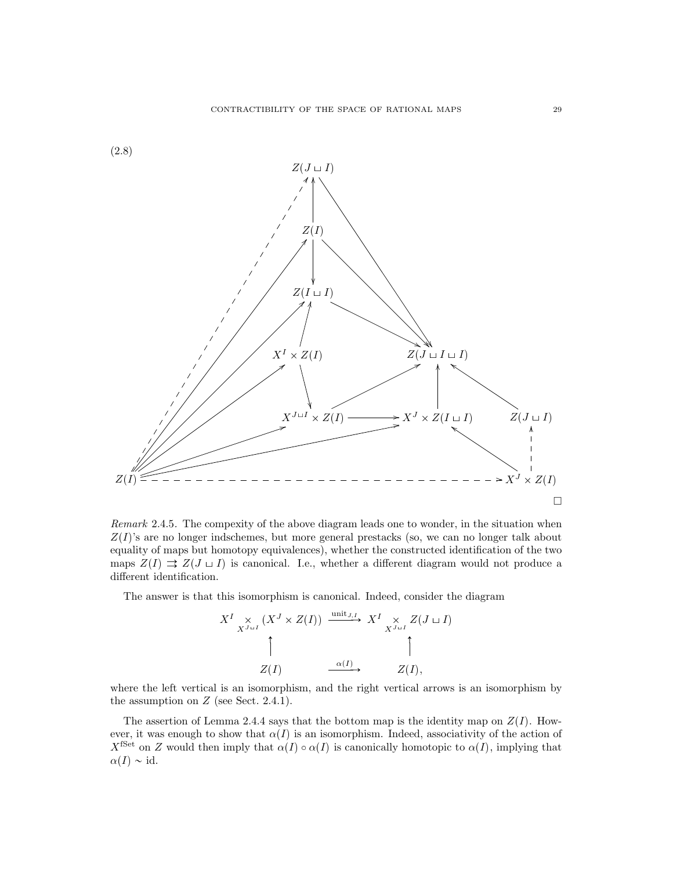

Remark 2.4.5. The compexity of the above diagram leads one to wonder, in the situation when  $Z(I)$ 's are no longer indschemes, but more general prestacks (so, we can no longer talk about equality of maps but homotopy equivalences), whether the constructed identification of the two maps  $Z(I) \rightrightarrows Z(J \sqcup I)$  is canonical. I.e., whether a different diagram would not produce a different identification.

The answer is that this isomorphism is canonical. Indeed, consider the diagram

$$
X^{I} \underset{X^{J \sqcup I}}{\times} (X^{J} \times Z(I)) \xrightarrow{\text{unit } J, I} X^{I} \underset{X^{J \sqcup I}}{\times} Z(J \sqcup I)
$$
  
\n
$$
\uparrow
$$
  
\n
$$
Z(I) \xrightarrow{\alpha(I)} Z(I),
$$

where the left vertical is an isomorphism, and the right vertical arrows is an isomorphism by the assumption on  $Z$  (see Sect. 2.4.1).

The assertion of Lemma 2.4.4 says that the bottom map is the identity map on  $Z(I)$ . However, it was enough to show that  $\alpha(I)$  is an isomorphism. Indeed, associativity of the action of X<sup>fSet</sup> on Z would then imply that  $\alpha(I) \circ \alpha(I)$  is canonically homotopic to  $\alpha(I)$ , implying that  $\alpha(I) \sim id.$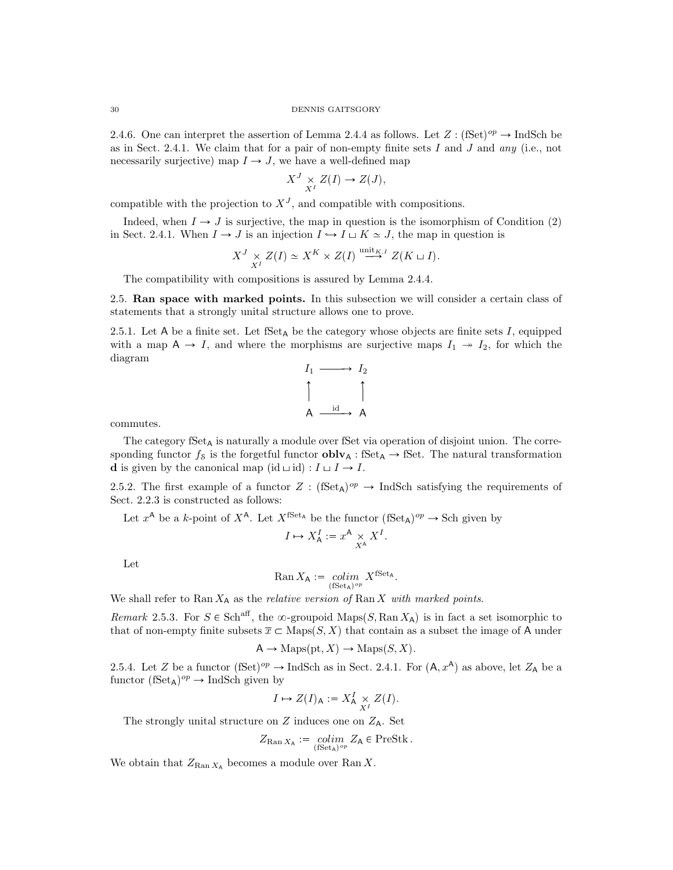2.4.6. One can interpret the assertion of Lemma 2.4.4 as follows. Let  $Z: (\text{fSet})^{op} \to \text{IndSch}$  be as in Sect. 2.4.1. We claim that for a pair of non-empty finite sets I and J and any (i.e., not necessarily surjective) map  $I \rightarrow J$ , we have a well-defined map

$$
X^J \underset{X^I}{\times} Z(I) \to Z(J),
$$

compatible with the projection to  $X<sup>J</sup>$ , and compatible with compositions.

Indeed, when  $I \rightarrow J$  is surjective, the map in question is the isomorphism of Condition (2) in Sect. 2.4.1. When  $I \to J$  is an injection  $I \to I \sqcup K \simeq J$ , the map in question is

$$
X^J \underset{X^I}{\times} Z(I) \simeq X^K \times Z(I) \xrightarrow{\text{unit}_{K,I}} Z(K \sqcup I).
$$

The compatibility with compositions is assured by Lemma 2.4.4.

2.5. Ran space with marked points. In this subsection we will consider a certain class of statements that a strongly unital structure allows one to prove.

2.5.1. Let A be a finite set. Let  $fSet_A$  be the category whose objects are finite sets  $I$ , equipped with a map  $A \rightarrow I$ , and where the morphisms are surjective maps  $I_1 \rightarrow I_2$ , for which the diagram



commutes.

The category  $fSet_A$  is naturally a module over fSet via operation of disjoint union. The corresponding functor  $f_s$  is the forgetful functor  $oblv_A$ : fSet<sub>A</sub>  $\rightarrow$  fSet. The natural transformation **d** is given by the canonical map  $(id \sqcup id) : I \sqcup I \rightarrow I$ .

2.5.2. The first example of a functor  $Z : (\text{fSet}_{A})^{op} \to \text{IndSch}$  satisfying the requirements of Sect. 2.2.3 is constructed as follows:

Let  $x^{\mathsf{A}}$  be a k-point of  $X^{\mathsf{A}}$ . Let  $X^{\text{fSet}_\mathsf{A}}$  be the functor  $(\text{fSet}_\mathsf{A})^{op} \to \text{Sch}$  given by

$$
I \mapsto X_{\mathsf{A}}^I := x^{\mathsf{A}} \underset{X^{\mathsf{A}}}{\times} X^I.
$$

Let

$$
\operatorname{Ran} X_{\mathsf{A}} := \operatorname*{colim}_{(\operatorname{fSet}_{\mathsf{A}})^{op}} X^{\operatorname{fSet}_{\mathsf{A}}}.
$$

We shall refer to Ran  $X_A$  as the *relative version of* Ran X with marked points.

Remark 2.5.3. For  $S \in Sch^{aff}$ , the  $\infty$ -groupoid Maps(S, Ran  $X_A$ ) is in fact a set isomorphic to that of non-empty finite subsets  $\overline{x} \subset \text{Maps}(S, X)$  that contain as a subset the image of A under

$$
A \to \mathrm{Maps}(\mathrm{pt}, X) \to \mathrm{Maps}(S, X).
$$

2.5.4. Let Z be a functor  $(fSet)^{op} \to \text{IndSch}$  as in Sect. 2.4.1. For  $(A, x^A)$  as above, let  $Z_A$  be a functor  $(fSet_A)^{op} \to IndSch$  given by

$$
I \mapsto Z(I)_{\mathsf{A}} := X_{\mathsf{A}}^I \underset{X^I}{\times} Z(I).
$$

The strongly unital structure on  $Z$  induces one on  $Z_A$ . Set

$$
Z_{\mathrm{Ran}\,X_{\mathrm{A}}} := \operatorname*{colim}_{(\mathrm{fSet}_{\mathrm{A}})^{op}} Z_{\mathrm{A}} \in \mathrm{PreStk} \,.
$$

We obtain that  $Z_{\text{Ran }X_A}$  becomes a module over Ran X.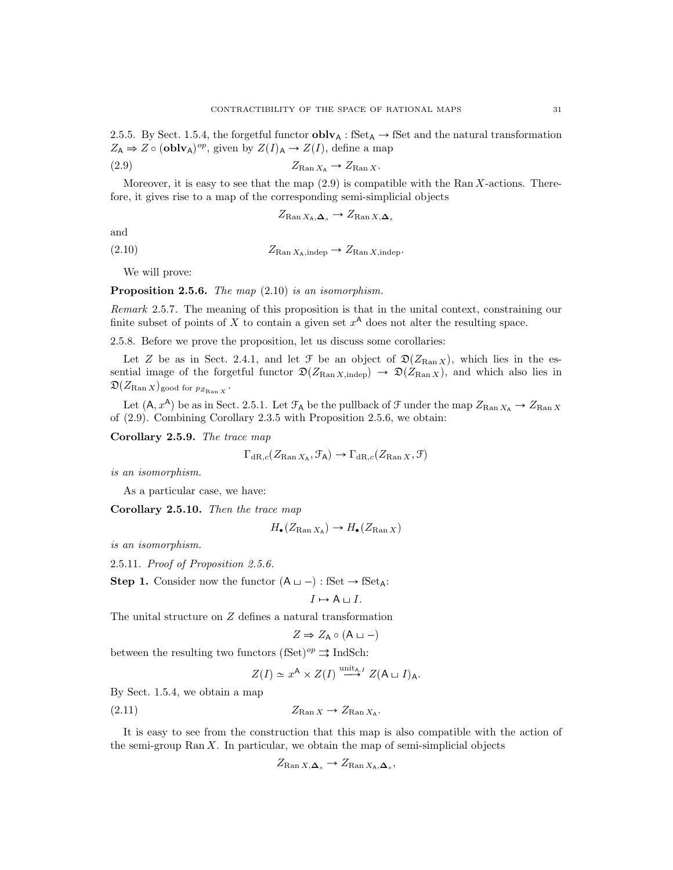2.5.5. By Sect. 1.5.4, the forgetful functor  $oblv_{A}$ : fSet<sub>A</sub>  $\rightarrow$  fSet and the natural transformation  $Z_A \Rightarrow Z \circ (\mathbf{oblv}_A)^{op}$ , given by  $Z(I)_A \rightarrow Z(I)$ , define a map

$$
(2.9) \t\t ZRan XA \to ZRan X.
$$

Moreover, it is easy to see that the map  $(2.9)$  is compatible with the Ran X-actions. Therefore, it gives rise to a map of the corresponding semi-simplicial objects

 $Z_{\text{Ran }X_{\text{A}},\Delta_{s}} \rightarrow Z_{\text{Ran }X,\Delta_{s}}$ 

and

(2.10)  $Z_{\text{Ran }X_{\text{A}}:\text{indep}} \rightarrow Z_{\text{Ran }X:\text{indep}}.$ 

We will prove:

**Proposition 2.5.6.** The map  $(2.10)$  is an isomorphism.

Remark 2.5.7. The meaning of this proposition is that in the unital context, constraining our finite subset of points of X to contain a given set  $x^A$  does not alter the resulting space.

2.5.8. Before we prove the proposition, let us discuss some corollaries:

Let Z be as in Sect. 2.4.1, and let  $\mathcal F$  be an object of  $\mathfrak D(Z_{\mathrm{Ran} X})$ , which lies in the essential image of the forgetful functor  $\mathfrak{D}(Z_{\text{Ran }X,\text{indep}}) \rightarrow \mathfrak{D}(Z_{\text{Ran }X})$ , and which also lies in  $\mathfrak{D}(Z_{\operatorname{Ran} X})$ good for  $p_{Z_{\operatorname{Ran} X}}$  .

Let  $(A, x^A)$  be as in Sect. 2.5.1. Let  $\mathcal{F}_A$  be the pullback of F under the map  $Z_{\text{Ran }X_A} \to Z_{\text{Ran }X}$ of (2.9). Combining Corollary 2.3.5 with Proposition 2.5.6, we obtain:

Corollary 2.5.9. The trace map

$$
\Gamma_{\text{dR},c}(Z_{\text{Ran }X_{\text{A}}}, \mathcal{F}_{\text{A}}) \to \Gamma_{\text{dR},c}(Z_{\text{Ran }X}, \mathcal{F})
$$

is an isomorphism.

As a particular case, we have:

Corollary 2.5.10. Then the trace map

$$
H_{\bullet}(Z_{\text{Ran}\,X_{\mathsf{A}}})\to H_{\bullet}(Z_{\text{Ran}\,X})
$$

is an isomorphism.

2.5.11. Proof of Proposition 2.5.6.

**Step 1.** Consider now the functor  $(A \sqcup -)$ : fSet  $\rightarrow$  fSet<sub>A</sub>:

$$
I \mapsto A \sqcup I.
$$

The unital structure on Z defines a natural transformation

$$
Z \Rightarrow Z_A \circ (A \sqcup -)
$$

between the resulting two functors (fSet)<sup>op</sup>  $\Rightarrow$  IndSch:

$$
Z(I) \simeq x^{\mathsf{A}} \times Z(I) \stackrel{\text{unit}_{\mathsf{A},I}}{\longrightarrow} Z(\mathsf{A} \sqcup I)_{\mathsf{A}}.
$$

By Sect. 1.5.4, we obtain a map

$$
Z_{\text{Ran }X} \to Z_{\text{Ran }X_A}.
$$

It is easy to see from the construction that this map is also compatible with the action of the semi-group Ran  $X$ . In particular, we obtain the map of semi-simplicial objects

$$
Z_{\text{Ran }X,\Delta_s} \to Z_{\text{Ran }X_{\text{A}},\Delta_s},
$$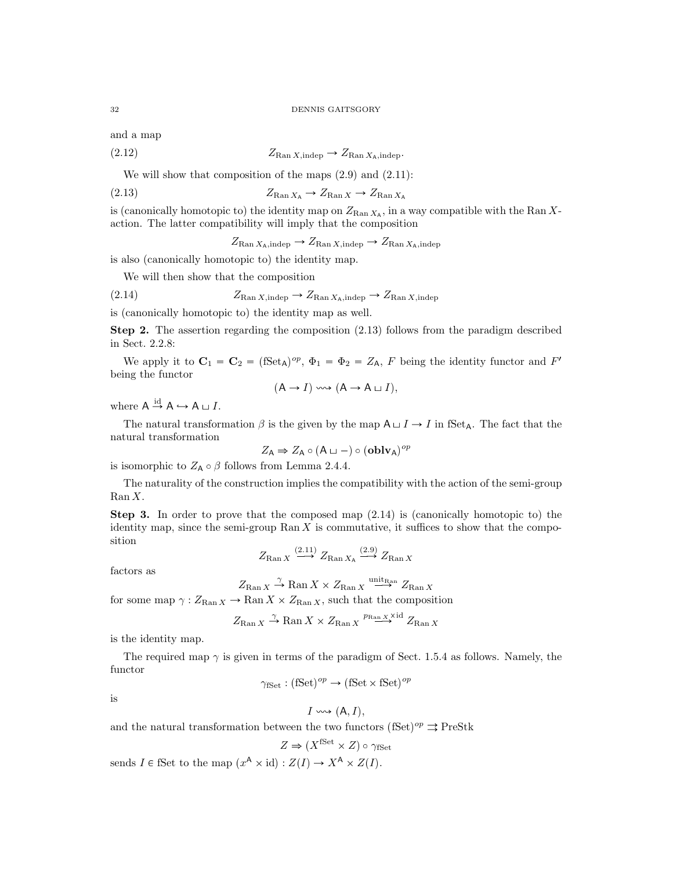and a map

$$
(2.12) \t\t Z_{\text{Ran }X,\text{indep}} \to Z_{\text{Ran }X_{\text{A}},\text{indep}}.
$$

We will show that composition of the maps  $(2.9)$  and  $(2.11)$ :

$$
(2.13) \t\t ZRan XA \to ZRan X \to ZRan XA
$$

is (canonically homotopic to) the identity map on  $Z_{\text{Ran }X_A}$ , in a way compatible with the Ran Xaction. The latter compatibility will imply that the composition

 $Z_{\text{Ran }X_{\text{A}}, \text{indep}} \rightarrow Z_{\text{Ran }X, \text{indep}} \rightarrow Z_{\text{Ran }X_{\text{A}}, \text{indep}}$ 

is also (canonically homotopic to) the identity map.

We will then show that the composition

$$
(2.14) \tZ_{\text{Ran }X,\text{indep}} \to Z_{\text{Ran }X_{\text{A}},\text{indep}} \to Z_{\text{Ran }X,\text{indep}}
$$

is (canonically homotopic to) the identity map as well.

Step 2. The assertion regarding the composition (2.13) follows from the paradigm described in Sect. 2.2.8:

We apply it to  $C_1 = C_2 = (\text{fSet}_A)^{op}$ ,  $\Phi_1 = \Phi_2 = Z_A$ , F being the identity functor and F' being the functor

$$
(A \to I) \leadsto (A \to A \sqcup I),
$$

where  $A \stackrel{\text{id}}{\rightarrow} A \hookrightarrow A \sqcup I$ .

The natural transformation  $\beta$  is the given by the map  $A \sqcup I \rightarrow I$  in fSet<sub>A</sub>. The fact that the natural transformation

$$
Z_{\mathsf{A}} \Rightarrow Z_{\mathsf{A}} \circ (\mathsf{A} \sqcup -) \circ (\mathbf{oblv}_{\mathsf{A}})^{op}
$$

is isomorphic to  $Z_A \circ \beta$  follows from Lemma 2.4.4.

The naturality of the construction implies the compatibility with the action of the semi-group Ran X.

Step 3. In order to prove that the composed map (2.14) is (canonically homotopic to) the identity map, since the semi-group  $\text{Ran } X$  is commutative, it suffices to show that the composition

$$
Z_{\mathrm{Ran}\, X} \xrightarrow{(2.11)} Z_{\mathrm{Ran}\, X_{\mathrm{A}}} \xrightarrow{(2.9)} Z_{\mathrm{Ran}\, X}
$$

factors as

$$
Z_{\text{Ran } X} \xrightarrow{\gamma} \text{Ran } X \times Z_{\text{Ran } X} \xrightarrow{\text{unit}_{\text{Ran } X}} Z_{\text{Ran } X}
$$

for some map  $\gamma: Z_{\text{Ran } X} \to \text{Ran } X \times Z_{\text{Ran } X}$ , such that the composition

$$
Z_{\text{Ran } X} \xrightarrow{\gamma} \text{Ran } X \times Z_{\text{Ran } X} \xrightarrow{p_{\text{Ran } X} \times \text{id}} Z_{\text{Ran } X}
$$

is the identity map.

The required map  $\gamma$  is given in terms of the paradigm of Sect. 1.5.4 as follows. Namely, the functor

$$
\gamma_{\text{fSet}} : (\text{fSet})^{op} \to (\text{fSet} \times \text{fSet})^{op}
$$

is

$$
I \leadsto (A, I),
$$

and the natural transformation between the two functors (fSet)<sup>op</sup>  $\Rightarrow$  PreStk

$$
Z \Rightarrow (X^{\text{fSet}} \times Z) \circ \gamma_{\text{fSet}}
$$

sends  $I \in \text{fSet}$  to the map  $(x^A \times id) : Z(I) \to X^A \times Z(I)$ .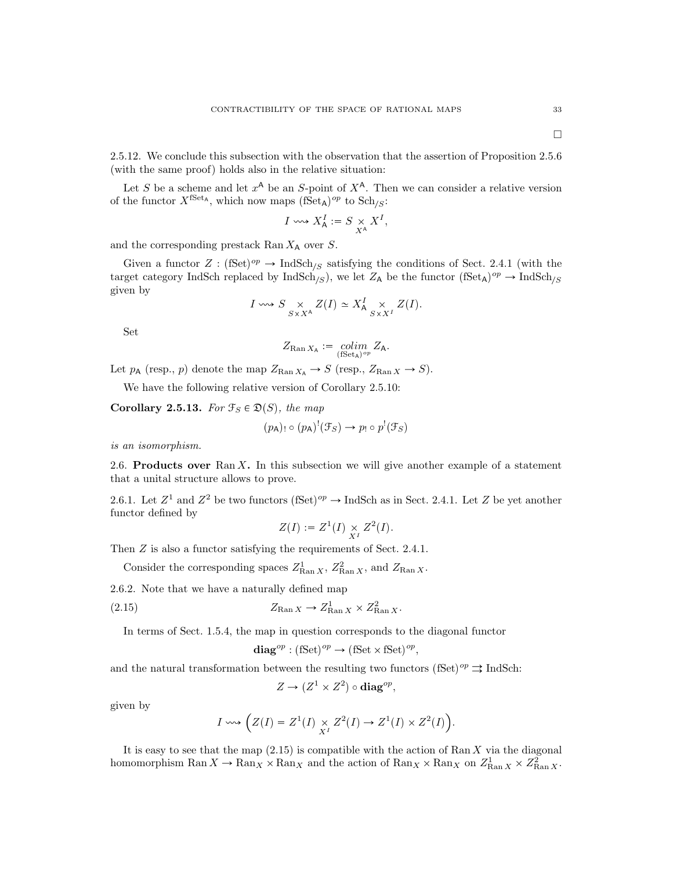$\Box$ 

2.5.12. We conclude this subsection with the observation that the assertion of Proposition 2.5.6 (with the same proof) holds also in the relative situation:

Let S be a scheme and let  $x^{\mathsf{A}}$  be an S-point of  $X^{\mathsf{A}}$ . Then we can consider a relative version of the functor  $X^{\text{fSet}_A}$ , which now maps  $(\text{fSet}_A)^{op}$  to  $\text{Sch}_{S}:$ 

$$
I \leftrightsquigarrow X^I_{\mathsf{A}} := S \underset{X^{\mathsf{A}}}{\times} X^I,
$$

and the corresponding prestack Ran  $X_A$  over S.

Given a functor  $Z : (\text{fSet})^{op} \to \text{IndSch}_{S}$  satisfying the conditions of Sect. 2.4.1 (with the target category IndSch replaced by  $\text{IndSch}_{\mathcal{S}}$ , we let  $Z_A$  be the functor  $(\text{Set}_A)^{op} \to \text{IndSch}_{\mathcal{S}}$ given by

$$
I \leadsto S \underset{S \times X^{\mathsf{A}}}{\times} Z(I) \simeq X_{\mathsf{A}}^{I} \underset{S \times X^{I}}{\times} Z(I).
$$

Set

$$
Z_{\mathrm{Ran}\, X_\mathsf{A}} := \operatornamewithlimits{colim}_{(\mathrm{fSet}_\mathsf{A})^{op}} Z_\mathsf{A}.
$$

Let  $p_A$  (resp., p) denote the map  $Z_{\text{Ran }X_A} \to S$  (resp.,  $Z_{\text{Ran }X} \to S$ ).

We have the following relative version of Corollary 2.5.10:

Corollary 2.5.13. For  $\mathcal{F}_S \in \mathfrak{D}(S)$ , the map

$$
(p_A)_{!} \circ (p_A)^! (\mathcal{F}_S) \to p_{!} \circ p^! (\mathcal{F}_S)
$$

is an isomorphism.

2.6. Products over  $\text{Ran } X$ . In this subsection we will give another example of a statement that a unital structure allows to prove.

2.6.1. Let  $Z^1$  and  $Z^2$  be two functors  $(fSet)^{op} \to \text{IndSch as in Sect. 2.4.1.}$  Let Z be yet another functor defined by

$$
Z(I) := Z^1(I) \underset{X^I}{\times} Z^2(I).
$$

Then  $Z$  is also a functor satisfying the requirements of Sect. 2.4.1.

Consider the corresponding spaces  $Z_{\text{Ran }X}^1$ ,  $Z_{\text{Ran }X}^2$ , and  $Z_{\text{Ran }X}$ .

2.6.2. Note that we have a naturally defined map

(2.15) 
$$
Z_{\text{Ran }X} \to Z_{\text{Ran }X}^1 \times Z_{\text{Ran }X}^2.
$$

In terms of Sect. 1.5.4, the map in question corresponds to the diagonal functor

$$
\mathbf{diag}^{op} : (\mathbf{fSet})^{op} \to (\mathbf{fSet} \times \mathbf{fSet})^{op},
$$

and the natural transformation between the resulting two functors  $(fSet)^{op} \rightrightarrows \text{IndSch}$ :

$$
Z \to (Z^1 \times Z^2) \circ \mathbf{diag}^{op},
$$

given by

$$
I \leadsto \left( Z(I) = Z^1(I) \underset{X^I}{\times} Z^2(I) \to Z^1(I) \times Z^2(I) \right)
$$

.

It is easy to see that the map  $(2.15)$  is compatible with the action of Ran X via the diagonal homomorphism  $\text{Ran } X \to \text{Ran}_X \times \text{Ran}_X$  and the action of  $\text{Ran}_X \times \text{Ran}_X$  on  $Z_{\text{Ran } X}^1 \times Z_{\text{Ran } X}^2$ .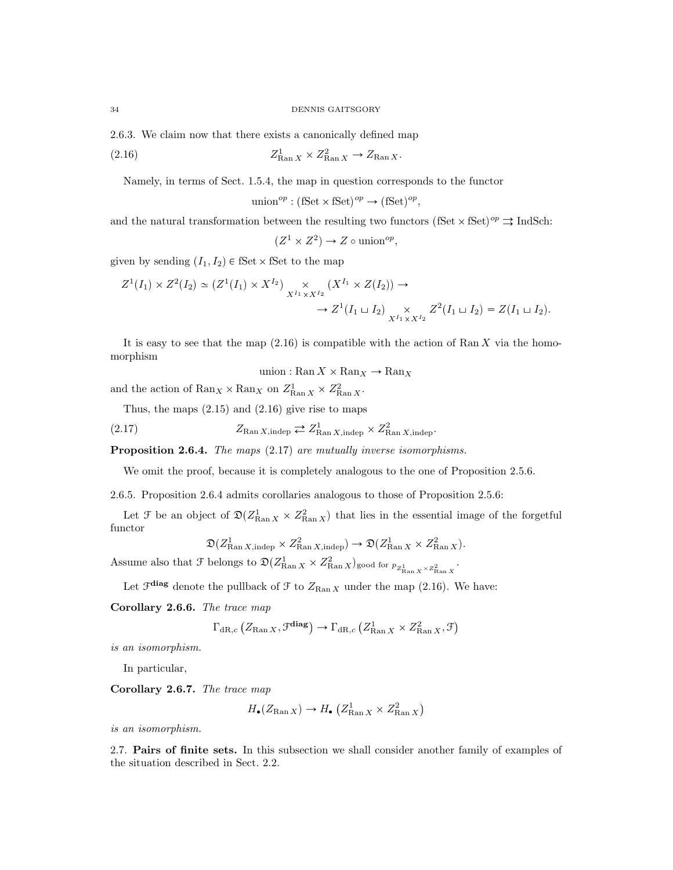2.6.3. We claim now that there exists a canonically defined map

$$
(2.16) \t\t Z_{\text{Ran } X}^1 \times Z_{\text{Ran } X}^2 \to Z_{\text{Ran } X}.
$$

Namely, in terms of Sect. 1.5.4, the map in question corresponds to the functor

union<sup>op</sup> : (fSet × fSet)<sup>op</sup>  $\rightarrow$  (fSet)<sup>op</sup>,

and the natural transformation between the resulting two functors  $(fSet \times fSet)^{op} \rightrightarrows \text{IndSch}$ :

$$
(Z^1 \times Z^2) \to Z \circ \text{union}^{op},
$$

given by sending  $(I_1, I_2) \in \text{fSet} \times \text{fSet}$  to the map

$$
Z^1(I_1) \times Z^2(I_2) \simeq (Z^1(I_1) \times X^{I_2}) \underset{X^{I_1} \times X^{I_2}}{\times} (X^{I_1} \times Z(I_2)) \to
$$
  

$$
\to Z^1(I_1 \sqcup I_2) \underset{X^{I_1} \times X^{I_2}}{\times} Z^2(I_1 \sqcup I_2) = Z(I_1 \sqcup I_2).
$$

It is easy to see that the map  $(2.16)$  is compatible with the action of Ran X via the homomorphism

union : Ran  $X \times \mathrm{Ran}_X \to \mathrm{Ran}_X$ 

and the action of  $\text{Ran}_X \times \text{Ran}_X$  on  $Z_{\text{Ran }X}^1 \times Z_{\text{Ran }X}^2$ .

Thus, the maps  $(2.15)$  and  $(2.16)$  give rise to maps

(2.17) 
$$
Z_{\text{Ran }X,\text{indep}} \rightleftarrows Z_{\text{Ran }X,\text{indep}}^1 \times Z_{\text{Ran }X,\text{indep}}^2.
$$

Proposition 2.6.4. The maps (2.17) are mutually inverse isomorphisms.

We omit the proof, because it is completely analogous to the one of Proposition 2.5.6.

2.6.5. Proposition 2.6.4 admits corollaries analogous to those of Proposition 2.5.6:

Let  $\mathcal F$  be an object of  $\mathfrak{D}(Z_{\text{Ran } X}^1 \times Z_{\text{Ran } X}^2)$  that lies in the essential image of the forgetful functor

$$
\mathfrak{D}(Z_{\text{Ran }X,\text{indep}}^1 \times Z_{\text{Ran }X,\text{indep}}^2) \to \mathfrak{D}(Z_{\text{Ran }X}^1 \times Z_{\text{Ran }X}^2).
$$

Assume also that  $\mathcal{F}$  belongs to  $\mathfrak{D}(Z_{\text{Ran }X}^1 \times Z_{\text{Ran }X}^2)$  good for  $p_{Z_{\text{Ran }X}^1 \times Z_{\text{Ran }X}^2}$ .

Let  $\mathcal{F}^{\text{diag}}$  denote the pullback of  $\mathcal{F}$  to  $Z_{\text{Ran }X}$  under the map (2.16). We have:

Corollary 2.6.6. The trace map

$$
\Gamma_{\mathrm{dR},c} \left( Z_{\mathrm{Ran}\, X} , \mathcal{F}^{\mathrm{diag}} \right) \to \Gamma_{\mathrm{dR},c} \left( Z_{\mathrm{Ran}\, X}^1 \times Z_{\mathrm{Ran}\, X}^2 , \mathcal{F} \right)
$$

is an isomorphism.

In particular,

Corollary 2.6.7. The trace map

$$
H_{\bullet}(Z_{\text{Ran }X}) \to H_{\bullet}\left(Z_{\text{Ran }X}^1 \times Z_{\text{Ran }X}^2\right)
$$

is an isomorphism.

2.7. Pairs of finite sets. In this subsection we shall consider another family of examples of the situation described in Sect. 2.2.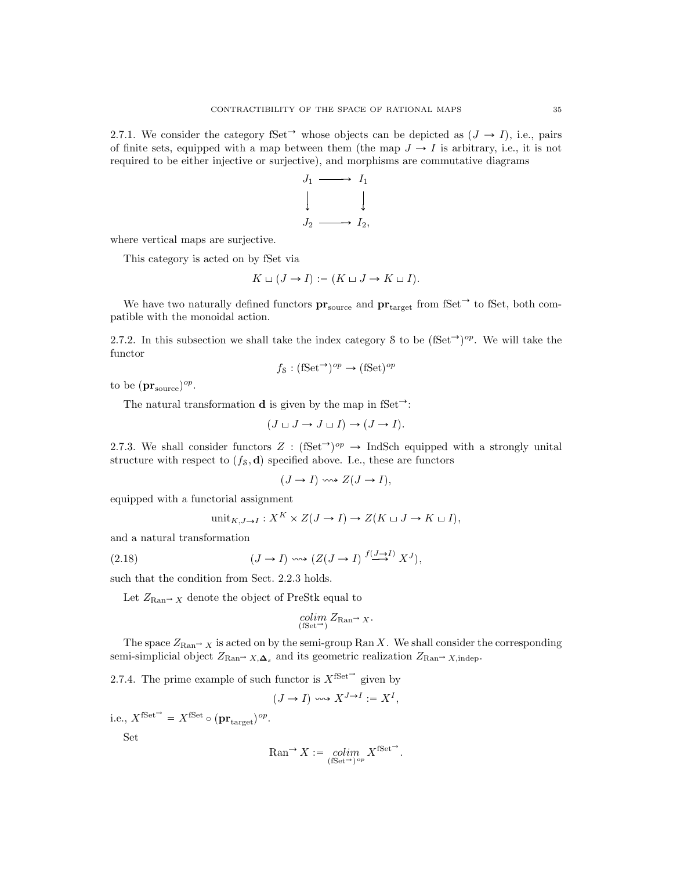2.7.1. We consider the category fSet<sup> $\rightarrow$ </sup> whose objects can be depicted as  $(J \rightarrow I)$ , i.e., pairs of finite sets, equipped with a map between them (the map  $J \to I$  is arbitrary, i.e., it is not required to be either injective or surjective), and morphisms are commutative diagrams



where vertical maps are surjective.

This category is acted on by fSet via

$$
K \sqcup (J \to I) := (K \sqcup J \to K \sqcup I).
$$

We have two naturally defined functors  $pr_{source}$  and  $pr_{target}$  from fSet<sup> $\rightarrow$ </sup> to fSet, both compatible with the monoidal action.

2.7.2. In this subsection we shall take the index category S to be  $(fSet<sup>\rightarrow</sup>)<sup>op</sup>$ . We will take the functor

$$
f_{\mathcal{S}} : (\mathbf{fSet}^{\rightarrow})^{op} \rightarrow (\mathbf{fSet})^{op}
$$

to be  $(\mathbf{pr}_{\text{source}})^{op}$ .

The natural transformation **d** is given by the map in fSet<sup> $\rightarrow$ </sup>:

$$
(J \sqcup J \to J \sqcup I) \to (J \to I).
$$

2.7.3. We shall consider functors  $Z : (\text{fSet}^{\rightarrow})^{op} \rightarrow \text{IndSch}$  equipped with a strongly unital structure with respect to  $(f<sub>S</sub>, d)$  specified above. I.e., these are functors

$$
(J \to I) \iff Z(J \to I),
$$

equipped with a functorial assignment

$$
\text{unit}_{K,J\to I}: X^K \times Z(J\to I) \to Z(K\sqcup J\to K\sqcup I),
$$

and a natural transformation

(2.18) 
$$
(J \to I) \rightsquigarrow (Z(J \to I) \stackrel{f(J \to I)}{\longrightarrow} X^J),
$$

such that the condition from Sect. 2.2.3 holds.

Let  $Z_{\text{Ran}}$  x denote the object of PreStk equal to

$$
\operatornamewithlimits{colim}_{(\text{fSet}^{\to})} Z_{\text{Ran}^{\to}} X.
$$

The space  $Z_{\text{Ran}} \to \chi$  is acted on by the semi-group Ran X. We shall consider the corresponding semi-simplicial object  $Z_{\text{Ran}\rightarrow X,\Delta_s}$  and its geometric realization  $Z_{\text{Ran}\rightarrow X,\text{indep}}$ .

2.7.4. The prime example of such functor is  $X^{\text{fSet}}$  given by

$$
(J \to I) \leadsto X^{J \to I} := X^I,
$$

i.e.,  $X^{\text{fSet}} = X^{\text{fSet}} \circ (\mathbf{pr}_{\text{target}})^{op}$ .

Set

$$
\mathrm{Ran}^{\rightarrow} X := \underset{(\mathrm{fSet}^{\rightarrow})^{op}}{\text{colim}} X^{\mathrm{fSet}^{\rightarrow}}.
$$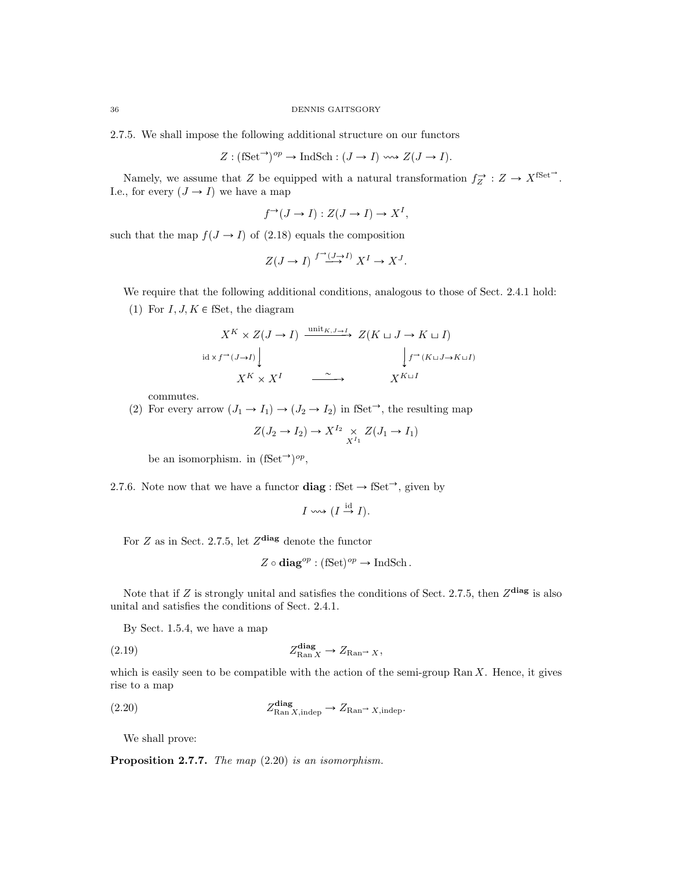2.7.5. We shall impose the following additional structure on our functors

$$
Z: (\mathbf{fSet}^{\rightarrow})^{op} \rightarrow \mathbf{IndSch} : (J \rightarrow I) \leadsto Z(J \rightarrow I).
$$

Namely, we assume that Z be equipped with a natural transformation  $f_Z \to Z \to X^{\text{fSet}}$ . I.e., for every  $(J \to I)$  we have a map

$$
f^{\rightarrow}(J \to I) : Z(J \to I) \to X^I,
$$

such that the map  $f(J \rightarrow I)$  of (2.18) equals the composition

$$
Z(J \to I) \stackrel{f^{\to}(J \to I)}{\longrightarrow} X^I \to X^J.
$$

We require that the following additional conditions, analogous to those of Sect. 2.4.1 hold:

(1) For  $I, J, K \in \mathbb{S}$ et, the diagram

$$
X^K \times Z(J \to I) \xrightarrow{\text{unit}_{K,J \to I}} Z(K \sqcup J \to K \sqcup I)
$$
  
id 
$$
\downarrow f^{\to}(J \to I) \qquad \qquad \downarrow f^{\to}(K \sqcup J \to K \sqcup I)
$$
  

$$
X^K \times X^I \qquad \xrightarrow{\sim} \qquad X^{K \sqcup I}
$$

commutes.

(2) For every arrow  $(J_1 \rightarrow I_1) \rightarrow (J_2 \rightarrow I_2)$  in fSet<sup> $\rightarrow$ </sup>, the resulting map

$$
Z(J_2 \to I_2) \to X^{I_2} \underset{X^{I_1}}{\times} Z(J_1 \to I_1)
$$

be an isomorphism. in  $(fSet^{\rightarrow})^{op}$ ,

2.7.6. Note now that we have a functor  $\text{diag}: \text{fSet} \to \text{fSet}^{\rightarrow}$ , given by

$$
I \leadsto (I \stackrel{\text{id}}{\to} I).
$$

For Z as in Sect. 2.7.5, let  $Z^{\text{diag}}$  denote the functor

$$
Z\circ\mathbf{diag}^{op}:(\mathrm{fSet})^{op}\to\mathrm{IndSch}\,.
$$

Note that if Z is strongly unital and satisfies the conditions of Sect. 2.7.5, then  $Z^{\text{diag}}$  is also unital and satisfies the conditions of Sect. 2.4.1.

By Sect. 1.5.4, we have a map

(2.19) 
$$
Z_{\text{Ran } X}^{\text{diag}} \to Z_{\text{Ran}^{\rightarrow} X},
$$

which is easily seen to be compatible with the action of the semi-group Ran  $X$ . Hence, it gives rise to a map

$$
(2.20) \t\t Z_{\text{Ran }X, \text{indep}}^{\text{diag}} \to Z_{\text{Ran}^{\rightarrow} X, \text{indep}}.
$$

We shall prove:

Proposition 2.7.7. The map  $(2.20)$  is an isomorphism.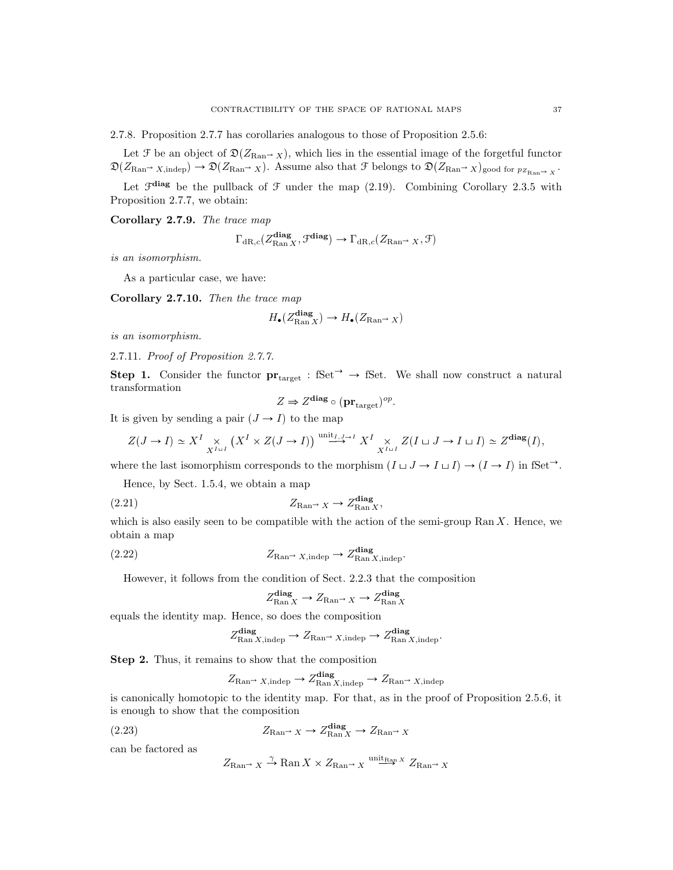2.7.8. Proposition 2.7.7 has corollaries analogous to those of Proposition 2.5.6:

Let F be an object of  $\mathfrak{D}(Z_{\mathrm{Ran}\to X})$ , which lies in the essential image of the forgetful functor  $\mathfrak{D}(Z_{\mathrm{Ran}} \to X, \mathrm{indep}) \to \mathfrak{D}(Z_{\mathrm{Ran}} \to X)$ . Assume also that F belongs to  $\mathfrak{D}(Z_{\mathrm{Ran}} \to X)$ <sub>good for  $p_{Z_{\mathrm{Ran}} \to X}$ .</sub>

Let  $\mathcal{F}^{\text{diag}}$  be the pullback of  $\mathcal F$  under the map (2.19). Combining Corollary 2.3.5 with Proposition 2.7.7, we obtain:

Corollary 2.7.9. The trace map

$$
\Gamma_{\mathrm{dR},c}(Z^{\textbf{diag}}_{\mathrm{Ran}\,X},\mathcal{F}^{\textbf{diag}}) \to \Gamma_{\mathrm{dR},c}(Z_{\mathrm{Ran}^\rightarrow X},\mathcal{F})
$$

is an isomorphism.

As a particular case, we have:

Corollary 2.7.10. Then the trace map

$$
H_{\bullet}(Z_{\mathrm{Ran}\,X}^{\mathrm{diag}}) \to H_{\bullet}(Z_{\mathrm{Ran}^{\rightarrow} X})
$$

is an isomorphism.

2.7.11. Proof of Proposition 2.7.7.

Step 1. Consider the functor  $pr_{\text{target}} : \text{fSet}^{\rightarrow} \rightarrow \text{fSet}$ . We shall now construct a natural transformation

$$
Z \Rightarrow Z^{\text{diag}} \circ (\mathbf{pr}_{\text{target}})^{op}.
$$

It is given by sending a pair  $(J \rightarrow I)$  to the map

$$
Z(J \to I) \simeq X^I \underset{X^{I \sqcup I}}{\times} \left( X^I \times Z(J \to I) \right) \overset{\text{unit}_{I,J \to I}}{\longrightarrow} X^I \underset{X^{I \sqcup I}}{\times} Z(I \sqcup J \to I \sqcup I) \simeq Z^{\text{diag}}(I),
$$

where the last isomorphism corresponds to the morphism  $(I \sqcup J \to I \sqcup I) \to (I \to I)$  in fSet<sup> $\rightarrow$ </sup>.

Hence, by Sect. 1.5.4, we obtain a map

$$
(2.21)
$$
 
$$
Z_{\text{Ran}^{\rightarrow}} \times \rightarrow Z_{\text{Ran} \times}^{\text{diag}},
$$

which is also easily seen to be compatible with the action of the semi-group  $\text{Ran } X$ . Hence, we obtain a map

$$
(2.22) \t\t Z_{\text{Ran}} \to Z_{\text{Ran}}^{\text{diag}} \to Z_{\text{Ran } X, \text{indep}}^{\text{diag}}.
$$

However, it follows from the condition of Sect. 2.2.3 that the composition

$$
Z_{\text{Ran }X}^{\text{diag}} \to Z_{\text{Ran}^{\to}} X \to Z_{\text{Ran }X}^{\text{diag}}
$$

equals the identity map. Hence, so does the composition

$$
Z_{\text{Ran }X,\text{indep}}^{\text{diag}} \to Z_{\text{Ran}^{\rightarrow} X,\text{indep}} \to Z_{\text{Ran }X,\text{indep}}^{\text{diag}}.
$$

Step 2. Thus, it remains to show that the composition

$$
Z_{\text{Ran}} \to \mathcal{Z}_{\text{Ran } X, \text{indep}}^{\text{diag}} \to \mathcal{Z}_{\text{Ran } X, \text{indep}}
$$

is canonically homotopic to the identity map. For that, as in the proof of Proposition 2.5.6, it is enough to show that the composition

(2.23) 
$$
Z_{\text{Ran}\rightarrow X} \to Z_{\text{Ran}\,X}^{\text{diag}} \to Z_{\text{Ran}\,X}
$$

can be factored as

$$
Z_{\text{Ran}} \to X \xrightarrow{\gamma} \text{Ran } X \times Z_{\text{Ran}} \to X \xrightarrow{\text{unit}_{\text{Ran}} x} Z_{\text{Ran}} \to X
$$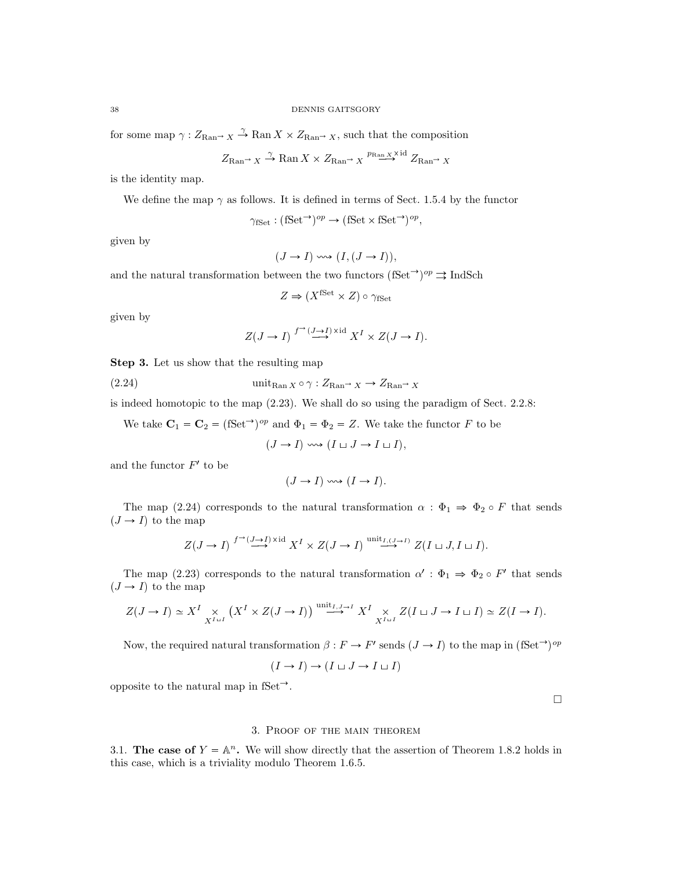for some map  $\gamma: Z_{\text{Ran}} \to X \to \text{Ran } X \times Z_{\text{Ran}} \to X$ , such that the composition

$$
Z_{\text{Ran}} \to X \xrightarrow{\gamma} \text{Ran } X \times Z_{\text{Ran}} \to X \xrightarrow{p_{\text{Ran}} \times \text{Xid}} Z_{\text{Ran}} \to X
$$

is the identity map.

We define the map 
$$
\gamma
$$
 as follows. It is defined in terms of Sect. 1.5.4 by the functor

$$
\gamma_{\text{fSet}} : (\text{fSet} \to)^{op} \to (\text{fSet} \times \text{fSet} \to)^{op},
$$

given by

$$
(J \to I) \leadsto (I, (J \to I)),
$$

and the natural transformation between the two functors (fSet<sup> $\rightarrow$ ) $^{op} \Rightarrow$ IndSch</sup>

$$
Z \Rightarrow (X^{\text{fSet}} \times Z) \circ \gamma_{\text{fSet}}
$$

given by

$$
Z(J \to I)
$$
<sup>f<sup>\to</sup>( $J \to I$ )<sup>xi</sup>  $X^I \times Z(J \to I)$ .</sup>

Step 3. Let us show that the resulting map

(2.24) unitRan <sup>X</sup> γ : ZRan<sup>Ñ</sup> <sup>X</sup> Ñ ZRan<sup>Ñ</sup> <sup>X</sup>

is indeed homotopic to the map (2.23). We shall do so using the paradigm of Sect. 2.2.8:

We take  $\mathbf{C}_1 = \mathbf{C}_2 = (\text{fSet}^{\rightarrow})^{op}$  and  $\Phi_1 = \Phi_2 = Z$ . We take the functor F to be

$$
(J \to I) \iff (I \sqcup J \to I \sqcup I),
$$

and the functor  $F'$  to be

$$
(J \to I) \iff (I \to I).
$$

The map (2.24) corresponds to the natural transformation  $\alpha : \Phi_1 \Rightarrow \Phi_2 \circ F$  that sends  $(J \rightarrow I)$  to the map

$$
Z(J \to I) \stackrel{f^{\to}(J \to I) \times \mathrm{id}}{\longrightarrow} X^I \times Z(J \to I) \stackrel{\text{unit}_{I,(J \to I)}}{\longrightarrow} Z(I \sqcup J, I \sqcup I).
$$

The map (2.23) corresponds to the natural transformation  $\alpha' : \Phi_1 \Rightarrow \Phi_2 \circ F'$  that sends  $(J \rightarrow I)$  to the map

$$
Z(J \to I) \simeq X^I \underset{X^{I \sqcup I}}{\times} (X^I \times Z(J \to I)) \xrightarrow{\text{unit}_{I,J \to I}} X^I \underset{X^{I \sqcup I}}{\times} Z(I \sqcup J \to I \sqcup I) \simeq Z(I \to I).
$$

Now, the required natural transformation  $\beta : F \to F'$  sends  $(J \to I)$  to the map in  $(fSet^{\to})^{op}$ 

$$
(I \to I) \to (I \sqcup J \to I \sqcup I)
$$

opposite to the natural map in fSet<sup> $\rightarrow$ </sup>.

## $\hfill \square$

## 3. Proof of the main theorem

3.1. The case of  $Y = \mathbb{A}^n$ . We will show directly that the assertion of Theorem 1.8.2 holds in this case, which is a triviality modulo Theorem 1.6.5.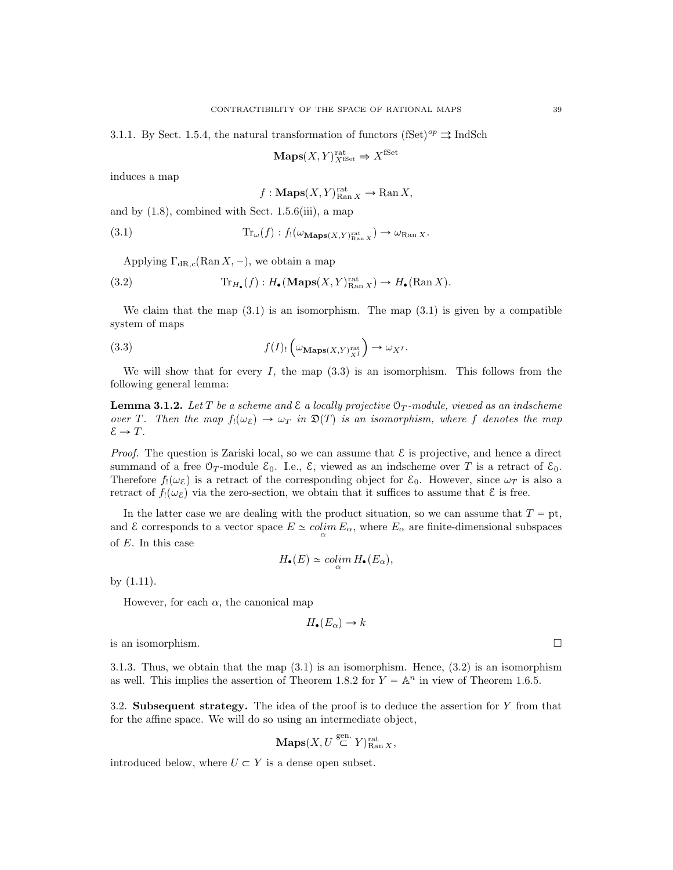3.1.1. By Sect. 1.5.4, the natural transformation of functors (fSet)<sup>op</sup>  $\Rightarrow$  IndSch

$$
\mathbf{Maps}(X,Y)_{X^{\mathrm{fSet}}}^{\mathrm{rat}} \Rightarrow X^{\mathrm{fSet}}
$$

induces a map

$$
f: \mathbf{Maps}(X, Y)_{\text{Ran } X}^{\text{rat}} \to \text{Ran } X,
$$

and by  $(1.8)$ , combined with Sect. 1.5.6(iii), a map

(3.1) 
$$
\operatorname{Tr}_{\omega}(f) : f_!(\omega_{\mathbf{Maps}(X,Y)_{\mathrm{Ran}\,X}^{\mathrm{rat}}}) \to \omega_{\mathrm{Ran}\,X}.
$$

Applying  $\Gamma_{\text{dR},c}(\text{Ran } X, -)$ , we obtain a map

(3.2) 
$$
\operatorname{Tr}_{H_{\bullet}}(f): H_{\bullet}(\operatorname{Maps}(X, Y)_{\operatorname{Ran} X}^{\operatorname{rat}}) \to H_{\bullet}(\operatorname{Ran} X).
$$

We claim that the map  $(3.1)$  is an isomorphism. The map  $(3.1)$  is given by a compatible system of maps

(3.3) 
$$
f(I)_{!}\left(\omega_{\mathbf{Maps}(X,Y)_{X}^{\mathrm{rat}}}\right)\to \omega_{X^{I}}.
$$

We will show that for every I, the map  $(3.3)$  is an isomorphism. This follows from the following general lemma:

**Lemma 3.1.2.** Let T be a scheme and  $\mathcal E$  a locally projective  $\mathcal O_T$ -module, viewed as an indscheme over T. Then the map  $f_!(\omega_{\mathcal{E}}) \to \omega_T$  in  $\mathfrak{D}(T)$  is an isomorphism, where f denotes the map  $\mathcal{E} \to T$ .

*Proof.* The question is Zariski local, so we can assume that  $\mathcal{E}$  is projective, and hence a direct summand of a free  $\mathcal{O}_T$ -module  $\mathcal{E}_0$ . I.e.,  $\mathcal{E}_1$ , viewed as an indscheme over T is a retract of  $\mathcal{E}_0$ . Therefore  $f_1(\omega_{\mathcal{E}})$  is a retract of the corresponding object for  $\mathcal{E}_0$ . However, since  $\omega_T$  is also a retract of  $f_!(\omega_{\mathcal{E}})$  via the zero-section, we obtain that it suffices to assume that  $\mathcal{E}$  is free.

In the latter case we are dealing with the product situation, so we can assume that  $T = pt$ , and  $\mathcal E$  corresponds to a vector space  $E \simeq colim_{\alpha} E_{\alpha}$ , where  $E_{\alpha}$  are finite-dimensional subspaces of E. In this case

$$
H_{\bullet}(E) \simeq \operatorname{colim}_{\alpha} H_{\bullet}(E_{\alpha}),
$$

by (1.11).

However, for each  $\alpha$ , the canonical map

$$
H_{\bullet}(E_{\alpha}) \to k
$$

is an isomorphism.

3.1.3. Thus, we obtain that the map  $(3.1)$  is an isomorphism. Hence,  $(3.2)$  is an isomorphism as well. This implies the assertion of Theorem 1.8.2 for  $Y = \mathbb{A}^n$  in view of Theorem 1.6.5.

3.2. Subsequent strategy. The idea of the proof is to deduce the assertion for  $Y$  from that for the affine space. We will do so using an intermediate object,

$$
\mathbf{Maps}(X, U \stackrel{\text{gen.}}{\subset} Y)_{\text{Ran } X}^{\text{rat}},
$$

introduced below, where  $U \subset Y$  is a dense open subset.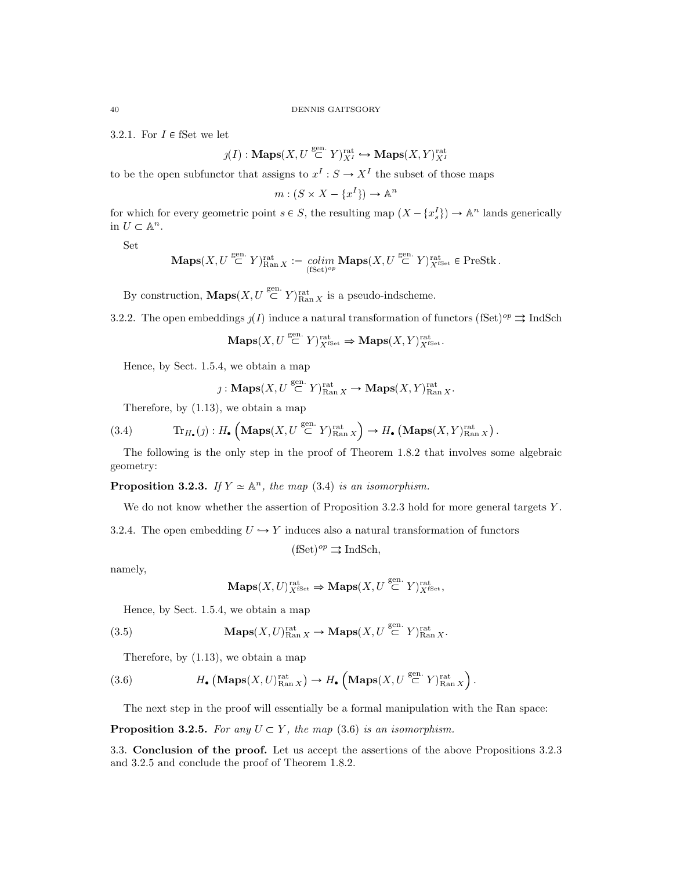3.2.1. For  $I \in \mathsf{fSet}$  we let

$$
\jmath(I): \mathbf{Maps}(X, U \stackrel{\text{gen.}}{\subset} Y)_{X^I}^{\text{rat}} \hookrightarrow \mathbf{Maps}(X, Y)_{X^I}^{\text{rat}}
$$

to be the open subfunctor that assigns to  $x^I : S \to X^I$  the subset of those maps

 $m: (S \times X - \{x^I\}) \to \mathbb{A}^n$ 

for which for every geometric point  $s \in S$ , the resulting map  $(X - \{x_s^I\}) \to \mathbb{A}^n$  lands generically in  $U \subset \mathbb{A}^n$ .

Set

$$
\mathbf{Maps}(X, U \stackrel{\mathrm{gen.}}{\subset} Y)_{\mathrm{Ran}\, X}^{\mathrm{rat}} := \underset{(\mathrm{Set})^{op}}{\mathrm{colim}} \, \mathbf{Maps}(X, U \stackrel{\mathrm{gen.}}{\subset} Y)_{X^{\mathrm{fSet}}}^{\mathrm{rat}} \in \mathrm{PreStk}\, .
$$

By construction,  $\mathbf{Maps}(X, U \stackrel{\text{gen.}}{\subset} Y)_{\text{Ran } X}^{\text{rat}}$  is a pseudo-indscheme.

3.2.2. The open embeddings  $\jmath(I)$  induce a natural transformation of functors (fSet)<sup>op</sup>  $\Rightarrow$  IndSch

$$
\mathop{\bf Maps}\nolimits(X,U\stackrel{\rm gen.}{\subset} Y)^{\rm rat}_{X^{\rm fSet}}\Rightarrow\mathop{\bf Maps}\nolimits(X,Y)^{\rm rat}_{X^{\rm fSet}}.
$$

Hence, by Sect. 1.5.4, we obtain a map

$$
\jmath: \mathbf{Maps}(X, U \stackrel{\rm gen.}{\subset} Y)_{\rm Ran\, X}^{\rm rat} \to {\mathbf{Maps}}(X,Y)_{\rm Ran\, X}^{\rm rat}.
$$

Therefore, by (1.13), we obtain a map

(3.4) 
$$
\text{Tr}_{H_{\bullet}}(j) : H_{\bullet} \left( \text{Maps}(X, U \stackrel{\text{gen.}}{\subset} Y)_{\text{Ran } X}^{\text{rat}} \right) \to H_{\bullet} \left( \text{Maps}(X, Y)_{\text{Ran } X}^{\text{rat}} \right).
$$

The following is the only step in the proof of Theorem 1.8.2 that involves some algebraic geometry:

**Proposition 3.2.3.** If  $Y \simeq \mathbb{A}^n$ , the map (3.4) is an isomorphism.

We do not know whether the assertion of Proposition 3.2.3 hold for more general targets Y.

3.2.4. The open embedding  $U \hookrightarrow Y$  induces also a natural transformation of functors

$$
(\text{fSet})^{op} \rightrightarrows \text{IndSch},
$$

namely,

$$
\mathbf{Maps}(X, U)_{X^{\mathrm{fSet}}}^{\mathrm{rat}} \Rightarrow \mathbf{Maps}(X, U \overset{\mathrm{gen.}}{\subset} Y)_{X^{\mathrm{fSet}}}^{\mathrm{rat}},
$$

Hence, by Sect. 1.5.4, we obtain a map

(3.5) 
$$
\mathbf{Maps}(X, U)_{\text{Ran } X}^{\text{rat}} \to \mathbf{Maps}(X, U \overset{\text{gen.}}{\subset} Y)_{\text{Ran } X}^{\text{rat}}.
$$

Therefore, by (1.13), we obtain a map

(3.6) 
$$
H_{\bullet}\left(\mathbf{Maps}(X,U)_{\mathrm{Ran}\,X}^{\mathrm{rat}}\right) \to H_{\bullet}\left(\mathbf{Maps}(X,U \stackrel{\mathrm{gen.}}{\subset} Y)_{\mathrm{Ran}\,X}^{\mathrm{rat}}\right).
$$

The next step in the proof will essentially be a formal manipulation with the Ran space:

**Proposition 3.2.5.** For any  $U \subset Y$ , the map (3.6) is an isomorphism.

3.3. Conclusion of the proof. Let us accept the assertions of the above Propositions 3.2.3 and 3.2.5 and conclude the proof of Theorem 1.8.2.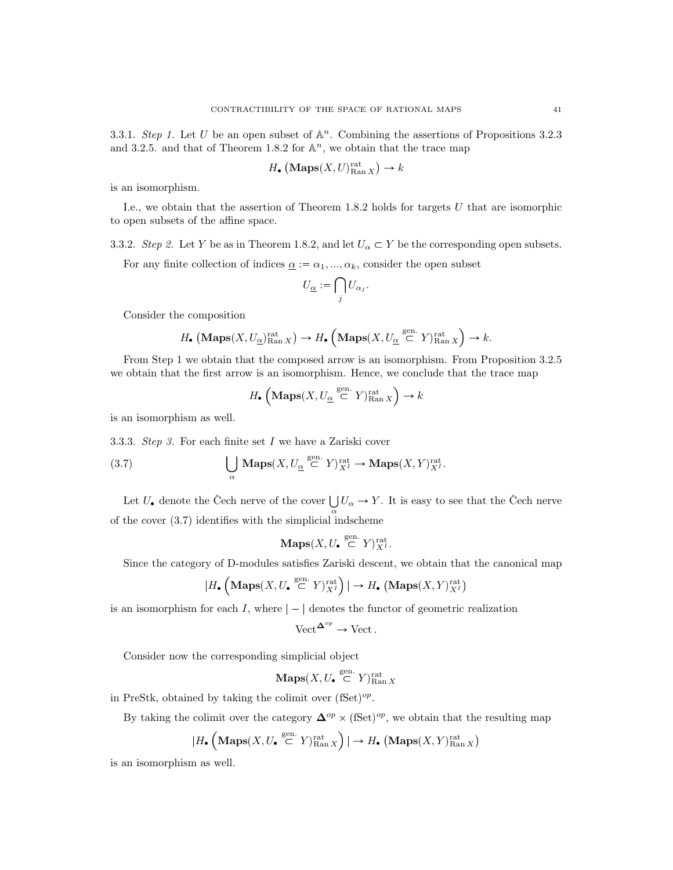3.3.1. Step 1. Let U be an open subset of  $\mathbb{A}^n$ . Combining the assertions of Propositions 3.2.3 and 3.2.5. and that of Theorem 1.8.2 for  $\mathbb{A}^n$ , we obtain that the trace map

$$
H_{\bullet}\left(\mathbf{Maps}(X, U)^{\mathrm{rat}}_{\mathrm{Ran}\, X}\right) \to k
$$

is an isomorphism.

I.e., we obtain that the assertion of Theorem 1.8.2 holds for targets U that are isomorphic to open subsets of the affine space.

3.3.2. Step 2. Let Y be as in Theorem 1.8.2, and let  $U_{\alpha} \subset Y$  be the corresponding open subsets.

For any finite collection of indices  $\underline{\alpha} := \alpha_1, ..., \alpha_k$ , consider the open subset

$$
U_{\underline{\alpha}}:=\bigcap_j U_{\alpha_j}.
$$

Consider the composition

$$
H_{\bullet}\left(\mathbf{Maps}(X,U_{\underline{\alpha}})_{\mathrm{Ran}\,X}^{\mathrm{rat}}\right) \to H_{\bullet}\left(\mathbf{Maps}(X,U_{\underline{\alpha}}\stackrel{\mathrm{gen.}}{\subset} Y)_{\mathrm{Ran}\,X}^{\mathrm{rat}}\right) \to k.
$$

From Step 1 we obtain that the composed arrow is an isomorphism. From Proposition 3.2.5 we obtain that the first arrow is an isomorphism. Hence, we conclude that the trace map

$$
H_{\bullet}\left(\mathrm{Maps}(X,U_{\underline{\alpha}}\stackrel{\mathrm{gen.}}{\subset} Y)_{\mathrm{Ran}\,X}^{\mathrm{rat}}\right)\to k
$$

is an isomorphism as well.

3.3.3. Step 3. For each finite set I we have a Zariski cover

(3.7) 
$$
\bigcup_{\alpha} \operatorname{Maps}(X, U_{\underline{\alpha}} \stackrel{\text{gen.}}{\subset} Y)_{X^I}^{\text{rat}} \to \operatorname{Maps}(X, Y)_{X^I}^{\text{rat}}.
$$

Let  $U_{\bullet}$  denote the Čech nerve of the cover  $\bigcup U_{\alpha} \to Y$ . It is easy to see that the Čech nerve of the cover (3.7) identifies with the simplicial indscheme

$$
\mathbf{Maps}(X, U_{\bullet} \stackrel{\text{gen.}}{\subset} Y)_{X^I}^{\text{rat}}.
$$

Since the category of D-modules satisfies Zariski descent, we obtain that the canonical map

$$
|H_{\bullet}\left(\mathbf{Maps}(X,U_{\bullet}\stackrel{\mathrm{gen.}}{\subset} Y)^{\mathrm{rat}}_{X^I}\right)|\to H_{\bullet}\left(\mathbf{Maps}(X,Y)^{\mathrm{rat}}_{X^I}\right)
$$

is an isomorphism for each  $I$ , where  $|-|$  denotes the functor of geometric realization

$$
\text{Vect}^{\mathbf{\Delta}^{op}} \to \text{Vect}.
$$

Consider now the corresponding simplicial object

 $\mathbf{Maps}(X, U_{\bullet} \stackrel{\text{gen.}}{\subset} Y)_{\text{Ran } X}^{\text{rat}}$ 

in PreStk, obtained by taking the colimit over  $(fSet)^{op}$ .

By taking the colimit over the category  $\mathbf{\Delta}^{op} \times (\text{fSet})^{op}$ , we obtain that the resulting map

$$
|H_{\bullet}\left(\mathbf{Maps}(X,U_{\bullet}\stackrel{\rm gen.}{\subset} Y)_{\rm Ran\, \cal X}^{\rm rat}\right)|\to H_{\bullet}\left(\mathbf{Maps}(X,Y)_{\rm Ran\, \cal X}^{\rm rat}\right)
$$

is an isomorphism as well.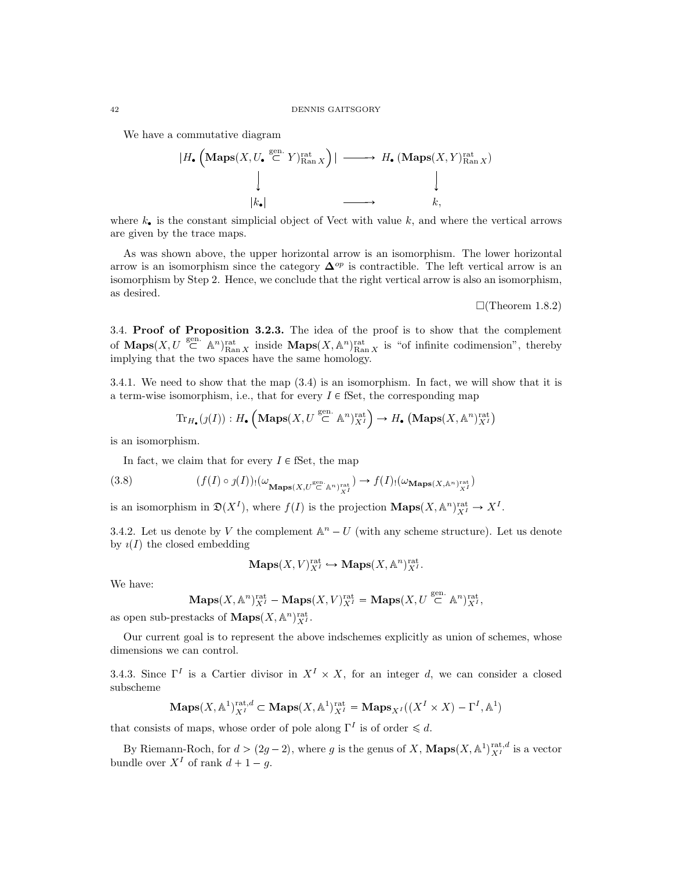We have a commutative diagram

$$
|H_{\bullet} \left( \underset{k_{\bullet}}{\text{Maps}}(X, U_{\bullet} \stackrel{\text{gen.}}{\subset} Y)_{\text{Ran } X}^{\text{rat}} \right)| \longrightarrow H_{\bullet} \left( \underset{k_{\bullet}}{\text{Maps}}(X, Y)_{\text{Ran } X}^{\text{rat}} \right)
$$
\n
$$
|k_{\bullet}| \longrightarrow k,
$$

where  $k_{\bullet}$  is the constant simplicial object of Vect with value k, and where the vertical arrows are given by the trace maps.

As was shown above, the upper horizontal arrow is an isomorphism. The lower horizontal arrow is an isomorphism since the category  $\Delta^{op}$  is contractible. The left vertical arrow is an isomorphism by Step 2. Hence, we conclude that the right vertical arrow is also an isomorphism, as desired.

 $\Box$ (Theorem 1.8.2)

3.4. Proof of Proposition 3.2.3. The idea of the proof is to show that the complement of **Maps** $(X, U \stackrel{\text{gen.}}{\subset} \mathbb{A}^n)_{\text{Ran } X}^{\text{rat}}$  inside **Maps** $(X, \mathbb{A}^n)_{\text{Ran } X}^{\text{rat}}$  is "of infinite codimension", thereby implying that the two spaces have the same homology.

3.4.1. We need to show that the map (3.4) is an isomorphism. In fact, we will show that it is a term-wise isomorphism, i.e., that for every  $I \in \mathbb{S}$ et, the corresponding map

$$
\mathrm{Tr}_{H_{\bullet}}(\jmath (I)) : H_{\bullet}\left(\mathrm{Maps}(X, U \stackrel{\mathrm{gen.}}{\subset} \mathbb{A}^n )^{\mathrm{rat}}_{X^I}\right) \to H_{\bullet}\left(\mathrm{Maps}(X, \mathbb{A}^n )^{\mathrm{rat}}_{X^I}\right)
$$

is an isomorphism.

In fact, we claim that for every  $I \in \mathbb{S}$ et, the map

(3.8) 
$$
(f(I) \circ \jmath(I))_{!}(\omega_{\mathbf{Maps}(X,U^{\text{gen}}_{\subset \mathbb{A}^n})_{X^I}}) \to f(I)_{!}(\omega_{\mathbf{Maps}(X,\mathbb{A}^n)^{\text{rat}}_{X^I}})
$$

is an isomorphism in  $\mathfrak{D}(X^I)$ , where  $f(I)$  is the projection  $\mathbf{Maps}(X, \mathbb{A}^n)_{X^I}^{\mathrm{rat}} \to X^I$ .

3.4.2. Let us denote by V the complement  $\mathbb{A}^n - U$  (with any scheme structure). Let us denote by  $\iota(I)$  the closed embedding

$$
\mathbf{Maps}(X,V)_{X^I}^{\mathrm{rat}} \hookrightarrow \mathbf{Maps}(X,\mathbb{A}^n)_{X^I}^{\mathrm{rat}}.
$$

We have:

$$
\mathbf{Maps}(X, \mathbb{A}^n)^{\mathrm{rat}}_{X^I} - \mathbf{Maps}(X, V)^{\mathrm{rat}}_{X^I} = \mathbf{Maps}(X, U \overset{\mathrm{gen.}}{\subset} \mathbb{A}^n)^{\mathrm{rat}}_{X^I},
$$

as open sub-prestacks of **Maps** $(X, \mathbb{A}^n)_{X^I}^{\text{rat}}$ .

Our current goal is to represent the above indschemes explicitly as union of schemes, whose dimensions we can control.

3.4.3. Since  $\Gamma^I$  is a Cartier divisor in  $X^I \times X$ , for an integer d, we can consider a closed subscheme

$$
\mathbf{Maps}(X, \mathbb{A}^1)_{X^I}^{\mathrm{rat}, d} \subset \mathbf{Maps}(X, \mathbb{A}^1)_{X^I}^{\mathrm{rat}} = \mathbf{Maps}_{X^I}((X^I \times X) - \Gamma^I, \mathbb{A}^1)
$$

that consists of maps, whose order of pole along  $\Gamma^I$  is of order  $\leq d$ .

By Riemann-Roch, for  $d > (2g - 2)$ , where g is the genus of X,  $\mathbf{Maps}(X, \mathbb{A}^1)^{\text{rat}, d}_{X^I}$  is a vector bundle over  $X^I$  of rank  $d + 1 - q$ .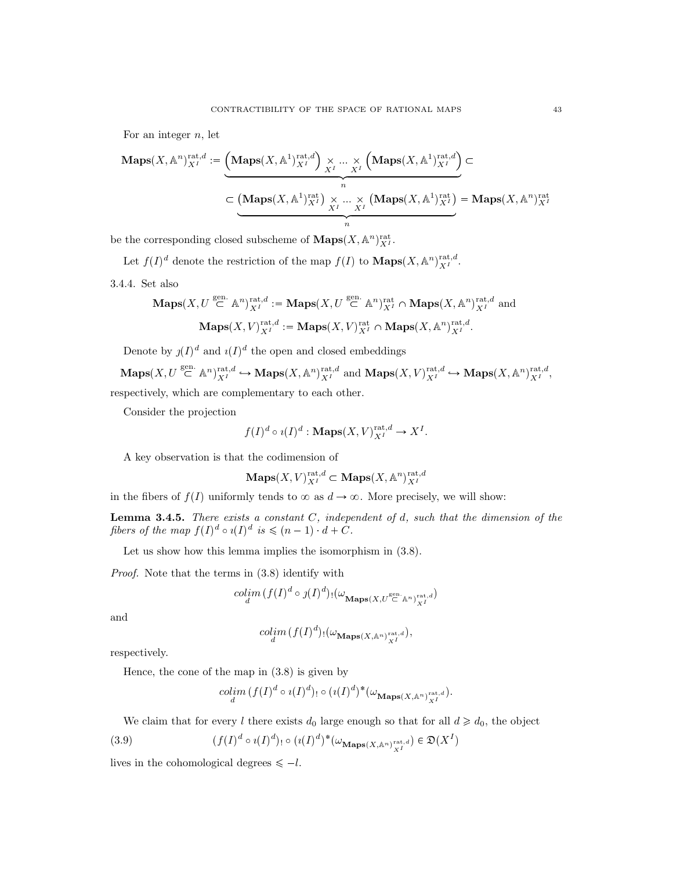For an integer  $n$ , let

$$
\mathbf{Maps}(X, \mathbb{A}^n)_{X^I}^{\mathrm{rat}, d} := \underbrace{\left(\mathbf{Maps}(X, \mathbb{A}^1)_{X^I}^{\mathrm{rat}, d}\right) \times \dots \times \left(\mathbf{Maps}(X, \mathbb{A}^1)_{X^I}^{\mathrm{rat}, d}\right)}_{n} \subset \underbrace{\left(\mathbf{Maps}(X, \mathbb{A}^1)_{X^I}^{\mathrm{rat}}\right) \times \dots \times \left(\mathbf{Maps}(X, \mathbb{A}^1)_{X^I}^{\mathrm{rat}}\right)}_{n} = \mathbf{Maps}(X, \mathbb{A}^n)_{X^I}^{\mathrm{rat}}
$$

be the corresponding closed subscheme of  $\mathbf{Maps}(X, \mathbb{A}^n)^{\mathrm{rat}}_{X^I}.$ 

Let  $f(I)^d$  denote the restriction of the map  $f(I)$  to  $\mathbf{Maps}(X, \mathbb{A}^n)_{X^I}^{\mathrm{rat},d}$ .

3.4.4. Set also

$$
\mathbf{Maps}(X, U \stackrel{\text{gen.}}{\subset} \mathbb{A}^n)_{X^I}^{\text{rat},d} := \mathbf{Maps}(X, U \stackrel{\text{gen.}}{\subset} \mathbb{A}^n)_{X^I}^{\text{rat}} \cap \mathbf{Maps}(X, \mathbb{A}^n)_{X^I}^{\text{rat},d} \text{ and}
$$

$$
\mathbf{Maps}(X, V)_{X^I}^{\text{rat},d} := \mathbf{Maps}(X, V)_{X^I}^{\text{rat}} \cap \mathbf{Maps}(X, \mathbb{A}^n)_{X^I}^{\text{rat},d}.
$$

Denote by  $j(I)^d$  and  $i(I)^d$  the open and closed embeddings

 $\mathbf{Maps}(X, U \stackrel{\text{gen.}}{\subset} \mathbb{A}^n)_{X^I}^{\text{rat},d} \hookrightarrow \mathbf{Maps}(X, \mathbb{A}^n)_{X^I}^{\text{rat},d}$  and  $\mathbf{Maps}(X, V)_{X^I}^{\text{rat},d} \hookrightarrow \mathbf{Maps}(X, \mathbb{A}^n)_{X^I}^{\text{rat},d}$ respectively, which are complementary to each other.

Consider the projection

$$
f(I)^d \circ i(I)^d : \mathbf{Maps}(X, V)^{\text{rat}, d}_{X^I} \to X^I.
$$

A key observation is that the codimension of

$$
\mathbf{Maps}(X, V)^{\mathrm{rat}, d}_{X^I} \subset \mathbf{Maps}(X, \mathbb{A}^n)^{\mathrm{rat}, d}_{X^I}
$$

in the fibers of  $f(I)$  uniformly tends to  $\infty$  as  $d \to \infty$ . More precisely, we will show:

**Lemma 3.4.5.** There exists a constant C, independent of d, such that the dimension of the fibers of the map  $f(I)^d \circ i(I)^d$  is  $\leqslant (n-1) \cdot d + C$ .

Let us show how this lemma implies the isomorphism in (3.8).

Proof. Note that the terms in (3.8) identify with

$$
\mathop{colim}\limits_{d} (f(I)^d \circ \jmath(I)^d)_{!}(\omega_{\mathbf{Maps}(X,U^{\mathrm{gen.}}_{\subset \mathbb{A}^n})^{\mathrm{rat},d}_{X^I}})
$$

and

$$
\underset{d}{colim} (f(I)^d) \cdot (\omega_{\mathbf{Maps}(X,\mathbb{A}^n)^{\mathrm{rat},d}_{X^I}}),
$$

respectively.

Hence, the cone of the map in (3.8) is given by

$$
\underset{d}{colim} (f(I)^d \circ \imath(I)^d)_{!} \circ (\imath(I)^d)^* (\omega_{\mathbf{Maps}(X,\mathbb{A}^n)^{\mathrm{rat},d}_{X^I}}).
$$

We claim that for every l there exists  $d_0$  large enough so that for all  $d \geq d_0$ , the object

(3.9) 
$$
(f(I)^d \circ \iota(I)^d)_{!} \circ (\iota(I)^d)^* (\omega_{\mathbf{Maps}(X,\mathbb{A}^n)^{\mathrm{rat},d}_{X^I}}) \in \mathfrak{D}(X^I)
$$

lives in the cohomological degrees  $\leq -l$ .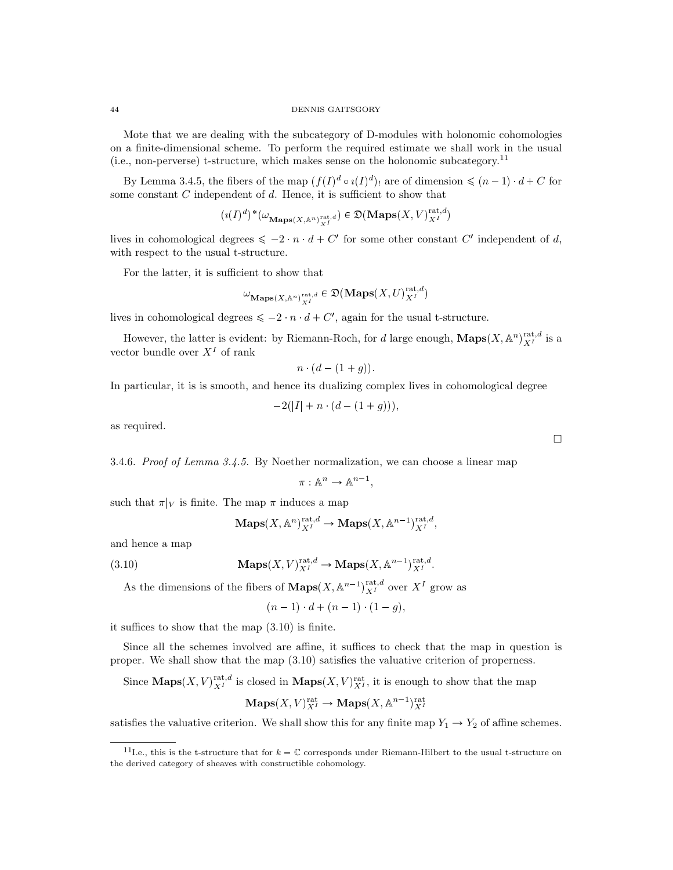Mote that we are dealing with the subcategory of D-modules with holonomic cohomologies on a finite-dimensional scheme. To perform the required estimate we shall work in the usual (i.e., non-perverse) t-structure, which makes sense on the holonomic subcategory.<sup>11</sup>

By Lemma 3.4.5, the fibers of the map  $(f(I)^d \circ i(I)^d)$  are of dimension  $\leq (n-1) \cdot d + C$  for some constant  $C$  independent of  $d$ . Hence, it is sufficient to show that

$$
(\imath(I)^d)^*(\omega_{\mathbf{Maps}(X,\mathbb{A}^n)^{\mathrm{rat},d}_{X^I}}) \in \mathfrak{D}(\mathbf{Maps}(X,V)^{\mathrm{rat},d}_{X^I})
$$

lives in cohomological degrees  $\leq -2 \cdot n \cdot d + C'$  for some other constant C' independent of d, with respect to the usual t-structure.

For the latter, it is sufficient to show that

$$
\omega_{\mathbf{Maps}(X,\mathbb{A}^n)^{\mathrm{rat},d}_{X^I}} \in \mathfrak{D}(\mathbf{Maps}(X,U)^{\mathrm{rat},d}_{X^I})
$$

lives in cohomological degrees  $\leq -2$   $n \cdot d + C'$ , again for the usual t-structure.

However, the latter is evident: by Riemann-Roch, for d large enough,  $\mathbf{Maps}(X, \mathbb{A}^n)^{\text{rat},d}_{X^I}$  is a vector bundle over  $X<sup>I</sup>$  of rank

$$
n \cdot (d - (1 + g)).
$$

In particular, it is is smooth, and hence its dualizing complex lives in cohomological degree

$$
-2(|I| + n \cdot (d - (1 + g))),
$$

as required.

3.4.6. Proof of Lemma 3.4.5. By Noether normalization, we can choose a linear map

$$
\pi: \mathbb{A}^n \to \mathbb{A}^{n-1},
$$

such that  $\pi|_V$  is finite. The map  $\pi$  induces a map

$$
\mathbf{Maps}(X, \mathbb{A}^n)^{\mathrm{rat}, d}_{X^I} \to \mathbf{Maps}(X, \mathbb{A}^{n-1})^{\mathrm{rat}, d}_{X^I},
$$

and hence a map

(3.10) 
$$
\mathbf{Maps}(X, V)_{X^I}^{\mathrm{rat}, d} \to \mathbf{Maps}(X, \mathbb{A}^{n-1})_{X^I}^{\mathrm{rat}, d}.
$$

As the dimensions of the fibers of  $\mathbf{Maps}(X, \mathbb{A}^{n-1})_{X^I}^{\mathrm{rat},d}$  over  $X^I$  grow as

 $(n-1) \cdot d + (n-1) \cdot (1-g),$ 

it suffices to show that the map (3.10) is finite.

Since all the schemes involved are affine, it suffices to check that the map in question is proper. We shall show that the map (3.10) satisfies the valuative criterion of properness.

Since  $\mathbf{Maps}(X, V)^{\text{rat},d}_{X^I}$  is closed in  $\mathbf{Maps}(X, V)^{\text{rat}}_{X^I}$ , it is enough to show that the map

$$
\mathbf{Maps}(X, V)_{X^I}^{\mathrm{rat}} \to \mathbf{Maps}(X, \mathbb{A}^{n-1})_{X^I}^{\mathrm{rat}}
$$

satisfies the valuative criterion. We shall show this for any finite map  $Y_1 \rightarrow Y_2$  of affine schemes.

 $\Box$ 

<sup>&</sup>lt;sup>11</sup>I.e., this is the t-structure that for  $k = \mathbb{C}$  corresponds under Riemann-Hilbert to the usual t-structure on the derived category of sheaves with constructible cohomology.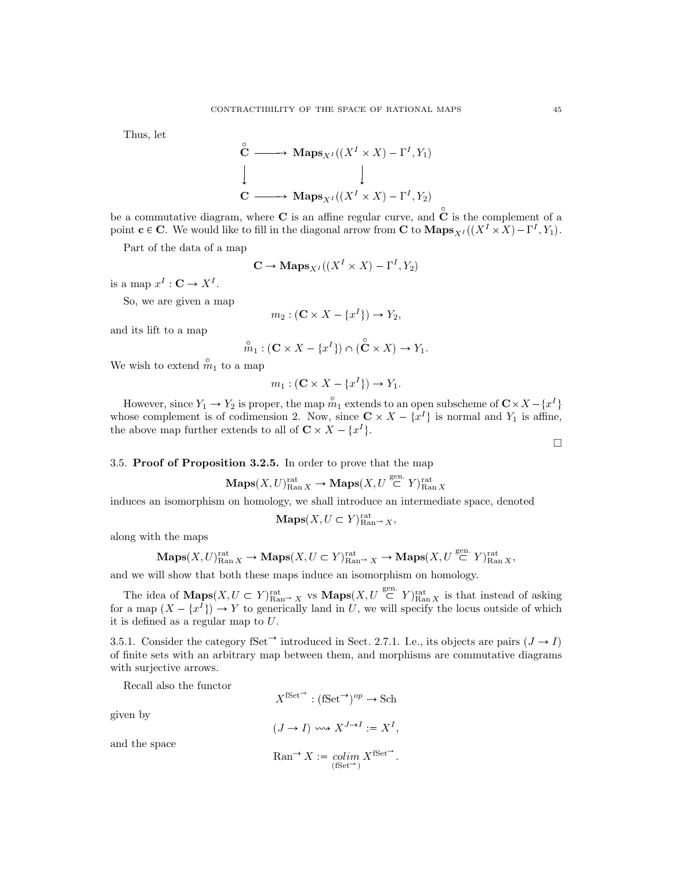Thus, let

$$
\begin{aligned}\n\stackrel{\circ}{\mathbf{C}} &\longrightarrow \mathbf{Maps}_{X^I}((X^I \times X) - \Gamma^I, Y_1) \\
\downarrow &\qquad \qquad \downarrow \\
\mathbf{C} &\longrightarrow \mathbf{Maps}_{X^I}((X^I \times X) - \Gamma^I, Y_2)\n\end{aligned}
$$

be a commutative diagram, where **C** is an affine regular curve, and  $\hat{C}$  is the complement of a point  $\mathbf{c} \in \mathbf{C}$ . We would like to fill in the diagonal arrow from  $\mathbf{C}$  to  $\mathbf{Maps}_{X^I}((X^I \times X) - \Gamma^I, Y_1)$ .

Part of the data of a map

$$
\mathbf{C} \to \mathbf{Maps}_{X^I}((X^I \times X) - \Gamma^I, Y_2)
$$

is a map  $x^I : \mathbf{C} \to X^I$ .

So, we are given a map

$$
m_2: (\mathbf{C} \times X - \{x^I\}) \to Y_2,
$$

and its lift to a map

$$
\stackrel{\circ}{m}_1: (\mathbf{C} \times X - \{x^I\}) \cap (\stackrel{\circ}{\mathbf{C}} \times X) \to Y_1.
$$

We wish to extend  $\hat{m}_1$  to a map

$$
m_1: (\mathbf{C} \times X - \{x^I\}) \to Y_1.
$$

However, since  $Y_1 \to Y_2$  is proper, the map  $\hat{m}_1$  extends to an open subscheme of  $\mathbb{C} \times X - \{x^I\}$ whose complement is of codimension 2. Now, since  $\mathbb{C} \times X - \{x^I\}$  is normal and  $Y_1$  is affine, the above map further extends to all of  $C \times X - \{x^I\}.$ 

## 3.5. Proof of Proposition 3.2.5. In order to prove that the map

$$
\mathbf{Maps}(X, U)_{\mathrm{Ran}\, X}^{\mathrm{rat}} \to \mathbf{Maps}(X, U \overset{\mathrm{gen.}}{\subset} Y)_{\mathrm{Ran}\, X}^{\mathrm{rat}}
$$

induces an isomorphism on homology, we shall introduce an intermediate space, denoted

$$
\mathbf{Maps}(X, U \subset Y)_{\mathrm{Ran}^{\to}}^{\mathrm{rat}} X,
$$

along with the maps

$$
\mathbf{Maps}(X, U)_{\mathrm{Ran}\, X}^{\mathrm{rat}} \to \mathbf{Maps}(X, U \subset Y)_{\mathrm{Ran}^{\bullet} \to X}^{\mathrm{rat}} \to \mathbf{Maps}(X, U \stackrel{\mathrm{gen.}}{\subset} Y)_{\mathrm{Ran}\, X}^{\mathrm{rat}},
$$

and we will show that both these maps induce an isomorphism on homology.

The idea of  $\mathbf{Maps}(X, U \subset Y)_{\text{Ran}\to X}^{\text{rat}}$  vs  $\mathbf{Maps}(X, U \stackrel{\text{gen.}}{\subset} Y)_{\text{Ran} X}^{\text{rat}}$  is that instead of asking for a map  $(X - \{x^I\}) \to Y$  to generically land in U, we will specify the locus outside of which it is defined as a regular map to U.

3.5.1. Consider the category fSet<sup> $\rightarrow$ </sup> introduced in Sect. 2.7.1. I.e., its objects are pairs  $(J \rightarrow I)$ of finite sets with an arbitrary map between them, and morphisms are commutative diagrams with surjective arrows.

Recall also the functor

given by

$$
X^{\text{fSet}} : (\text{fSet}^{\rightarrow})^{op} \rightarrow \text{Sch}
$$

$$
(J \rightarrow I) \leadsto X^{J \rightarrow I} := X^{I},
$$

and the space

$$
\operatorname{Ran}^{\rightarrow} X := \operatornamewithlimits{colim}_{(\text{fSet}^{\rightarrow})} X^{\text{fSet}^{\rightarrow}}.
$$

 $\Box$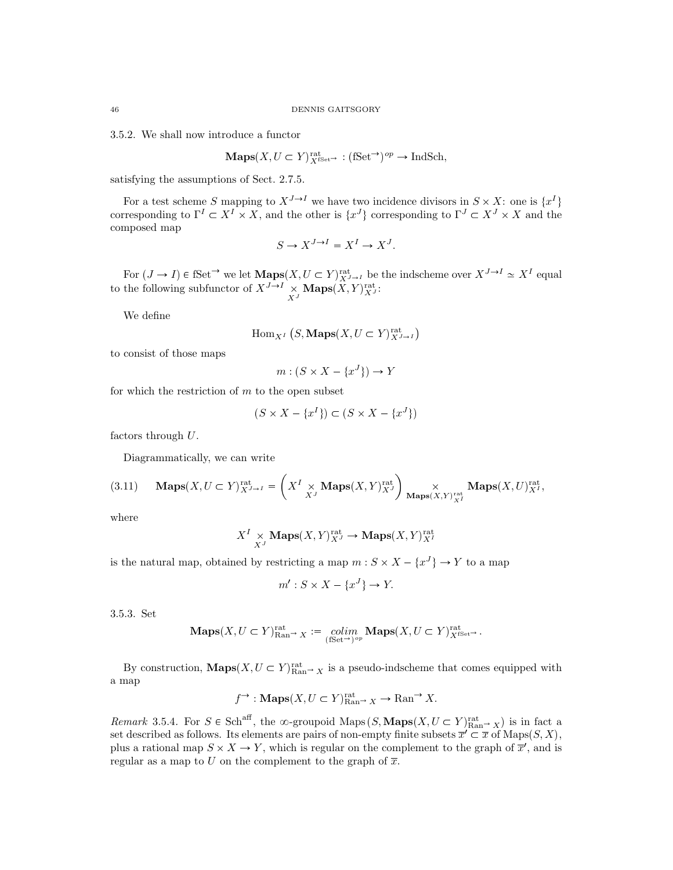3.5.2. We shall now introduce a functor

**Maps**
$$
(X, U \subset Y)_{X^{\text{fSet}}}^{\text{rat}} : (\text{fSet} \to)^{op} \to \text{IndSch},
$$

satisfying the assumptions of Sect. 2.7.5.

For a test scheme S mapping to  $X^{J \to I}$  we have two incidence divisors in  $S \times X$ : one is  $\{x^I\}$ corresponding to  $\Gamma^I \subset X^I \times X$ , and the other is  $\{x^J\}$  corresponding to  $\Gamma^J \subset X^J \times X$  and the composed map

$$
S \to X^{J \to I} = X^I \to X^J.
$$

For  $(J \to I) \in \text{fSet}^{\to}$  we let  $\mathbf{Maps}(X, U \subset Y)_{X^{J \to I}}^{\text{rat}}$  be the indscheme over  $X^{J \to I} \simeq X^I$  equal to the following subfunctor of  $X^{J\to I} \underset{X^J}{\times} \textbf{Maps}(X, Y)^{\text{rat}}_{X^J}$ :

We define

$$
\operatorname{Hom}_{X^I}\left(S,\mathbf{Maps}(X,U\subset Y)_{X^{J\to I}}^{\mathrm{rat}}\right)
$$

to consist of those maps

$$
m: (S \times X - \{x^J\}) \to Y
$$

for which the restriction of  $m$  to the open subset

$$
(S \times X - \{x^I\}) \subset (S \times X - \{x^J\})
$$

factors through  $U$ .

Diagrammatically, we can write

$$
(3.11)\qquad \mathbf{Maps}(X,U\subset Y)_{X^{J\rightarrow I}}^{\mathrm{rat}}=\left(X^{I}\underset{X^{J}}{\times}\mathbf{Maps}(X,Y)_{X^{J}}^{\mathrm{rat}}\right)\underset{\mathbf{Maps}(X,Y)_{X^{I}}^{\mathrm{rat}}}{\times}\mathbf{Maps}(X,U)_{X^{I}}^{\mathrm{rat}},
$$

where

$$
X^I \underset{X^J}{\times} \mathbf{Maps}(X, Y)^{\text{rat}}_{X^J} \to \mathbf{Maps}(X, Y)^{\text{rat}}_{X^I}
$$

is the natural map, obtained by restricting a map  $m: S \times X - \{x^J\} \to Y$  to a map

$$
m': S \times X - \{x^J\} \to Y.
$$

3.5.3. Set

$$
\mathbf{Maps}(X, U \subset Y)_{\mathrm{Ran}^{\rightarrow}}^{\mathrm{rat}} X := \underset{(\mathrm{fSet}^{\rightarrow})^{op}}{\text{colim}} \mathbf{Maps}(X, U \subset Y)_{X^{\mathrm{fSet}^{\rightarrow}}}^{\mathrm{rat}}.
$$

By construction,  $\mathbf{Maps}(X, U \subset Y)_{\text{Ran}\to X}^{\text{rat}}$  is a pseudo-indscheme that comes equipped with a map

$$
f^{\rightarrow}
$$
: **Maps** $(X, U \subset Y)$ <sub>Ran<sup>→</sup></sub>  $X \rightarrow$ <sub>Ran<sup>→</sup></sub>  $X$ .

Remark 3.5.4. For  $S \in Sch^{aff}$ , the  $\infty$ -groupoid Maps  $(S, \mathbf{Maps}(X, U \subset Y)_{\text{Ran}\to X}^{\text{rat}})$  is in fact a set described as follows. Its elements are pairs of non-empty finite subsets  $\overline{x}' \subset \overline{x}$  of  $\text{Maps}(S, X)$ , plus a rational map  $S \times X \to Y$ , which is regular on the complement to the graph of  $\overline{x}'$ , and is regular as a map to U on the complement to the graph of  $\overline{x}$ .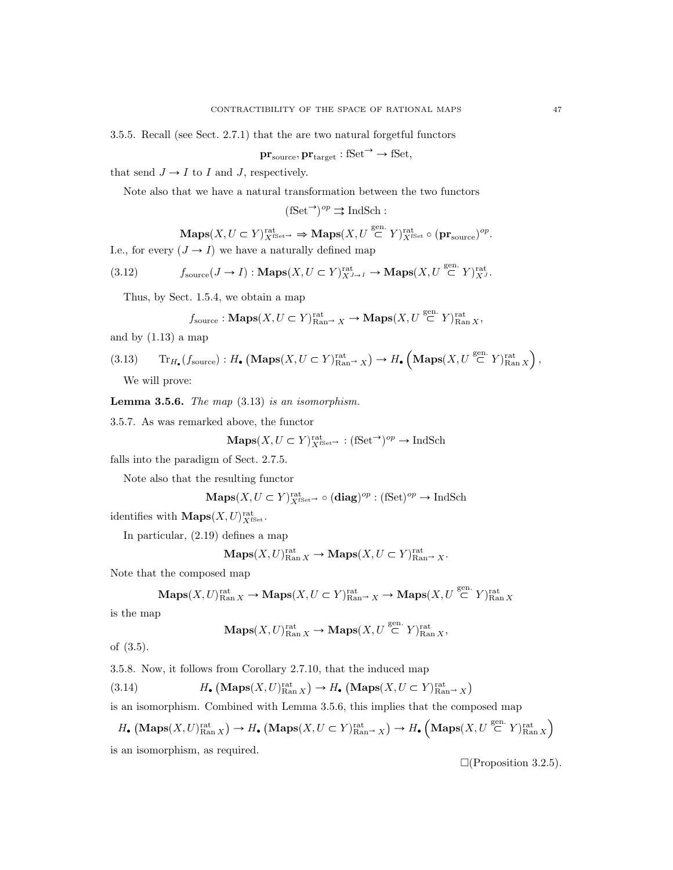3.5.5. Recall (see Sect. 2.7.1) that the are two natural forgetful functors

$$
\mathbf{pr}_{\text{source}}, \mathbf{pr}_{\text{target}} : \text{fSet} \rightarrow \text{fSet},
$$

that send  $J \rightarrow I$  to I and J, respectively.

Note also that we have a natural transformation between the two functors

 $(fSet^{\rightarrow})^{op} \rightrightarrows \text{IndSch}$ :

 $\mathbf{Maps}(X, U \subset Y)_{X^{\mathrm{fSet}}}^{\mathrm{rat}} \Rightarrow \mathbf{Maps}(X, U \overset{\mathrm{gen.}}{\subset} Y)_{X^{\mathrm{fSet}}}^{\mathrm{rat}} \circ (\mathbf{pr}_{\mathrm{source}})^{op}.$ I.e., for every  $(J \to I)$  we have a naturally defined map

(3.12) 
$$
f_{\text{source}}(J \to I): \mathbf{Maps}(X, U \subset Y)_{X^{J \to I}}^{\text{rat}} \to \mathbf{Maps}(X, U \stackrel{\text{gen.}}{\subset} Y)_{X^{J}}^{\text{rat}}.
$$

Thus, by Sect. 1.5.4, we obtain a map

$$
f_{\text{source}} : \mathbf{Maps}(X, U \subset Y)_{\text{Ran}\to X}^{\text{rat}} \to \mathbf{Maps}(X, U \overset{\text{gen.}}{\subset} Y)_{\text{Ran } X}^{\text{rat}},
$$

and by  $(1.13)$  a map

(3.13) Tr<sub>H</sub><sub>•</sub> (f<sub>source</sub>) : H<sub>•</sub> (Maps
$$
(X, U \subset Y)_{\text{Ran} \to X}^{\text{rat}})
$$
  $\to H•$  (Maps $(X, U \stackrel{\text{gen.}}{\subset} Y)_{\text{Ran} X}^{\text{rat}}$ ),  
We will prove

We will prove:

**Lemma 3.5.6.** The map  $(3.13)$  is an isomorphism.

3.5.7. As was remarked above, the functor

$$
\mathbf{Maps}(X, U \subset Y)_{X^{\mathrm{fSet}}}^{\mathrm{rat}} : (\mathrm{fSet}^{\to})^{op} \to \mathrm{IndSch}
$$

falls into the paradigm of Sect. 2.7.5.

Note also that the resulting functor

$$
\mathbf{Maps}(X, U \subset Y)^\mathrm{rat}_{X^\mathrm{fSet \to \circ}} \circ (\mathbf{diag})^{op} : (\mathrm{fSet})^{op} \to \mathrm{IndSch}
$$

identifies with  $\mathbf{Maps}(X, U)_{X^{\text{fSet}}}^{\text{rat}}$ .

In particular, (2.19) defines a map

$$
\mathbf{Maps}(X, U)_{\mathrm{Ran}\, X}^{\mathrm{rat}} \to \mathbf{Maps}(X, U \subset Y)_{\mathrm{Ran}^{\to}}^{\mathrm{rat}} \times \cdots
$$

Note that the composed map

$$
\mathbf{Maps}(X, U)_{\mathrm{Ran}\, X}^{\mathrm{rat}} \to \mathbf{Maps}(X, U \subset Y)_{\mathrm{Ran}^{\to}}^{\mathrm{rat}} \times \to \mathbf{Maps}(X, U \overset{\mathrm{gen.}}{\subset} Y)_{\mathrm{Ran}\, X}^{\mathrm{rat}}
$$

is the map

$$
\mathbf{Maps}(X, U)_{\mathrm{Ran}\, X}^{\mathrm{rat}} \to \mathbf{Maps}(X, U \overset{\mathrm{gen.}}{\subset} Y)_{\mathrm{Ran}\, X}^{\mathrm{rat}},
$$

of (3.5).

3.5.8. Now, it follows from Corollary 2.7.10, that the induced map

 $(3.14)$  $(\mathbf{Maps}(X, U)_{\text{Ran } X}^{\text{rat}}) \to H_{\bullet} (\mathbf{Maps}(X, U \subset Y)_{\text{Ran} \to X}^{\text{rat}})$ 

is an isomorphism. Combined with Lemma 3.5.6, this implies that the composed map

 $H_{\bullet}\left(\mathbf{Maps}(X, U)^{\text{rat}}_{\text{Ran } X}\right) \to H_{\bullet}\left(\mathbf{Maps}(X, U \subset Y)^{\text{rat}}_{\text{Ran} \to X}\right) \to H_{\bullet}\left(\mathbf{Maps}(X, U \stackrel{\text{gen.}}{\subset} Y)^{\text{rat}}_{\text{Ran } X}\right)$ is an isomorphism, as required.

 $\Box$ (Proposition 3.2.5).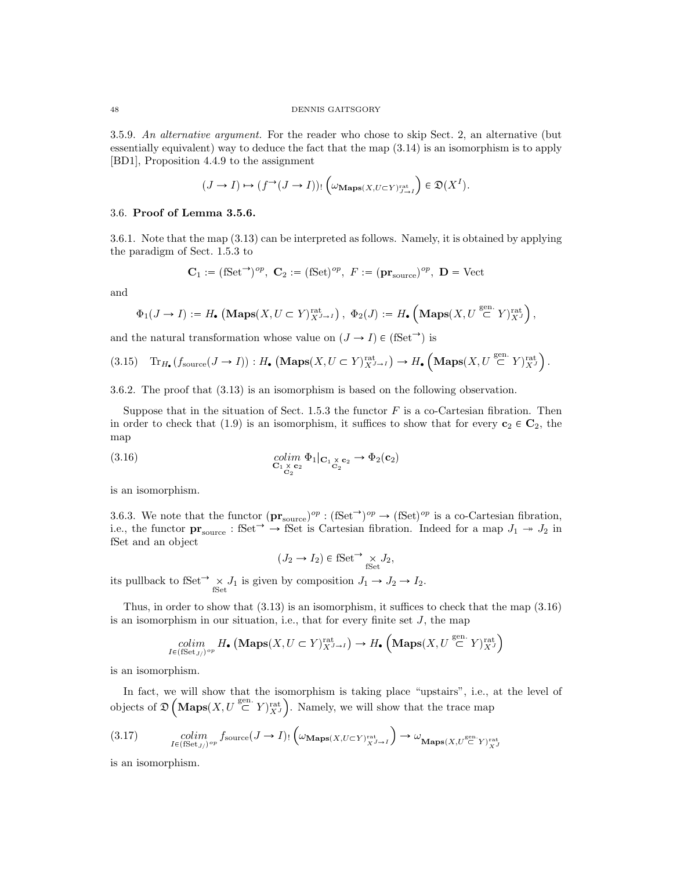3.5.9. An alternative argument. For the reader who chose to skip Sect. 2, an alternative (but essentially equivalent) way to deduce the fact that the map (3.14) is an isomorphism is to apply [BD1], Proposition 4.4.9 to the assignment

$$
(J \to I) \mapsto (f^{\to}(J \to I))_! \left( \omega_{\mathbf{Maps}(X, U \subset Y)^{\mathrm{rat}}_{J \to I}} \right) \in \mathfrak{D}(X^I).
$$

## 3.6. Proof of Lemma 3.5.6.

3.6.1. Note that the map (3.13) can be interpreted as follows. Namely, it is obtained by applying the paradigm of Sect. 1.5.3 to

$$
\mathbf{C}_1 := (\mathbf{fSet}^\rightarrow)^{op}, \ \mathbf{C}_2 := (\mathbf{fSet})^{op}, \ F := (\mathbf{pr}_{\mathrm{source}})^{op}, \ \mathbf{D} = \mathrm{Vect}
$$

and

$$
\Phi_1(J \to I) := H_{\bullet} \left( \mathbf{Maps}(X, U \subset Y)_{X^{J \to I}}^{\mathrm{rat}} \right), \ \Phi_2(J) := H_{\bullet} \left( \mathbf{Maps}(X, U \stackrel{\mathrm{gen.}}{\subset} Y)_{X^J}^{\mathrm{rat}} \right),
$$

and the natural transformation whose value on  $(J \to I) \in (\text{fSet}^{\to})$  is

$$
(3.15)\quad \ {\rm Tr}_{H_{\bullet}}(f_{\rm source}(J\rightarrow I)) : H_{\bullet}\left(\mathbf{Maps}(X,U\subset Y)^{\mathrm{rat}}_{X^{J\rightarrow I}}\right) \rightarrow H_{\bullet}\left(\mathbf{Maps}(X,U\stackrel{\mathrm{gen.}}{\subset} Y)^{\mathrm{rat}}_{X^{J}}\right).
$$

3.6.2. The proof that (3.13) is an isomorphism is based on the following observation.

Suppose that in the situation of Sect. 1.5.3 the functor  $F$  is a co-Cartesian fibration. Then in order to check that (1.9) is an isomorphism, it suffices to show that for every  $c_2 \in C_2$ , the map

(3.16) 
$$
\underset{\mathbf{C}_1 \times \mathbf{c}_2}{colim} \begin{array}{c} \Phi_1 |_{\mathbf{C}_1 \times \mathbf{c}_2} \rightarrow \Phi_2(\mathbf{c}_2) \\ c_2 \end{array}
$$

is an isomorphism.

3.6.3. We note that the functor  $(\mathbf{pr}_{source})^{op} : (\mathbf{fSet}^{\rightarrow})^{op} \rightarrow (\mathbf{fSet})^{op}$  is a co-Cartesian fibration, i.e., the functor  $\mathbf{pr}_{source}$ : fSet<sup> $\rightarrow$ </sup>  $\rightarrow$  fSet is Cartesian fibration. Indeed for a map  $J_1 \rightarrow J_2$  in fSet and an object

 $(J_2 \to I_2) \in \text{fSet} \longrightarrow \underset{\text{fSet}}{\times} J_2,$ 

its pullback to fSet<sup> $\rightarrow \times J_1$ </sup> is given by composition  $J_1 \rightarrow J_2 \rightarrow I_2$ .

Thus, in order to show that (3.13) is an isomorphism, it suffices to check that the map (3.16) is an isomorphism in our situation, i.e., that for every finite set  $J$ , the map

$$
\underset{I \in (\mathrm{fSet}_{J/})^{op}}{\text{colim}} H_{\bullet} \left( \mathbf{Maps}(X, U \subset Y)_{X^{J \to I}}^{\mathrm{rat}} \right) \to H_{\bullet} \left( \mathbf{Maps}(X, U \stackrel{\mathrm{gen.}}{\subset} Y)_{X^{J}}^{\mathrm{rat}} \right)
$$

is an isomorphism.

In fact, we will show that the isomorphism is taking place "upstairs", i.e., at the level of objects of  $\mathfrak{D}\left(\textbf{Maps}(X, U \stackrel{\text{gen.}}{\subset} Y)_{X^J}^{\text{rat}}\right)$  . Namely, we will show that the trace map

$$
(3.17) \qquad \qquad \mathop{colim}\limits_{I \in ({\rm fSet}_{J/})^{op}} f_{\rm source}(J \to I)_{!} \left( \omega_{\mathbf{Maps}(X, U \subset Y)^{\rm rat}_{X^{J \to I}}}\right) \to \omega_{\mathbf{Maps}(X, U^{\rm gen.}_{\simeq} Y)^{\rm rat}_{X^{J}}}
$$

is an isomorphism.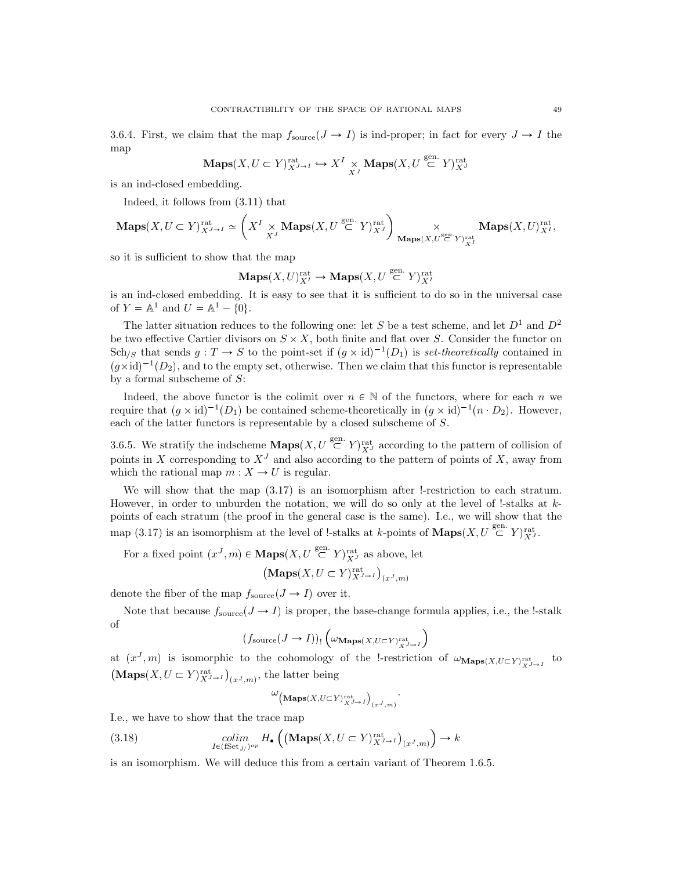3.6.4. First, we claim that the map  $f_{\text{source}}(J \rightarrow I)$  is ind-proper; in fact for every  $J \rightarrow I$  the map

$$
\mathbf{Maps}(X, U \subset Y)_{X^{J \to I}}^{\mathrm{rat}} \hookrightarrow X^I \underset{X^J}{\times} \mathbf{Maps}(X, U \stackrel{\mathrm{gen.}}{\subset} Y)_{X^J}^{\mathrm{rat}}
$$

is an ind-closed embedding.

Indeed, it follows from (3.11) that

$$
\mathbf{Maps}(X, U \subset Y)_{X^{J \rightarrow I}}^{\mathrm{rat}} \simeq \left( X^I \underset{X^J}{\times} \mathbf{Maps}(X, U \overset{\mathrm{gen.}}{\subset} Y)_{X^J}^{\mathrm{rat}} \right) \underset{\mathbf{Maps}(X, U \overset{\mathrm{gen.}}{\subset} Y)_{X^I}^{\mathrm{rat}}}{\times} \mathbf{Maps}(X, U)_{X^I}^{\mathrm{rat}},
$$

so it is sufficient to show that the map

$$
\mathbf{Maps}(X, U)_{X^I}^{\mathrm{rat}} \to \mathbf{Maps}(X, U \overset{\mathrm{gen.}}{\subset} Y)_{X^I}^{\mathrm{rat}}
$$

is an ind-closed embedding. It is easy to see that it is sufficient to do so in the universal case of  $Y = \mathbb{A}^1$  and  $U = \mathbb{A}^1 - \{0\}.$ 

The latter situation reduces to the following one: let S be a test scheme, and let  $D^1$  and  $D^2$ be two effective Cartier divisors on  $S \times X$ , both finite and flat over S. Consider the functor on  $\text{Sch}_{/S}$  that sends  $g: T \to S$  to the point-set if  $(g \times id)^{-1}(D_1)$  is set-theoretically contained in  $(g \times id)^{-1}(D_2)$ , and to the empty set, otherwise. Then we claim that this functor is representable by a formal subscheme of  $S$ :

Indeed, the above functor is the colimit over  $n \in \mathbb{N}$  of the functors, where for each n we require that  $(g \times id)^{-1}(D_1)$  be contained scheme-theoretically in  $(g \times id)^{-1}(n \cdot D_2)$ . However, each of the latter functors is representable by a closed subscheme of S.

3.6.5. We stratify the indscheme  $\mathbf{Maps}(X, U \stackrel{\text{gen.}}{\subset} Y)_{X^J}^{\text{rat}}$  according to the pattern of collision of points in X corresponding to  $X<sup>J</sup>$  and also according to the pattern of points of X, away from which the rational map  $m : X \to U$  is regular.

We will show that the map  $(3.17)$  is an isomorphism after !-restriction to each stratum. However, in order to unburden the notation, we will do so only at the level of !-stalks at  $k$ points of each stratum (the proof in the general case is the same). I.e., we will show that the map (3.17) is an isomorphism at the level of !-stalks at k-points of  $\mathbf{Maps}(X, U \overset{\text{gen.}}{\subset} Y)_{X}^{\text{rat.}}$ 

For a fixed point  $(x^J, m) \in \mathbf{Maps}(X, U \overset{\text{gen.}}{\subset} Y)_{X^J}^{\text{rat}}$  as above, let

$$
\left(\mathbf{Maps}(X, U \subset Y)_{X^{J \to I}}^{\mathrm{rat}}\right)_{(x^J, m)}
$$

denote the fiber of the map  $f_{\text{source}}(J \rightarrow I)$  over it.

Note that because  $f_{\text{source}}(J \rightarrow I)$  is proper, the base-change formula applies, i.e., the !-stalk of

$$
(f_{\mathrm{source}}(J\rightarrow I))_{!}\left(\omega_{\mathbf{Maps}(X, U\subset Y)^{\mathrm{rat}}_{X^{J\rightarrow I}}}\right)
$$

at  $(x^J, m)$  is isomorphic to the cohomology of the !-restriction of  $\omega_{\mathbf{Maps}(X, U\subset Y)^{\text{rat}}_{X^{J\rightarrow I}}}$  to  $(\mathbf{Maps}(X, U \subset Y)_{X^{J \to I}}^{\mathrm{rat}})_{(x^{J}, m)},$  the latter being

$$
\omega_{\left(\mathbf{Maps}(X, U\subset Y)^{\mathrm{rat}}_{X^{J\rightarrow I}}\right)_{(x^{J}, m)}}.
$$

I.e., we have to show that the trace map

(3.18) 
$$
\underset{I \in (\text{fSet}_{J})^{op}}{\text{colim}} H_{\bullet}\left(\left(\mathbf{Maps}(X, U \subset Y)_{X^{J \to I}}^{\text{rat}}\right)_{(x^{J}, m)}\right) \to k
$$

is an isomorphism. We will deduce this from a certain variant of Theorem 1.6.5.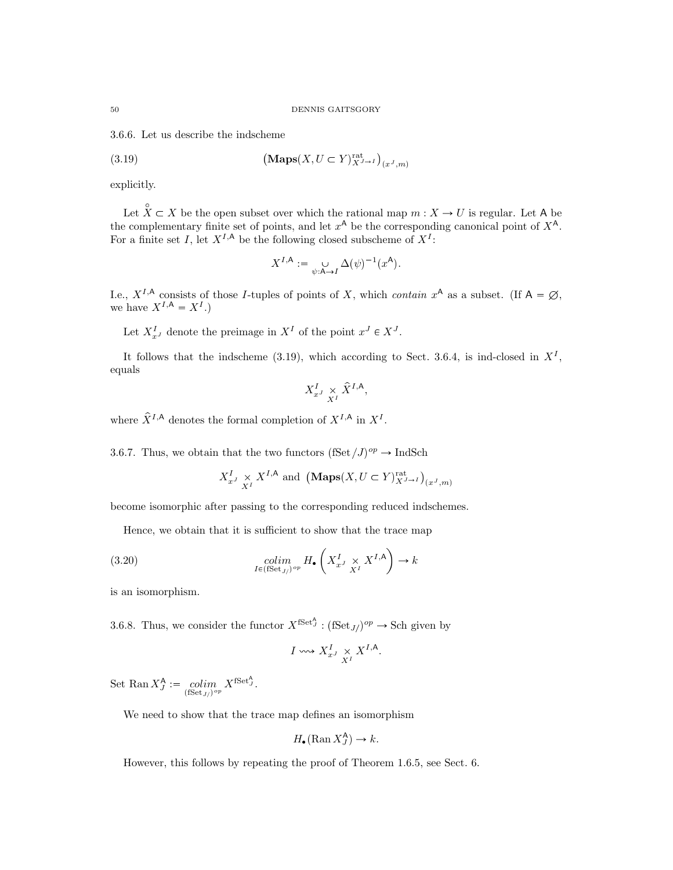3.6.6. Let us describe the indscheme

(3.19) 
$$
\left(\mathbf{Maps}(X, U \subset Y)_{X^{J \to I}}^{\mathrm{rat}}\right)_{(x^J, m)}
$$

explicitly.

Let  $\hat{X} \subset X$  be the open subset over which the rational map  $m : X \to U$  is regular. Let A be the complementary finite set of points, and let  $x^A$  be the corresponding canonical point of  $X^A$ . For a finite set I, let  $X^{I,A}$  be the following closed subscheme of  $X^I$ :

$$
X^{I,\mathsf{A}} := \bigcup_{\psi:\mathsf{A}\to I} \Delta(\psi)^{-1}(x^{\mathsf{A}}).
$$

I.e.,  $X^{I,A}$  consists of those I-tuples of points of X, which contain  $x^A$  as a subset. (If  $A = \emptyset$ , we have  $X^{I,A} = X^I.$ 

Let  $X_{x^J}^I$  denote the preimage in  $X^I$  of the point  $x^J \in X^J$ .

It follows that the indscheme (3.19), which according to Sect. 3.6.4, is ind-closed in  $X<sup>I</sup>$ , equals

$$
X^I_{x^J}\underset{X^I}{\times}\hat{X}^{I,{\rm A}},
$$

where  $\hat{X}^{I,A}$  denotes the formal completion of  $X^{I,A}$  in  $X^I$ .

3.6.7. Thus, we obtain that the two functors  $(fSet / J)^{op} \to \text{IndSch}$ 

$$
X_{x^J}^I \underset{X^I}{\times} X^{I,A}
$$
 and  $(\text{Maps}(X, U \subset Y)_{X^{J \to I}}^{\text{rat}})_{(x^J, m)}$ 

become isomorphic after passing to the corresponding reduced indschemes.

Hence, we obtain that it is sufficient to show that the trace map

(3.20) 
$$
\underset{I \in (\text{fSet}_J)^{op}}{\text{colim}} H_{\bullet}\left(X_{x^J}^I \underset{X^I}{\times} X^{I,\mathsf{A}}\right) \to k
$$

is an isomorphism.

3.6.8. Thus, we consider the functor  $X^{\text{fSet}^{\Lambda}}$ :  $(\text{fSet}_{J})^{op} \to \text{Sch}$  given by

$$
I \leadsto X_{x^J}^I \underset{X^I}{\times} X^{I,A}.
$$

Set Ran  $X_J^{\mathsf{A}} := \operatorname*{colim}_{(\text{fSet}_{J/})^{op}} X^{\text{fSet}_{J}^{\mathsf{A}}}.$ 

We need to show that the trace map defines an isomorphism

$$
H_{\bullet}(\operatorname{Ran} X_J^{\mathsf{A}}) \to k.
$$

However, this follows by repeating the proof of Theorem 1.6.5, see Sect. 6.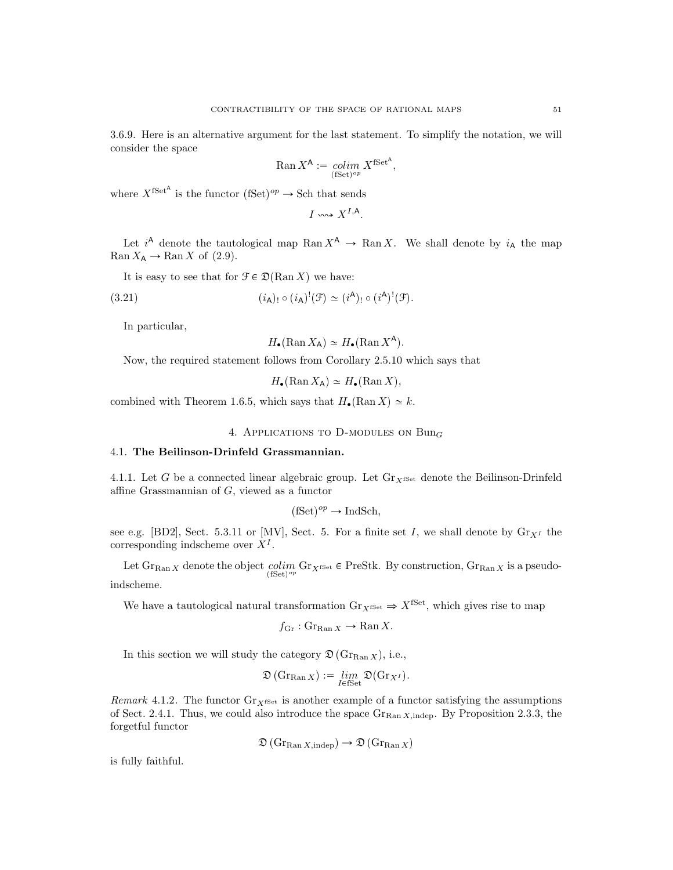3.6.9. Here is an alternative argument for the last statement. To simplify the notation, we will consider the space

$$
\operatorname{Ran} X^{\mathsf{A}} := \operatornamewithlimits{colim}_{(\text{fSet})^{op}} X^{\text{fSet}^{\mathsf{A}}},
$$

where  $X^{\text{fSet}^{\mathsf{A}}}$  is the functor  $(\text{fSet})^{op} \to \text{Sch}$  that sends

$$
I \leadsto X^{I,A}.
$$

Let  $i^{\mathsf{A}}$  denote the tautological map Ran  $X^{\mathsf{A}} \to \text{Ran } X$ . We shall denote by  $i_{\mathsf{A}}$  the map  $\operatorname{Ran} X_{\mathsf{A}} \to \operatorname{Ran} X$  of (2.9).

It is easy to see that for  $\mathcal{F} \in \mathcal{D}(\text{Ran } X)$  we have:

(3.21) 
$$
(i_{\mathsf{A}})_{!} \circ (i_{\mathsf{A}})^{!}(\mathcal{F}) \simeq (i^{\mathsf{A}})_{!} \circ (i^{\mathsf{A}})^{!}(\mathcal{F}).
$$

In particular,

$$
H_{\bullet}(\operatorname{Ran} X_{\mathsf{A}}) \simeq H_{\bullet}(\operatorname{Ran} X^{\mathsf{A}}).
$$

Now, the required statement follows from Corollary 2.5.10 which says that

 $H_{\bullet}(\text{Ran }X_{\mathsf{A}}) \simeq H_{\bullet}(\text{Ran }X),$ 

combined with Theorem 1.6.5, which says that  $H_{\bullet}(\text{Ran } X) \simeq k$ .

4. APPLICATIONS TO D-MODULES ON  $Bun_G$ 

# 4.1. The Beilinson-Drinfeld Grassmannian.

4.1.1. Let G be a connected linear algebraic group. Let  $\mathrm{Gr}_{X^{\text{fSet}}}$  denote the Beilinson-Drinfeld affine Grassmannian of G, viewed as a functor

$$
(\text{fSet})^{op} \to \text{IndSch},
$$

see e.g. [BD2], Sect. 5.3.11 or [MV], Sect. 5. For a finite set I, we shall denote by  $\text{Gr}_{X^I}$  the corresponding indscheme over  $X^I$ .

Let  $\operatorname{Gr}_{\mathrm{Ran} X}$  denote the object  $\operatorname{colim}_{\operatorname{fSet}^{\mathrm{op}}} \operatorname{Gr}_{X^{\mathrm{fSet}}}$   $\in \operatorname{PreStk}$ . By construction,  $\operatorname{Gr}_{\mathrm{Ran} X}$  is a pseudoindscheme.

We have a tautological natural transformation  $\text{Gr}_{X^{\text{fSet}}} \Rightarrow X^{\text{fSet}}$ , which gives rise to map

$$
f_{\text{Gr}} : \text{Gr}_{\text{Ran } X} \to \text{Ran } X.
$$

In this section we will study the category  $\mathfrak{D}(\mathrm{Gr}_{\mathrm{Ran}} X)$ , i.e.,

$$
\mathfrak{D}\left(\mathrm{Gr}_{\mathrm{Ran}\,X}\right) := \lim_{I\in\mathrm{fSet}}\mathfrak{D}(\mathrm{Gr}_{X^I}).
$$

Remark 4.1.2. The functor  $Gr_{X^{fSet}}}$  is another example of a functor satisfying the assumptions of Sect. 2.4.1. Thus, we could also introduce the space  $\text{Gr}_{\text{Ran }X\text{,indep.}}$  By Proposition 2.3.3, the forgetful functor

$$
\mathfrak{D}\left(\mathrm{Gr}_{\mathrm{Ran} X, \mathrm{indep}}\right) \to \mathfrak{D}\left(\mathrm{Gr}_{\mathrm{Ran} X}\right)
$$

is fully faithful.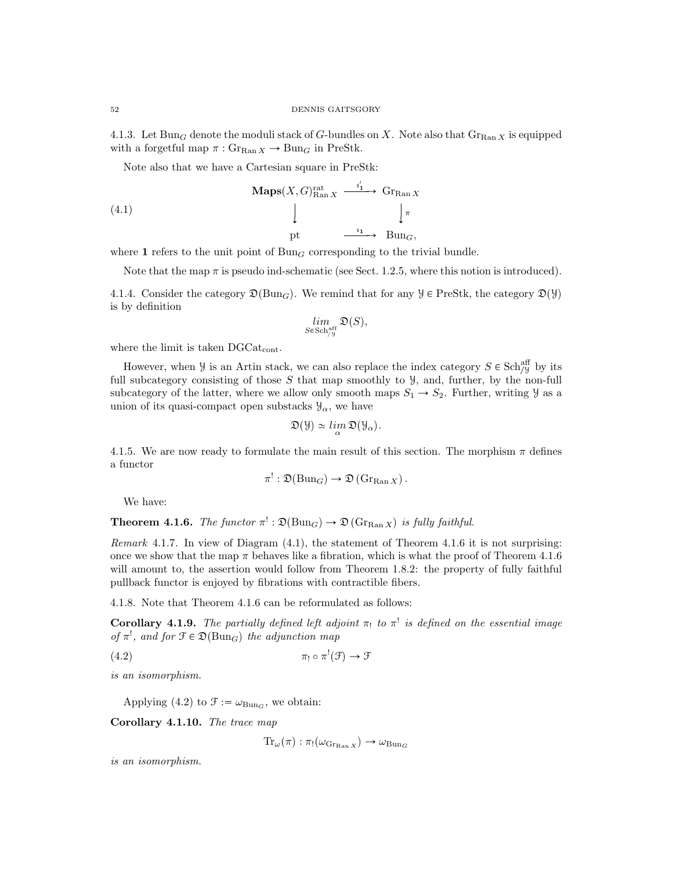4.1.3. Let  $Bun_G$  denote the moduli stack of G-bundles on X. Note also that  $Gr_{Ran X}$  is equipped with a forgetful map  $\pi$ :  $\text{Gr}_{\text{Ran } X} \to \text{Bun}_G$  in PreStk.

Note also that we have a Cartesian square in PreStk:

(4.1)  
\n
$$
\begin{array}{ccc}\n\textbf{Maps}(X, G)_{\text{Ran } X}^{rat} & \xrightarrow{i_1} & \textbf{Gr}_{\text{Ran } X} \\
\downarrow & & \downarrow \pi \\
\text{pt} & \xrightarrow{i_1} & \textbf{Bun}_G,\n\end{array}
$$

where 1 refers to the unit point of  $Bun_G$  corresponding to the trivial bundle.

Note that the map  $\pi$  is pseudo ind-schematic (see Sect. 1.2.5, where this notion is introduced).

4.1.4. Consider the category  $\mathfrak{D}(\text{Bun}_G)$ . We remind that for any  $\mathcal{Y} \in \text{PreStk}$ , the category  $\mathfrak{D}(\mathcal{Y})$ is by definition

$$
\lim_{S\in\operatorname{Sch}^{\operatorname{aff}}_{/{\mathfrak Y}}}{\mathfrak O}(S),
$$

where the limit is taken DGCat<sub>cont</sub>.

However, when  $\mathcal{Y}$  is an Artin stack, we can also replace the index category  $S \in \text{Sch}_{\mathcal{Y}}^{\text{aff}}$  by its full subcategory consisting of those  $S$  that map smoothly to  $\mathcal{Y}$ , and, further, by the non-full subcategory of the latter, where we allow only smooth maps  $S_1 \rightarrow S_2$ . Further, writing  $\mathcal{Y}$  as a union of its quasi-compact open substacks  $\mathcal{Y}_{\alpha}$ , we have

$$
\mathfrak{D}(\mathcal{Y}) \simeq \lim_{\alpha} \mathfrak{D}(\mathcal{Y}_{\alpha}).
$$

4.1.5. We are now ready to formulate the main result of this section. The morphism  $\pi$  defines a functor

$$
\pi^!: \mathfrak{D}(\mathrm{Bun}_G) \to \mathfrak{D}(\mathrm{Gr}_{\mathrm{Ran}\, X}).
$$

We have:

**Theorem 4.1.6.** The functor  $\pi^!: \mathfrak{D}(\text{Bun}_G) \to \mathfrak{D}(\text{Gr}_{\text{Ran }X})$  is fully faithful.

Remark 4.1.7. In view of Diagram (4.1), the statement of Theorem 4.1.6 it is not surprising: once we show that the map  $\pi$  behaves like a fibration, which is what the proof of Theorem 4.1.6 will amount to, the assertion would follow from Theorem 1.8.2: the property of fully faithful pullback functor is enjoyed by fibrations with contractible fibers.

4.1.8. Note that Theorem 4.1.6 can be reformulated as follows:

**Corollary 4.1.9.** The partially defined left adjoint  $\pi_1$  to  $\pi^1$  is defined on the essential image of  $\pi^!$ , and for  $\mathfrak{F} \in \mathfrak{D}(\text{Bun}_G)$  the adjunction map

 $\pi_1 \circ \pi$  $^!(\mathfrak{F}) \rightarrow \mathfrak{F}$ 

is an isomorphism.

Applying (4.2) to  $\mathcal{F} := \omega_{\text{Bun}_G}$ , we obtain:

Corollary 4.1.10. The trace map

 $\text{Tr}_{\omega}(\pi) : \pi_! (\omega_{\text{Gr}_\text{Ban } X}) \to \omega_{\text{Bun}_G}$ 

is an isomorphism.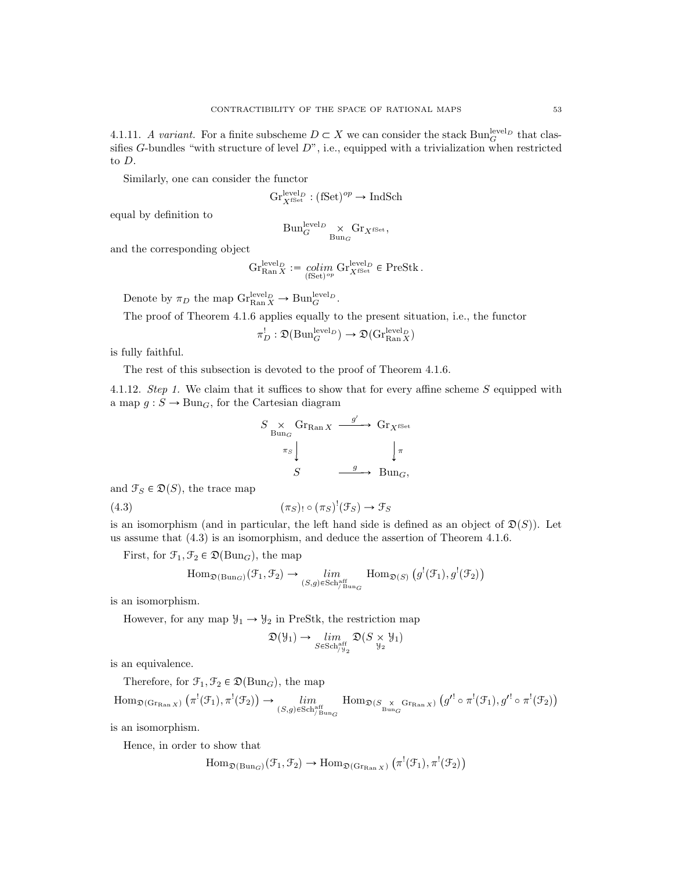4.1.11. A variant. For a finite subscheme  $D \subset X$  we can consider the stack  $Bun_G^{\text{level}_D}$  that classifies  $G$ -bundles "with structure of level  $D$ ", i.e., equipped with a trivialization when restricted to D.

Similarly, one can consider the functor

$$
\mathrm{Gr}^{\mathrm{level}_D}_{X^{\mathrm{fSet}}}:(\mathrm{fSet})^{op}\rightarrow \mathrm{IndSch}
$$

equal by definition to

$$
\text{Bun}_G^{\text{level}_D} \underset{\text{Bun}_G}{\times} \text{Gr}_{X^{\text{fSet}}},
$$

and the corresponding object

$$
\mathrm{Gr}^{\mathrm{level}_D}_{\mathrm{Ran}\, X}:=\underset{(\mathrm{fSet})^{op}}{\operatorname{colim}}\mathrm{Gr}^{\mathrm{level}_D}_{X^{\mathrm{fSet}}}\in\mathrm{PreStk}\, .
$$

Denote by  $\pi_D$  the map  $\mathrm{Gr}_{\mathrm{Ran} X}^{\mathrm{level}_D} \to \mathrm{Bun}_G^{\mathrm{level}_D}$ .

The proof of Theorem 4.1.6 applies equally to the present situation, i.e., the functor

$$
\pi_D^!: \mathfrak{D}({\operatorname{Bun}}_G^{\operatorname{level}_D}) \to \mathfrak{D}({\operatorname{Gr}}_{\operatorname{Ran} X}^{\operatorname{level}_D})
$$

is fully faithful.

The rest of this subsection is devoted to the proof of Theorem 4.1.6.

4.1.12. Step 1. We claim that it suffices to show that for every affine scheme S equipped with a map  $g : S \to \text{Bun}_G$ , for the Cartesian diagram

$$
S \underset{\text{Bung}}{\times} \text{Gr}_{\text{Ran} X} \xrightarrow{g'} \text{Gr}_{X^{\text{fSet}}}
$$
\n
$$
\pi_{S} \downarrow \qquad \qquad \downarrow \pi
$$
\n
$$
S \xrightarrow{g} \text{Bung},
$$

and  $\mathcal{F}_S \in \mathfrak{D}(S)$ , the trace map

(4.3) 
$$
(\pi_S)_{!} \circ (\pi_S)^{!} (\mathcal{F}_S) \to \mathcal{F}_S
$$

is an isomorphism (and in particular, the left hand side is defined as an object of  $\mathfrak{D}(S)$ ). Let us assume that (4.3) is an isomorphism, and deduce the assertion of Theorem 4.1.6.

First, for  $\mathcal{F}_1, \mathcal{F}_2 \in \mathfrak{D}(\text{Bun}_G)$ , the map

$$
\text{Hom}_{\mathfrak{D}(\text{Bun}_G)}(\mathcal{F}_1, \mathcal{F}_2) \to \lim_{(S,g)\in \text{Sch}_{/\text{Bun}_G}^{\text{aff}}} \text{Hom}_{\mathfrak{D}(S)}(g^!(\mathcal{F}_1), g^!(\mathcal{F}_2))
$$

is an isomorphism.

However, for any map  $\mathcal{Y}_1 \rightarrow \mathcal{Y}_2$  in PreStk, the restriction map

$$
\mathfrak{D}(\mathcal{Y}_1) \to \lim_{S \in \mathrm{Sch}^{\mathrm{aff}}_{/\mathcal{Y}_2}} \mathfrak{D}(S \times \mathcal{Y}_1)
$$

is an equivalence.

Therefore, for  $\mathfrak{F}_1, \mathfrak{F}_2 \in \mathfrak{D}(\text{Bun}_G)$ , the map

$$
\mathrm{Hom}_{\mathfrak{D}(\mathrm{Gr}_{\mathrm{Ran}\, X})}\left(\pi^!(\mathfrak{F}_1), \pi^!(\mathfrak{F}_2)\right) \rightarrow \lim_{(S,g)\in \mathrm{Sch}^{\mathrm{aff}}_{/\mathrm{Bun}_G} }\mathrm{Hom}_{\mathfrak{D}(S_{\mathrm{B\,}_{\mathrm{Bun}_G}^{\times}}\mathrm{Gr}_{\mathrm{Ran}\, X})}\left(g'^!\circ \pi^!(\mathfrak{F}_1), g'^!\circ \pi^!(\mathfrak{F}_2)\right)
$$

is an isomorphism.

Hence, in order to show that

$$
\mathrm{Hom}_{\mathfrak{D}(\mathrm{Bun}_G)}(\mathcal{F}_1, \mathcal{F}_2) \to \mathrm{Hom}_{\mathfrak{D}(\mathrm{Gr}_{\mathrm{Ran} X})}(\pi^!(\mathcal{F}_1), \pi^!(\mathcal{F}_2))
$$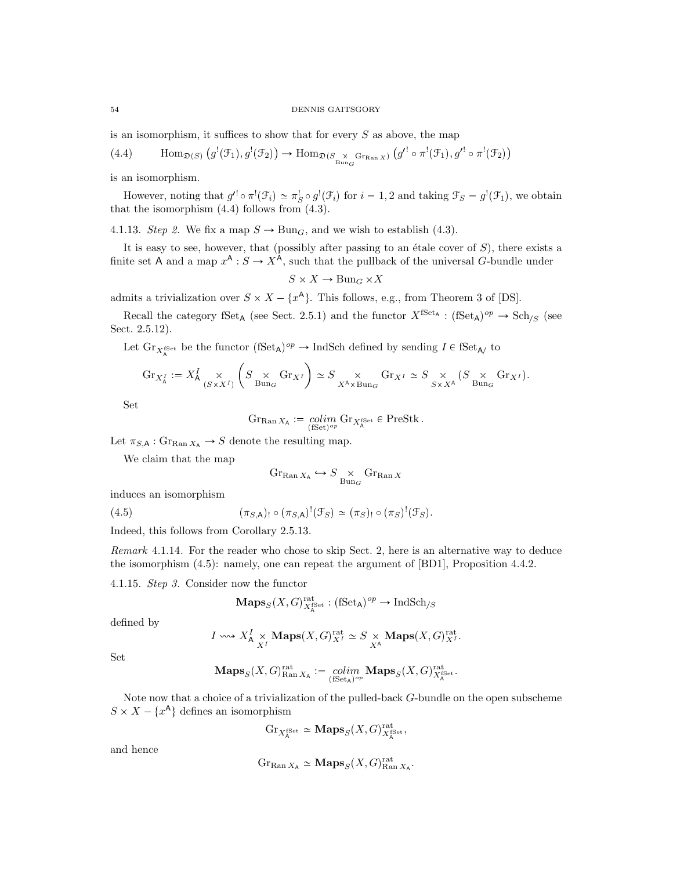### 54 DENNIS GAITSGORY

is an isomorphism, it suffices to show that for every  $S$  as above, the map

(4.4) 
$$
\text{Hom}_{\mathfrak{D}(S)}(g^{!}(\mathcal{F}_{1}), g^{!}(\mathcal{F}_{2})) \to \text{Hom}_{\mathfrak{D}(S_{\text{Bun}_G} \text{Gr}_{\text{Ran}_X})}(g^{!} \circ \pi^{!}(\mathcal{F}_{1}), g^{!} \circ \pi^{!}(\mathcal{F}_{2}))
$$

is an isomorphism.

However, noting that  $g' \circ \pi^! (\mathcal{F}_i) \simeq \pi_S^! \circ g^! (\mathcal{F}_i)$  for  $i = 1, 2$  and taking  $\mathcal{F}_S = g^! (\mathcal{F}_1)$ , we obtain that the isomorphism  $(4.4)$  follows from  $(4.3)$ .

4.1.13. Step 2. We fix a map  $S \to \text{Bun}_G$ , and we wish to establish (4.3).

It is easy to see, however, that (possibly after passing to an étale cover of  $S$ ), there exists a finite set A and a map  $x^A : S \to X^A$ , such that the pullback of the universal G-bundle under

$$
S \times X \to \text{Bun}_G \times X
$$

admits a trivialization over  $S \times X - \{x^{\mathsf{A}}\}$ . This follows, e.g., from Theorem 3 of [DS].

Recall the category fSet<sub>A</sub> (see Sect. 2.5.1) and the functor  $X^{\text{fSet}_A} : (\text{fSet}_A)^{op} \to \text{Sch}_{/S}$  (see Sect. 2.5.12).

Let  $\text{Gr}_{X_A^{\text{fSet}}}$  be the functor  $(\text{fSet}_A)^{op} \to \text{IndSch}$  defined by sending  $I \in \text{fSet}_{A/}$  to

$$
\textnormal{Gr}_{X_A^I}:=X_{\mathsf{A}}^I\underset{(S\times X^I)}{\times}\left(S\underset{\textnormal{Bun}_G}{\times}\textnormal{Gr}_{X^I}\right)\simeq S\underset{X^{\mathsf{A}}\times\textnormal{Bun}_G}{\times}\textnormal{Gr}_{X^I}\simeq S\underset{S\times X^{\mathsf{A}}}{\times}\left(S\underset{\textnormal{Bun}_G}{\times}\textnormal{Gr}_{X^I}\right).
$$

Set

$$
\operatorname{Gr}_{\operatorname{Ran} X_{\mathsf{A}}} := \operatorname*{colim}_{(\operatorname{fSet})^{op}} \operatorname{Gr}_{X_{\mathsf{A}}^{\operatorname{fSet}}} \in \operatorname{PreStk}.
$$

Let  $\pi_{S,\mathsf{A}} : \mathrm{Gr}_{\mathrm{Ran} X_{\mathsf{A}}} \to S$  denote the resulting map.

We claim that the map

$$
\mathrm{Gr}_{\mathrm{Ran}\, X_\mathsf{A}}\hookrightarrow S\underset{\mathrm{Bun}_G}{\times}\mathrm{Gr}_{\mathrm{Ran}\, X}
$$

induces an isomorphism

(4.5) 
$$
(\pi_{S,A})_! \circ (\pi_{S,A})^! (\mathcal{F}_S) \simeq (\pi_S)_! \circ (\pi_S)^! (\mathcal{F}_S).
$$

Indeed, this follows from Corollary 2.5.13.

Remark 4.1.14. For the reader who chose to skip Sect. 2, here is an alternative way to deduce the isomorphism (4.5): namely, one can repeat the argument of [BD1], Proposition 4.4.2.

4.1.15. Step 3. Consider now the functor

$$
\mathbf{Maps}_{S}(X,G)_{X_{\mathbf{A}}^{\mathrm{fSet}}}^{\mathrm{rat}}:(\mathrm{fSet}_{\mathbf{A}})^{op}\rightarrow \mathrm{IndSch}_{/S}
$$

defined by

$$
I \longrightarrow X_A^I \times \text{Maps}(X, G)_{X^I}^{\text{rat}} \simeq S \times \text{Maps}(X, G)_{X^I}^{\text{rat}}.
$$

Set

$$
\mathbf{Maps}_{S}(X, G)_{\operatorname{Ran} X_{\mathsf{A}}}^{\operatorname{rat}} := \underset{(\operatorname{fSet}_{\mathsf{A}})^{op}}{colim} \mathbf{Maps}_{S}(X, G)_{X_{\mathsf{A}}^{\operatorname{fSet}}}^{\operatorname{rat}}.
$$

Note now that a choice of a trivialization of the pulled-back G-bundle on the open subscheme  $S \times X - \{x^{\mathsf{A}}\}\$ defines an isomorphism

$$
\mathrm{Gr}_{X_A^{\text{fSet}}} \simeq \mathbf{Maps}_S(X, G)_{X_A^{\text{fSet}}}^{\text{rat}},
$$

and hence

$$
\mathrm{Gr}_{\mathrm{Ran}\, X_\mathsf{A}} \simeq \mathbf{Maps}_S(X,G)_{\mathrm{Ran}\, X_\mathsf{A}}^{\mathrm{rat}}
$$

.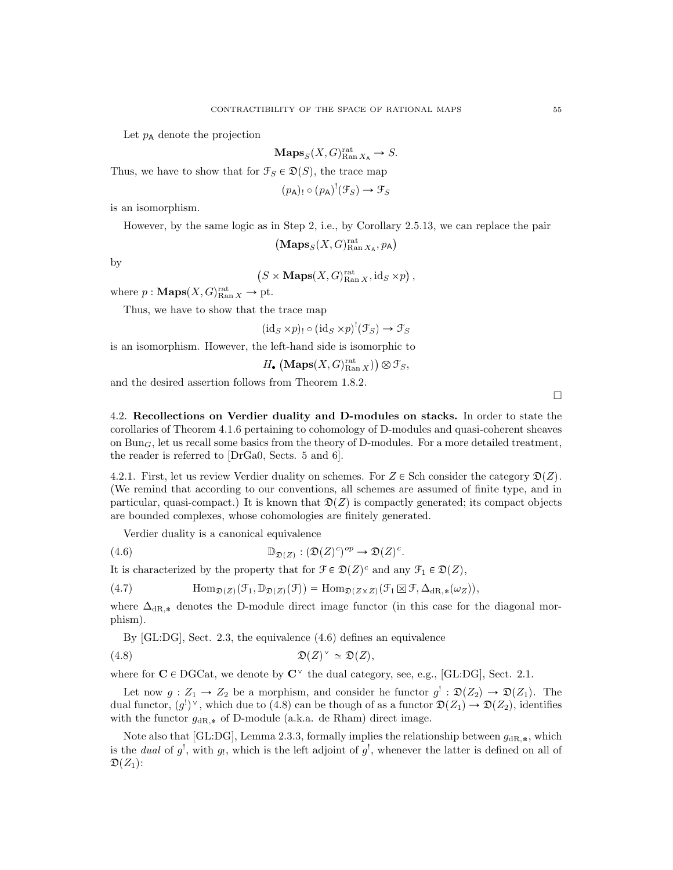Let  $p_A$  denote the projection

$$
\mathbf{Maps}_S(X, G)_{\text{Ran }X_A}^{\text{rat}} \to S.
$$

Thus, we have to show that for  $\mathcal{F}_S \in \mathcal{D}(S)$ , the trace map

$$
(p_A)_{!} \circ (p_A)^! (\mathcal{F}_S) \to \mathcal{F}_S
$$

is an isomorphism.

However, by the same logic as in Step 2, i.e., by Corollary 2.5.13, we can replace the pair

 $\left( {\bf Maps}_S(X,G)^{\rm rat}_{\rm Ran\,}{}_{X_{\rm A}},p_{\rm A} \right)$ 

by

 $(S \times \mathbf{Maps}(X, G)_{\text{Ran } X}^{\text{rat}}, \text{id}_S \times p),$ 

where  $p: \mathbf{Maps}(X, G)_{\text{Ran } X}^{\text{rat}} \to \text{pt.}$ 

Thus, we have to show that the trace map

 $(\mathrm{id}_S \times p) \circ (\mathrm{id}_S \times p)'(\mathcal{F}_S) \to \mathcal{F}_S$ 

is an isomorphism. However, the left-hand side is isomorphic to

$$
H_{\bullet}\left(\mathbf{Maps}(X,G)_{\mathrm{Ran}\,X}^{\mathrm{rat}}\right)\otimes\mathcal{F}_S,
$$

and the desired assertion follows from Theorem 1.8.2.

4.2. Recollections on Verdier duality and D-modules on stacks. In order to state the corollaries of Theorem 4.1.6 pertaining to cohomology of D-modules and quasi-coherent sheaves on  $Bun_{G}$ , let us recall some basics from the theory of D-modules. For a more detailed treatment, the reader is referred to [DrGa0, Sects. 5 and 6].

4.2.1. First, let us review Verdier duality on schemes. For  $Z \in$  Sch consider the category  $\mathfrak{D}(Z)$ . (We remind that according to our conventions, all schemes are assumed of finite type, and in particular, quasi-compact.) It is known that  $\mathfrak{D}(Z)$  is compactly generated; its compact objects are bounded complexes, whose cohomologies are finitely generated.

.

Verdier duality is a canonical equivalence

(4.6) 
$$
\mathbb{D}_{\mathfrak{D}(Z)} : (\mathfrak{D}(Z)^c)^{op} \to \mathfrak{D}(Z)^c
$$

It is characterized by the property that for  $\mathcal{F} \in \mathcal{D}(Z)^c$  and any  $\mathcal{F}_1 \in \mathcal{D}(Z)$ ,

(4.7) 
$$
\text{Hom}_{\mathfrak{D}(Z)}(\mathcal{F}_1, \mathbb{D}_{\mathfrak{D}(Z)}(\mathcal{F})) = \text{Hom}_{\mathfrak{D}(Z \times Z)}(\mathcal{F}_1 \boxtimes \mathcal{F}, \Delta_{dR, *}(\omega_Z)),
$$

where  $\Delta_{\text{dR},*}$  denotes the D-module direct image functor (in this case for the diagonal morphism).

By [GL:DG], Sect. 2.3, the equivalence (4.6) defines an equivalence

$$
(4.8) \t\t \mathfrak{D}(Z)^{\vee} \simeq \mathfrak{D}(Z),
$$

where for  $C \in DGCat$ , we denote by  $C^{\vee}$  the dual category, see, e.g., [GL:DG], Sect. 2.1.

Let now  $g: Z_1 \to Z_2$  be a morphism, and consider he functor  $g' : \mathfrak{D}(Z_2) \to \mathfrak{D}(Z_1)$ . The dual functor,  $(g<sup>1</sup>)^{\vee}$ , which due to (4.8) can be though of as a functor  $\mathfrak{D}(Z_1) \to \mathfrak{D}(Z_2)$ , identifies with the functor  $g_{\text{dR},*}$  of D-module (a.k.a. de Rham) direct image.

Note also that [GL:DG], Lemma 2.3.3, formally implies the relationship between  $g_{\text{dR},*}$ , which is the *dual* of  $g^!$ , with  $g_!$ , which is the left adjoint of  $g^!$ , whenever the latter is defined on all of  $\mathfrak{D}(Z_1)$ :

 $\Box$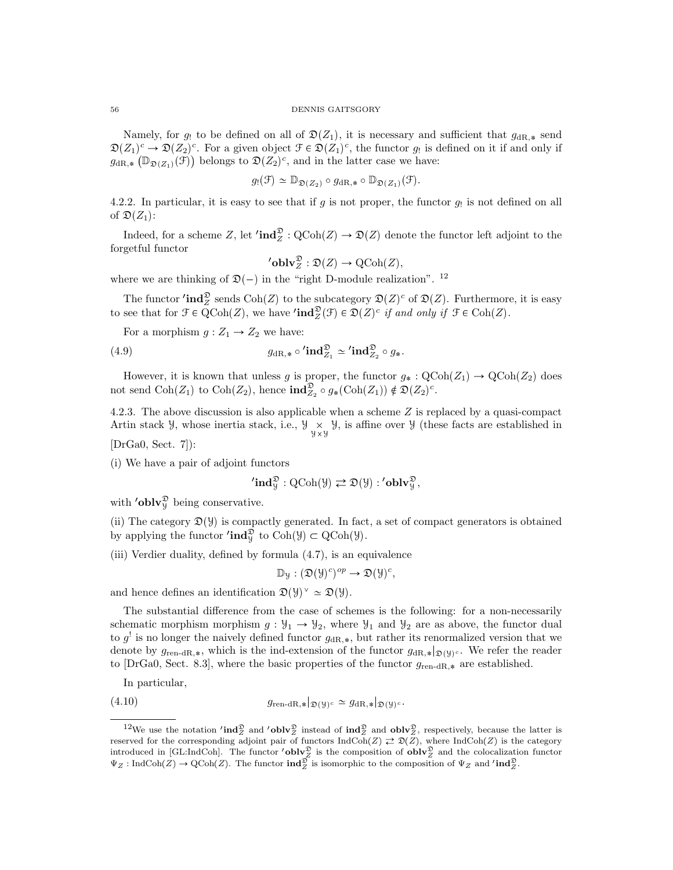Namely, for g! to be defined on all of  $\mathfrak{D}(Z_1)$ , it is necessary and sufficient that  $g_{\text{dR},*}$  send  $\mathfrak{D}(Z_1)^c \to \mathfrak{D}(Z_2)^c$ . For a given object  $\mathfrak{F} \in \mathfrak{D}(Z_1)^c$ , the functor  $g_!$  is defined on it if and only if  $g_{\text{dR},*}(\mathbb{D}_{\mathfrak{D}(Z_1)}(\mathcal{F}))$  belongs to  $\mathfrak{D}(Z_2)^c$ , and in the latter case we have:

$$
g_!(\mathfrak{F}) \simeq \mathbb{D}_{\mathfrak{D}(Z_2)} \circ g_{\mathrm{dR},*} \circ \mathbb{D}_{\mathfrak{D}(Z_1)}(\mathfrak{F}).
$$

4.2.2. In particular, it is easy to see that if  $g$  is not proper, the functor  $g_!$  is not defined on all of  $\mathfrak{D}(Z_1)$ :

Indeed, for a scheme Z, let  $\prime \text{ind}_{Z}^{\mathfrak{D}} : \mathrm{QCoh}(Z) \to \mathfrak{D}(Z)$  denote the functor left adjoint to the forgetful functor

$$
{}'{\mathbf{oblv}}^{\mathfrak{D}}_Z : \mathfrak{D}(Z) \to \operatorname{QCoh}(Z),
$$

where we are thinking of  $\mathfrak{D}(-)$  in the "right D-module realization". <sup>12</sup>

The functor  $\text{ind}_Z^{\mathfrak{D}}$  sends  $\text{Coh}(Z)$  to the subcategory  $\mathfrak{D}(Z)^c$  of  $\mathfrak{D}(Z)$ . Furthermore, it is easy to see that for  $\mathcal{F} \in \mathrm{QCoh}(Z)$ , we have ' $\mathrm{ind}_Z^{\mathfrak{D}}(\mathcal{F}) \in \mathfrak{D}(Z)^c$  if and only if  $\mathcal{F} \in \mathrm{Coh}(Z)$ .

For a morphism  $g: Z_1 \rightarrow Z_2$  we have:

(4.9) 
$$
g_{\mathrm{dR},*} \circ \mathbf{ind}_{Z_1}^{\mathfrak{D}} \simeq \mathbf{ind}_{Z_2}^{\mathfrak{D}} \circ g_*.
$$

However, it is known that unless g is proper, the functor  $g_* : \text{QCoh}(Z_1) \to \text{QCoh}(Z_2)$  does not send  $\text{Coh}(Z_1)$  to  $\text{Coh}(Z_2)$ , hence  $\text{ind}_{Z_2}^{\mathfrak{D}} \circ g_*(\text{Coh}(Z_1)) \notin \mathfrak{D}(Z_2)^c$ .

4.2.3. The above discussion is also applicable when a scheme Z is replaced by a quasi-compact Artin stack  $\mathcal{Y}$ , whose inertia stack, i.e.,  $\mathcal{Y} \underset{\mathcal{Y} \times \mathcal{Y}}{\times} \mathcal{Y}$ , is affine over  $\mathcal{Y}$  (these facts are established in

[DrGa0, Sect. 7]):

(i) We have a pair of adjoint functors

$$
\mathbf{'ind}_{\mathcal{Y}}^{\mathfrak{D}} : \mathrm{QCoh}(\mathcal{Y}) \rightleftarrows \mathfrak{D}(\mathcal{Y}) : \mathbf{'oblv}_{\mathcal{Y}}^{\mathfrak{D}},
$$

with '**oblv** $\mathcal{V}_{\mathcal{Y}}^{\mathcal{D}}$  being conservative.

(ii) The category  $\mathfrak{D}(\mathcal{Y})$  is compactly generated. In fact, a set of compact generators is obtained by applying the functor  $'\mathbf{ind}_{\mathcal{Y}}^{\mathfrak{D}}$  to  $\text{Coh}(\mathcal{Y}) \subset \text{QCoh}(\mathcal{Y})$ .

(iii) Verdier duality, defined by formula (4.7), is an equivalence

$$
\mathbb{D}_{\mathcal{Y}}:(\mathfrak{D}(\mathcal{Y})^c)^{op}\to \mathfrak{D}(\mathcal{Y})^c,
$$

and hence defines an identification  $\mathfrak{D}(\mathcal{Y})^{\vee} \simeq \mathfrak{D}(\mathcal{Y})$ .

The substantial difference from the case of schemes is the following: for a non-necessarily schematic morphism morphism  $g: \mathcal{Y}_1 \to \mathcal{Y}_2$ , where  $\mathcal{Y}_1$  and  $\mathcal{Y}_2$  are as above, the functor dual to  $g^!$  is no longer the naively defined functor  $g_{\text{dR},*}$ , but rather its renormalized version that we denote by  $g_{\text{ren-dR},*}$ , which is the ind-extension of the functor  $g_{dR,*}|_{\mathfrak{D}(\mathcal{Y})^c}$ . We refer the reader to [DrGa0, Sect. 8.3], where the basic properties of the functor  $g_{\text{ren-dR},*}$  are established.

In particular,

(4.10) 
$$
g_{\text{ren-dR}, *}|_{\mathfrak{D}(\mathcal{Y})^c} \simeq g_{\text{dR}, *}|_{\mathfrak{D}(\mathcal{Y})^c}.
$$

<sup>&</sup>lt;sup>12</sup>We use the notation  $\text{ind}_{Z}^{\mathfrak{D}}$  and  $\text{oblv}_{Z}^{\mathfrak{D}}$  instead of  $\text{ind}_{Z}^{\mathfrak{D}}$  and  $\text{oblv}_{Z}^{\mathfrak{D}}$ , respectively, because the latter is reserved for the corresponding adjoint pair of functors  $\text{IndCoh}(Z) \rightleftarrows \mathfrak{D}(Z)$ , where  $\text{IndCoh}(Z)$  is the category introduced in [GL:IndCoh]. The functor  $\text{'oblv}_Z^{\mathfrak{D}}$  is the composition of  $\text{oblv}_Z^{\mathfrak{D}}$  and the  $\Psi_Z: \text{IndCoh}(Z) \to \text{QCoh}(Z)$ . The functor  $\text{ind}_{Z}^{\mathfrak{D}}$  is isomorphic to the composition of  $\Psi_Z$  and  $\text{ind}_{Z}^{\mathfrak{D}}$ .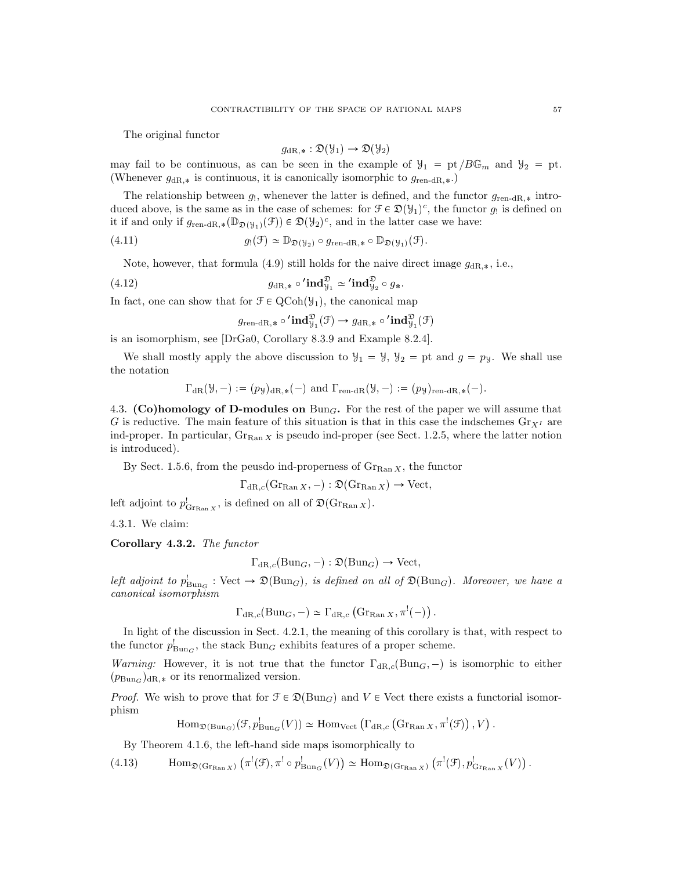The original functor

$$
g_{\mathrm{dR},*} : \mathfrak{D}(\mathcal{Y}_1) \to \mathfrak{D}(\mathcal{Y}_2)
$$

may fail to be continuous, as can be seen in the example of  $\mathcal{Y}_1 = pt / B\mathbb{G}_m$  and  $\mathcal{Y}_2 = pt$ . (Whenever  $g_{\text{dR},*}$  is continuous, it is canonically isomorphic to  $g_{\text{ren-dR},*}$ .)

The relationship between  $g_!,$  whenever the latter is defined, and the functor  $g_{\text{ren-dR},*}$  introduced above, is the same as in the case of schemes: for  $\mathcal{F} \in \mathfrak{D}(\mathcal{Y}_1)^c$ , the functor  $g_!$  is defined on it if and only if  $g_{\text{ren-dR},*}(\mathbb{D}_{\mathfrak{D}(\mathcal{Y}_1)}(\mathcal{F})) \in \mathfrak{D}(\mathcal{Y}_2)^c$ , and in the latter case we have:

(4.11) 
$$
g_!(\mathfrak{F}) \simeq \mathbb{D}_{\mathfrak{D}(\mathcal{Y}_2)} \circ g_{\text{ren-dR},*} \circ \mathbb{D}_{\mathfrak{D}(\mathcal{Y}_1)}(\mathfrak{F}).
$$

Note, however, that formula (4.9) still holds for the naive direct image  $g_{dR,*}$ , i.e.,

(4.12) 
$$
g_{\mathrm{dR},*} \circ \mathbf{ind}_{\mathcal{Y}_1}^{\mathfrak{D}} \simeq \mathbf{ind}_{\mathcal{Y}_2}^{\mathfrak{D}} \circ g_*.
$$

In fact, one can show that for  $\mathcal{F} \in \text{QCoh}(\mathcal{Y}_1)$ , the canonical map

$$
g_{\mathrm{ren-dR},*}\circ {'}\mathrm{\mathbf{ind}}^\mathfrak{D}_{\mathcal{Y}_1}(\mathcal{F})\to g_{\mathrm{dR},*}\circ {'}\mathrm{\mathbf{ind}}^\mathfrak{D}_{\mathcal{Y}_1}(\mathcal{F})
$$

is an isomorphism, see [DrGa0, Corollary 8.3.9 and Example 8.2.4].

We shall mostly apply the above discussion to  $y_1 = y$ ,  $y_2 = pt$  and  $g = py$ . We shall use the notation

$$
\Gamma_{\text{dR}}(\mathcal{Y}, -) := (p_{\mathcal{Y}})_{\text{dR}, *}(-)
$$
 and  $\Gamma_{\text{ren-dR}}(\mathcal{Y}, -) := (p_{\mathcal{Y}})_{\text{ren-dR}, *}(-).$ 

4.3. (Co)homology of D-modules on  $Bun_G$ . For the rest of the paper we will assume that G is reductive. The main feature of this situation is that in this case the indschemes  $\text{Gr}_{X^I}$  are ind-proper. In particular,  $Gr_{\text{Ran }X}$  is pseudo ind-proper (see Sect. 1.2.5, where the latter notion is introduced).

By Sect. 1.5.6, from the peusdo ind-properness of  $\mathrm{Gr}_{\mathrm{Ran} X}$ , the functor

$$
\Gamma_{\text{dR},c}(\text{Gr}_{\text{Ran }X}, -): \mathfrak{D}(\text{Gr}_{\text{Ran }X}) \to \text{Vect},
$$

left adjoint to  $p_{\text{Grr}_{\text{Ran }X}}^!$ , is defined on all of  $\mathfrak{D}(\text{Gr}_{\text{Ran }X})$ .

4.3.1. We claim:

Corollary 4.3.2. The functor

$$
\Gamma_{\mathrm{dR},c}(\mathrm{Bun}_G,-): \mathfrak{D}(\mathrm{Bun}_G) \to \mathrm{Vect},
$$

left adjoint to  $p_{Bun_G}^! : \text{Vect} \to \mathfrak{D}(\text{Bun}_G)$ , is defined on all of  $\mathfrak{D}(\text{Bun}_G)$ . Moreover, we have a canonical isomorphism

$$
\Gamma_{\mathrm{dR},c}(\mathrm{Bun}_G,-)\simeq \Gamma_{\mathrm{dR},c}(\mathrm{Gr}_{\mathrm{Ran}\,X},\pi^!(-))
$$
.

In light of the discussion in Sect. 4.2.1, the meaning of this corollary is that, with respect to the functor  $p_{\text{Bun}_G}^!$ , the stack  $\text{Bun}_G$  exhibits features of a proper scheme.

Warning: However, it is not true that the functor  $\Gamma_{\text{dR},c}(\text{Bun}_G, -)$  is isomorphic to either  $(p_{\text{Bun}_G})_{dR,*}$  or its renormalized version.

*Proof.* We wish to prove that for  $\mathcal{F} \in \mathcal{D}(\text{Bun}_G)$  and  $V \in \text{Vect}$  there exists a functorial isomorphism

$$
\mathrm{Hom}_{\mathfrak{D}(\mathrm{Bun}_G)}(\mathcal{F},p_{\mathrm{Bun}_G}^!(V)) \simeq \mathrm{Hom}_{\mathrm{Vect}}\left(\Gamma_{\mathrm{dR},c}\left(\mathrm{Gr}_{\mathrm{Ran}\,X},\pi^!(\mathcal{F})\right),V\right).
$$

By Theorem 4.1.6, the left-hand side maps isomorphically to

(4.13)  $\text{Hom}_{\mathfrak{D}(\text{Gr}_{\text{Ran }X})}(\pi^!(\mathfrak{F}), \pi^! \circ p^!_{\text{Bun}_G}(V)) \simeq \text{Hom}_{\mathfrak{D}(\text{Gr}_{\text{Ran }X})}(\pi^!(\mathfrak{F}), p^!_{\text{Gr}_{\text{Ran }X}}(V)).$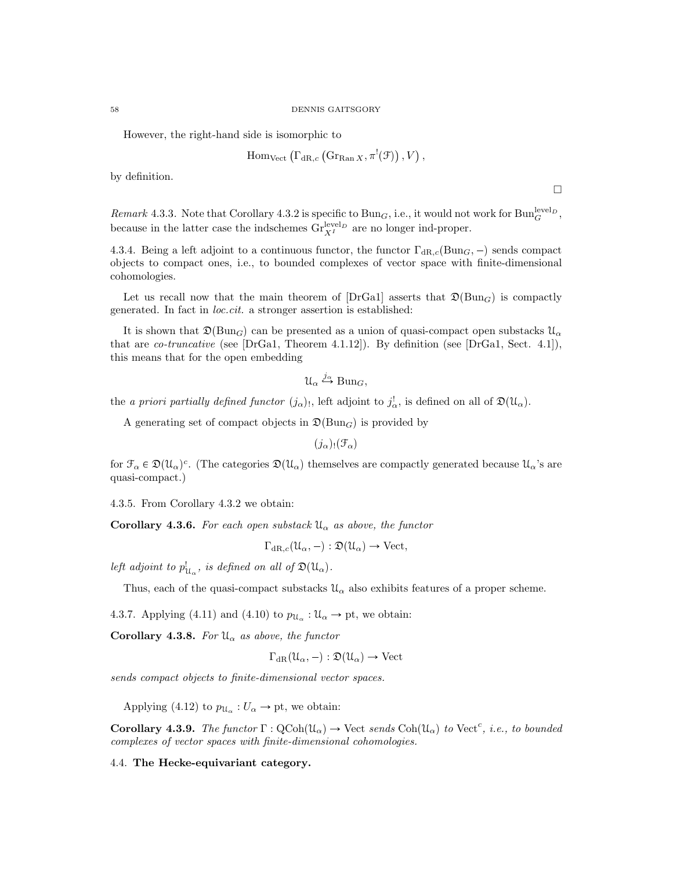However, the right-hand side is isomorphic to

$$
\mathrm{Hom}_{\mathrm{Vect}}\left(\Gamma_{\mathrm{dR},c}\left(\mathrm{Gr}_{\mathrm{Ran}\, X},\pi^!(\mathcal{F})\right),V\right),
$$

 $\Box$ 

by definition.

Remark 4.3.3. Note that Corollary 4.3.2 is specific to  $Bun_G$ , i.e., it would not work for  $Bun_G^{level_D}$ , because in the latter case the indschemes  $\text{Gr}_{X^I}^{\text{level}_D}$  are no longer ind-proper.

4.3.4. Being a left adjoint to a continuous functor, the functor  $\Gamma_{\text{dR},c}(\text{Bun}_G, -)$  sends compact objects to compact ones, i.e., to bounded complexes of vector space with finite-dimensional cohomologies.

Let us recall now that the main theorem of [DrGa1] asserts that  $\mathfrak{D}(\text{Bun}_G)$  is compactly generated. In fact in loc.cit. a stronger assertion is established:

It is shown that  $\mathfrak{D}(\text{Bun}_G)$  can be presented as a union of quasi-compact open substacks  $\mathfrak{U}_{\alpha}$ that are *co-truncative* (see [DrGa1, Theorem 4.1.12]). By definition (see [DrGa1, Sect. 4.1]), this means that for the open embedding

$$
\mathcal{U}_{\alpha} \stackrel{j_{\alpha}}{\hookrightarrow} \text{Bun}_G,
$$

the a priori partially defined functor  $(j_{\alpha})$ , left adjoint to  $j_{\alpha}^!$ , is defined on all of  $\mathfrak{D}(\mathfrak{U}_{\alpha})$ .

A generating set of compact objects in  $\mathfrak{D}(\text{Bun}_G)$  is provided by

 $(j_{\alpha})_!(\mathcal{F}_{\alpha})$ 

for  $\mathcal{F}_{\alpha} \in \mathfrak{D}(\mathcal{U}_{\alpha})^c$ . (The categories  $\mathfrak{D}(\mathcal{U}_{\alpha})$  themselves are compactly generated because  $\mathcal{U}_{\alpha}$ 's are quasi-compact.)

4.3.5. From Corollary 4.3.2 we obtain:

**Corollary 4.3.6.** For each open substack  $\mathcal{U}_{\alpha}$  as above, the functor

$$
\Gamma_{\mathrm{dR},c}(\mathcal{U}_{\alpha},-): \mathfrak{D}(\mathcal{U}_{\alpha}) \to \mathrm{Vect},
$$

left adjoint to  $p^!_{\mathcal{U}_{\alpha}}$ , is defined on all of  $\mathfrak{D}(\mathcal{U}_{\alpha})$ .

Thus, each of the quasi-compact substacks  $\mathfrak{U}_{\alpha}$  also exhibits features of a proper scheme.

4.3.7. Applying (4.11) and (4.10) to  $p_{\mathcal{U}_{\alpha}} : \mathcal{U}_{\alpha} \to \text{pt}$ , we obtain:

Corollary 4.3.8. For  $\mathfrak{U}_{\alpha}$  as above, the functor

$$
\Gamma_{\mathrm{dR}}(\mathcal{U}_{\alpha},-): \mathfrak{D}(\mathcal{U}_{\alpha}) \to \mathrm{Vect}
$$

sends compact objects to finite-dimensional vector spaces.

Applying (4.12) to  $p_{\mathcal{U}_{\alpha}} : U_{\alpha} \to \text{pt}$ , we obtain:

**Corollary 4.3.9.** The functor  $\Gamma : \text{QCoh}(\mathcal{U}_{\alpha}) \to \text{Vect}$  sends  $\text{Coh}(\mathcal{U}_{\alpha})$  to  $\text{Vect}^c$ , i.e., to bounded complexes of vector spaces with finite-dimensional cohomologies.

4.4. The Hecke-equivariant category.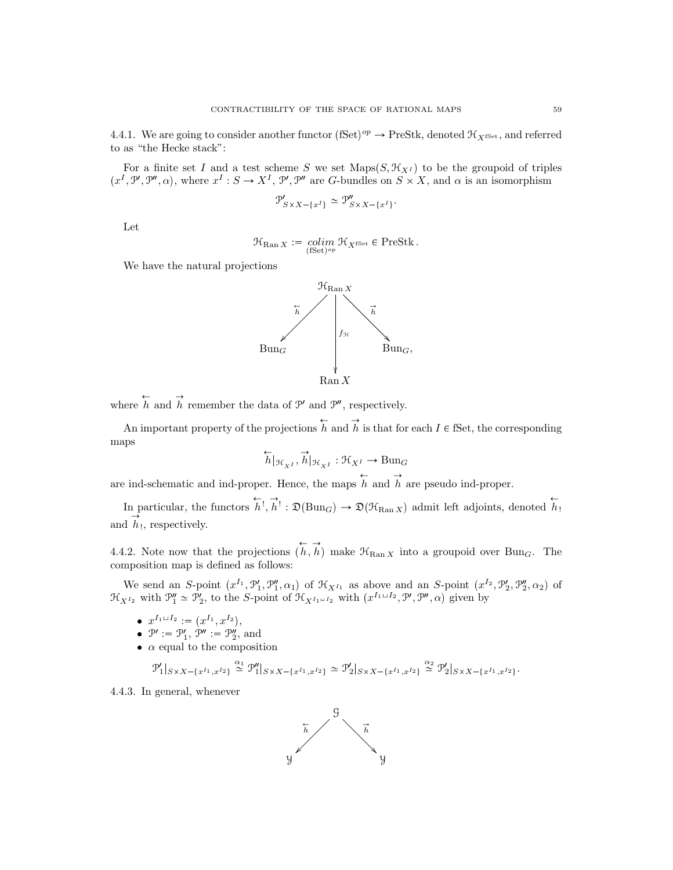4.4.1. We are going to consider another functor  $(fSet)^{op} \to \text{PreStk}$ , denoted  $\mathcal{H}_{X^{fSet}}$ , and referred to as "the Hecke stack":

For a finite set I and a test scheme S we set Maps $(S, \mathcal{H}_{X^I})$  to be the groupoid of triples  $(x^I, \mathcal{P}', \mathcal{P}'', \alpha)$ , where  $x^I : S \to X^I$ ,  $\mathcal{P}', \mathcal{P}''$  are G-bundles on  $S \times X$ , and  $\alpha$  is an isomorphism

$$
\mathcal{P}'_{S \times X - \{x^I\}} \simeq \mathcal{P}''_{S \times X - \{x^I\}}.
$$

Let

$$
\mathfrak{R}_{\mathrm{Ran}\, X} := \underset{\text{(fSet)}^{op}}{\text{colim}\, \mathfrak{R}_{X^{\mathrm{fSet}}}} \in \mathrm{PreStk} \, .
$$

We have the natural projections



where  $\overleftrightarrow{h}$  and  $\overrightarrow{h}$  remember the data of  $\mathcal{P}'$  and  $\mathcal{P}''$ , respectively.

An important property of the projections  $\overleftrightarrow{h}$  and  $\overrightarrow{h}$  is that for each  $I \in \mathbb{S}$ et, the corresponding maps

$$
\overleftarrow{h}|_{\mathcal{H}_{X^I}}, \overrightarrow{h}|_{\mathcal{H}_{X^I}}: \mathcal{H}_{X^I} \rightarrow \operatorname{Bun}_G
$$

are ind-schematic and ind-proper. Hence, the maps  $\overleftrightarrow{h}$  and  $\overrightarrow{h}$  are pseudo ind-proper.

In particular, the functors  $\overleftrightarrow{h}$ ,  $\overrightarrow{h}$ :  $\mathfrak{D}(\text{Bun}_G) \to \mathfrak{D}(\mathfrak{H}_{\text{Ran }X})$  admit left adjoints, denoted  $\overleftrightarrow{h}$ . and  $\overrightarrow{h}$ , respectively.

4.4.2. Note now that the projections  $\overleftrightarrow{h}, \overrightarrow{h}$  make  $\mathcal{H}_{\text{Ran }X}$  into a groupoid over Bun<sub>G</sub>. The composition map is defined as follows:

We send an S-point  $(x^{I_1}, \mathcal{P}'_1, \mathcal{P}''_1, \alpha_1)$  of  $\mathcal{H}_{X^{I_1}}$  as above and an S-point  $(x^{I_2}, \mathcal{P}'_2, \mathcal{P}''_2, \alpha_2)$  of  $\mathcal{H}_{X^{I_2}}$  with  $\mathcal{P}_1'' \simeq \mathcal{P}_2'$ , to the S-point of  $\mathcal{H}_{X^{I_1 \sqcup I_2}}$  with  $(x^{I_1 \sqcup I_2}, \mathcal{P}', \mathcal{P}'', \alpha)$  given by

- $x^{I_1 \sqcup I_2} := (x^{I_1}, x^{I_2}),$
- $\mathcal{P}' := \mathcal{P}'_1, \mathcal{P}'' := \mathcal{P}''_2$ , and
- $\bullet$   $\alpha$  equal to the composition

$$
\mathcal{P}_1'|_{S \times X - \{x^{I_1}, x^{I_2}\}} \stackrel{\alpha_1}{\simeq} \mathcal{P}_1''|_{S \times X - \{x^{I_1}, x^{I_2}\}} \simeq \mathcal{P}_2'|_{S \times X - \{x^{I_1}, x^{I_2}\}} \stackrel{\alpha_2}{\simeq} \mathcal{P}_2'|_{S \times X - \{x^{I_1}, x^{I_2}\}}.
$$

4.4.3. In general, whenever

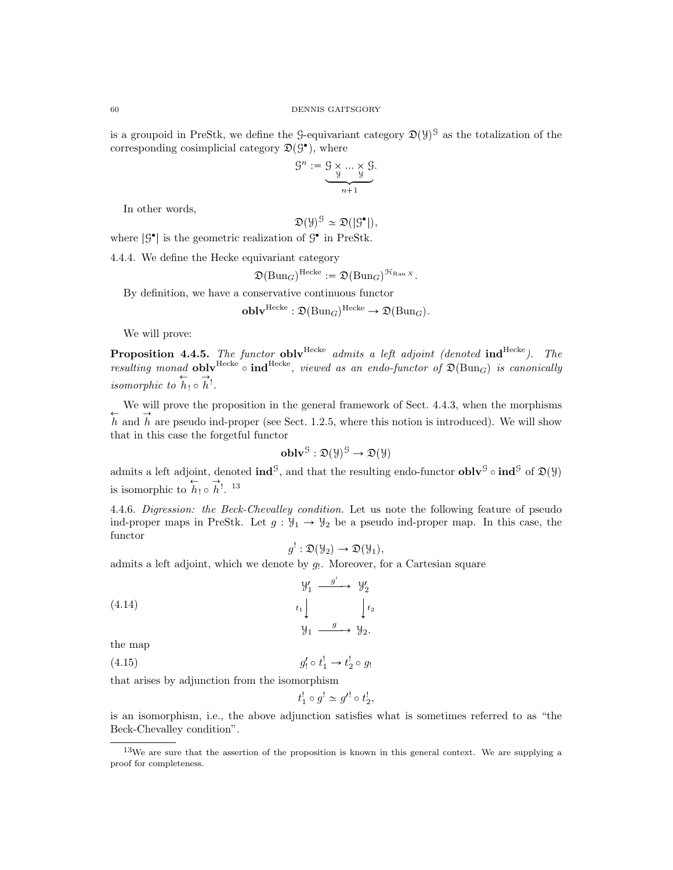is a groupoid in PreStk, we define the 9-equivariant category  $\mathfrak{D}(\mathcal{Y})^{\mathcal{G}}$  as the totalization of the corresponding cosimplicial category  $\mathfrak{D}(\mathcal{G}^{\bullet})$ , where

$$
\mathcal{G}^n := \underbrace{\mathcal{G} \times \dots \times \mathcal{G}}_{n+1}.
$$

In other words,

 $\mathfrak{D}(\mathcal{Y})^{\mathcal{G}} \simeq \mathfrak{D}(|\mathcal{G}^{\bullet}|),$ 

where  $|\mathcal{G}^{\bullet}|$  is the geometric realization of  $\mathcal{G}^{\bullet}$  in PreStk.

4.4.4. We define the Hecke equivariant category

$$
\mathfrak{D}(\mathrm{Bun}_G)^{\mathrm{Hecke}} := \mathfrak{D}(\mathrm{Bun}_G)^{\mathfrak{H}_{\mathrm{Ran}\, X}}.
$$

By definition, we have a conservative continuous functor

$$
\mathbf{oblv}^{\mathrm{Hecke}} : \mathfrak{D}(\mathrm{Bun}_G)^{\mathrm{Hecke}} \to \mathfrak{D}(\mathrm{Bun}_G).
$$

We will prove:

**Proposition 4.4.5.** The functor **obly**  $\text{Hecke}$  admits a left adjoint (denoted  $\text{ind}^{\text{Hecke}}$ ). The resulting monad **obly**<sup>Hecke</sup>  $\circ$  **ind**<sup>Hecke</sup>, viewed as an endo-functor of  $\mathfrak{D}(\text{Bun}_G)$  is canonically isomorphic to  $\overleftrightarrow{h}_! \circ \overrightarrow{h}_!$ .

We will prove the proposition in the general framework of Sect. 4.4.3, when the morphisms  $\overleftrightarrow{h}$  and  $\overrightarrow{h}$  are pseudo ind-proper (see Sect. 1.2.5, where this notion is introduced). We will show that in this case the forgetful functor

$$
\mathbf{oblv}^{\mathcal{G}} : \mathfrak{D}(\mathcal{Y})^{\mathcal{G}} \to \mathfrak{D}(\mathcal{Y})
$$

admits a left adjoint, denoted  $\text{ind}^{\mathcal{G}}$ , and that the resulting endo-functor  $\text{oblv}^{\mathcal{G}} \circ \text{ind}^{\mathcal{G}}$  of  $\mathfrak{D}(\mathcal{Y})$ is isomorphic to  $\overleftrightarrow{h_!} \circ \overrightarrow{h_!}$ . <sup>13</sup>

4.4.6. Digression: the Beck-Chevalley condition. Let us note the following feature of pseudo ind-proper maps in PreStk. Let  $g: \mathcal{Y}_1 \to \mathcal{Y}_2$  be a pseudo ind-proper map. In this case, the functor

$$
g^{!} : \mathfrak{D}(\mathcal{Y}_{2}) \to \mathfrak{D}(\mathcal{Y}_{1}),
$$

admits a left adjoint, which we denote by  $g_!$ . Moreover, for a Cartesian square

(4.14) 
$$
\begin{array}{ccc}\n & y_1' & \xrightarrow{g'} & y_2' \\
 & & t_1 & \downarrow t_2 \\
 & y_1 & \xrightarrow{g} & y_2.\n\end{array}
$$

the map

 $(4.15)$  $t'_1 \circ t_1^! \rightarrow t_2^! \circ g_1$ 

that arises by adjunction from the isomorphism

$$
t_1^! \circ g^! \simeq g'^! \circ t_2^!,
$$

is an isomorphism, i.e., the above adjunction satisfies what is sometimes referred to as "the Beck-Chevalley condition".

<sup>13</sup>We are sure that the assertion of the proposition is known in this general context. We are supplying a proof for completeness.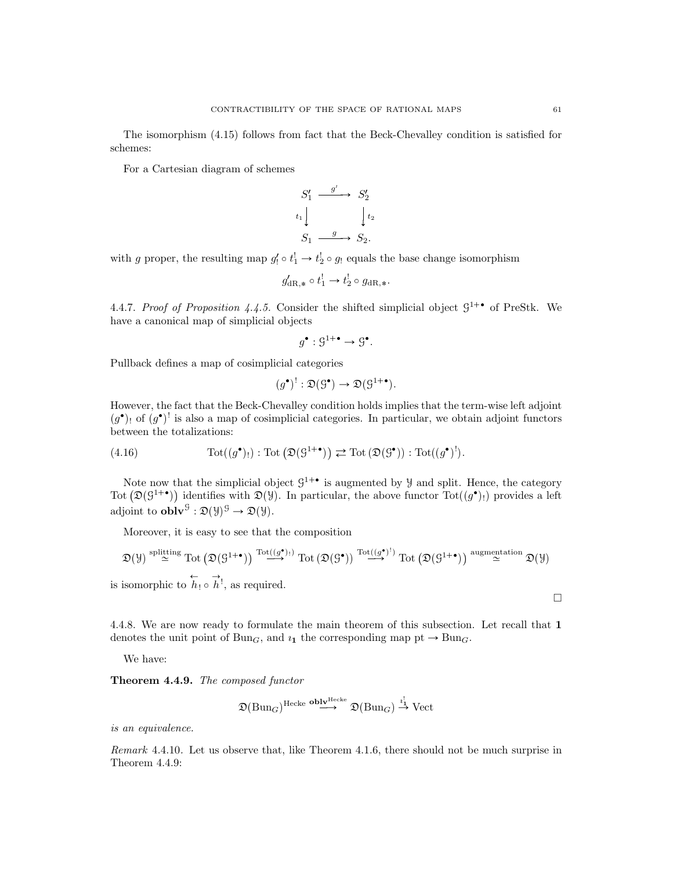The isomorphism (4.15) follows from fact that the Beck-Chevalley condition is satisfied for schemes:

For a Cartesian diagram of schemes

$$
S'_1 \xrightarrow{g'} S'_2
$$
  
\n
$$
t_1 \downarrow \qquad \qquad t_2
$$
  
\n
$$
S_1 \xrightarrow{g} S_2.
$$

with g proper, the resulting map  $g'_1 \circ t_1^! \to t_2^! \circ g_1$  equals the base change isomorphism

$$
g'_{\mathrm{dR},*} \circ t_1^! \to t_2^! \circ g_{\mathrm{dR},*}.
$$

4.4.7. Proof of Proposition 4.4.5. Consider the shifted simplicial object  $\mathcal{G}^{1+\bullet}$  of PreStk. We have a canonical map of simplicial objects

$$
g^{\bullet} : \mathcal{G}^{1+\bullet} \to \mathcal{G}^{\bullet}.
$$

Pullback defines a map of cosimplicial categories

$$
(g^{\bullet})^! : \mathfrak{D}(\mathcal{G}^{\bullet}) \to \mathfrak{D}(\mathcal{G}^{1+\bullet}).
$$

However, the fact that the Beck-Chevalley condition holds implies that the term-wise left adjoint  $(g^{\bullet})$  of  $(g^{\bullet})^!$  is also a map of cosimplicial categories. In particular, we obtain adjoint functors between the totalizations:

(4.16) 
$$
\operatorname{Tot}((g^{\bullet})_!) : \operatorname{Tot}(\mathfrak{D}(G^{1+\bullet})) \rightleftarrows \operatorname{Tot}(\mathfrak{D}(G^{\bullet})) : \operatorname{Tot}((g^{\bullet})^!).
$$

Note now that the simplicial object  $\mathcal{G}^{1+\bullet}$  is augmented by  $\mathcal{Y}$  and split. Hence, the category Tot  $(\mathfrak{D}(G^{1+\bullet}))$  identifies with  $\mathfrak{D}(\mathcal{Y})$ . In particular, the above functor  $Tot((g^{\bullet})_!)$  provides a left adjoint to  $\textbf{oblv}^{\mathcal{G}} : \mathfrak{D}(\mathcal{Y})^{\mathcal{G}} \to \mathfrak{D}(\mathcal{Y})$ .

Moreover, it is easy to see that the composition

$$
\mathfrak{D}(\mathcal{Y}) \stackrel{\text{splitting}}{\simeq} \text{Tot}\left(\mathfrak{D}(\mathcal{G}^{1+\bullet})\right) \stackrel{\text{Tot}((g^{\bullet})_{!})}{\longrightarrow} \text{Tot}\left(\mathfrak{D}(\mathcal{G}^{\bullet})\right) \stackrel{\text{Tot}((g^{\bullet})^{!})}{\longrightarrow} \text{Tot}\left(\mathfrak{D}(\mathcal{G}^{1+\bullet})\right) \stackrel{\text{augmentation}}{\simeq} \mathfrak{D}(\mathcal{Y})
$$

is isomorphic to  $\overleftrightarrow{h_!} \circ \overrightarrow{h_!}$ , as required.

4.4.8. We are now ready to formulate the main theorem of this subsection. Let recall that 1 denotes the unit point of Bun<sub>G</sub>, and  $i_1$  the corresponding map pt  $\rightarrow$  Bun<sub>G</sub>.

We have:

Theorem 4.4.9. The composed functor

$$
\mathfrak{D}(\mathrm{Bun}_G)^{\mathrm{Hecke}} \stackrel{\mathbf{oblv}^{\mathrm{Hecke}}}{\longrightarrow} \mathfrak{D}(\mathrm{Bun}_G) \stackrel{\imath_1^!}{\to} \mathrm{Vect}
$$

is an equivalence.

Remark 4.4.10. Let us observe that, like Theorem 4.1.6, there should not be much surprise in Theorem 4.4.9:

 $\Box$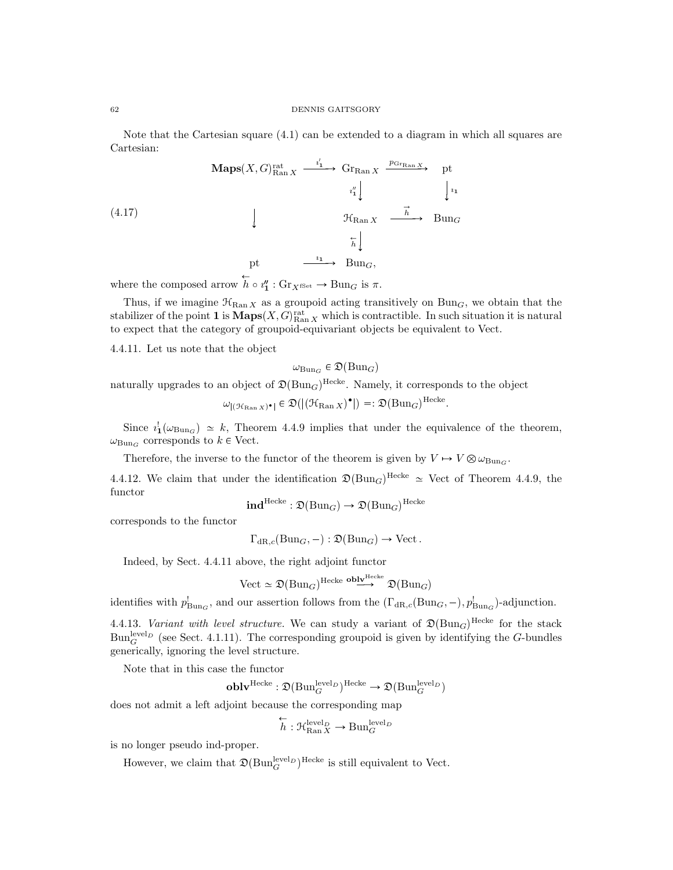Note that the Cartesian square (4.1) can be extended to a diagram in which all squares are Cartesian:

$$
\begin{array}{ccc}\n\textbf{Maps}(X, G)_{\text{Ran } X}^{rat} & \xrightarrow{i'_1} & \textbf{Gr}_{\text{Ran } X} & \xrightarrow{p_{\text{Gr}_{\text{Ran } X}}} & \text{pt} \\
\downarrow \downarrow & & \downarrow \downarrow \\
\downarrow & & \downarrow \downarrow \\
\downarrow & & \downarrow \downarrow \\
\downarrow & & \downarrow \downarrow \\
\downarrow & & \downarrow \downarrow \\
\downarrow & & \downarrow \downarrow \\
\downarrow & & \downarrow \downarrow \\
\downarrow & & \downarrow \downarrow \\
\downarrow & & \downarrow \downarrow \\
\downarrow & & \downarrow \downarrow \\
\downarrow & & \downarrow \downarrow \\
\downarrow & & \downarrow \downarrow \\
\downarrow & & \downarrow \downarrow \\
\downarrow & & \downarrow \downarrow \\
\downarrow & & \downarrow \downarrow \\
\downarrow & & \downarrow \downarrow \\
\downarrow & & \downarrow \downarrow \\
\downarrow & & \downarrow \downarrow \\
\downarrow & & \downarrow \downarrow \\
\downarrow & & \downarrow \downarrow \\
\downarrow & & \downarrow \downarrow \\
\downarrow & & \downarrow \downarrow \\
\downarrow & & \downarrow \downarrow \\
\downarrow & & \downarrow \downarrow \\
\downarrow & & \downarrow \downarrow \\
\downarrow & & \downarrow \downarrow \\
\downarrow & & \downarrow \downarrow \\
\downarrow & & \downarrow \downarrow \\
\downarrow & & \downarrow \downarrow \\
\downarrow & & \downarrow \downarrow \\
\downarrow & & \downarrow \downarrow \\
\downarrow & & \downarrow \downarrow \\
\downarrow & & \downarrow \downarrow \\
\downarrow & & \downarrow \downarrow \\
\downarrow & & \downarrow \downarrow \\
\downarrow & & \downarrow \downarrow \\
\downarrow & & \downarrow \downarrow \\
\downarrow & & \downarrow \downarrow \\
\downarrow & & \downarrow \downarrow \\
\downarrow & & \downarrow \downarrow \\
\downarrow & & \downarrow \downarrow \\
\downarrow & & \downarrow \downarrow \\
\downarrow & & \downarrow \downarrow \\
\downarrow & & \downarrow \downarrow \\
\downarrow & & \downarrow \downarrow \\
\downarrow & & \downarrow \downarrow \\
\downarrow & & \downarrow \downarrow \\
\downarrow & & \downarrow \downarrow \\
\downarrow & & \downarrow \downarrow \\
\downarrow & & \downarrow \downarrow \\
\downarrow & & \downarrow \downarrow \\
\downarrow & & \downarrow \downarrow \\
\downarrow & & \downarrow \downarrow \\
\downarrow & & \downarrow \downarrow \\
\downarrow & & \downarrow \downarrow \\
\downarrow & & \downarrow \downarrow \\
\downarrow & &
$$

where the composed arrow  $h \circ i''_1 : \text{Gr}_{X^{\text{fSet}}} \to \text{Bun}_G$  is  $\pi$ .

Thus, if we imagine  $\mathcal{H}_{\text{Ran }X}$  as a groupoid acting transitively on Bun<sub>G</sub>, we obtain that the stabilizer of the point **1** is  $\mathbf{Maps}(X, G)_{\text{Ran } X}^{\text{rat}}$  which is contractible. In such situation it is natural to expect that the category of groupoid-equivariant objects be equivalent to Vect.

4.4.11. Let us note that the object

$$
\omega_{\mathrm{Bun}_G} \in \mathfrak{D}(\mathrm{Bun}_G)
$$

naturally upgrades to an object of  $\mathfrak{D}(\text{Bun}_G)^\text{Hecke}$ . Namely, it corresponds to the object

$$
\omega_{\vert (\mathfrak{H}_{\mathrm{Ran}\, X})^{\bullet} \vert} \in \mathfrak{D}(\vert (\mathfrak{H}_{\mathrm{Ran}\, X})^{\bullet} \vert) =: \mathfrak{D}(\mathrm{Bun}_G)^{\mathrm{Hecke}}.
$$

Since  $i_1^{\dagger}(\omega_{\text{Bun}_G}) \simeq k$ , Theorem 4.4.9 implies that under the equivalence of the theorem,  $\omega_{\text{Bun}_G}$  corresponds to  $k \in$  Vect.

Therefore, the inverse to the functor of the theorem is given by  $V \mapsto V \otimes \omega_{\text{Bun}_G}$ .

4.4.12. We claim that under the identification  $\mathfrak{D}(\text{Bun}_G)^{\text{Hecke}} \simeq \text{Vect}$  of Theorem 4.4.9, the functor

$$
\mathbf{ind}^{\text{Hecke}} : \mathfrak{D}(\text{Bun}_G) \to \mathfrak{D}(\text{Bun}_G)^{\text{Hecke}}
$$

corresponds to the functor

 $\Gamma_{\text{dR},c}(\text{Bun}_G, -) : \mathfrak{D}(\text{Bun}_G) \to \text{Vect}.$ 

Indeed, by Sect. 4.4.11 above, the right adjoint functor

$$
\text{Vect} \simeq \mathfrak{D}(\text{Bun}_G)^{\text{Hecke}} \overset{\text{oblv}^{\text{Hecke}}}{\longrightarrow} \mathfrak{D}(\text{Bun}_G)
$$

identifies with  $p_{Bun_G}^!$ , and our assertion follows from the  $(\Gamma_{dR,c}(Bun_G, -), p_{Bun_G}^!)$ -adjunction.

4.4.13. Variant with level structure. We can study a variant of  $\mathfrak{D}(\text{Bun}_G)^{\text{Hecke}}$  for the stack  $Bun_G^{\text{level}_D}$  (see Sect. 4.1.11). The corresponding groupoid is given by identifying the G-bundles generically, ignoring the level structure.

Note that in this case the functor

$$
\operatorname{\textbf{oblv}}^{\operatorname{Hecke}}: \mathfrak{D}(\operatorname{Bun}_G^{\operatorname{level}_D})^{\operatorname{Hecke}} \rightarrow \mathfrak{D}(\operatorname{Bun}_G^{\operatorname{level}_D})
$$

does not admit a left adjoint because the corresponding map

$$
\overleftarrow{h} : \mathcal{H}_{\text{Ran } X}^{\text{level}_D} \to \text{Bun}_{G}^{\text{level}_D}
$$

is no longer pseudo ind-proper.

However, we claim that  $\mathfrak{D}(\text{Bun}_G^{\text{level}_D})^{\text{Hecke}}$  is still equivalent to Vect.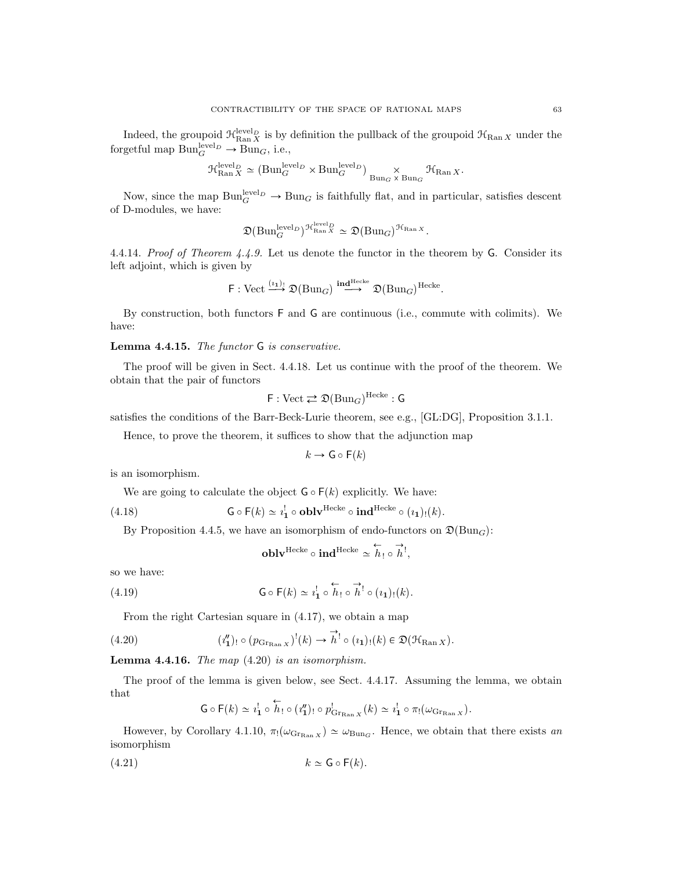Indeed, the groupoid  $\mathcal{H}_{\text{Ran }X}^{\text{level }p}$  is by definition the pullback of the groupoid  $\mathcal{H}_{\text{Ran }X}$  under the forgetful map  $\text{Bun}_G^{\text{level}_D} \to \text{Bun}_G$ , i.e.,

$$
\mathcal{H}_{\mathrm{Ran}\, X}^{\mathrm{level}_D} \simeq (\mathrm{Bun}_G^{\mathrm{level}_D} \times \mathrm{Bun}_G^{\mathrm{level}_D}) \underset{\mathrm{Bun}_G \times \mathrm{Bun}_G}{\times} \mathcal{H}_{\mathrm{Ran}\, X}.
$$

Now, since the map  $\text{Bun}_G^{\text{level } D} \to \text{Bun}_G$  is faithfully flat, and in particular, satisfies descent of D-modules, we have:

$$
\mathfrak{D}(\mathrm{Bun}_G^{\mathrm{level}_D})^{\mathfrak{R}_{\mathrm{Ran}\,X}^{\mathrm{level}_D}} \simeq \mathfrak{D}(\mathrm{Bun}_G)^{\mathfrak{H}_{\mathrm{Ran}\,X}}.
$$

4.4.14. Proof of Theorem  $4.4.9$ . Let us denote the functor in the theorem by G. Consider its left adjoint, which is given by

$$
\mathsf{F}: \mathrm{Vect} \xrightarrow{(i_1)!} \mathfrak{D}(\mathrm{Bun}_G) \xrightarrow{\mathrm{ind}^{\mathrm{Hecke}}} \mathfrak{D}(\mathrm{Bun}_G)^{\mathrm{Hecke}}.
$$

By construction, both functors F and G are continuous (i.e., commute with colimits). We have:

## Lemma 4.4.15. The functor G is conservative.

The proof will be given in Sect. 4.4.18. Let us continue with the proof of the theorem. We obtain that the pair of functors

$$
\mathsf{F} : \mathrm{Vect} \rightleftarrows \mathfrak{D}(\mathrm{Bun}_G)^{\mathrm{Hecke}} : \mathsf{G}
$$

satisfies the conditions of the Barr-Beck-Lurie theorem, see e.g., [GL:DG], Proposition 3.1.1.

Hence, to prove the theorem, it suffices to show that the adjunction map

$$
k \to \mathsf{G} \circ \mathsf{F}(k)
$$

is an isomorphism.

We are going to calculate the object  $G \circ F(k)$  explicitly. We have:

(4.18) 
$$
\mathsf{G} \circ \mathsf{F}(k) \simeq i_1^! \circ \mathbf{oblv}^{\text{Hecke}} \circ \mathbf{ind}^{\text{Hecke}} \circ (i_1)_!(k).
$$

By Proposition 4.4.5, we have an isomorphism of endo-functors on  $\mathfrak{D}(\text{Bun}_G)$ :

$$
\mathbf{oblv}^{\mathrm{Hecke}} \circ \mathbf{ind}^{\mathrm{Hecke}} \simeq \overleftarrow{h}_! \circ \overrightarrow{h}_!,
$$

so we have:

(4.19) 
$$
\mathsf{G} \circ \mathsf{F}(k) \simeq i_1^! \circ \overleftrightarrow{h}_! \circ \overrightarrow{h}_! \circ (i_1)_!(k).
$$

From the right Cartesian square in (4.17), we obtain a map

(4.20) 
$$
(i_1'')_! \circ (p_{\text{Gr}_{\text{Ran } X}})^!(k) \to \overrightarrow{h}^! \circ (i_1)_!(k) \in \mathfrak{D}(\mathfrak{H}_{\text{Ran } X}).
$$

**Lemma 4.4.16.** The map  $(4.20)$  is an isomorphism.

The proof of the lemma is given below, see Sect. 4.4.17. Assuming the lemma, we obtain that Ð

$$
\mathsf{G}\circ\mathsf{F}(k)\simeq i_1^!\circ h_!\circ(i_1'')_!\circ p_{\mathrm{Gr}_{\mathrm{Ran}\, X}}^!(k)\simeq i_1^!\circ\pi_!(\omega_{\mathrm{Gr}_{\mathrm{Ran}\, X}}).
$$

However, by Corollary 4.1.10,  $\pi$ <sup>[</sup>( $\omega_{\text{GrRan } X}$ )  $\simeq \omega_{\text{Bun}_G}$ . Hence, we obtain that there exists an isomorphism

$$
(4.21) \t\t k \simeq \mathsf{G} \circ \mathsf{F}(k).
$$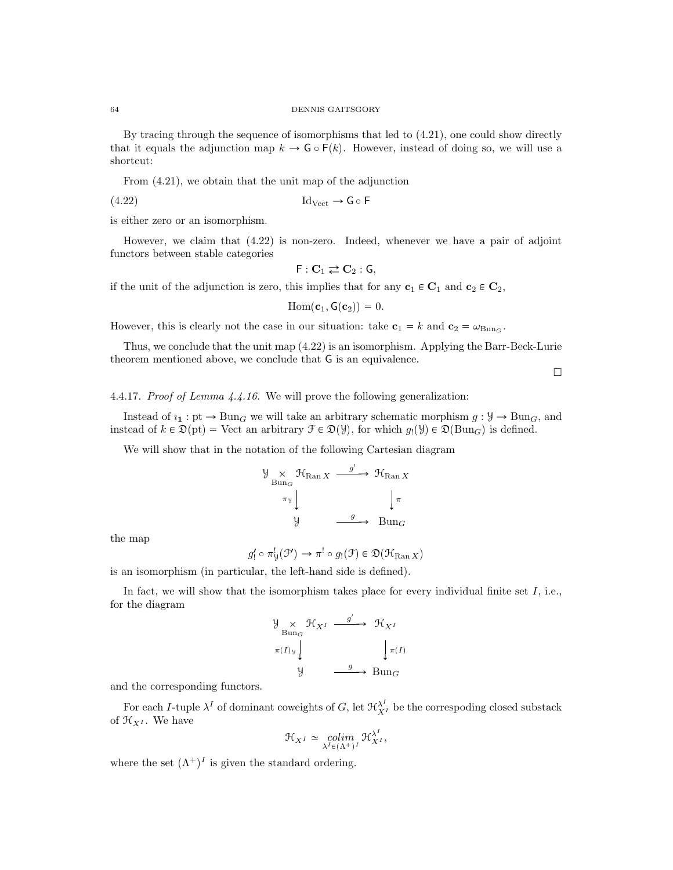By tracing through the sequence of isomorphisms that led to (4.21), one could show directly that it equals the adjunction map  $k \to \mathsf{G} \circ \mathsf{F}(k)$ . However, instead of doing so, we will use a shortcut:

From (4.21), we obtain that the unit map of the adjunction

 $\text{Id}_{\text{Vect}} \to \mathsf{G} \circ \mathsf{F}$ 

is either zero or an isomorphism.

However, we claim that (4.22) is non-zero. Indeed, whenever we have a pair of adjoint functors between stable categories

$$
\mathsf{F}: \mathbf{C}_1 \rightleftarrows \mathbf{C}_2: \mathsf{G},
$$

if the unit of the adjunction is zero, this implies that for any  $c_1 \in C_1$  and  $c_2 \in C_2$ ,

 $\text{Hom}(\mathbf{c}_1, \mathsf{G}(\mathbf{c}_2)) = 0.$ 

However, this is clearly not the case in our situation: take  $c_1 = k$  and  $c_2 = \omega_{Bun_G}$ .

Thus, we conclude that the unit map (4.22) is an isomorphism. Applying the Barr-Beck-Lurie theorem mentioned above, we conclude that G is an equivalence.

 $\Box$ 

4.4.17. Proof of Lemma 4.4.16. We will prove the following generalization:

Instead of  $i_1 : pt \to Bun_G$  we will take an arbitrary schematic morphism  $g : Y \to Bun_G$ , and instead of  $k \in \mathfrak{D}(\mathrm{pt}) = \mathrm{Vect}$  an arbitrary  $\mathcal{F} \in \mathfrak{D}(\mathcal{Y})$ , for which  $g_1(\mathcal{Y}) \in \mathfrak{D}(\mathrm{Bun}_G)$  is defined.

We will show that in the notation of the following Cartesian diagram

$$
\begin{array}{ccc}\n\mathcal{Y} & \mathcal{H}_{\text{Ran } X} & \xrightarrow{g'} & \mathcal{H}_{\text{Ran } X} \\
\pi_{\mathcal{Y}} & & & \downarrow \pi \\
\mathcal{Y} & & \xrightarrow{g} & \text{Bun}_G\n\end{array}
$$

the map

$$
g'_! \circ \pi^!_{\mathcal{Y}}(\mathcal{F}') \to \pi^! \circ g_!(\mathcal{F}) \in \mathfrak{D}(\mathcal{H}_{\text{Ran } X})
$$

is an isomorphism (in particular, the left-hand side is defined).

In fact, we will show that the isomorphism takes place for every individual finite set  $I$ , i.e., for the diagram

$$
\begin{array}{ccc}\n\mathcal{Y} & \times & \mathcal{H}_{X^I} & \xrightarrow{g'} & \mathcal{H}_{X^I} \\
\text{Bun}_G & & & \downarrow^{\pi(I)}\mathcal{Y} \\
\downarrow & & & \downarrow^{\pi(I)} \\
\mathcal{Y} & & \xrightarrow{g} & \text{Bun}_G\n\end{array}
$$

and the corresponding functors.

For each *I*-tuple  $\lambda^I$  of dominant coweights of *G*, let  $\mathcal{H}_{X^I}^{\lambda^I}$  be the correspoding closed substack of  $\mathfrak{H}_{X^I}$ . We have

$$
\mathcal{H}_{X^I} \simeq \operatorname*{colim}_{\lambda^I \in (\Lambda^+)^I} \mathcal{H}_{X^I}^{\lambda^I},
$$

where the set  $(\Lambda^+)^I$  is given the standard ordering.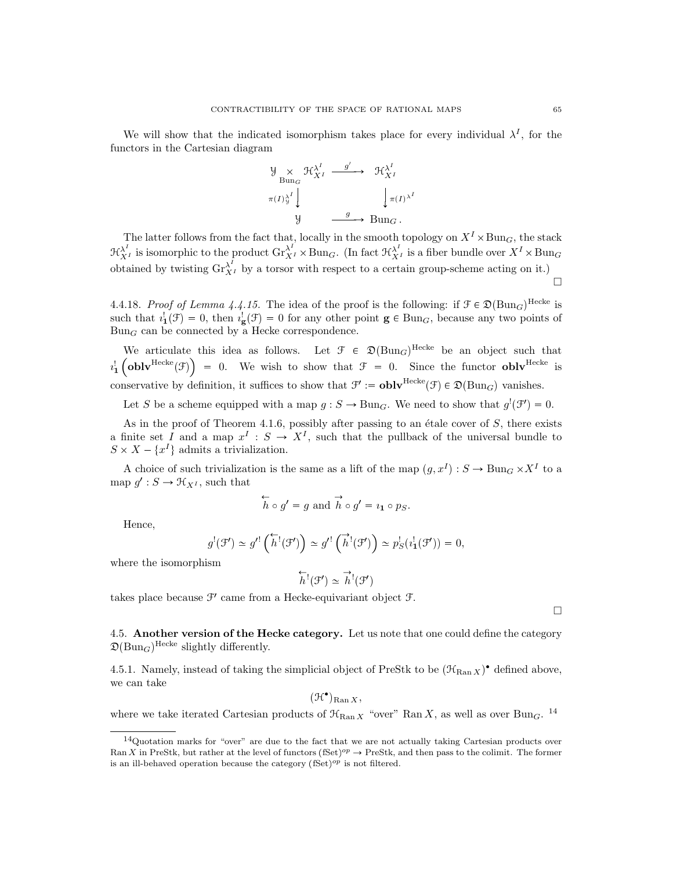We will show that the indicated isomorphism takes place for every individual  $\lambda^I$ , for the functors in the Cartesian diagram

$$
\begin{array}{ccc}\n\mathcal{Y} & \times & \mathcal{H}^{\lambda^I}_{X^I} & \xrightarrow{g'} & \mathcal{H}^{\lambda^I}_{X^I} \\
\pi(I)^{\lambda^I}_{\mathcal{Y}} & & & \downarrow \\
\pi(I)^{\lambda^I}_{\mathcal{Y}} & & & \downarrow \pi(I)^{\lambda^I} \\
\mathcal{Y} & & \xrightarrow{g} & \text{Bun}_G.\n\end{array}
$$

The latter follows from the fact that, locally in the smooth topology on  $X^I \times \text{Bun}_G$ , the stack  $\mathfrak{R}_{X^I}^{\lambda^I}$  is isomorphic to the product  $\operatorname{Gr}^{\lambda^I}_{X^I} \times \text{Bun}_G$ . (In fact  $\mathfrak{R}_{X^I}^{\lambda^I}$  is a fiber bundle over  $X^I \times \text{Bun}_G$ obtained by twisting  $\text{Gr}_{X}^{\lambda^{I}}$  by a torsor with respect to a certain group-scheme acting on it.)  $\Box$ 

4.4.18. Proof of Lemma 4.4.15. The idea of the proof is the following: if  $\mathcal{F} \in \mathfrak{D}(\text{Bun}_G)^{\text{Hecke}}$  is such that  $i_1^{\dagger}(\mathcal{F}) = 0$ , then  $i_g^{\dagger}(\mathcal{F}) = 0$  for any other point  $g \in Bun_G$ , because any two points of  $Bun<sub>G</sub>$  can be connected by a Hecke correspondence.

We articulate this idea as follows. Let  $\mathcal{F} \in \mathfrak{D}(\text{Bun}_G)^{\text{Hecke}}$  be an object such that  $i_1^{\dagger}$  (obly Hecke  $(\mathcal{F})$ ) = 0. We wish to show that  $\mathcal{F} = 0$ . Since the functor obly Hecke is conservative by definition, it suffices to show that  $\mathcal{F}' := \mathbf{oblv}^{\text{Hecke}}(\mathcal{F}) \in \mathfrak{D}(\text{Bun}_G)$  vanishes.

Let S be a scheme equipped with a map  $g : S \to \text{Bun}_G$ . We need to show that  $g'(\mathcal{F}') = 0$ .

As in the proof of Theorem 4.1.6, possibly after passing to an étale cover of  $S$ , there exists a finite set I and a map  $x^I : S \to X^I$ , such that the pullback of the universal bundle to  $S \times X - \{x^I\}$  admits a trivialization.

A choice of such trivialization is the same as a lift of the map  $(g, x^I) : S \to \text{Bun}_G \times X^I$  to a map  $g' : S \to \mathcal{H}_{X^I}$ , such that

$$
\overleftrightarrow{h} \circ g' = g
$$
 and  $\overrightarrow{h} \circ g' = i_1 \circ p_S$ .

Hence,

$$
g^{!}(\mathcal{F}') \simeq g'^{!}(\overleftarrow{h}^{!}(\mathcal{F}')) \simeq g'^{!}(\overrightarrow{h}^{!}(\mathcal{F}')) \simeq p_{S}^{!}(i_{\mathbf{1}}^{!}(\mathcal{F}')) = 0,
$$

where the isomorphism

$$
\overleftarrow{h}^!(\mathcal{F}') \simeq \overrightarrow{h}^!(\mathcal{F}')
$$

takes place because  $\mathcal{F}'$  came from a Hecke-equivariant object  $\mathcal{F}$ .

 $\Box$ 

4.5. Another version of the Hecke category. Let us note that one could define the category  $\mathfrak{D}(\text{Bun}_G)^\text{Hecke}$  slightly differently.

4.5.1. Namely, instead of taking the simplicial object of PreStk to be  $(\mathcal{H}_{\text{Ran } X})^{\bullet}$  defined above, we can take

 $(\mathcal{H}^{\bullet})_{\text{Ran } X},$ 

where we take iterated Cartesian products of  $\mathcal{H}_{\text{Ran }X}$  "over" Ran X, as well as over Bun<sub>G</sub>. <sup>14</sup>

<sup>14</sup>Quotation marks for "over" are due to the fact that we are not actually taking Cartesian products over Ran X in PreStk, but rather at the level of functors  $(fSet)^{op} \to PreStk$ , and then pass to the colimit. The former is an ill-behaved operation because the category  $(fSet)^{op}$  is not filtered.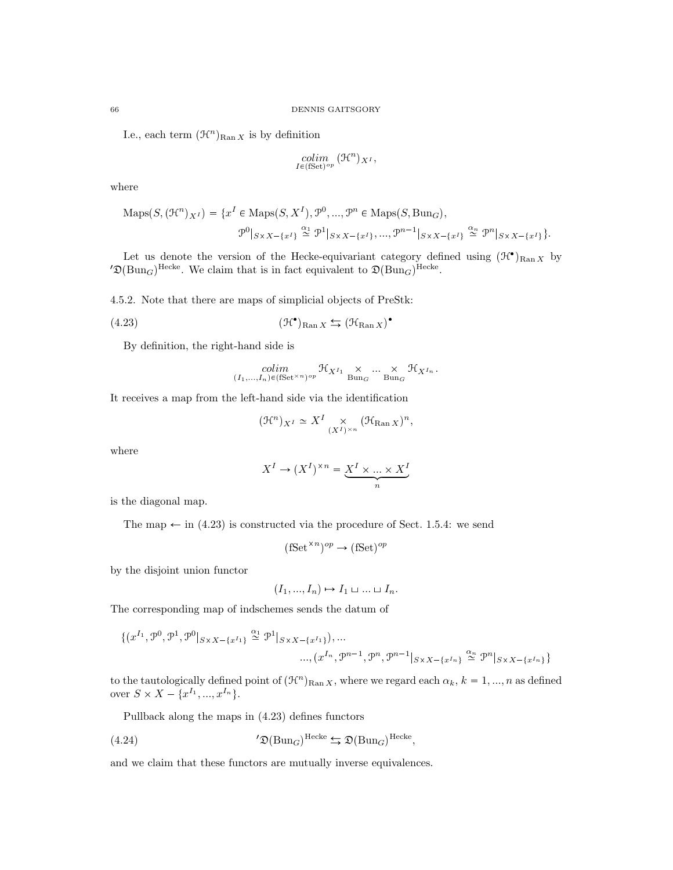I.e., each term  $(\mathcal{H}^n)_{\text{Ran }X}$  is by definition

$$
\underset{I \in (\text{fSet})^{op}}{colim} \; (\mathfrak{H}^n)_{X^I},
$$

where

$$
\text{Maps}(S, (\mathcal{H}^n)_{X^I}) = \{x^I \in \text{Maps}(S, X^I), \mathcal{P}^0, ..., \mathcal{P}^n \in \text{Maps}(S, \text{Bun}_G),
$$

$$
\mathcal{P}^0|_{S \times X - \{x^I\}} \stackrel{\alpha_1}{\simeq} \mathcal{P}^1|_{S \times X - \{x^I\}}, ..., \mathcal{P}^{n-1}|_{S \times X - \{x^I\}} \stackrel{\alpha_n}{\simeq} \mathcal{P}^n|_{S \times X - \{x^I\}}\}.
$$

Let us denote the version of the Hecke-equivariant category defined using  $(\mathcal{H}^{\bullet})_{\text{Ran } X}$  by  $\mathfrak{D}(\text{Bun}_G)^{\text{Hecke}}$ . We claim that is in fact equivalent to  $\mathfrak{D}(\text{Bun}_G)^{\text{Hecke}}$ .

4.5.2. Note that there are maps of simplicial objects of PreStk:

$$
(4.23) \t\t\t (\mathcal{H}^{\bullet})_{\text{Ran } X} \leftrightarrows (\mathcal{H}_{\text{Ran } X})^{\bullet}
$$

By definition, the right-hand side is

$$
\underset{(I_1,\ldots,I_n)\in(\text{fSet}^{\times n})^{op}}{\text{colim}} \mathfrak{R}_{X^{I_1}} \underset{\text{Bung}}{\times} \ldots \underset{\text{Bung}}{\times} \mathfrak{R}_{X^{I_n}}.
$$

It receives a map from the left-hand side via the identification

$$
(\mathfrak{H}^n)_{X^I} \simeq X^I \underset{(X^I)^{\times n}}{\times} (\mathfrak{H}_{\mathrm{Ran}\, X})^n,
$$

where

$$
X^{I} \to (X^{I})^{\times n} = \underbrace{X^{I} \times \dots \times X^{I}}_{n}
$$

is the diagonal map.

The map  $\leftarrow$  in (4.23) is constructed via the procedure of Sect. 1.5.4: we send

$$
(\text{fSet}^{\times n})^{op} \to (\text{fSet})^{op}
$$

by the disjoint union functor

$$
(I_1, ..., I_n) \mapsto I_1 \sqcup ... \sqcup I_n.
$$

The corresponding map of indschemes sends the datum of

$$
\{(x^{I_1},\mathcal{P}^0,\mathcal{P}^1,\mathcal{P}^0|_{S\times X-\{x^{I_1}\}}\stackrel{\alpha_1}{\simeq}\mathcal{P}^1|_{S\times X-\{x^{I_1}\}}),\ldots\\ \ldots,(x^{I_n},\mathcal{P}^{n-1},\mathcal{P}^n,\mathcal{P}^{n-1}|_{S\times X-\{x^{I_n}\}}\stackrel{\alpha_n}{\simeq}\mathcal{P}^n|_{S\times X-\{x^{I_n}\}}\}
$$

to the tautologically defined point of  $(\mathcal{H}^n)_{\text{Ran }X}$ , where we regard each  $\alpha_k$ ,  $k = 1, ..., n$  as defined over  $S \times X - \{x^{I_1}, ..., x^{I_n}\}.$ 

Pullback along the maps in (4.23) defines functors

(4.24) 
$$
{}' \mathfrak{D}(\text{Bun}_G)^{\text{Hecke}} \subseteq \mathfrak{D}(\text{Bun}_G)^{\text{Hecke}},
$$

and we claim that these functors are mutually inverse equivalences.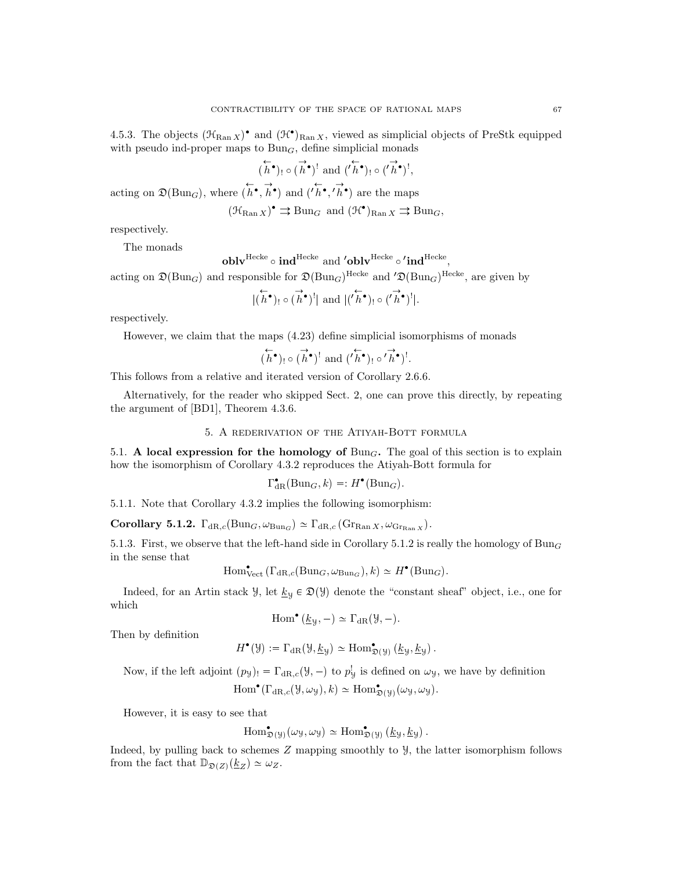4.5.3. The objects  $(\mathcal{H}_{\text{Ran } X})^{\bullet}$  and  $(\mathcal{H}^{\bullet})_{\text{Ran } X}$ , viewed as simplicial objects of PreStk equipped with pseudo ind-proper maps to  $Bun<sub>G</sub>$ , define simplicial monads

$$
(\overleftarrow{h}^{\bullet})_! \circ (\overrightarrow{h}^{\bullet})^! \text{ and } (\overleftarrow{h}^{\bullet})_! \circ (\overrightarrow{h}^{\bullet})^!,
$$

acting on  $\mathfrak{D}(\text{Bun}_G)$ , where  $(h^{\bullet}, \vec{h}^{\bullet})$  and  $(h^{\bullet}, h^{\bullet})$  are the maps

$$
(\mathfrak{H}_{\mathrm{Ran} X})^{\bullet} \rightrightarrows \mathrm{Bun}_G
$$
 and  $(\mathfrak{H}^{\bullet})_{\mathrm{Ran} X} \rightrightarrows \mathrm{Bun}_G$ ,

respectively.

The monads

$$
\mathbf{oblv}^\mathrm{Hecke}\circ\mathbf{ind}^\mathrm{Hecke}\ \mathrm{and}\ \mathbf{'oblv}^\mathrm{Hecke}\circ\mathbf{'ind}^\mathrm{Hecke},
$$

acting on  $\mathfrak{D}(\text{Bun}_G)$  and responsible for  $\mathfrak{D}(\text{Bun}_G)^\text{Hecke}$  and  $'\mathfrak{D}(\text{Bun}_G)^\text{Hecke}$ , are given by

$$
|(\overleftarrow{h}^{\bullet})_! \circ (\overrightarrow{h}^{\bullet})^!| \text{ and } |(' \overleftarrow{h}^{\bullet})_! \circ (' \overrightarrow{h}^{\bullet})^!|.
$$

respectively.

However, we claim that the maps (4.23) define simplicial isomorphisms of monads

$$
(\overleftarrow{h}^{\bullet})_! \circ (\overrightarrow{h}^{\bullet})^! \text{ and } ('\overleftarrow{h}^{\bullet})_! \circ ' \overrightarrow{h}^{\bullet})^!.
$$

This follows from a relative and iterated version of Corollary 2.6.6.

Alternatively, for the reader who skipped Sect. 2, one can prove this directly, by repeating the argument of [BD1], Theorem 4.3.6.

5. A rederivation of the Atiyah-Bott formula

5.1. A local expression for the homology of  $Bun<sub>G</sub>$ . The goal of this section is to explain how the isomorphism of Corollary 4.3.2 reproduces the Atiyah-Bott formula for

$$
\Gamma_{\mathrm{dR}}^{\bullet}(\mathrm{Bun}_{G},k)=:H^{\bullet}(\mathrm{Bun}_{G}).
$$

5.1.1. Note that Corollary 4.3.2 implies the following isomorphism:

Corollary 5.1.2.  $\Gamma_{\text{dR},c}(\text{Bun}_G, \omega_{\text{Bun}_G}) \simeq \Gamma_{\text{dR},c}(\text{Gr}_{\text{Ran }X}, \omega_{\text{Gr}_{\text{Ran }X}}).$ 

5.1.3. First, we observe that the left-hand side in Corollary 5.1.2 is really the homology of  $Bun_G$ in the sense that

$$
\text{Hom}^{\bullet}_{\text{Vect}}(\Gamma_{\text{dR},c}(\text{Bun}_G, \omega_{\text{Bun}_G}), k) \simeq H^{\bullet}(\text{Bun}_G).
$$

Indeed, for an Artin stack  $\mathcal{Y}$ , let  $\underline{k}_{\mathcal{Y}} \in \mathfrak{D}(\mathcal{Y})$  denote the "constant sheaf" object, i.e., one for which

$$
\mathrm{Hom}^{\bullet}\left(\underline{k}_{\mathcal{Y}},-\right) \simeq \Gamma_{\mathrm{dR}}(\mathcal{Y},-).
$$

Then by definition

$$
H^{\bullet}(\mathcal{Y}) := \Gamma_{\mathrm{dR}}(\mathcal{Y}, \underline{k}_{\mathcal{Y}}) \simeq \mathrm{Hom}^{\bullet}_{\mathfrak{D}(\mathcal{Y})}(\underline{k}_{\mathcal{Y}}, \underline{k}_{\mathcal{Y}}).
$$

Now, if the left adjoint  $(p_y)_! = \Gamma_{dR,c}(y, -)$  to  $p_y^!$  is defined on  $\omega_y$ , we have by definition

 $\text{Hom}^{\bullet}(\Gamma_{\text{dR},c}(\mathcal{Y},\omega_{\mathcal{Y}}),k) \simeq \text{Hom}^{\bullet}_{\mathfrak{D}(\mathcal{Y})}(\omega_{\mathcal{Y}},\omega_{\mathcal{Y}}).$ 

However, it is easy to see that

$$
\operatorname{Hom}^{\bullet}_{\mathfrak{D}(\mathcal{Y})}(\omega_{\mathcal{Y}}, \omega_{\mathcal{Y}}) \simeq \operatorname{Hom}^{\bullet}_{\mathfrak{D}(\mathcal{Y})}(\underline{k}_{\mathcal{Y}}, \underline{k}_{\mathcal{Y}}).
$$

Indeed, by pulling back to schemes Z mapping smoothly to Y, the latter isomorphism follows from the fact that  $\mathbb{D}_{\mathfrak{D}(Z)}(\underline{k}_Z) \simeq \omega_Z$ .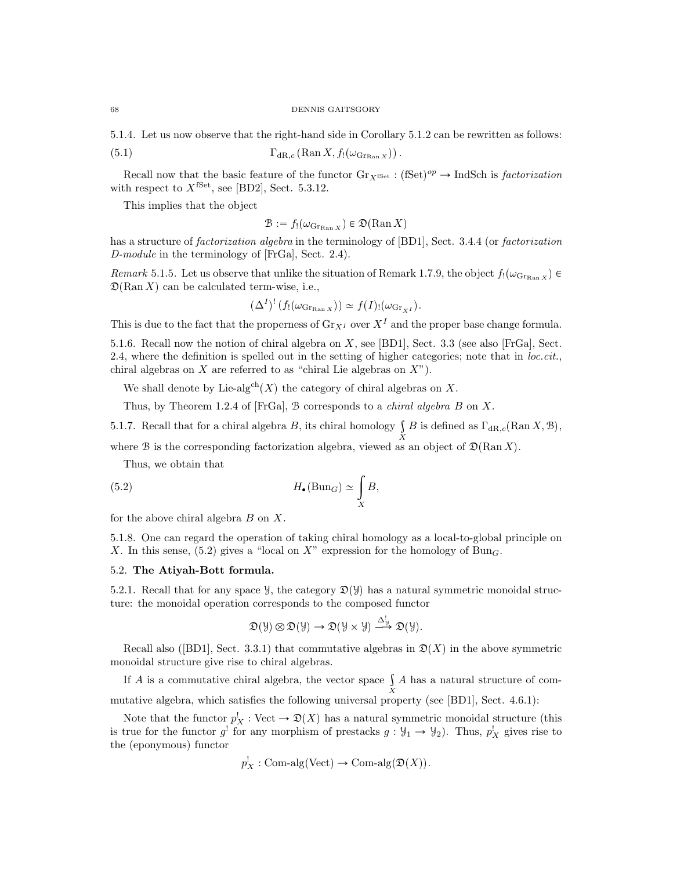#### 68 DENNIS GAITSGORY

5.1.4. Let us now observe that the right-hand side in Corollary 5.1.2 can be rewritten as follows:

(5.1) 
$$
\Gamma_{\mathrm{dR},c}(\mathrm{Ran}\,X,f_!(\omega_{\mathrm{Gr}_{\mathrm{Ran}\,X}})).
$$

Recall now that the basic feature of the functor  $\text{Gr}_{X^{\text{fSet}}} : (\text{fSet})^{op} \to \text{IndSch}$  is factorization with respect to  $X^{\text{fSet}}$ , see [BD2], Sect. 5.3.12.

This implies that the object

$$
\mathcal{B} := f_!(\omega_{\text{Gr}_{\text{Ran } X}}) \in \mathfrak{D}(\text{Ran } X)
$$

has a structure of *factorization algebra* in the terminology of [BD1], Sect. 3.4.4 (or *factorization*) D-module in the terminology of [FrGa], Sect. 2.4).

Remark 5.1.5. Let us observe that unlike the situation of Remark 1.7.9, the object  $f(\omega_{\text{GFRan X}})$  $\mathfrak{D}(\text{Ran } X)$  can be calculated term-wise, i.e.,

$$
(\Delta^I)^! (f_!(\omega_{\text{Gr}_{\text{Ran } X}})) \simeq f(I)_! (\omega_{\text{Gr}_{XI}}).
$$

This is due to the fact that the properness of  $\text{Gr}_{X^I}$  over  $X^I$  and the proper base change formula.

5.1.6. Recall now the notion of chiral algebra on X, see [BD1], Sect. 3.3 (see also [FrGa], Sect. 2.4, where the definition is spelled out in the setting of higher categories; note that in  $loc. cit.$ chiral algebras on  $X$  are referred to as "chiral Lie algebras on  $X$ ").

We shall denote by Lie-algch $(X)$  the category of chiral algebras on X.

Thus, by Theorem 1.2.4 of [FrGa],  $B$  corresponds to a *chiral algebra*  $B$  on  $X$ .

5.1.7. Recall that for a chiral algebra B, its chiral homology  $\int B$  is defined as  $\Gamma_{\text{dR},c}(\text{Ran }X,\mathcal{B})$ ,

where B is the corresponding factorization algebra, viewed as an object of  $\mathfrak{D}(\text{Ran }X)$ .

Thus, we obtain that

(5.2) 
$$
H_{\bullet}(\text{Bun}_G) \simeq \int\limits_X B,
$$

for the above chiral algebra  $B$  on  $X$ .

5.1.8. One can regard the operation of taking chiral homology as a local-to-global principle on X. In this sense, (5.2) gives a "local on X" expression for the homology of Bung.

# 5.2. The Atiyah-Bott formula.

5.2.1. Recall that for any space  $\mathcal{Y}$ , the category  $\mathfrak{D}(\mathcal{Y})$  has a natural symmetric monoidal structure: the monoidal operation corresponds to the composed functor

$$
\mathfrak{D}(\mathcal{Y}) \otimes \mathfrak{D}(\mathcal{Y}) \to \mathfrak{D}(\mathcal{Y} \times \mathcal{Y}) \xrightarrow{\Delta_{\mathcal{Y}}^{\mathcal{I}}} \mathfrak{D}(\mathcal{Y}).
$$

Recall also ([BD1], Sect. 3.3.1) that commutative algebras in  $\mathfrak{D}(X)$  in the above symmetric monoidal structure give rise to chiral algebras.

If A is a commutative chiral algebra, the vector space  $\int A$  has a natural structure of com-X mutative algebra, which satisfies the following universal property (see [BD1], Sect. 4.6.1):

Note that the functor  $p_X^! : \text{Vect} \to \mathfrak{D}(X)$  has a natural symmetric monoidal structure (this is true for the functor  $g'$  for any morphism of prestacks  $g: \mathcal{Y}_1 \to \mathcal{Y}_2$ . Thus,  $p'_X$  gives rise to the (eponymous) functor

$$
p_X^!
$$
: Com-alg(Vect)  $\to$  Com-alg $(\mathfrak{D}(X))$ .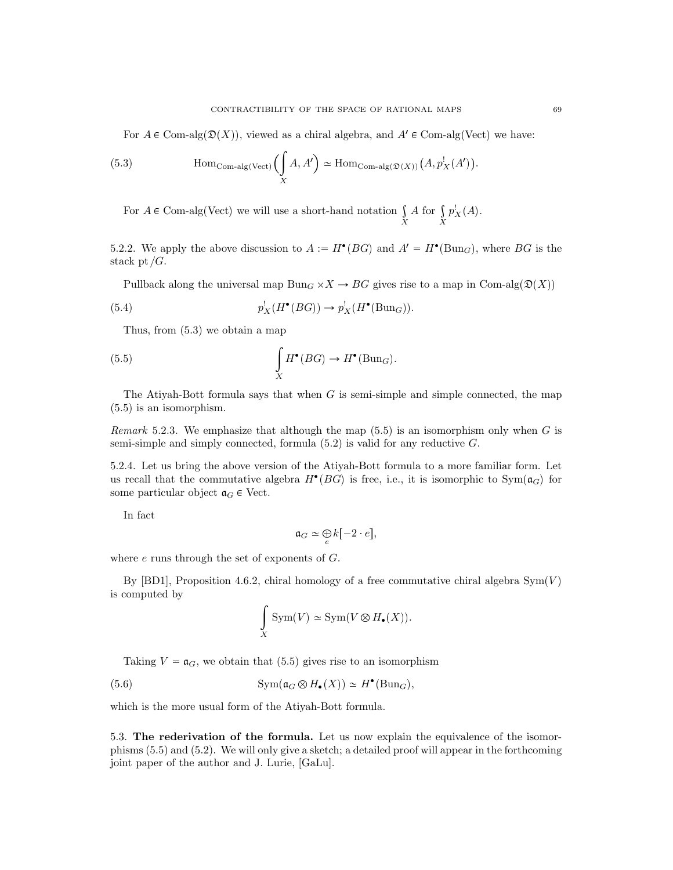For  $A \in \text{Com-alg}(\mathfrak{D}(X))$ , viewed as a chiral algebra, and  $A' \in \text{Com-alg(Vect)}$  we have:

(5.3) 
$$
\text{Hom}_{\text{Com-alg}(\text{Vect})}\left(\int\limits_X A, A'\right) \simeq \text{Hom}_{\text{Com-alg}(\mathfrak{D}(X))}\left(A, p_X^!(A')\right).
$$

For  $A \in \text{Com-alg(Vect)}$  we will use a short-hand notation  $\int$ X A for  $\int$ X  $p_X^!(A)$ .

5.2.2. We apply the above discussion to  $A := H^{\bullet}(BG)$  and  $A' = H^{\bullet}(\text{Bun}_G)$ , where  $BG$  is the stack pt  $/G$ .

Pullback along the universal map  $Bun_G \times X \to BG$  gives rise to a map in Com-alg $(\mathfrak{D}(X))$ 

(5.4) 
$$
p_X^!(H^{\bullet}(BG)) \to p_X^!(H^{\bullet}(\text{Bun}_G)).
$$

Thus, from (5.3) we obtain a map

(5.5) 
$$
\int_{X} H^{\bullet}(BG) \to H^{\bullet}(\text{Bun}_G).
$$

The Ativah-Bott formula says that when  $G$  is semi-simple and simple connected, the map (5.5) is an isomorphism.

Remark 5.2.3. We emphasize that although the map  $(5.5)$  is an isomorphism only when G is semi-simple and simply connected, formula  $(5.2)$  is valid for any reductive  $G$ .

5.2.4. Let us bring the above version of the Atiyah-Bott formula to a more familiar form. Let us recall that the commutative algebra  $H^{\bullet}(BG)$  is free, i.e., it is isomorphic to  $Sym(\mathfrak{a}_G)$  for some particular object  $a_G \in$  Vect.

In fact

$$
\mathfrak{a}_G \simeq \bigoplus_e k[-2 \cdot e],
$$

where e runs through the set of exponents of G.

By [BD1], Proposition 4.6.2, chiral homology of a free commutative chiral algebra  $\text{Sym}(V)$ is computed by

$$
\int_{X} \text{Sym}(V) \simeq \text{Sym}(V \otimes H_{\bullet}(X)).
$$

Taking  $V = \mathfrak{a}_G$ , we obtain that (5.5) gives rise to an isomorphism

(5.6) 
$$
\mathrm{Sym}(\mathfrak{a}_G \otimes H_{\bullet}(X)) \simeq H^{\bullet}(\mathrm{Bun}_G),
$$

which is the more usual form of the Atiyah-Bott formula.

5.3. The rederivation of the formula. Let us now explain the equivalence of the isomorphisms (5.5) and (5.2). We will only give a sketch; a detailed proof will appear in the forthcoming joint paper of the author and J. Lurie, [GaLu].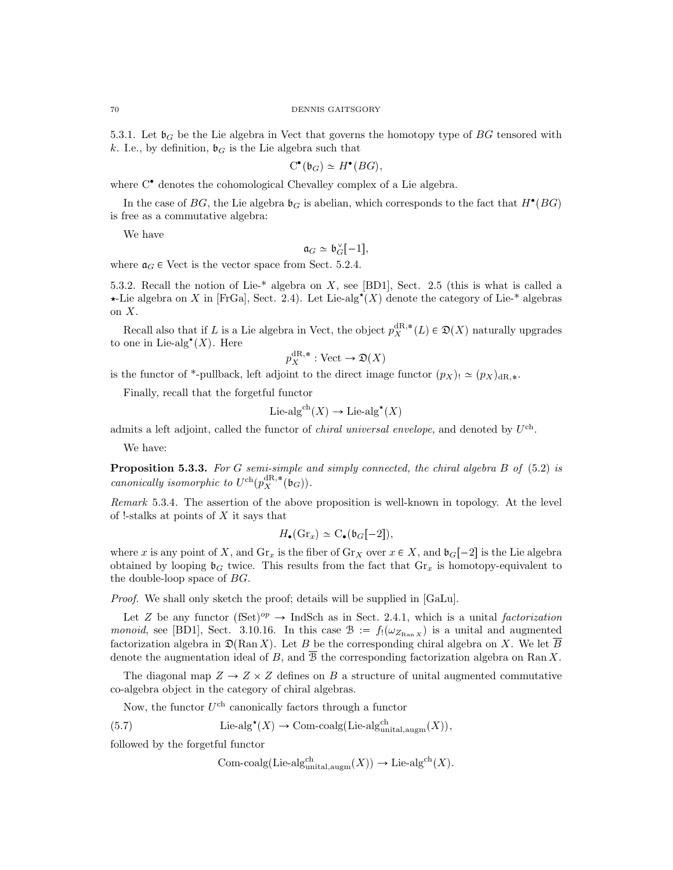5.3.1. Let  $\mathfrak{b}_G$  be the Lie algebra in Vect that governs the homotopy type of BG tensored with k. I.e., by definition,  $\mathfrak{b}_G$  is the Lie algebra such that

$$
C^{\bullet}(\mathfrak{b}_G) \simeq H^{\bullet}(BG),
$$

where  $C^{\bullet}$  denotes the cohomological Chevalley complex of a Lie algebra.

In the case of  $BG$ , the Lie algebra  $\mathfrak{b}_G$  is abelian, which corresponds to the fact that  $H^{\bullet}(BG)$ is free as a commutative algebra:

We have

 $\mathfrak{a}_G \simeq \mathfrak{b}_G^{\vee}[-1],$ 

where  $a_G \in$  Vect is the vector space from Sect. 5.2.4.

5.3.2. Recall the notion of Lie-\* algebra on X, see [BD1], Sect. 2.5 (this is what is called a  $\star$ -Lie algebra on X in [FrGa], Sect. 2.4). Let Lie-alg<sup> $\star$ </sup>(X) denote the category of Lie-\* algebras on  $X$ .

Recall also that if L is a Lie algebra in Vect, the object  $p_X^{\text{dR},*}(L) \in \mathfrak{D}(X)$  naturally upgrades to one in Lie-alg<sup>\*</sup> $(X)$ . Here

$$
p_X^{\mathrm{dR},*} : \mathrm{Vect} \to \mathfrak{D}(X)
$$

is the functor of \*-pullback, left adjoint to the direct image functor  $(p_X)_! \simeq (p_X)_{dR,*}$ .

Finally, recall that the forgetful functor

$$
Lie-alg^{ch}(X) \to Lie-alg^{\star}(X)
$$

admits a left adjoint, called the functor of *chiral universal envelope*, and denoted by  $U^{\text{ch}}$ .

We have:

Proposition 5.3.3. For G semi-simple and simply connected, the chiral algebra B of (5.2) is canonically isomorphic to  $U^{\text{ch}}(p_X^{\text{dR},*}(\mathfrak{b}_G)).$ 

Remark 5.3.4. The assertion of the above proposition is well-known in topology. At the level of !-stalks at points of  $X$  it says that

$$
H_{\bullet}(\mathrm{Gr}_x) \simeq \mathrm{C}_{\bullet}(\mathfrak{b}_G[-2]),
$$

where x is any point of X, and  $\mathrm{Gr}_x$  is the fiber of  $\mathrm{Gr}_X$  over  $x \in X$ , and  $\mathfrak{b}_G[-2]$  is the Lie algebra obtained by looping  $\mathfrak{b}_G$  twice. This results from the fact that  $\text{Gr}_x$  is homotopy-equivalent to the double-loop space of BG.

Proof. We shall only sketch the proof; details will be supplied in [GaLu].

Let Z be any functor  $(fSet)^{op} \to \text{IndSch}$  as in Sect. 2.4.1, which is a unital factorization monoid, see [BD1], Sect. 3.10.16. In this case  $\mathcal{B} := f_1(\omega_{Z_{\text{Ran }X}})$  is a unital and augmented factorization algebra in  $\mathfrak{D}(\mathrm{Ran} X)$ . Let B be the corresponding chiral algebra on X. We let B denote the augmentation ideal of B, and  $\overline{B}$  the corresponding factorization algebra on Ran X.

The diagonal map  $Z \to Z \times Z$  defines on B a structure of unital augmented commutative co-algebra object in the category of chiral algebras.

Now, the functor  $U^{\text{ch}}$  canonically factors through a functor

(5.7) Lie-alg<sup>\*</sup>
$$
(X)
$$
  $\rightarrow$  Com-coalg(Lie-alg<sup>ch</sup><sub>unital,augm</sub> $(X)$ ),

followed by the forgetful functor

Com-coalg(Lie-alg<sup>ch</sup><sub>unital,augm</sub>
$$
(X)) \to
$$
Lie-alg<sup>ch</sup> $(X)$ .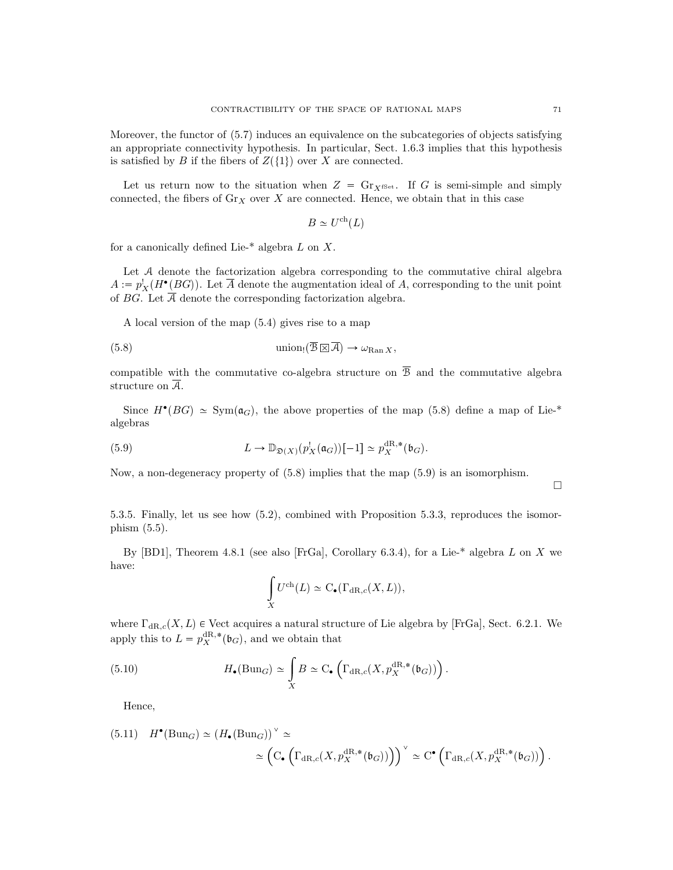Moreover, the functor of (5.7) induces an equivalence on the subcategories of objects satisfying an appropriate connectivity hypothesis. In particular, Sect. 1.6.3 implies that this hypothesis is satisfied by B if the fibers of  $Z(\{1\})$  over X are connected.

Let us return now to the situation when  $Z = \mathrm{Gr}_{X^{\text{fSet}}}$ . If G is semi-simple and simply connected, the fibers of  $\text{Gr}_X$  over X are connected. Hence, we obtain that in this case

$$
B \simeq U^{\text{ch}}(L)
$$

for a canonically defined Lie- $*$  algebra L on X.

Let A denote the factorization algebra corresponding to the commutative chiral algebra  $A := p_X^{\dagger}(H^{\bullet}(BG)).$  Let  $\overline{A}$  denote the augmentation ideal of A, corresponding to the unit point of BG. Let  $\overline{A}$  denote the corresponding factorization algebra.

A local version of the map (5.4) gives rise to a map

(5.8) 
$$
\text{union}_!(\overline{\mathcal{B}}\boxtimes\overline{\mathcal{A}}) \to \omega_{\text{Ran }X},
$$

compatible with the commutative co-algebra structure on  $\overline{B}$  and the commutative algebra structure on  $\overline{A}$ .

Since  $H^{\bullet}(BG) \simeq \text{Sym}(\mathfrak{a}_G)$ , the above properties of the map (5.8) define a map of Lie-\* algebras

(5.9) 
$$
L \to \mathbb{D}_{\mathfrak{D}(X)}(p_X^{\perp}(\mathfrak{a}_G))[-1] \simeq p_X^{\mathrm{dR},*}(\mathfrak{b}_G).
$$

Now, a non-degeneracy property of (5.8) implies that the map (5.9) is an isomorphism.

 $\Box$ 

5.3.5. Finally, let us see how (5.2), combined with Proposition 5.3.3, reproduces the isomorphism (5.5).

By [BD1], Theorem 4.8.1 (see also [FrGa], Corollary 6.3.4), for a Lie-\* algebra L on X we have:

$$
\int_X U^{\text{ch}}(L) \simeq C_{\bullet}(\Gamma_{\text{dR},c}(X,L)),
$$

where  $\Gamma_{\text{dR},c}(X, L)$   $\in$  Vect acquires a natural structure of Lie algebra by [FrGa], Sect. 6.2.1. We apply this to  $L = p_X^{\text{dR},*}(\mathfrak{b}_G)$ , and we obtain that

(5.10) 
$$
H_{\bullet}(\text{Bun}_G) \simeq \int\limits_X B \simeq \text{C}_{\bullet}\left(\Gamma_{\text{dR},c}(X, p_X^{\text{dR},*}(\mathfrak{b}_G))\right).
$$

Hence,

(5.11) 
$$
H^{\bullet}(\text{Bun}_G) \simeq (H_{\bullet}(\text{Bun}_G))^{\vee} \simeq
$$
  

$$
\simeq \left(\mathrm{C}_{\bullet}\left(\Gamma_{\text{dR},c}(X, p_X^{\text{dR},*}(\mathfrak{b}_G))\right)\right)^{\vee} \simeq \mathrm{C}^{\bullet}\left(\Gamma_{\text{dR},c}(X, p_X^{\text{dR},*}(\mathfrak{b}_G))\right).
$$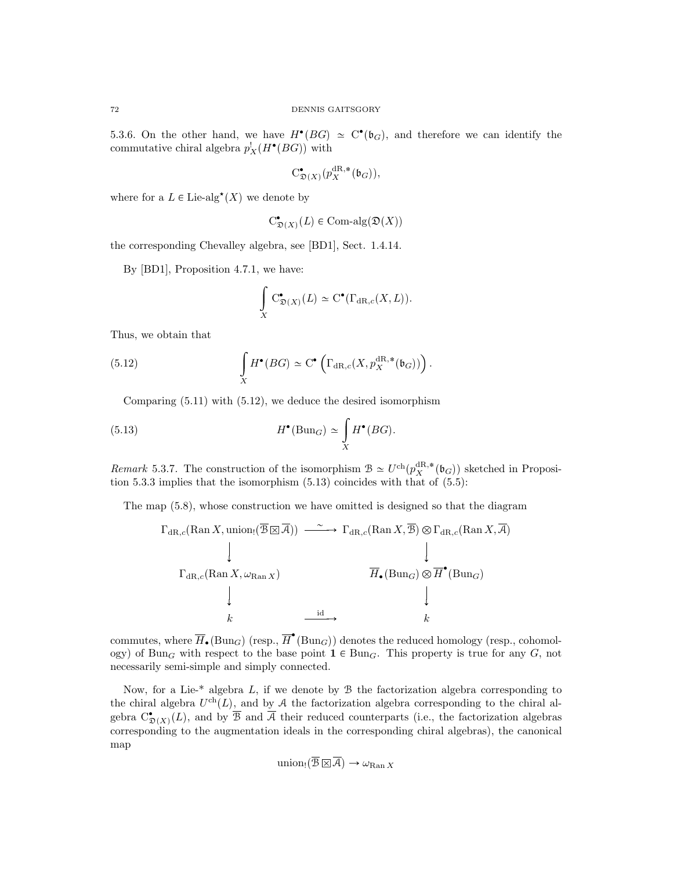5.3.6. On the other hand, we have  $H^{\bullet}(BG) \simeq C^{\bullet}(\mathfrak{b}_G)$ , and therefore we can identify the commutative chiral algebra  $p_X^!(H^{\bullet}(BG))$  with

$$
C^{\bullet}_{\mathfrak{D}(X)}(p_X^{dR,*}(\mathfrak{b}_G)),
$$

where for a  $L \in \text{Lie-alg}^{\star}(X)$  we denote by

$$
C^{\bullet}_{\mathfrak{D}(X)}(L) \in \text{Com-alg}(\mathfrak{D}(X))
$$

the corresponding Chevalley algebra, see [BD1], Sect. 1.4.14.

By [BD1], Proposition 4.7.1, we have:

$$
\int_{X} C_{\mathfrak{D}(X)}^{\bullet}(L) \simeq C^{\bullet}(\Gamma_{\mathrm{dR},c}(X,L)).
$$

Thus, we obtain that

(5.12) 
$$
\int_{X} H^{\bullet}(BG) \simeq C^{\bullet} \left( \Gamma_{\mathrm{dR},c}(X, p_X^{\mathrm{dR},*}(\mathfrak{b}_G)) \right).
$$

Comparing (5.11) with (5.12), we deduce the desired isomorphism

(5.13) 
$$
H^{\bullet}(\text{Bun}_G) \simeq \int\limits_X H^{\bullet}(BG).
$$

Remark 5.3.7. The construction of the isomorphism  $\mathcal{B} \simeq U^{\text{ch}}(p_X^{\text{dR},*}(\mathfrak{b}_G))$  sketched in Proposition 5.3.3 implies that the isomorphism (5.13) coincides with that of (5.5):

The map (5.8), whose construction we have omitted is designed so that the diagram

$$
\Gamma_{\mathrm{dR},c}(\mathrm{Ran}\,X,\mathrm{union}_{!}(\overline{\mathcal{B}}\boxtimes\overline{A})) \xrightarrow{\sim} \Gamma_{\mathrm{dR},c}(\mathrm{Ran}\,X,\overline{\mathcal{B}}) \otimes \Gamma_{\mathrm{dR},c}(\mathrm{Ran}\,X,\overline{A})
$$
\n
$$
\downarrow \qquad \qquad \downarrow
$$
\n
$$
\Gamma_{\mathrm{dR},c}(\mathrm{Ran}\,X,\omega_{\mathrm{Ran}\,X}) \qquad \qquad \overline{H}_{\bullet}(\mathrm{Bun}_{G}) \otimes \overline{H}^{\bullet}(\mathrm{Bun}_{G})
$$
\n
$$
\downarrow \qquad \qquad \downarrow
$$
\n
$$
k \qquad \qquad \frac{\mathrm{id}}{\phantom{1}} \qquad k
$$

commutes, where  $\overline{H}_{\bullet}(\text{Bun}_G)$  (resp.,  $\overline{H}^{\bullet}(\text{Bun}_G)$ ) denotes the reduced homology (resp., cohomology) of Bun<sub>G</sub> with respect to the base point  $\mathbf{1} \in \text{Bun}_G$ . This property is true for any G, not necessarily semi-simple and simply connected.

Now, for a Lie- $*$  algebra  $L$ , if we denote by  $\mathcal B$  the factorization algebra corresponding to the chiral algebra  $U^{ch}(L)$ , and by A the factorization algebra corresponding to the chiral algebra  $C_{\mathfrak{D}(X)}^{\bullet}(L)$ , and by  $\overline{\mathcal{B}}$  and  $\overline{\mathcal{A}}$  their reduced counterparts (i.e., the factorization algebras corresponding to the augmentation ideals in the corresponding chiral algebras), the canonical map

$$
\text{union}_{!}(\overline{\mathcal{B}}\boxtimes\overline{\mathcal{A}}) \to \omega_{\text{Ran } X}
$$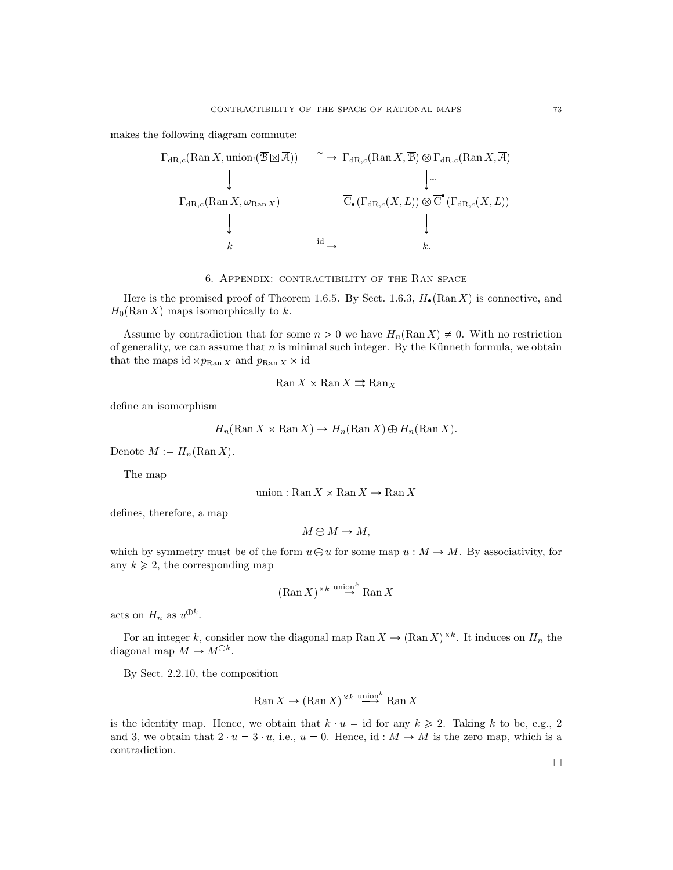makes the following diagram commute:

$$
\Gamma_{\mathrm{dR},c}(\mathrm{Ran}\,X,\mathrm{union}_{!}(\overline{\mathcal{B}}\boxtimes\overline{\mathcal{A}})) \xrightarrow{\sim} \Gamma_{\mathrm{dR},c}(\mathrm{Ran}\,X,\overline{\mathcal{B}}) \otimes \Gamma_{\mathrm{dR},c}(\mathrm{Ran}\,X,\overline{\mathcal{A}})
$$
\n
$$
\downarrow \qquad \qquad \downarrow \sim
$$
\n
$$
\Gamma_{\mathrm{dR},c}(\mathrm{Ran}\,X,\omega_{\mathrm{Ran}\,X}) \qquad \qquad \overline{\mathrm{C}}_{\bullet}(\Gamma_{\mathrm{dR},c}(X,L)) \otimes \overline{\mathrm{C}}^{\bullet}(\Gamma_{\mathrm{dR},c}(X,L))
$$
\n
$$
\downarrow \qquad \qquad \downarrow
$$
\n
$$
k \qquad \qquad \frac{\mathrm{id}}{\mathrm{id}} \qquad k.
$$

6. APPENDIX: CONTRACTIBILITY OF THE RAN SPACE

Here is the promised proof of Theorem 1.6.5. By Sect. 1.6.3,  $H_{\bullet}(\text{Ran } X)$  is connective, and  $H_0(\text{Ran} X)$  maps isomorphically to k.

Assume by contradiction that for some  $n > 0$  we have  $H_n(\text{Ran } X) \neq 0$ . With no restriction of generality, we can assume that  $n$  is minimal such integer. By the Künneth formula, we obtain that the maps id  $\times p_{\text{Ran } X}$  and  $p_{\text{Ran } X} \times$  id

$$
\operatorname{Ran} X \times \operatorname{Ran} X \rightrightarrows \operatorname{Ran} X
$$

define an isomorphism

$$
H_n(\text{Ran } X \times \text{Ran } X) \to H_n(\text{Ran } X) \oplus H_n(\text{Ran } X).
$$

Denote  $M := H_n(\text{Ran } X)$ .

The map

union: Ran 
$$
X \times \text{Ran } X \to \text{Ran } X
$$

defines, therefore, a map

$$
M \oplus M \to M,
$$

which by symmetry must be of the form  $u \oplus u$  for some map  $u : M \to M$ . By associativity, for any  $k \geqslant 2$ , the corresponding map

$$
(\mathrm{Ran} X)^{\times k} \overset{\text{union}^k}{\longrightarrow} \mathrm{Ran} X
$$

acts on  $H_n$  as  $u^{\oplus k}$ .

For an integer k, consider now the diagonal map Ran  $X \to (\text{Ran } X)^{\times k}$ . It induces on  $H_n$  the diagonal map  $M \to M^{\oplus k}$ .

By Sect.  $2.2.10$ , the composition

$$
\operatorname{Ran} X \to (\operatorname{Ran} X)^{\times k} \xrightarrow{\text{union}^k} \operatorname{Ran} X
$$

is the identity map. Hence, we obtain that  $k \cdot u = id$  for any  $k \ge 2$ . Taking k to be, e.g., 2 and 3, we obtain that 2  $u = 3 \cdot u$ , i.e.,  $u = 0$ . Hence, id:  $M \rightarrow M$  is the zero map, which is a contradiction.

 $\Box$